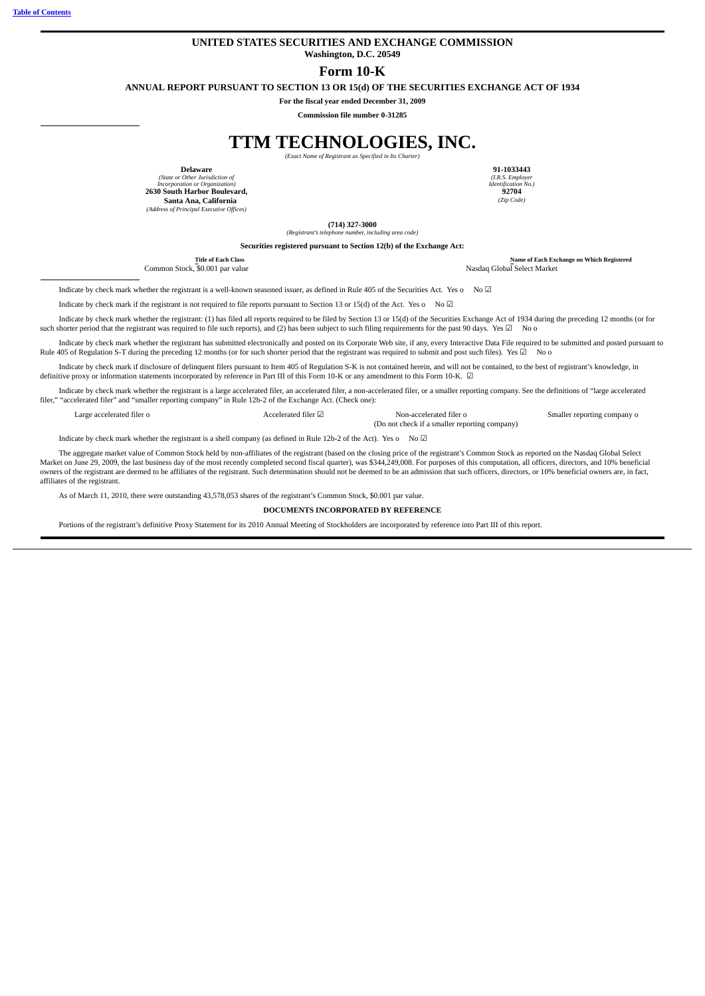**Table of [Contents](#page-2-0)**

## **UNITED STATES SECURITIES AND EXCHANGE COMMISSION Washington, D.C. 20549**

# **Form 10-K**

**ANNUAL REPORT PURSUANT TO SECTION 13 OR 15(d) OF THE SECURITIES EXCHANGE ACT OF 1934**

**For the fiscal year ended December 31, 2009**

**Commission file number 0-31285**

# **TTM TECHNOLOGIES, INC.** *(Exact Name of Registrant as Specified in Its Charter)*

*(State or Other Jurisdiction of Incorporation or Organization)* **2630 South Harbor Boulevard, Santa Ana, California** *(Address of Principal Executive Offices)*

**Delaware 91-1033443** *(I.R.S. Employer Identification No.)* **92704** *(Zip Code)*

> **(714) 327-3000** *(Registrant's telephone number, including area code)*

**Securities registered pursuant to Section 12(b) of the Exchange Act:**

Common Stock, \$0.001 par value

**Title of Each Class Name of Each Exchange on Which Registered**

Indicate by check mark whether the registrant is a well-known seasoned issuer, as defined in Rule 405 of the Securities Act. Yes o No  $\boxtimes$ 

Indicate by check mark if the registrant is not required to file reports pursuant to Section 13 or 15(d) of the Act. Yes o No ☑

Indicate by check mark whether the registrant: (1) has filed all reports required to be filed by Section 13 or 15(d) of the Securities Exchange Act of 1934 during the preceding 12 months (or for such shorter period that the registrant was required to file such reports), and (2) has been subject to such filing requirements for the past 90 days. Yes ☑ No o

Indicate by check mark whether the registrant has submitted electronically and posted on its Corporate Web site, if any, every Interactive Data File required to be submitted and posted pursuant to Rule 405 of Regulation S-T during the preceding 12 months (or for such shorter period that the registrant was required to submit and post such files). Yes ☑ No o

Indicate by check mark if disclosure of delinquent filers pursuant to Item 405 of Regulation S-K is not contained herein, and will not be contained, to the best of registrant's knowledge, in definitive proxy or information statements incorporated by reference in Part III of this Form 10-K or any amendment to this Form 10-K. ☑

Indicate by check mark whether the registrant is a large accelerated filer, an accelerated filer, a non-accelerated filer, or a smaller reporting company. See the definitions of "large accelerated filer," "accelerated filer" and "smaller reporting company" in Rule 12b-2 of the Exchange Act. (Check one):

Large accelerated filer o Smaller reporting company o Accelerated filer ⊡ Non-accelerated filer o Smaller reporting company o (Do not check if a smaller reporting company)

Indicate by check mark whether the registrant is a shell company (as defined in Rule 12b-2 of the Act). Yes o No  $\boxtimes$ 

The aggregate market value of Common Stock held by non-affiliates of the registrant (based on the closing price of the registrant's Common Stock as reported on the Nasdaq Global Select Market on June 29, 2009, the last business day of the most recently completed second fiscal quarter), was \$344,249,008. For purposes of this computation, all officers, directors, and 10% beneficial owners are, in fact,<br>own affiliates of the registrant.

As of March 11, 2010, there were outstanding 43,578,053 shares of the registrant's Common Stock, \$0.001 par value.

**DOCUMENTS INCORPORATED BY REFERENCE**

Portions of the registrant's definitive Proxy Statement for its 2010 Annual Meeting of Stockholders are incorporated by reference into Part III of this report.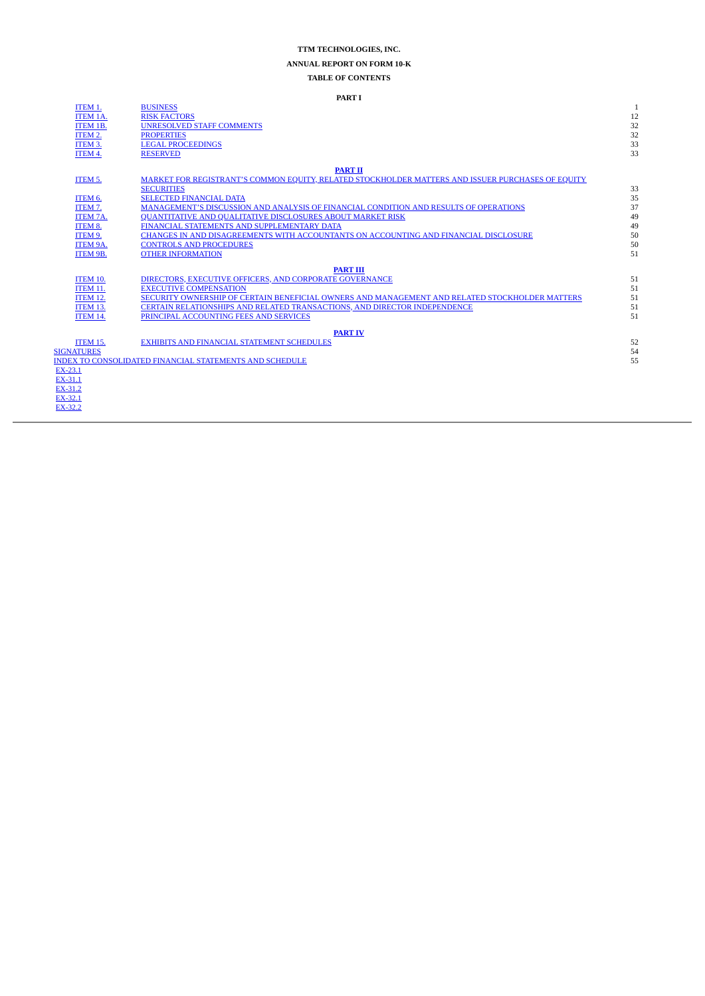# **TTM TECHNOLOGIES, INC.**

**ANNUAL REPORT ON FORM 10-K TABLE OF CONTENTS**

<span id="page-2-0"></span>

| <b>PART I</b>     |                                                                                                   |    |  |  |
|-------------------|---------------------------------------------------------------------------------------------------|----|--|--|
| ITEM 1.           | <b>BUSINESS</b>                                                                                   | -1 |  |  |
| <b>ITEM 1A.</b>   | <b>RISK FACTORS</b>                                                                               | 12 |  |  |
| ITEM 1B.          | <b>UNRESOLVED STAFF COMMENTS</b>                                                                  | 32 |  |  |
| ITEM 2.           | <b>PROPERTIES</b>                                                                                 | 32 |  |  |
| ITEM 3.           | <b>LEGAL PROCEEDINGS</b>                                                                          | 33 |  |  |
| ITEM 4.           | <b>RESERVED</b>                                                                                   | 33 |  |  |
|                   | <b>PART II</b>                                                                                    |    |  |  |
| ITEM 5.           | MARKET FOR REGISTRANT'S COMMON EQUITY, RELATED STOCKHOLDER MATTERS AND ISSUER PURCHASES OF EQUITY |    |  |  |
|                   | <b>SECURITIES</b>                                                                                 | 33 |  |  |
| ITEM 6.           | <b>SELECTED FINANCIAL DATA</b>                                                                    | 35 |  |  |
| ITEM 7.           | MANAGEMENT'S DISCUSSION AND ANALYSIS OF FINANCIAL CONDITION AND RESULTS OF OPERATIONS             | 37 |  |  |
| ITEM 7A.          | <b>QUANTITATIVE AND QUALITATIVE DISCLOSURES ABOUT MARKET RISK</b>                                 | 49 |  |  |
| ITEM 8.           | FINANCIAL STATEMENTS AND SUPPLEMENTARY DATA                                                       | 49 |  |  |
| ITEM 9.           | CHANGES IN AND DISAGREEMENTS WITH ACCOUNTANTS ON ACCOUNTING AND FINANCIAL DISCLOSURE              | 50 |  |  |
| ITEM 9A.          | <b>CONTROLS AND PROCEDURES</b>                                                                    | 50 |  |  |
| ITEM 9B.          | <b>OTHER INFORMATION</b>                                                                          | 51 |  |  |
|                   |                                                                                                   |    |  |  |
|                   | <b>PART III</b>                                                                                   |    |  |  |
| <b>ITEM 10.</b>   | DIRECTORS, EXECUTIVE OFFICERS, AND CORPORATE GOVERNANCE                                           | 51 |  |  |
| <b>ITEM 11.</b>   | <b>EXECUTIVE COMPENSATION</b>                                                                     | 51 |  |  |
| <b>ITEM 12.</b>   | SECURITY OWNERSHIP OF CERTAIN BENEFICIAL OWNERS AND MANAGEMENT AND RELATED STOCKHOLDER MATTERS    | 51 |  |  |
| <b>ITEM 13.</b>   | CERTAIN RELATIONSHIPS AND RELATED TRANSACTIONS, AND DIRECTOR INDEPENDENCE                         | 51 |  |  |
| <b>ITEM 14.</b>   | PRINCIPAL ACCOUNTING FEES AND SERVICES                                                            | 51 |  |  |
|                   | <b>PART IV</b>                                                                                    |    |  |  |
| <b>ITEM 15.</b>   | <b>EXHIBITS AND FINANCIAL STATEMENT SCHEDULES</b>                                                 | 52 |  |  |
| <b>SIGNATURES</b> |                                                                                                   | 54 |  |  |
|                   | <b>INDEX TO CONSOLIDATED FINANCIAL STATEMENTS AND SCHEDULE</b>                                    | 55 |  |  |
| EX-23.1           |                                                                                                   |    |  |  |
| EX-31.1           |                                                                                                   |    |  |  |
| EX-31.2           |                                                                                                   |    |  |  |
| EX-32.1           |                                                                                                   |    |  |  |
| EX-32.2           |                                                                                                   |    |  |  |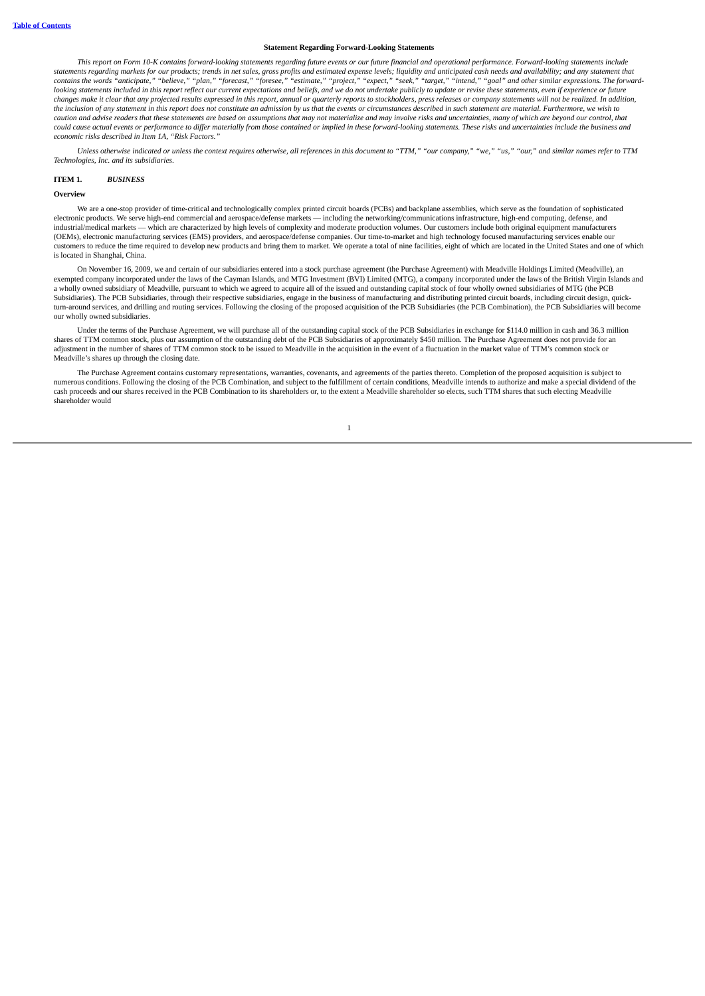#### **Statement Regarding Forward-Looking Statements**

This report on Form 10-K contains forward-looking statements regarding future events or our future financial and operational performance. Forward-looking statements include statements regarding markets for our products; trends in net sales, gross profits and estimated expense levels; liquidity and anticipated cash needs and availability; and any statement that<br>contains the words "anticipate," changes make it clear that any projected results expressed in this report, annual or quarterly reports to stockholders, press releases or company statements will not be realized. In addition, the inclusion of any statement in this report does not constitute an admission by us that the events or circumstances described in such statement are material. Furthermore, we wish to caution and advise readers that these statements are based on assumptions that may not materialize and may involve risks and uncertainties, many of which are beyond our control, that<br>could cause actual events or performanc *economic risks described in Item 1A, "Risk Factors."*

Unless otherwise indicated or unless the context requires otherwise, all references in this document to "TTM," "our company," "we," "us," "our," and similar names refer to TTM *Technologies, Inc. and its subsidiaries.*

#### <span id="page-3-0"></span>**ITEM 1.** *BUSINESS*

#### **Overview**

We are a one-stop provider of time-critical and technologically complex printed circuit boards (PCBs) and backplane assemblies, which serve as the foundation of sophisticated electronic products. We serve high-end commercial and aerospace/defense markets — including the networking/communications infrastructure, high-end computing, defense, and industrial/medical markets — which are characterized by high levels of complexity and moderate production volumes. Our customers include both original equipment manufacturers (OEMs), electronic manufacturing services (EMS) providers, and aerospace/defense companies. Our time-to-market and high technology focused manufacturing services enable our customers to reduce the time required to develop new products and bring them to market. We operate a total of nine facilities, eight of which are located in the United States and one of which is located in Shanghai, China.

On November 16, 2009, we and certain of our subsidiaries entered into a stock purchase agreement (the Purchase Agreement) with Meadville Holdings Limited (Meadville), an exempted company incorporated under the laws of the Cayman Islands, and MTG Investment (BVI) Limited (MTG), a company incorporated under the laws of the British Virgin Islands and NTG Investment (BVI) Limited (MTG), a comp a wholly owned subsidiary of Meadville, pursuant to which we agreed to acquire all of the issued and outstanding capital stock of four wholly owned subsidiaries of MTG (the PCB Subsidiaries). The PCB Subsidiaries, through their respective subsidiaries, engage in the business of manufacturing and distributing printed circuit boards, including circuit design, quickturn-around services, and drilling and routing services. Following the closing of the proposed acquisition of the PCB Subsidiaries (the PCB Combination), the PCB Subsidiaries will become our wholly owned subsidiaries.

Under the terms of the Purchase Agreement, we will purchase all of the outstanding capital stock of the PCB Subsidiaries in exchange for \$114.0 million in cash and 36.3 million shares of TTM common stock, plus our assumption of the outstanding debt of the PCB Subsidiaries of approximately \$450 million. The Purchase Agreement does not provide for an adjustment in the number of shares of TTM common stock to be issued to Meadville in the acquisition in the event of a fluctuation in the market value of TTM's common stock or Meadville's shares up through the closing date.

The Purchase Agreement contains customary representations, warranties, covenants, and agreements of the parties thereto. Completion of the proposed acquisition is subject to numerous conditions. Following the closing of the PCB Combination, and subject to the fulfillment of certain conditions, Meadville intends to authorize and make a special dividend of the numerous conditions. Following the cash proceeds and our shares received in the PCB Combination to its shareholders or, to the extent a Meadville shareholder so elects, such TTM shares that such electing Meadville shareholder would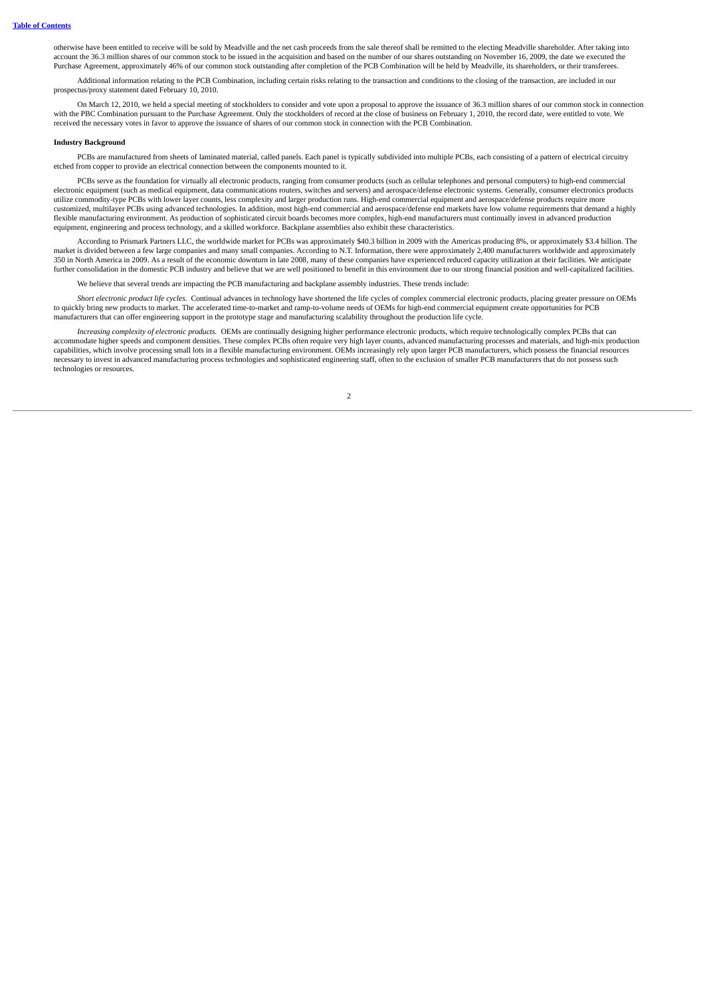otherwise have been entitled to receive will be sold by Meadville and the net cash proceeds from the sale thereof shall be remitted to the electing Meadville shareholder. After taking into account the 36.3 million shares of our common stock to be issued in the acquisition and based on the number of our shares outstanding on November 16, 2009, the date we executed the Purchase Agreement, approximately 46% of our common stock outstanding after completion of the PCB Combination will be held by Meadville, its shareholders, or their transferees.

Additional information relating to the PCB Combination, including certain risks relating to the transaction and conditions to the closing of the transaction, are included in our prospectus/proxy statement dated February 10, 2010.

On March 12, 2010, we held a special meeting of stockholders to consider and vote upon a proposal to approve the issuance of 36.3 million shares of our common stock in connection with the PBC Combination pursuant to the Pu received the necessary votes in favor to approve the issuance of shares of our common stock in connection with the PCB Combination.

#### **Industry Background**

PCBs are manufactured from sheets of laminated material, called panels. Each panel is typically subdivided into multiple PCBs, each consisting of a pattern of electrical circuitry etched from copper to provide an electrical connection between the components mounted to it.

PCBs serve as the foundation for virtually all electronic products, ranging from consumer products (such as cellular telephones and personal computers) to high-end commercial<br>electronic equipment (such as medical equipment utilize commodity-type PCBs with lower layer counts, less complexity and larger production runs. High-end commercial equipment and aerospace/defense products require more customized, multilayer PCBs using advanced technologies. In addition, most high-end commercial and aerospace/defense end markets have low volume requirements that demand a highly flexible manufacturing environment. As production of sophisticated circuit boards becomes more complex, high-end manufacturers must continually invest in advanced production equipment, engineering and process technology, and a skilled workforce. Backplane assemblies also exhibit these characteristics.

According to Prismark Partners LLC, the worldwide market for PCBs was approximately \$40.3 billion in 2009 with the Americas producing 8%, or approximately \$3.4 billion. The market is divided between a few large companies and many small companies. According to N.T. Information, there were approximately 2,400 manufacturers worldwide and approximately<br>350 in North America in 2009. As a result of further consolidation in the domestic PCB industry and believe that we are well positioned to benefit in this environment due to our strong financial position and well-capitalized facilities.

We believe that several trends are impacting the PCB manufacturing and backplane assembly industries. These trends include:

*Short electronic product life cycles.* Continual advances in technology have shortened the life cycles of complex commercial electronic products, placing greater pressure on OEMs to quickly bring new products to market. The accelerated time-to-market and ramp-to-volume needs of OEMs for high-end commercial equipment create opportunities for PCB manufacturers that can offer engineering support in the prototype stage and manufacturing scalability throughout the production life cycle.

*Increasing complexity of electronic products.* OEMs are continually designing higher performance electronic products, which require technologically complex PCBs that can accommodate higher speeds and component densities. These complex PCBs often require very high layer counts, advanced manufacturing processes and materials, and high-mix production capabilities, which involve processing small lots in a flexible manufacturing environment. OEMs increasingly rely upon larger PCB manufacturers, which possess the financial resources necessary to invest in advanced manufacturing process technologies and sophisticated engineering staff, often to the exclusion of smaller PCB manufacturers that do not possess such technologies or resources.

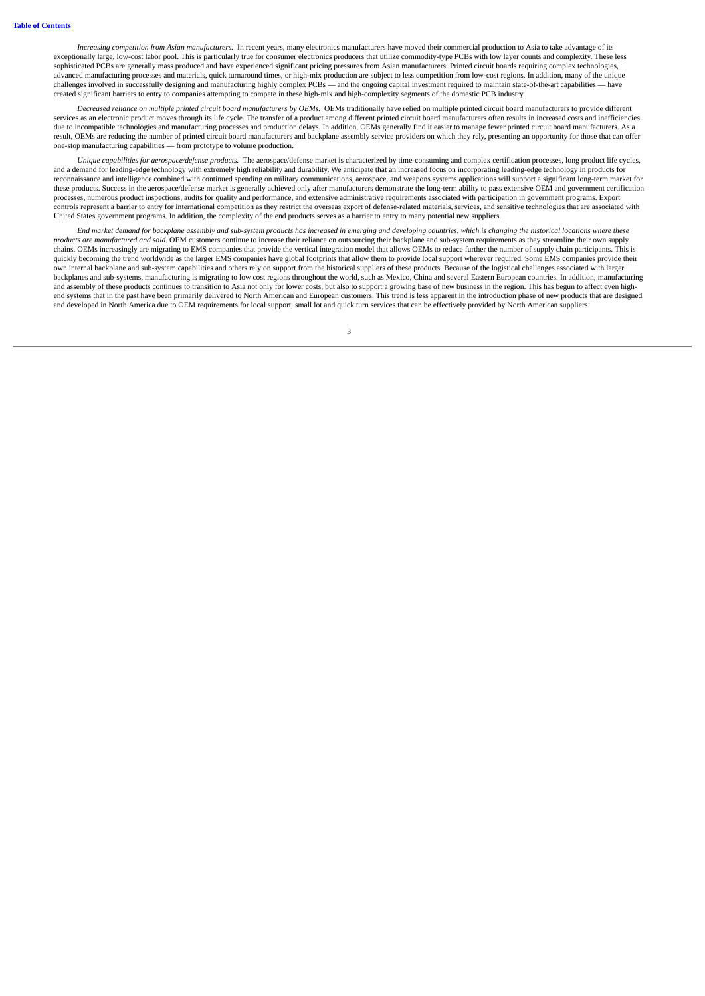*Increasing competition from Asian manufacturers.* In recent years, many electronics manufacturers have moved their commercial production to Asia to take advantage of its exceptionally large, low-cost labor pool. This is particularly true for consumer electronics producers that utilize commodity-type PCBs with low layer counts and complexity. These less sophisticated PCBs are generally mass produced and have experienced significant pricing pressures from Asian manufacturers. Printed circuit boards requiring complex technologies, advanced manufacturing processes and materials, quick turnaround times, or high-mix production are subject to less competition from low-cost regions. In addition, many of the unique<br>challenges involved in successfully desi created significant barriers to entry to companies attempting to compete in these high-mix and high-complexity segments of the domestic PCB industry.

Decreased reliance on multiple printed circuit board manufacturers by OEMs. OEMs traditionally have relied on multiple printed circuit board manufacturers to provide different services as an electronic product moves through its life cycle. The transfer of a product among different printed circuit board manufacturers often results in increased costs and inefficiencies<br>due to incompatible technolo result, OEMs are reducing the number of printed circuit board manufacturers and backplane assembly service providers on which they rely, presenting an opportunity for those that can offer one-stop manufacturing capabilities — from prototype to volume production.

*Unique capabilities for aerospace/defense products.* The aerospace/defense market is characterized by time-consuming and complex certification processes, long product life cycles, and a demand for leading-edge technology with extremely high reliability and durability. We anticipate that an increased focus on incorporating leading-edge technology in products for reconnaissance and intelligence combined with continued spending on military communications, aerospace, and weapons systems applications will support a significant long-term market for these products. Success in the aerospace/defense market is generally achieved only after manufacturers demonstrate the long-term ability to pass extensive OEM and government certification processes, numerous product inspections, audits for quality and performance, and extensive administrative requirements associated with participation in government programs. Export controls represent a barrier to entry for international competition as they restrict the overseas export of defense-related materials, services, and sensitive technologies that are associated with United States government programs. In addition, the complexity of the end products serves as a barrier to entry to many potential new suppliers.

End market demand for backplane assembly and sub-system products has increased in emerging and developing countries, which is changing the historical locations where these *products are manufactured and sold.* OEM customers continue to increase their reliance on outsourcing their backplane and sub-system requirements as they streamline their own supply chains. OEMs increasingly are migrating to EMS companies that provide the vertical integration model that allows OEMs to reduce further the number of supply chain participants. This is quickly becoming the trend worldwide as the larger EMS companies have global footprints that allow them to provide local support wherever required. Some EMS companies provide their own internal backplane and sub-system capabilities and others rely on support from the historical suppliers of these products. Because of the logistical challenges associated with larger backplanes and sub-systems, manufacturing is migrating to low cost regions throughout the world, such as Mexico, China and several Eastern European countries. In addition, manufacturing and assembly of these products continues to transition to Asia not only for lower costs, but also to support a growing base of new business in the region. This has begun to affect even highend systems that in the past have been primarily delivered to North American and European customers. This trend is less apparent in the introduction phase of new products that are designed and developed in North America due to OEM requirements for local support, small lot and quick turn services that can be effectively provided by North American suppliers.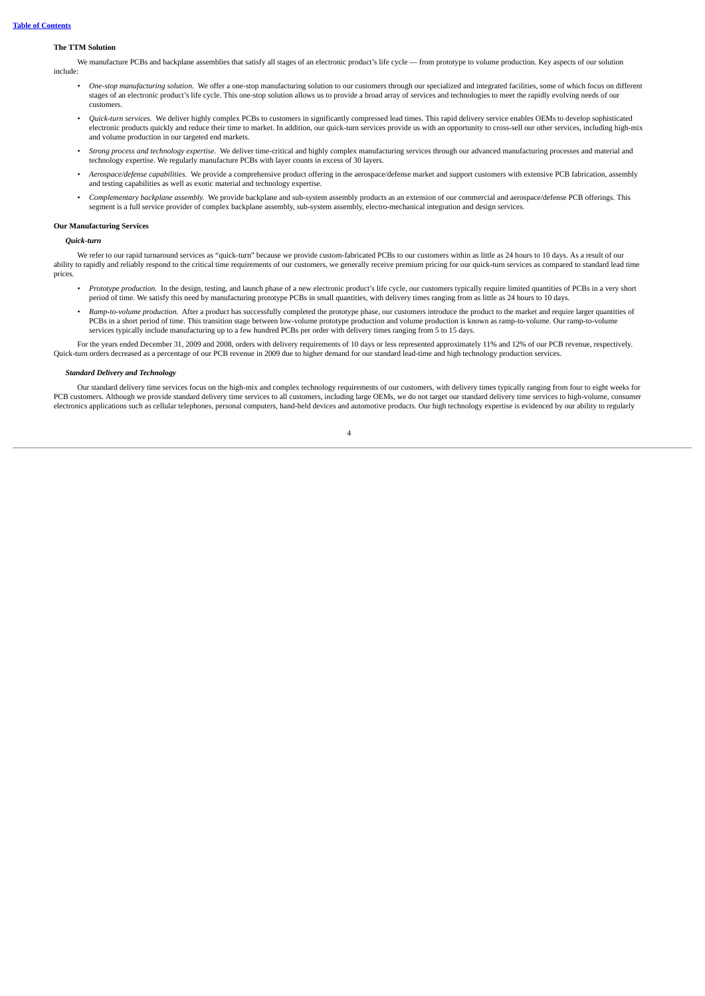## **The TTM Solution**

We manufacture PCBs and backplane assemblies that satisfy all stages of an electronic product's life cycle — from prototype to volume production. Key aspects of our solution include:

- *One-stop manufacturing solution.* We offer a one-stop manufacturing solution to our customers through our specialized and integrated facilities, some of which focus on different stages of an electronic product's life cycle. This one-stop solution allows us to provide a broad array of services and technologies to meet the rapidly evolving needs of our customers.
- *Quick-turn services.* We deliver highly complex PCBs to customers in significantly compressed lead times. This rapid delivery service enables OEMs to develop sophisticated electronic products quickly and reduce their time to market. In addition, our quick-turn services provide us with an opportunity to cross-sell our other services, including high-mix and volume production in our targeted end markets.
- *Strong process and technology expertise.* We deliver time-critical and highly complex manufacturing services through our advanced manufacturing processes and material and technology expertise. We regularly manufacture PCBs with layer counts in excess of 30 layers.
- *Aerospace/defense capabilities.* We provide a comprehensive product offering in the aerospace/defense market and support customers with extensive PCB fabrication, assembly and testing capabilities as well as exotic material and technology expertise.
- *Complementary backplane assembly.* We provide backplane and sub-system assembly products as an extension of our commercial and aerospace/defense PCB offerings. This segment is a full service provider of complex backplane assembly, sub-system assembly, electro-mechanical integration and design services.

#### **Our Manufacturing Services**

# *Quick-turn*

We refer to our rapid turnaround services as "quick-turn" because we provide custom-fabricated PCBs to our customers within as little as 24 hours to 10 days. As a result of our ability to rapidly and reliably respond to the critical time requirements of our customers, we generally receive premium pricing for our quick-turn services as compared to standard lead time prices.

- *Prototype production.* In the design, testing, and launch phase of a new electronic product's life cycle, our customers typically require limited quantities of PCBs in a very short period of time. We satisfy this need by manufacturing prototype PCBs in small quantities, with delivery times ranging from as little as 24 hours to 10 days.
- *Ramp-to-volume production.* After a product has successfully completed the prototype phase, our customers introduce the product to the market and require larger quantities of PCBs in a short period of time. This transition stage between low-volume prototype production and volume production is known as ramp-to-volume. Our ramp-to-volume services typically include manufacturing up to a few hundred PCBs per order with delivery times ranging from 5 to 15 days.

For the years ended December 31, 2009 and 2008, orders with delivery requirements of 10 days or less represented approximately 11% and 12% of our PCB revenue, respectively. Quick-turn orders decreased as a percentage of our PCB revenue in 2009 due to higher demand for our standard lead-time and high technology production services.

#### *Standard Delivery and Technology*

Our standard delivery time services focus on the high-mix and complex technology requirements of our customers, with delivery times typically ranging from four to eight weeks for PCB customers. Although we provide standard delivery time services to all customers, including large OEMs, we do not target our standard delivery time services to high-volume, consumer<br>electronics applications such as cell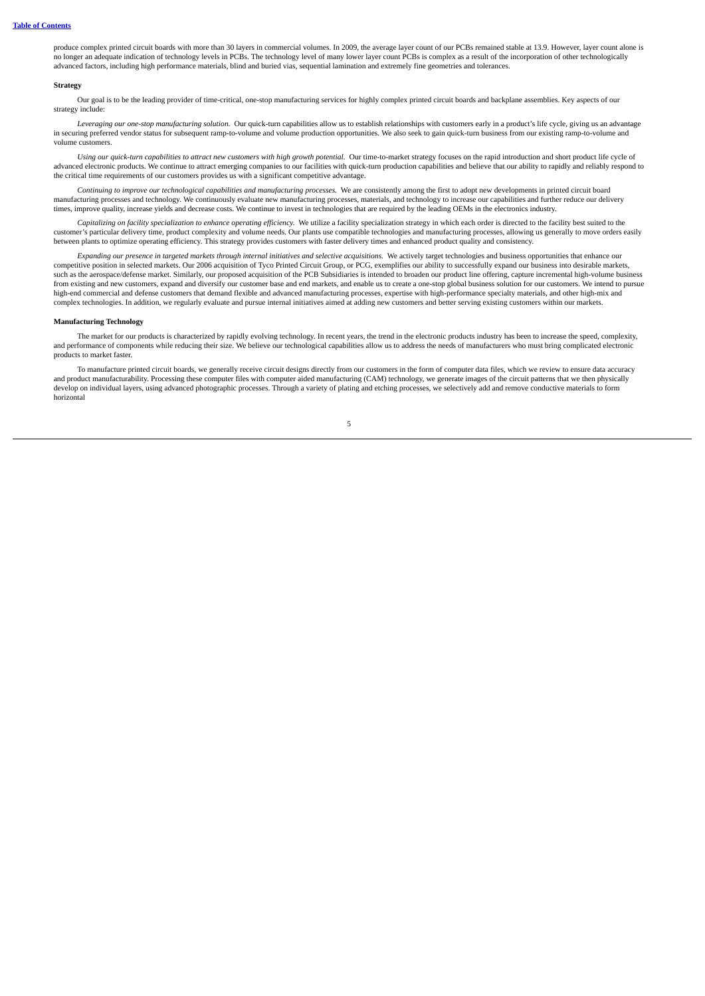produce complex printed circuit boards with more than 30 layers in commercial volumes. In 2009, the average layer count of our PCBs remained stable at 13.9. However, layer count alone is no longer an adequate indication of technology levels in PCBs. The technology level of many lower layer count PCBs is complex as a result of the incorporation of other technologically advanced factors, including high performance materials, blind and buried vias, sequential lamination and extremely fine geometries and tolerances.

#### **Strategy**

Our goal is to be the leading provider of time-critical, one-stop manufacturing services for highly complex printed circuit boards and backplane assemblies. Key aspects of our strategy include:

*Leveraging our one-stop manufacturing solution.* Our quick-turn capabilities allow us to establish relationships with customers early in a product's life cycle, giving us an advantage in securing preferred vendor status for subsequent ramp-to-volume and volume production opportunities. We also seek to gain quick-turn business from our existing ramp-to-volume and volume customers.

Using our quick-turn capabilities to attract new customers with high growth potential. Our time-to-market strategy focuses on the rapid introduction and short product life cycle of advanced electronic products. We continue to attract emerging companies to our facilities with quick-turn production capabilities and believe that our ability to rapidly and reliably respond to advanced electronic products the critical time requirements of our customers provides us with a significant competitive advantage.

Continuing to improve our technological capabilities and manufacturing processes. We are consistently among the first to adopt new developments in printed circuit board manufacturing processes and technology. We continuously evaluate new manufacturing processes, materials, and technology to increase our capabilities and further reduce our delivery times, improve quality, increase yields and decrease costs. We continue to invest in technologies that are required by the leading OEMs in the electronics industry.

Capitalizing on facility specialization to enhance operating efficiency. We utilize a facility specialization strategy in which each order is directed to the facility best suited to the customer's particular delivery time, product complexity and volume needs. Our plants use compatible technologies and manufacturing processes, allowing us generally to move orders easily between plants to optimize operating efficiency. This strategy provides customers with faster delivery times and enhanced product quality and consistency.

Expanding our presence in targeted markets through internal initiatives and selective acquisitions. We actively target technologies and business opportunities that enhance our competitive position in selected markets. Our 2006 acquisition of Tyco Printed Circuit Group, or PCG, exemplifies our ability to successfully expand our business into desirable markets, such as the aerospace/defense market. Similarly, our proposed acquisition of the PCB Subsidiaries is intended to broaden our product line offering, capture incremental high-volume business from existing and new customers, expand and diversify our customer base and end markets, and enable us to create a one-stop global business solution for our customers. We intend to pursue high-end commercial and defense customers that demand flexible and advanced manufacturing processes, expertise with high-performance specialty materials, and other high-mix and complex technologies. In addition, we regularly evaluate and pursue internal initiatives aimed at adding new customers and better serving existing customers within our markets.

#### **Manufacturing Technology**

The market for our products is characterized by rapidly evolving technology. In recent years, the trend in the electronic products industry has been to increase the speed, complexity, and performance of components while reducing their size. We believe our technological capabilities allow us to address the needs of manufacturers who must bring complicated electronic products to market faster.

To manufacture printed circuit boards, we generally receive circuit designs directly from our customers in the form of computer data files, which we review to ensure data accuracy and product manufacturability. Processing these computer files with computer aided manufacturing (CAM) technology, we generate images of the circuit patterns that we then physically develop on individual layers, using advanced photographic processes. Through a variety of plating and etching processes, we selectively add and remove conductive materials to form horizontal

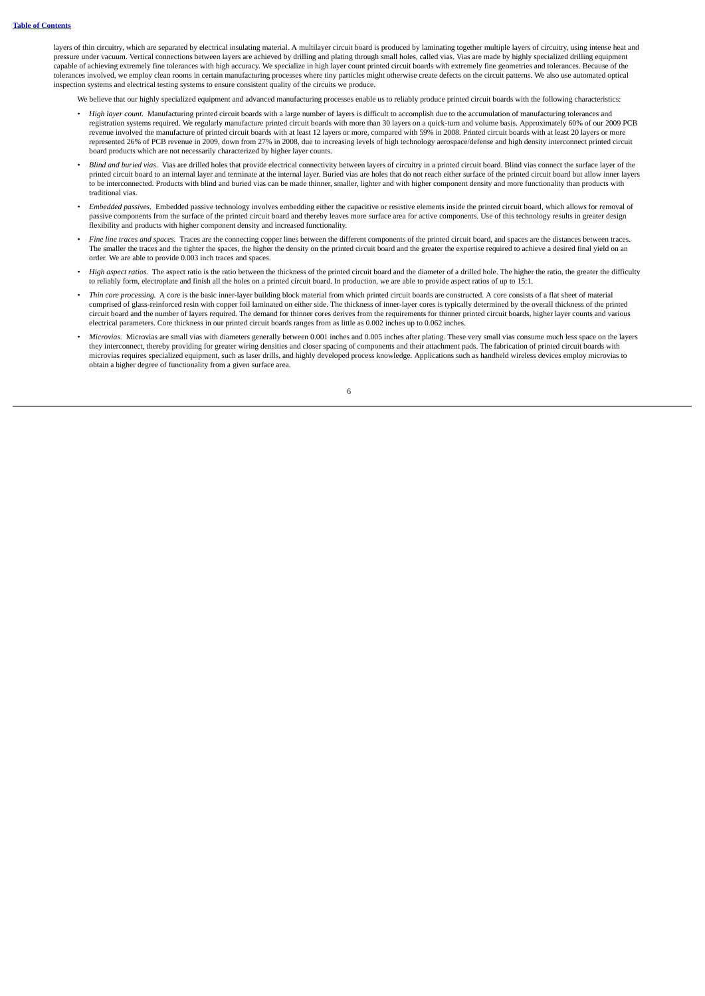layers of thin circuitry, which are separated by electrical insulating material. A multilayer circuit board is produced by laminating together multiple layers of circuitry, using intense heat and<br>pressure under vacuum. Ver capable of achieving extremely fine tolerances with high accuracy. We specialize in high layer count printed circuit boards with extremely fine geometries and tolerances. Because of the tolerances involved, we employ clean rooms in certain manufacturing processes where tiny particles might otherwise create defects on the circuit patterns. We also use automated optical inspection systems and electrical testing systems to ensure consistent quality of the circuits we produce.

We believe that our highly specialized equipment and advanced manufacturing processes enable us to reliably produce printed circuit boards with the following characteristics:

- *High layer count.* Manufacturing printed circuit boards with a large number of layers is difficult to accomplish due to the accumulation of manufacturing tolerances and registration systems required. We regularly manufacture printed circuit boards with more than 30 layers on a quick-turn and volume basis. Approximately 60% of our 2009 PCB revenue involved the manufacture of printed circuit boards with at least 12 layers or more, compared with 59% in 2008. Printed circuit boards with at least 20 layers or more represented 26% of PCB revenue in 2009, down from 27% in 2008, due to increasing levels of high technology aerospace/defense and high density interconnect printed circuit board products which are not necessarily characterized by higher layer counts.
- *Blind and buried vias.* Vias are drilled holes that provide electrical connectivity between layers of circuitry in a printed circuit board. Blind vias connect the surface layer of the printed circuit board to an internal layer and terminate at the internal layer. Buried vias are holes that do not reach either surface of the printed circuit board but allow inner layers to be interconnected. Products with blind and buried vias can be made thinner, smaller, lighter and with higher component density and more functionality than products with traditional vias.
- *Embedded passives.* Embedded passive technology involves embedding either the capacitive or resistive elements inside the printed circuit board, which allows for removal of passive components from the surface of the printed circuit board and thereby leaves more surface area for active components. Use of this technology results in greater design flexibility and products with higher component density and increased functionality.
- *Fine line traces and spaces.* Traces are the connecting copper lines between the different components of the printed circuit board, and spaces are the distances between traces. The smaller the traces and the tighter the spaces, the higher the density on the printed circuit board and the greater the expertise required to achieve a desired final yield on an order. We are able to provide 0.003 inch traces and spaces.
- *High aspect ratios.* The aspect ratio is the ratio between the thickness of the printed circuit board and the diameter of a drilled hole. The higher the ratio, the greater the difficulty to reliably form, electroplate and finish all the holes on a printed circuit board. In production, we are able to provide aspect ratios of up to 15:1.
- *Thin core processing.* A core is the basic inner-layer building block material from which printed circuit boards are constructed. A core consists of a flat sheet of material comprised of glass-reinforced resin with copper foil laminated on either side. The thickness of inner-layer cores is typically determined by the overall thickness of the printed circuit board and the number of layers required. The demand for thinner cores derives from the requirements for thinner printed circuit boards, higher layer counts and various electrical parameters. Core thickness in our printed circuit boards ranges from as little as 0.002 inches up to 0.062 inches.
- Microvias. Microvias are small vias with diameters generally between 0.001 inches and 0.005 inches after plating. These very small vias consume much less space on the layers they interconnect, thereby providing for great microvias requires specialized equipment, such as laser drills, and highly developed process knowledge. Applications such as handheld wireless devices employ microvias to obtain a higher degree of functionality from a given surface area.

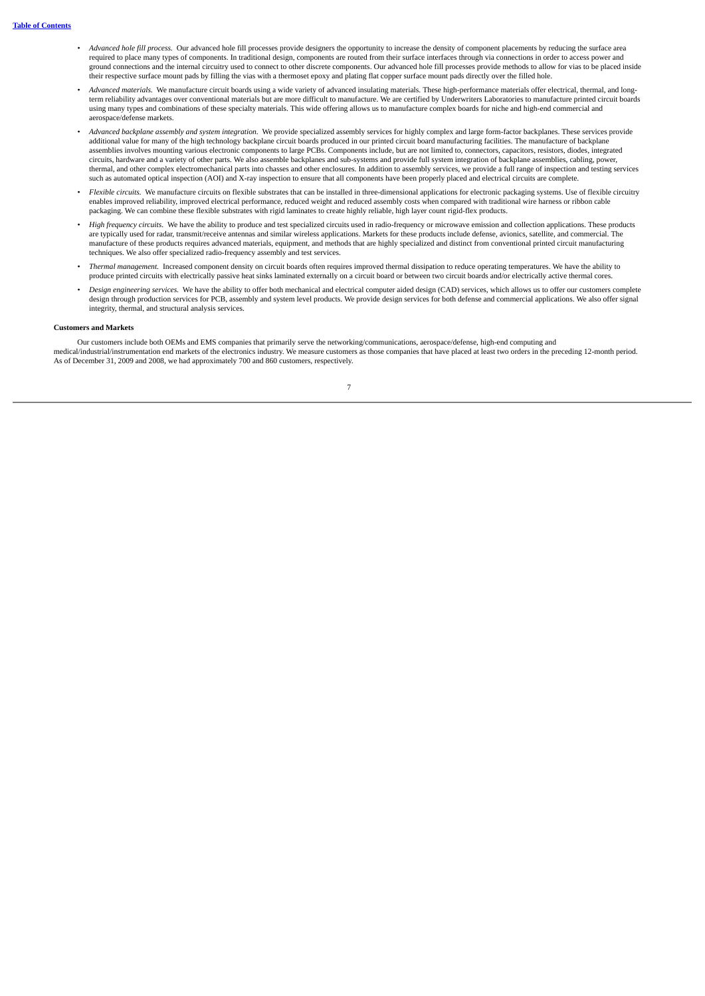- *Advanced hole fill process.* Our advanced hole fill processes provide designers the opportunity to increase the density of component placements by reducing the surface area required to place many types of components. In traditional design, components are routed from their surface interfaces through via connections in order to access power and ground connections and the internal circuitry used to connect to other discrete components. Our advanced hole fill processes provide methods to allow for vias to be placed inside their respective surface mount pads by filling the vias with a thermoset epoxy and plating flat copper surface mount pads directly over the filled hole.
- *Advanced materials.* We manufacture circuit boards using a wide variety of advanced insulating materials. These high-performance materials offer electrical, thermal, and longterm reliability advantages over conventional materials but are more difficult to manufacture. We are certified by Underwriters Laboratories to manufacture printed circuit boards using many types and combinations of these specialty materials. This wide offering allows us to manufacture complex boards for niche and high-end commercial and aerospace/defense markets.
- *Advanced backplane assembly and system integration.* We provide specialized assembly services for highly complex and large form-factor backplanes. These services provide additional value for many of the high technology backplane circuit boards produced in our printed circuit board manufacturing facilities. The manufacture of backplane assemblies involves mounting various electronic components to large PCBs. Components include, but are not limited to, connectors, capacitors, resistors, diodes, integrated circuits, hardware and a variety of other parts. We also assemble backplanes and sub-systems and provide full system integration of backplane assemblies, cabling, power, thermal, and other complex electromechanical parts into chasses and other enclosures. In addition to assembly services, we provide a full range of inspection and testing services such as automated optical inspection (AOI) and X-ray inspection to ensure that all components have been properly placed and electrical circuits are complete.
- *Flexible circuits.* We manufacture circuits on flexible substrates that can be installed in three-dimensional applications for electronic packaging systems. Use of flexible circuitry enables improved reliability, improved electrical performance, reduced weight and reduced assembly costs when compared with traditional wire harness or ribbon cable packaging. We can combine these flexible substrates with rigid laminates to create highly reliable, high layer count rigid-flex products.
- *High frequency circuits.* We have the ability to produce and test specialized circuits used in radio-frequency or microwave emission and collection applications. These products are typically used for radar, transmit/receive antennas and similar wireless applications. Markets for these products include defense, avionics, satellite, and commercial. The<br>manufacture of these products requires advance techniques. We also offer specialized radio-frequency assembly and test services.
- *Thermal management.* Increased component density on circuit boards often requires improved thermal dissipation to reduce operating temperatures. We have the ability to produce printed circuits with electrically passive heat sinks laminated externally on a circuit board or between two circuit boards and/or electrically active thermal cores.
- *Design engineering services.* We have the ability to offer both mechanical and electrical computer aided design (CAD) services, which allows us to offer our customers complete design through production services for PCB, assembly and system level products. We provide design services for both defense and commercial applications. We also offer signal integrity, thermal, and structural analysis services.

# **Customers and Markets**

Our customers include both OEMs and EMS companies that primarily serve the networking/communications, aerospace/defense, high-end computing and medical/industrial/instrumentation end markets of the electronics industry. We measure customers as those companies that have placed at least two orders in the preceding 12-month period. As of December 31, 2009 and 2008, we had approximately 700 and 860 customers, respectively.

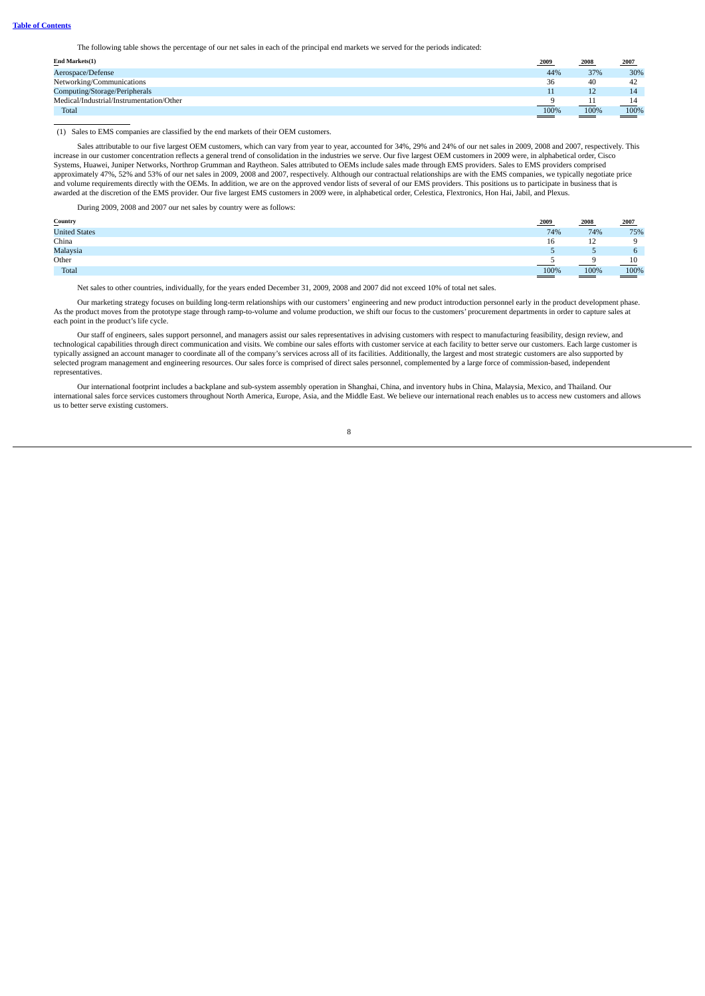The following table shows the percentage of our net sales in each of the principal end markets we served for the periods indicated:

| <b>End Markets(1)</b>                    | 2009  | 2008 | 2007 |
|------------------------------------------|-------|------|------|
| Aerospace/Defense                        | 44%   | 37%  | 30%  |
| Networking/Communications                | 36    | 40   | 42   |
| Computing/Storage/Peripherals            | 11    | 12   | 14   |
| Medical/Industrial/Instrumentation/Other | Ω     |      | 14   |
| Total                                    | 100%  | 100% | 100% |
|                                          | _____ | ____ |      |

(1) Sales to EMS companies are classified by the end markets of their OEM customers.

Sales attributable to our five largest OEM customers, which can vary from year to year, accounted for 34%, 29% and 24% of our net sales in 2009, 2008 and 2007, respectively. This increase in our customer concentration reflects a general trend of consolidation in the industries we serve. Our five largest OEM customers in 2009 were, in alphabetical order, Cisco Systems, Huawei, Juniper Networks, Northrop Grumman and Raytheon. Sales attributed to OEMs include sales made through EMS providers. Sales to EMS providers comprised<br>approximately 47%, 52% and 53% of our net sales in 2009, and volume requirements directly with the OEMs. In addition, we are on the approved vendor lists of several of our EMS providers. This positions us to participate in business that is<br>awarded at the discretion of the EMS pr

During 2009, 2008 and 2007 our net sales by country were as follows:

| Country              | 2009                             | 2008 | 2007                                                                                                                                                                                                                                         |
|----------------------|----------------------------------|------|----------------------------------------------------------------------------------------------------------------------------------------------------------------------------------------------------------------------------------------------|
| <b>United States</b> | 74%                              | 74%  | 75%                                                                                                                                                                                                                                          |
| China                | 16                               | 12   |                                                                                                                                                                                                                                              |
| Malaysia             | $\overline{\phantom{a}}$         |      |                                                                                                                                                                                                                                              |
| Other                |                                  |      | 10                                                                                                                                                                                                                                           |
| Total                | 100%<br>$\overline{\phantom{a}}$ | 100% | 100%<br><u>and the company of the company of the company of the company of the company of the company of the company of the company of the company of the company of the company of the company of the company of the company of the com</u> |

Net sales to other countries, individually, for the years ended December 31, 2009, 2008 and 2007 did not exceed 10% of total net sales.

Our marketing strategy focuses on building long-term relationships with our customers' engineering and new product introduction personnel early in the product development phase. As the product moves from the prototype stage through ramp-to-volume and volume production, we shift our focus to the customers' procurement departments in order to capture sales at each point in the product's life cycle.

Our staff of engineers, sales support personnel, and managers assist our sales representatives in advising customers with respect to manufacturing feasibility, design review, and technological capabilities through direct communication and visits. We combine our sales efforts with customer service at each facility to better serve our customers. Each large customer is typically assigned an account manager to coordinate all of the company's services across all of its facilities. Additionally, the largest and most strategic customers are also supported by selected program management and engineering resources. Our sales force is comprised of direct sales personnel, complemented by a large force of commission-based, independent representatives.

Our international footprint includes a backplane and sub-system assembly operation in Shanghai, China, and inventory hubs in China, Malaysia, Mexico, and Thailand. Our international sales force services customers throughout North America, Europe, Asia, and the Middle East. We believe our international reach enables us to access new customers and allows us to better serve existing customers.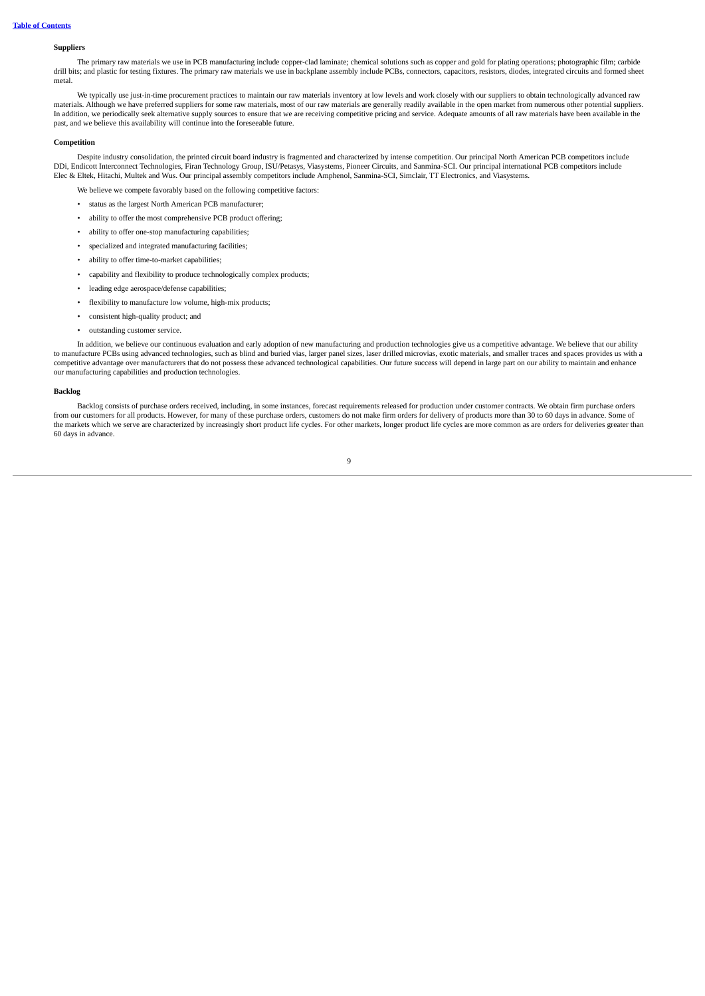#### **Suppliers**

The primary raw materials we use in PCB manufacturing include copper-clad laminate; chemical solutions such as copper and gold for plating operations; photographic film; carbide drill bits; and plastic for testing fixtures. The primary raw materials we use in backplane assembly include PCBs, connectors, capacitors, resistors, diodes, integrated circuits and formed sheet metal.

We typically use just-in-time procurement practices to maintain our raw materials inventory at low levels and work closely with our suppliers to obtain technologically advanced raw materials. Although we have preferred suppliers for some raw materials, most of our raw materials are generally readily available in the open market from numerous other potential suppliers.<br>In addition, we periodically see past, and we believe this availability will continue into the foreseeable future.

#### **Competition**

Despite industry consolidation, the printed circuit board industry is fragmented and characterized by intense competition. Our principal North American PCB competitors include DDi, Endicott Interconnect Technologies, Firan Technology Group, ISU/Petasys, Viasystems, Pioneer Circuits, and Sanmina-SCI. Our principal international PCB competitors include Elec & Eltek, Hitachi, Multek and Wus. Our principal assembly competitors include Amphenol, Sanmina-SCI, Simclair, TT Electronics, and Viasystems.

We believe we compete favorably based on the following competitive factors:

- status as the largest North American PCB manufacturer;
- ability to offer the most comprehensive PCB product offering;
- ability to offer one-stop manufacturing capabilities;
- specialized and integrated manufacturing facilities;
- ability to offer time-to-market capabilities;
- capability and flexibility to produce technologically complex products;
- leading edge aerospace/defense capabilities;
- flexibility to manufacture low volume, high-mix products;
- consistent high-quality product; and
- outstanding customer service.

In addition, we believe our continuous evaluation and early adoption of new manufacturing and production technologies give us a competitive advantage. We believe that our ability to manufacture PCBs using advanced technologies, such as blind and buried vias, larger panel sizes, laser drilled microvias, exotic materials, and smaller traces and spaces provides us with a<br>competitive advantage over man our manufacturing capabilities and production technologies.

#### **Backlog**

Backlog consists of purchase orders received, including, in some instances, forecast requirements released for production under customer contracts. We obtain firm purchase orders orders<br>from our customers for all products. the markets which we serve are characterized by increasingly short product life cycles. For other markets, longer product life cycles are more common as are orders for deliveries greater than 60 days in advance.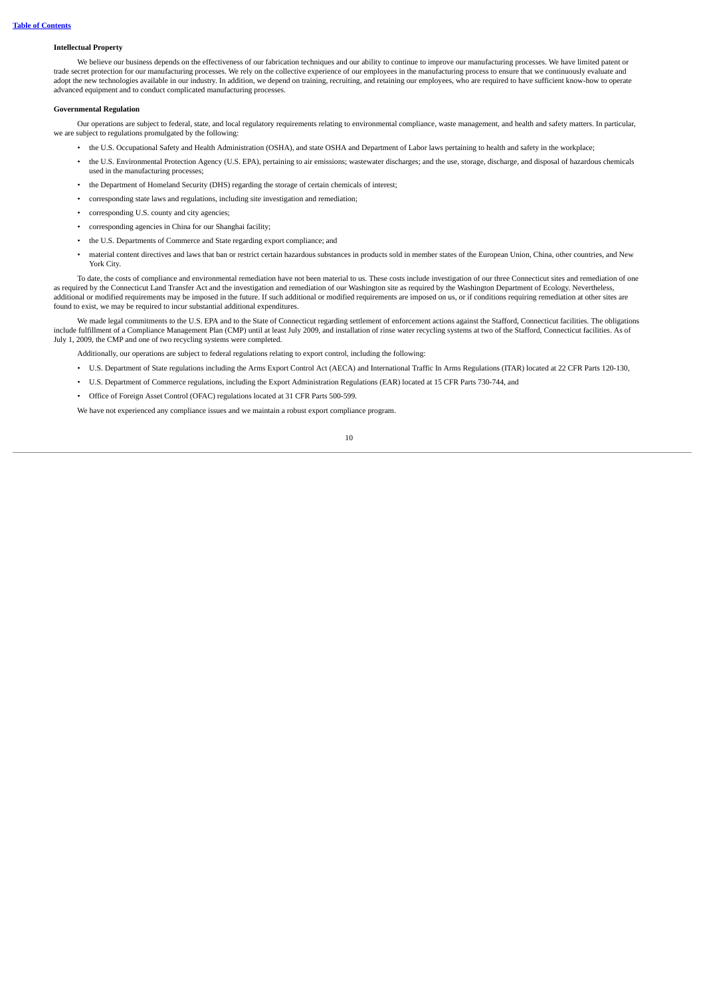#### **Intellectual Property**

We believe our business depends on the effectiveness of our fabrication techniques and our ability to continue to improve our manufacturing processes. We have limited patent or trade secret protection for our manufacturing processes. We rely on the collective experience of our employees in the manufacturing process to ensure that we continuously evaluate and adopt the new technologies available in our industry. In addition, we depend on training, recruiting, and retaining our employees, who are required to have sufficient know-how to operate advanced equipment and to conduct complicated manufacturing processes.

#### **Governmental Regulation**

Our operations are subject to federal, state, and local regulatory requirements relating to environmental compliance, waste management, and health and safety matters. In particular, we are subject to regulations promulgated by the following:

- the U.S. Occupational Safety and Health Administration (OSHA), and state OSHA and Department of Labor laws pertaining to health and safety in the workplace;
- the U.S. Environmental Protection Agency (U.S. EPA), pertaining to air emissions; wastewater discharges; and the use, storage, discharge, and disposal of hazardous chemicals used in the manufacturing processes;
- the Department of Homeland Security (DHS) regarding the storage of certain chemicals of interest;
- corresponding state laws and regulations, including site investigation and remediation;
- corresponding U.S. county and city agencies;
- corresponding agencies in China for our Shanghai facility;
- the U.S. Departments of Commerce and State regarding export compliance; and
- material content directives and laws that ban or restrict certain hazardous substances in products sold in member states of the European Union, China, other countries, and New York City.

To date, the costs of compliance and environmental remediation have not been material to us. These costs include investigation of our three Connecticut sites and remediation of one as required by the Connecticut Land Transfer Act and the investigation and remediation of our Washington site as required by the Washington Department of Ecology. Nevertheless, additional or modified requirements may be imposed in the future. If such additional or modified requirements are imposed on us, or if conditions requiring remediation at other sites are found to exist, we may be required to incur substantial additional expenditures.

We made legal commitments to the U.S. EPA and to the State of Connecticut regarding settlement of enforcement actions against the Stafford, Connecticut facilities. The obligations include fulfillment of a Compliance Management Plan (CMP) until at least July 2009, and installation of rinse water recycling systems at two of the Stafford, Connecticut facilities. As of July 1, 2009, the CMP and one of two recycling systems were completed.

Additionally, our operations are subject to federal regulations relating to export control, including the following:

- U.S. Department of State regulations including the Arms Export Control Act (AECA) and International Traffic In Arms Regulations (ITAR) located at 22 CFR Parts 120-130,
- U.S. Department of Commerce regulations, including the Export Administration Regulations (EAR) located at 15 CFR Parts 730-744, and
- Office of Foreign Asset Control (OFAC) regulations located at 31 CFR Parts 500-599.

We have not experienced any compliance issues and we maintain a robust export compliance program.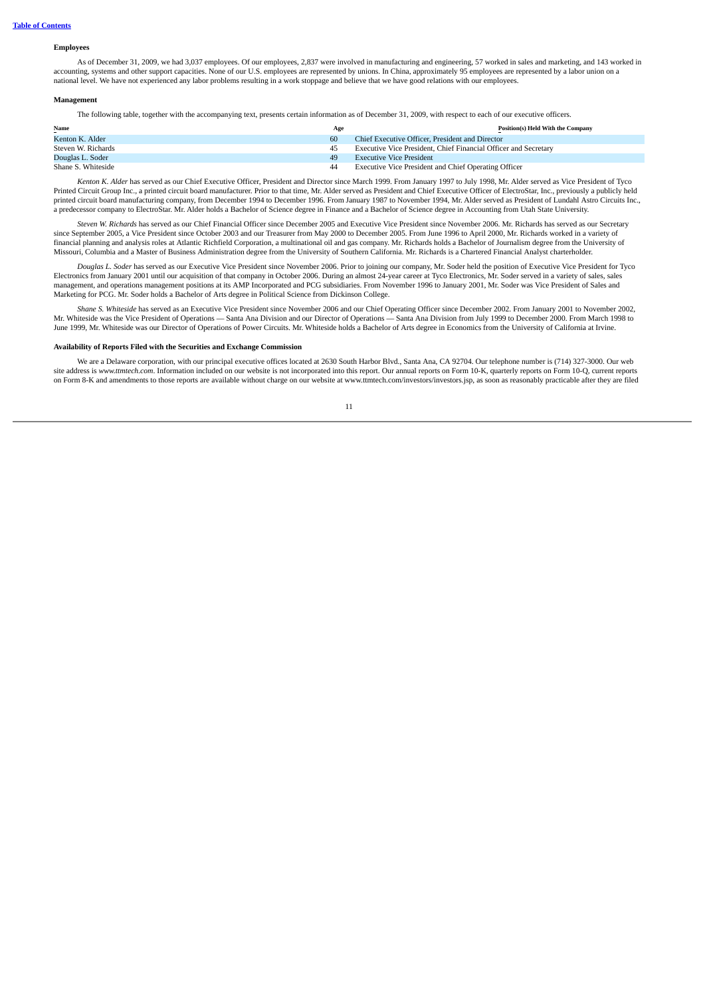#### **Employees**

As of December 31, 2009, we had 3,037 employees. Of our employees, 2,837 were involved in manufacturing and engineering, 57 worked in sales and marketing, and 143 worked in accounting, systems and other support capacities. None of our U.S. employees are represented by unions. In China, approximately 95 employees are represented by a labor union on a national level. We have not experienced any labor problems resulting in a work stoppage and believe that we have good relations with our employees.

#### **Management**

The following table, together with the accompanying text, presents certain information as of December 31, 2009, with respect to each of our executive officers.

| Name<br>$\sim$     | Age | Position(s) Held With the Company                               |
|--------------------|-----|-----------------------------------------------------------------|
| Kenton K. Alder    | 60  | Chief Executive Officer, President and Director                 |
| Steven W. Richards | 45  | Executive Vice President, Chief Financial Officer and Secretary |
| Douglas L. Soder   | 49  | <b>Executive Vice President</b>                                 |
| Shane S. Whiteside | 44  | Executive Vice President and Chief Operating Officer            |

*Kenton K. Alder* has served as our Chief Executive Officer, President and Director since March 1999. From January 1997 to July 1998, Mr. Alder served as Vice President of Tyco Printed Circuit Group Inc., a printed circuit board manufacturer. Prior to that time, Mr. Alder served as President and Chief Executive Officer of ElectroStar, Inc., previously a publicly held printed circuit board manufacturing company, from December 1994 to December 1996. From January 1987 to November 1994, Mr. Alder served as President of Lundahl Astro Circuits Inc., a predecessor company to ElectroStar. Mr. Alder holds a Bachelor of Science degree in Finance and a Bachelor of Science degree in Accounting from Utah State University.

*Steven W. Richards* has served as our Chief Financial Officer since December 2005 and Executive Vice President since November 2006. Mr. Richards has served as our Secretary since September 2005, a Vice President since October 2003 and our Treasurer from May 2000 to December 2005. From June 1996 to April 2000, Mr. Richards worked in a variety of financial planning and analysis roles at Atlantic Richfield Corporation, a multinational oil and gas company. Mr. Richards holds a Bachelor of Journalism degree from the University of Missouri, Columbia and a Master of Business Administration degree from the University of Southern California. Mr. Richards is a Chartered Financial Analyst charterholder.

*Douglas L. Soder* has served as our Executive Vice President since November 2006. Prior to joining our company, Mr. Soder held the position of Executive Vice President for Tyco Electronics from January 2001 until our acquisition of that company in October 2006. During an almost 24-year career at Tyco Electronics, Mr. Soder served in a variety of sales, sales management, and operations management positions at its AMP Incorporated and PCG subsidiaries. From November 1996 to January 2001, Mr. Soder was Vice President of Sales and Marketing for PCG. Mr. Soder holds a Bachelor of Arts degree in Political Science from Dickinson College.

,502 Shane S. Whiteside has served as an Executive Vice President since November 2006 and our Chief Operating Officer since December 2002. From January 2001 to November 2002,<br>Mr. Whiteside was the Vice President of Operati June 1999, Mr. Whiteside was our Director of Operations of Power Circuits. Mr. Whiteside holds a Bachelor of Arts degree in Economics from the University of California at Irvine.

#### **Availability of Reports Filed with the Securities and Exchange Commission**

We are a Delaware corporation, with our principal executive offices located at 2630 South Harbor Blvd., Santa Ana, CA 92704. Our telephone number is (714) 327-3000. Our web site address is www.ttmtech.com. Information included on our website is not incorporated into this report. Our annual reports on Form 10-K, quarterly reports on Form 10-Q, current reports on Form 8-K and amendments to those reports are available without charge on our website at www.ttmtech.com/investors/investors.jsp, as soon as reasonably practicable after they are filed

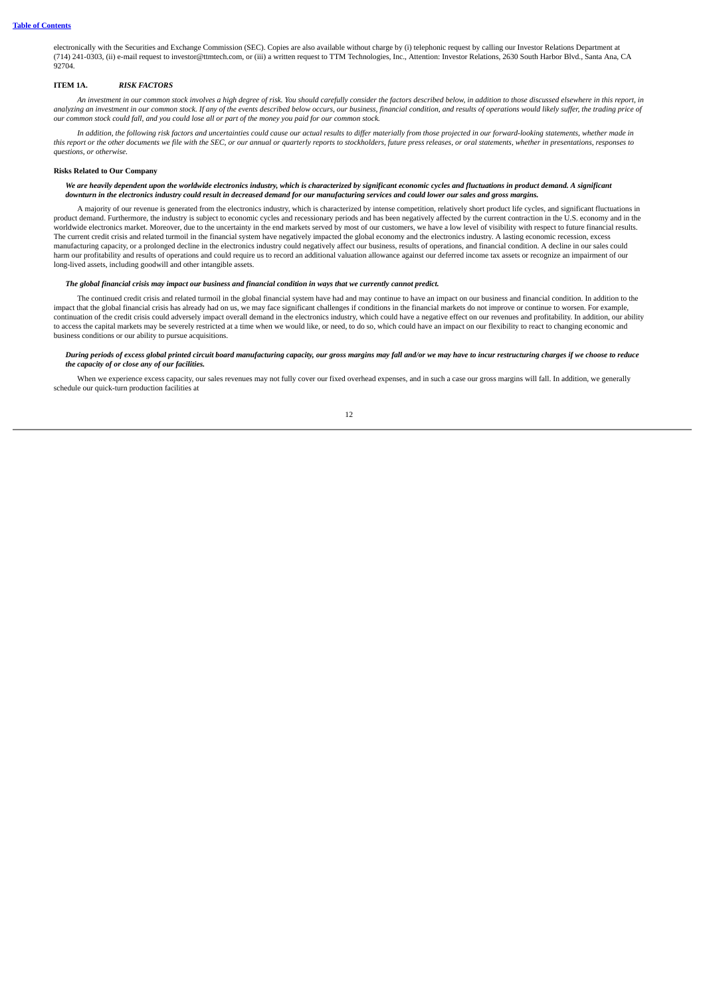electronically with the Securities and Exchange Commission (SEC). Copies are also available without charge by (i) telephonic request by calling our Investor Relations Department at (714) 241-0303, (ii) e-mail request to investor@ttmtech.com, or (iii) a written request to TTM Technologies, Inc., Attention: Investor Relations, 2630 South Harbor Blvd., Santa Ana, CA 92704.

#### <span id="page-14-0"></span>**ITEM 1A.** *RISK FACTORS*

An investment in our common stock involves a high degree of risk. You should carefully consider the factors described below, in addition to those discussed elsewhere in this report, in analyzing an investment in our common stock. If any of the events described below occurs, our business, financial condition, and results of operations would likely suffer, the trading price of our common stock could fall, and you could lose all or part of the money you paid for our common stock.

In addition, the following risk factors and uncertainties could cause our actual results to differ materially from those projected in our forward-looking statements, whether made in this report or the other documents we file with the SEC, or our annual or quarterly reports to stockholders, future press releases, or oral statements, whether in presentations, responses to *questions, or otherwise.*

#### **Risks Related to Our Company**

We are heavily dependent upon the worldwide electronics industry, which is characterized by significant economic cycles and fluctuations in product demand. A significant downturn in the electronics industry could result in decreased demand for our manufacturing services and could lower our sales and gross margins.

A majority of our revenue is generated from the electronics industry, which is characterized by intense competition, relatively short product life cycles, and significant fluctuations in product demand. Furthermore, the industry is subject to economic cycles and recessionary periods and has been negatively affected by the current contraction in the U.S. economy and in the worldwide electronics market. Moreover, due to the uncertainty in the end markets served by most of our customers, we have a low level of visibility with respect to future financial results. The current credit crisis and related turmoil in the financial system have negatively impacted the global economy and the electronics industry. A lasting economic recession, excess manufacturing capacity, or a prolonged decline in the electronics industry could negatively affect our business, results of operations, and financial condition. A decline in our sales could harm our profitability and results of operations and could require us to record an additional valuation allowance against our deferred income tax assets or recognize an impairment of our long-lived assets, including goodwill and other intangible assets.

#### The alobal financial crisis may impact our business and financial condition in ways that we currently cannot predict.

The continued credit crisis and related turmoil in the global financial system have had and may continue to have an impact on our business and financial condition. In addition to the impact that the global financial crisis has already had on us, we may face significant challenges if conditions in the financial markets do not improve or continue to worsen. For example, continuation of the credit crisis could adversely impact overall demand in the electronics industry, which could have a negative effect on our revenues and profitability. In addition, our ability to access the capital markets may be severely restricted at a time when we would like, or need, to do so, which could have an impact on our flexibility to react to changing economic and business conditions or our ability to pursue acquisitions.

## During periods of excess global printed circuit board manufacturing capacity, our gross margins may fall and/or we may have to incur restructuring charges if we choose to reduce *the capacity of or close any of our facilities.*

When we experience excess capacity, our sales revenues may not fully cover our fixed overhead expenses, and in such a case our gross margins will fall. In addition, we generally schedule our quick-turn production facilities at

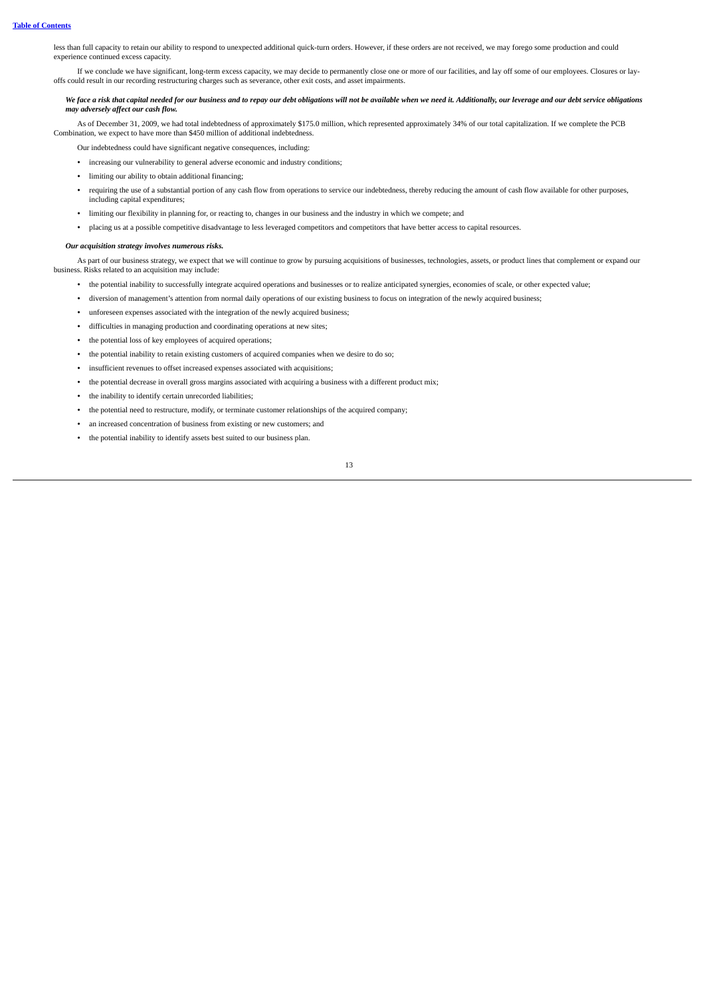less than full capacity to retain our ability to respond to unexpected additional quick-turn orders. However, if these orders are not received, we may forego some production and could experience continued excess capacity.

If we conclude we have significant, long-term excess capacity, we may decide to permanently close one or more of our facilities, and lay off some of our employees. Closures or layoffs could result in our recording restructuring charges such as severance, other exit costs, and asset impairments.

#### We face a risk that capital needed for our business and to repay our debt obligations will not be available when we need it. Additionally, our leverage and our debt service obligations *may adversely affect our cash flow.*

As of December 31, 2009, we had total indebtedness of approximately \$175.0 million, which represented approximately 34% of our total capitalization. If we complete the PCB Combination, we expect to have more than \$450 million of additional indebtedness.

Our indebtedness could have significant negative consequences, including:

- **•** increasing our vulnerability to general adverse economic and industry conditions;
- **•** limiting our ability to obtain additional financing;
- **•** requiring the use of a substantial portion of any cash flow from operations to service our indebtedness, thereby reducing the amount of cash flow available for other purposes, including capital expenditures;
- **•** limiting our flexibility in planning for, or reacting to, changes in our business and the industry in which we compete; and
- placing us at a possible competitive disadvantage to less leveraged competitors and competitors that have better access to capital resources.

#### *Our acquisition strategy involves numerous risks.*

As part of our business strategy, we expect that we will continue to grow by pursuing acquisitions of businesses, technologies, assets, or product lines that complement or expand our business. Risks related to an acquisition may include:

- **•** the potential inability to successfully integrate acquired operations and businesses or to realize anticipated synergies, economies of scale, or other expected value;
- **•** diversion of management's attention from normal daily operations of our existing business to focus on integration of the newly acquired business;
- **•** unforeseen expenses associated with the integration of the newly acquired business;
- **•** difficulties in managing production and coordinating operations at new sites;
- **•** the potential loss of key employees of acquired operations;
- **•** the potential inability to retain existing customers of acquired companies when we desire to do so;
- **•** insufficient revenues to offset increased expenses associated with acquisitions;
- the potential decrease in overall gross margins associated with acquiring a business with a different product mix;
- **•** the inability to identify certain unrecorded liabilities;
- **•** the potential need to restructure, modify, or terminate customer relationships of the acquired company;
- **•** an increased concentration of business from existing or new customers; and
- **•** the potential inability to identify assets best suited to our business plan.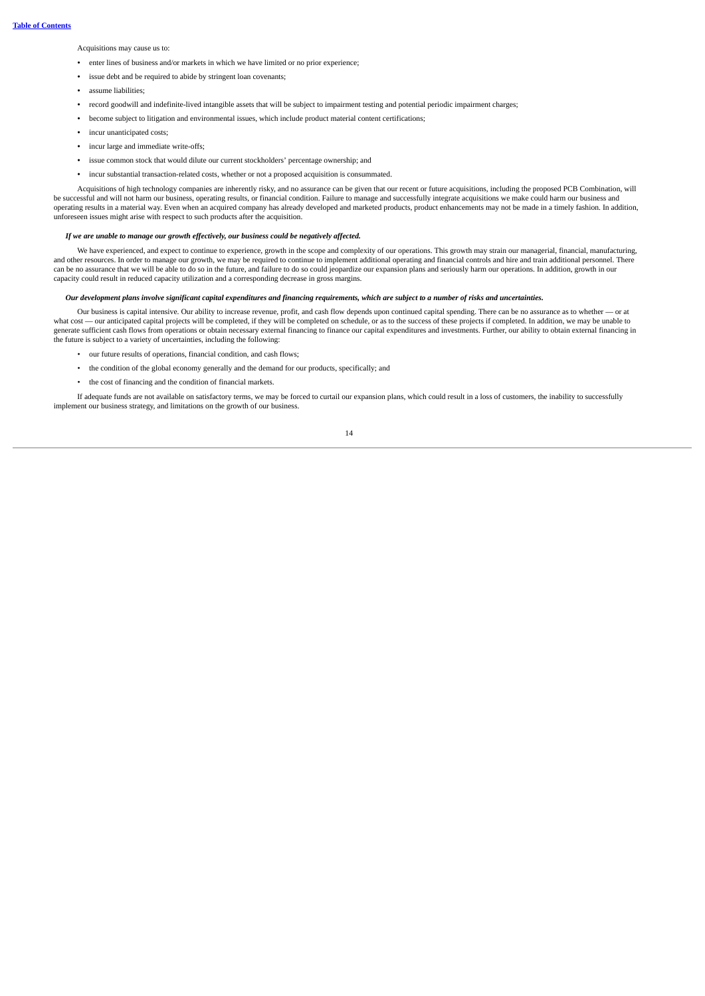Acquisitions may cause us to:

- **•** enter lines of business and/or markets in which we have limited or no prior experience;
- **•** issue debt and be required to abide by stringent loan covenants;
- **•** assume liabilities;
- **•** record goodwill and indefinite-lived intangible assets that will be subject to impairment testing and potential periodic impairment charges;
- **•** become subject to litigation and environmental issues, which include product material content certifications;
- **•** incur unanticipated costs;
- **•** incur large and immediate write-offs;
- **•** issue common stock that would dilute our current stockholders' percentage ownership; and
- **•** incur substantial transaction-related costs, whether or not a proposed acquisition is consummated.

Acquisitions of high technology companies are inherently risky, and no assurance can be given that our recent or future acquisitions, including the proposed PCB Combination, will be successful and will not harm our business, operating results, or financial condition. Failure to manage and successfully integrate acquisitions we make could harm our business and operating results in a material way. Even when an acquired company has already developed and marketed products, product enhancements may not be made in a timely fashion. In addition,<br>unforeseen issues might arise with resp

#### *If we are unable to manage our growth effectively, our business could be negatively affected.*

We have experienced, and expect to continue to experience, growth in the scope and complexity of our operations. This growth may strain our managerial, financial, manufacturing, and other resources. In order to manage our growth, we may be required to continue to implement additional operating and financial controls and hire and train additional personnel. There can be no assurance that we will be able to do so in the future, and failure to do so could jeopardize our expansion plans and seriously harm our operations. In addition, growth in our capacity could result in reduced capacity utilization and a corresponding decrease in gross margins.

#### Our development plans involve significant capital expenditures and financing requirements, which are subject to a number of risks and uncertainties.

Our business is capital intensive. Our ability to increase revenue, profit, and cash flow depends upon continued capital spending. There can be no assurance as to whether — or at what cost — our anticipated capital projects will be completed, if they will be completed on schedule, or as to the success of these projects if completed. In addition, we may be unable to generate sufficient cash flows from operations or obtain necessary external financing to finance our capital expenditures and investments. Further, our ability to obtain external financing in the future is subject to a variety of uncertainties, including the following:

- our future results of operations, financial condition, and cash flows;
- the condition of the global economy generally and the demand for our products, specifically; and
- the cost of financing and the condition of financial markets.

If adequate funds are not available on satisfactory terms, we may be forced to curtail our expansion plans, which could result in a loss of customers, the inability to successfully implement our business strategy, and limitations on the growth of our business.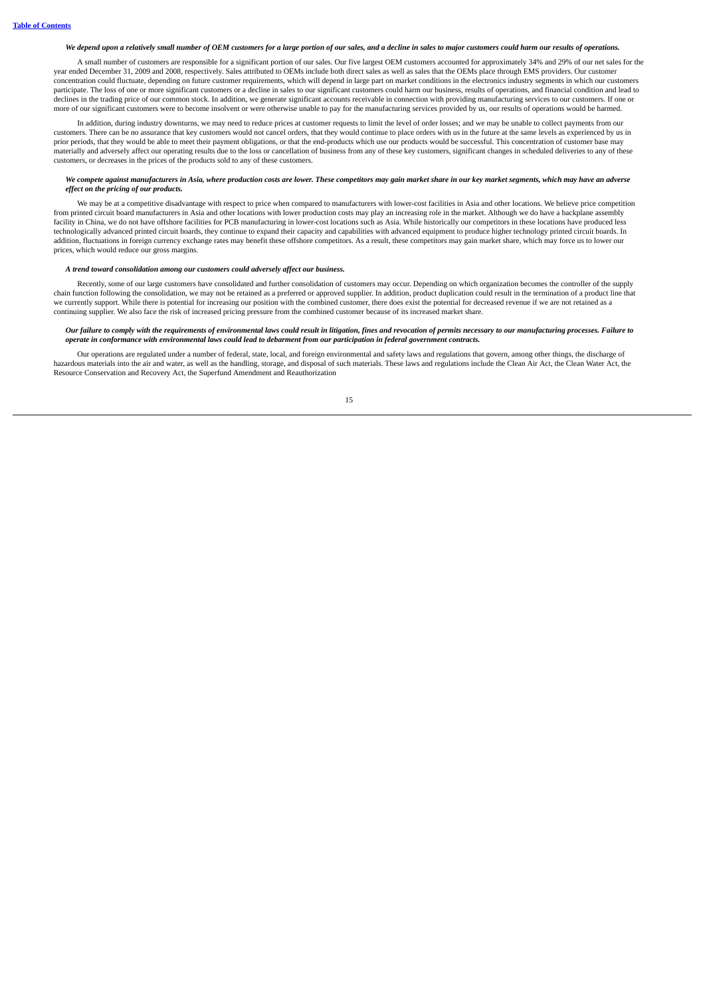## We depend upon a relatively small number of OEM customers for a large portion of our sales, and a decline in sales to major customers could harm our results of operations.

A small number of customers are responsible for a significant portion of our sales. Our five largest OEM customers accounted for approximately 34% and 29% of our net sales for the year ended December 31, 2009 and 2008, respectively. Sales attributed to OEMs include both direct sales as well as sales that the OEMs place through EMS providers. Our customer concentration could fluctuate, depending on future customer requirements, which will depend in large part on market conditions in the electronics industry segments in which our customers participate. The loss of one or more significant customers or a decline in sales to our significant customers could harm our business, results of operations, and financial condition and lead to declines in the trading price of our common stock. In addition, we generate significant accounts receivable in connection with providing manufacturing services to our customers. If one or more of our significant customers were to become insolvent or were otherwise unable to pay for the manufacturing services provided by us, our results of operations would be harmed.

In addition, during industry downturns, we may need to reduce prices at customer requests to limit the level of order losses; and we may be unable to collect payments from our customers. There can be no assurance that key customers would not cancel orders, that they would continue to place orders with us in the future at the same levels as experienced by us in prior periods, that they would be able to meet their payment obligations, or that the end-products which use our products would be successful. This concentration of customer base may materially and adversely affect our operating results due to the loss or cancellation of business from any of these key customers, significant changes in scheduled deliveries to any of these customers, or decreases in the prices of the products sold to any of these customers.

#### We compete against manufacturers in Asia, where production costs are lower. These competitors may gain market share in our key market segments, which may have an adverse *effect on the pricing of our products.*

We may be at a competitive disadvantage with respect to price when compared to manufacturers with lower-cost facilities in Asia and other locations. We believe price competition from printed circuit board manufacturers in Asia and other locations with lower production costs may play an increasing role in the market. Although we do have a backplane assembly facility in China, we do not have offshore facilities for PCB manufacturing in lower-cost locations such as Asia. While historically our competitors in these locations have produced less technologically advanced printed circuit boards, they continue to expand their capacity and capabilities with advanced equipment to produce higher technology printed circuit boards. In addition, fluctuations in foreign currency exchange rates may benefit these offshore competitors. As a result, these competitors may gain market share, which may force us to lower our prices, which would reduce our gross margins.

#### *A trend toward consolidation among our customers could adversely affect our business.*

Recently, some of our large customers have consolidated and further consolidation of customers may occur. Depending on which organization becomes the controller of the supply chain function following the consolidation, we may not be retained as a preferred or approved supplier. In addition, product duplication could result in the termination of a product line that we currently support. While there is potential for increasing our position with the combined customer, there does exist the potential for decreased revenue if we are not retained as a continuing supplier. We also face the risk of increased pricing pressure from the combined customer because of its increased market share.

#### Our failure to comply with the requirements of environmental laws could result in litigation, fines and revocation of permits necessary to our manufacturing processes. Failure to operate in conformance with environmental laws could lead to debarment from our participation in federal government contracts.

Our operations are regulated under a number of federal, state, local, and foreign environmental and safety laws and regulations that govern, among other things, the discharge of hazardous materials into the air and water, as well as the handling, storage, and disposal of such materials. These laws and regulations include the Clean Air Act, the Clean Water Act, the Resource Conservation and Recovery Act, the Superfund Amendment and Reauthorization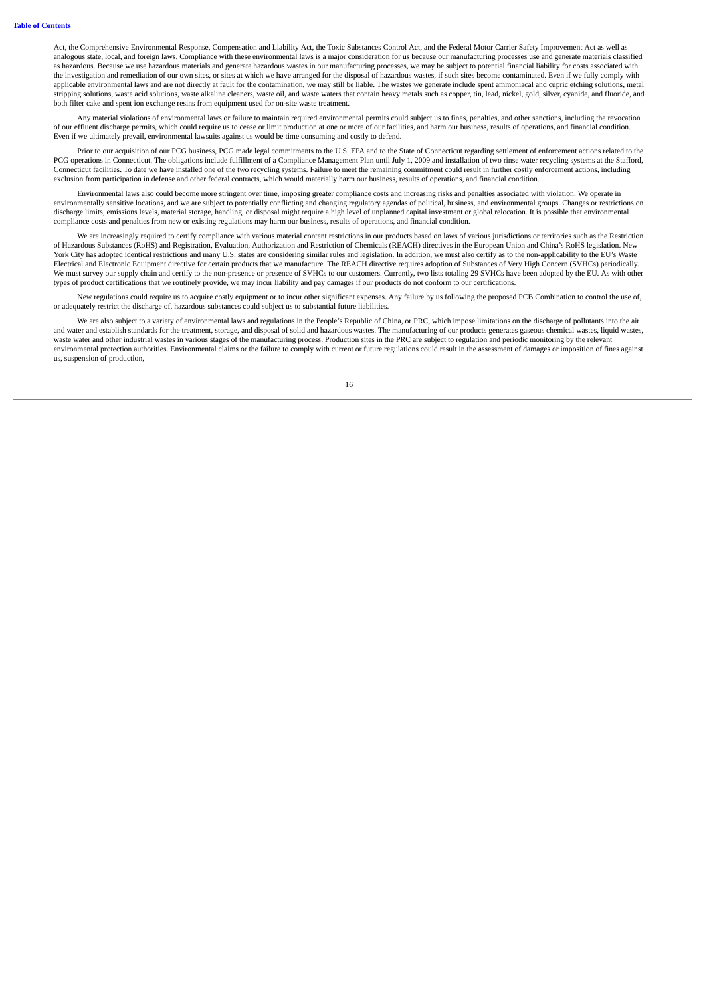Act, the Comprehensive Environmental Response, Compensation and Liability Act, the Toxic Substances Control Act, and the Federal Motor Carrier Safety Improvement Act as well as analogous state, local, and foreign laws. Compliance with these environmental laws is a major consideration for us because our manufacturing processes use and generate materials classified as hazardous. Because we use hazardous materials and generate hazardous wastes in our manufacturing processes, we may be subject to potential financial liability for costs associated with the investigation and remediation of our own sites, or sites at which we have arranged for the disposal of hazardous wastes, if such sites become contaminated. Even if we fully comply with applicable environmental laws and are not directly at fault for the contamination, we may still be liable. The wastes we generate include spent ammoniacal and cupric etching solutions, metal stripping solutions, waste acid solutions, waste alkaline cleaners, waste oil, and waste waters that contain heavy metals such as copper, tin, lead, nickel, gold, silver, cyanide, and fluoride, and both filter cake and spent ion exchange resins from equipment used for on-site waste treatment.

Any material violations of environmental laws or failure to maintain required environmental permits could subject us to fines, penalties, and other sanctions, including the revocation<br>of our effluent discharge permits, whi Even if we ultimately prevail, environmental lawsuits against us would be time consuming and costly to defend.

Prior to our acquisition of our PCG business, PCG made legal commitments to the U.S. EPA and to the State of Connecticut regarding settlement of enforcement actions related to the PCG operations in Connecticut. The obligations include fulfillment of a Compliance Management Plan until July 1, 2009 and installation of two rinse water recycling systems at the Stafford, Connecticut facilities. To date we have installed one of the two recycling systems. Failure to meet the remaining commitment could result in further costly enforcement actions, including exclusion from participation in defense and other federal contracts, which would materially harm our business, results of operations, and financial condition.

Environmental laws also could become more stringent over time, imposing greater compliance costs and increasing risks and penalties associated with violation. We operate in environmentally sensitive locations, and we are subject to potentially conflicting and changing regulatory agendas of political, business, and environmental groups. Changes or restrictions on discharge limits, emissions levels, material storage, handling, or disposal might require a high level of unplanned capital investment or global relocation. It is possible that environmental compliance costs and penalties from new or existing regulations may harm our business, results of operations, and financial condition.

We are increasingly required to certify compliance with various material content restrictions in our products based on laws of various jurisdictions or territories such as the Restriction of Hazardous Substances (RoHS) and Registration, Evaluation, Authorization and Restriction of Chemicals (REACH) directives in the European Union and China's RoHS legislation. New York City has adopted identical restrictions and many U.S. states are considering similar rules and legislation. In addition, we must also certify as to the non-applicability to the EU's Waste Electrical and Electronic Equipment directive for certain products that we manufacture. The REACH directive requires adoption of Substances of Very High Concern (SVHCs) periodically. We must survey our supply chain and certify to the non-presence or presence of SVHCs to our customers. Currently, two lists totaling 29 SVHCs have been adopted by the EU. As with other types of product certifications that we routinely provide, we may incur liability and pay damages if our products do not conform to our certifications.

New regulations could require us to acquire costly equipment or to incur other significant expenses. Any failure by us following the proposed PCB Combination to control the use of, or adequately restrict the discharge of,

We are also subject to a variety of environmental laws and regulations in the People's Republic of China, or PRC, which impose limitations on the discharge of pollutants into the air and water and establish standards for the treatment, storage, and disposal of solid and hazardous wastes. The manufacturing of our products generates gaseous chemical wastes, liquid wastes, waste water and other industrial wastes in various stages of the manufacturing process. Production sites in the PRC are subject to regulation and periodic monitoring by the relevant<br>environmental protection authorities. En us, suspension of production,

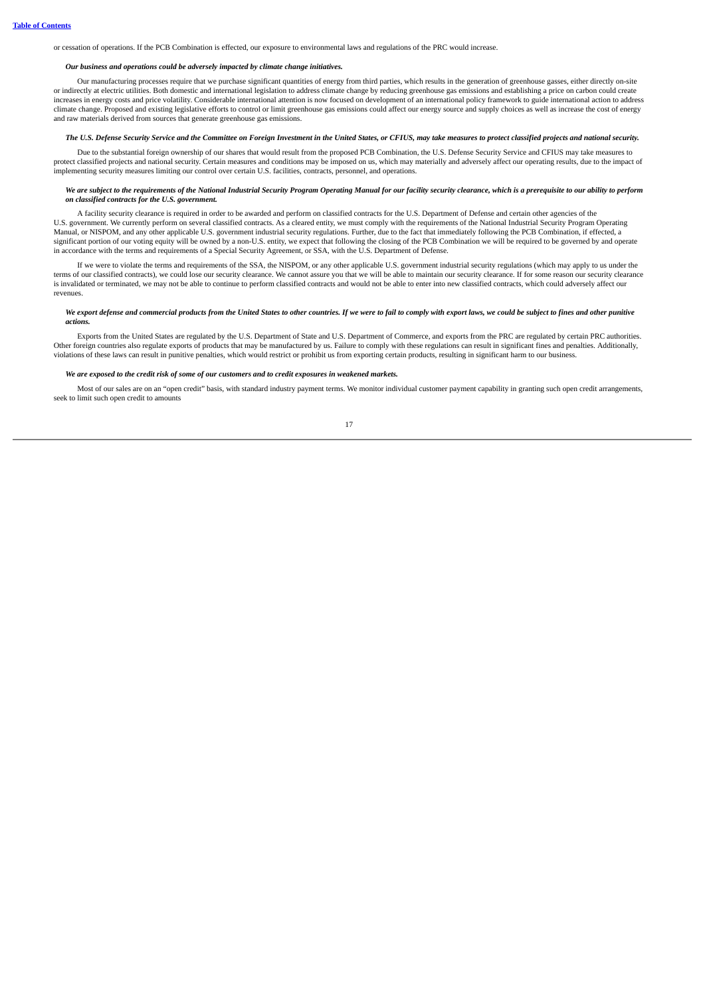or cessation of operations. If the PCB Combination is effected, our exposure to environmental laws and regulations of the PRC would increase.

#### *Our business and operations could be adversely impacted by climate change initiatives.*

Our manufacturing processes require that we purchase significant quantities of energy from third parties, which results in the generation of greenhouse gasses, either directly on-site<br>or indirectly at electric utilities. B increases in energy costs and price volatility. Considerable international attention is now focused on development of an international policy framework to guide international action to address climate change. Proposed and existing legislative efforts to control or limit greenhouse gas emissions could affect our energy source and supply choices as well as increase the cost of energy and raw materials derived from sources that generate greenhouse gas emissions.

## The U.S. Defense Security Service and the Committee on Foreign Investment in the United States, or CFIUS, may take measures to protect classified proiects and national security.

Due to the substantial foreign ownership of our shares that would result from the proposed PCB Combination, the U.S. Defense Security Service and CFIUS may take measures to protect classified projects and national security. Certain measures and conditions may be imposed on us, which may materially and adversely affect our operating results, due to the impact of implementing security measures limiting our control over certain U.S. facilities, contracts, personnel, and operations.

## We are subject to the requirements of the National Industrial Security Program Operating Manual for our facility security clearance, which is a prerequisite to our ability to perform *on classified contracts for the U.S. government.*

A facility security clearance is required in order to be awarded and perform on classified contracts for the U.S. Department of Defense and certain other agencies of the U.S. government. We currently perform on several classified contracts. As a cleared entity, we must comply with the requirements of the National Industrial Security Program Operating Manual, or NISPOM, and any other applicable U.S. government industrial security regulations. Further, due to the fact that immediately following the PCB Combination, if effected, a significant portion of our voting equity will be owned by a non-U.S. entity, we expect that following the closing of the PCB Combination we will be required to be governed by and operate in accordance with the terms and requirements of a Special Security Agreement, or SSA, with the U.S. Department of Defense.

If we were to violate the terms and requirements of the SSA, the NISPOM, or any other applicable U.S. government industrial security regulations (which may apply to us under the terms of our classified contracts), we could lose our security clearance. We cannot assure you that we will be able to maintain our security clearance. If for some reason our security clearance is invalidated or terminated, we may not be able to continue to perform classified contracts and would not be able to enter into new classified contracts, which could adversely affect our revenues.

#### We export defense and commercial products from the United States to other countries. If we were to fail to comply with export laws, we could be subject to fines and other punitive *actions.*

Exports from the United States are regulated by the U.S. Department of State and U.S. Department of Commerce, and exports from the PRC are regulated by certain PRC authorities. Other foreign countries also regulate exports of products that may be manufactured by us. Failure to comply with these regulations can result in significant fines and penalties. Additionally, violations of these laws can result in punitive penalties, which would restrict or prohibit us from exporting certain products, resulting in significant harm to our business.

#### We are exposed to the credit risk of some of our customers and to credit exposures in weakened markets.

Most of our sales are on an "open credit" basis, with standard industry payment terms. We monitor individual customer payment capability in granting such open credit arrangements, seek to limit such open credit to amounts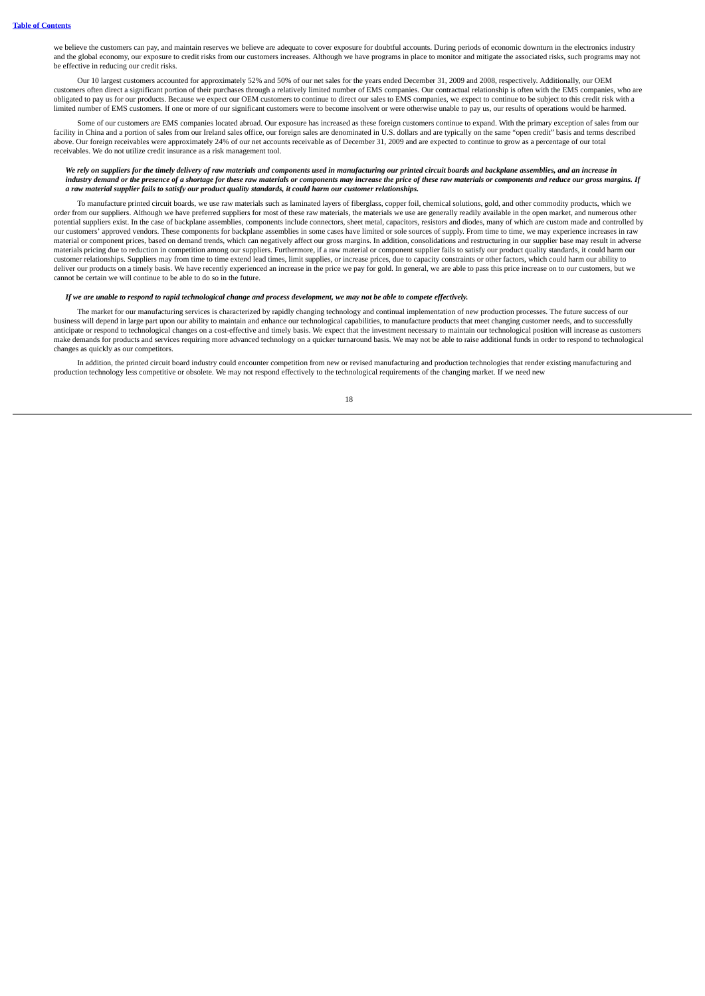we believe the customers can pay, and maintain reserves we believe are adequate to cover exposure for doubtful accounts. During periods of economic downturn in the electronics industry and the global economy, our exposure to credit risks from our customers increases. Although we have programs in place to monitor and mitigate the associated risks, such programs may not be effective in reducing our credit risks.

Our 10 largest customers accounted for approximately 52% and 50% of our net sales for the years ended December 31, 2009 and 2008, respectively. Additionally, our OEM customers often direct a significant portion of their purchases through a relatively limited number of EMS companies. Our contractual relationship is often with the EMS companies, who are obligated to pay us for our products. Because we expect our OEM customers to continue to direct our sales to EMS companies, we expect to continue to be subject to this credit risk with a limited number of EMS customers. If one or more of our significant customers were to become insolvent or were otherwise unable to pay us, our results of operations would be harmed.

Some of our customers are EMS companies located abroad. Our exposure has increased as these foreign customers continue to expand. With the primary exception of sales from our facility in China and a portion of sales from our Ireland sales office, our foreign sales are denominated in U.S. dollars and are typically on the same "open credit" basis and terms described above. Our foreign receivables were approximately 24% of our net accounts receivable as of December 31, 2009 and are expected to continue to grow as a percentage of our total receivables. We do not utilize credit insurance as a risk management tool.

#### We rely on suppliers for the timely delivery of raw materials and components used in manufacturing our printed circuit boards and backplane assemblies, and an increase in industry demand or the presence of a shortage for these raw materials or components may increase the price of these raw materials or components and reduce our gross margins. If a raw material supplier fails to satisfy our product quality standards, it could harm our customer relationships.

To manufacture printed circuit boards, we use raw materials such as laminated layers of fiberglass, copper foil, chemical solutions, gold, and other commodity products, which we order from our suppliers. Although we have preferred suppliers for most of these raw materials, the materials we use are generally readily available in the open market, and numerous other potential suppliers exist. In the case of backplane assemblies, components include connectors, sheet metal, capacitors, resistors and diodes, many of which are custom made and controlled by our customers' approved vendors. These components for backplane assemblies in some cases have limited or sole sources of supply. From time to time, we may experience increases in raw material or component prices, based on demand trends, which can negatively affect our gross margins. In addition, consolidations and restructuring in our supplier base may result in adverse materials pricing due to reduction in competition among our suppliers. Furthermore, if a raw material or component supplier fails to satisfy our product quality standards, it could harm our customer relationships. Suppliers may from time to time extend lead times, limit supplies, or increase prices, due to capacity constraints or other factors, which could harm our ability to deliver our products on a timely basis. We have recently experienced an increase in the price we pay for gold. In general, we are able to pass this price increase on to our customers, but we cannot be certain we will continue to be able to do so in the future.

#### If we are unable to respond to rapid technological change and process development, we may not be able to compete effectively.

The market for our manufacturing services is characterized by rapidly changing technology and continual implementation of new production processes. The future success of our business will depend in large part upon our ability to maintain and enhance our technological capabilities, to manufacture products that meet changing customer needs, and to successfully anticipate or respond to technological changes on a cost-effective and timely basis. We expect that the investment necessary to maintain our technological position will increase as customers make demands for products and services requiring more advanced technology on a quicker turnaround basis. We may not be able to raise additional funds in order to respond to technological changes as quickly as our competitors.

In addition, the printed circuit board industry could encounter competition from new or revised manufacturing and production technologies that render existing manufacturing and production technology less competitive or obsolete. We may not respond effectively to the technological requirements of the changing market. If we need new

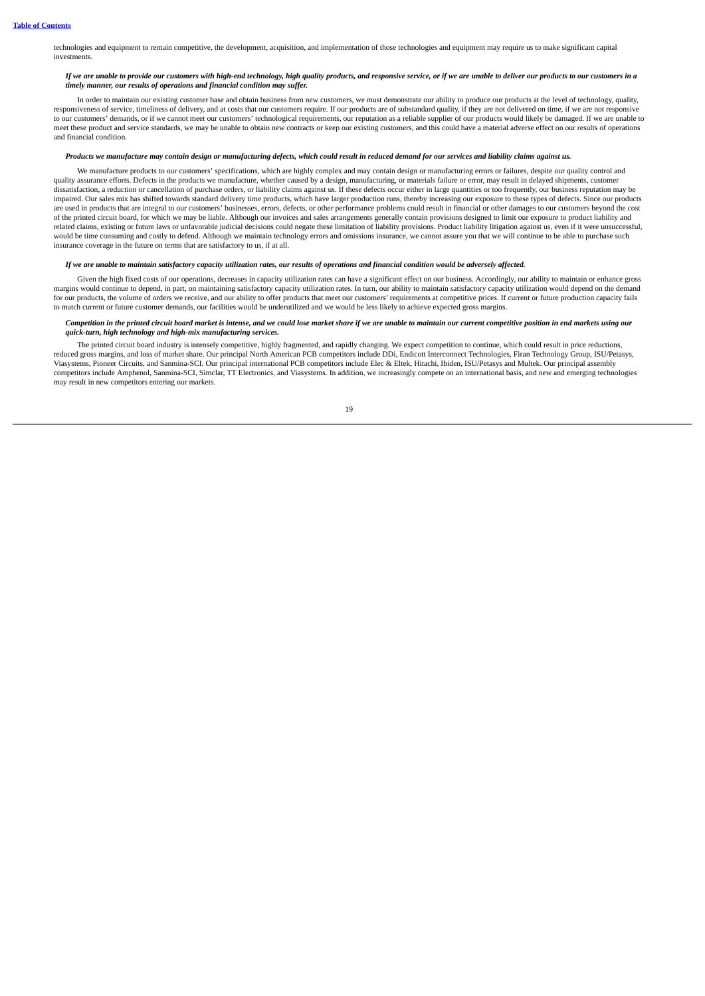technologies and equipment to remain competitive, the development, acquisition, and implementation of those technologies and equipment may require us to make significant capital investments.

#### If we are unable to provide our customers with high-end technology, high quality products, and responsive service, or if we are unable to deliver our products to our customers in a *timely manner, our results of operations and financial condition may suffer.*

In order to maintain our existing customer base and obtain business from new customers, we must demonstrate our ability to produce our products at the level of technology, quality, responsiveness of service, timeliness of delivery, and at costs that our customers require. If our products are of substandard quality, if they are not delivered on time, if we are not responsive to our customers' demands, or if we cannot meet our customers' technological requirements, our reputation as a reliable supplier of our products would likely be damaged. If we are unable to meet these product and service standards, we may be unable to obtain new contracts or keep our existing customers, and this could have a material adverse effect on our results of operations and financial condition.

#### Products we manufacture may contain design or manufacturing defects, which could result in reduced demand for our services and liability claims against us.

We manufacture products to our customers' specifications, which are highly complex and may contain design or manufacturing errors or failures, despite our quality control and<br>quality assurance efforts. Defects in the produ dissatisfaction, a reduction or cancellation of purchase orders, or liability claims against us. If these defects occur either in large quantities or too frequently, our business reputation may be dissatisfaction, a reduct impaired. Our sales mix has shifted towards standard delivery time products, which have larger production runs, thereby increasing our exposure to these types of defects. Since our products are used in products that are integral to our customers' businesses, errors, defects, or other performance problems could result in financial or other damages to our customers beyond the cost of the printed circuit board, for which we may be liable. Although our invoices and sales arrangements generally contain provisions designed to limit our exposure to product liability and related claims, existing or future laws or unfavorable judicial decisions could negate these limitation of liability provisions. Product liability litigation against us, even if it were unsuccessful, would be time consuming and costly to defend. Although we maintain technology errors and omissions insurance, we cannot assure you that we will continue to be able to purchase such insurance coverage in the future on terms that are satisfactory to us, if at all.

## If we are unable to maintain satisfactory capacity utilization rates, our results of operations and financial condition would be adversely affected.

Given the high fixed costs of our operations, decreases in capacity utilization rates can have a significant effect on our business. Accordingly, our ability to maintain or enhance gross margins would continue to depend, in part, on maintaining satisfactory capacity utilization rates. In turn, our ability to maintain satisfactory capacity utilization would depend on the demand for our products, the volume of orders we receive, and our ability to offer products that meet our customers' requirements at competitive prices. If current or future production capacity fails to match current or future customer demands, our facilities would be underutilized and we would be less likely to achieve expected gross margins.

#### Competition in the printed circuit board market is intense, and we could lose market share if we are unable to maintain our current competitive position in end markets using our *quick-turn, high technology and high-mix manufacturing services.*

The printed circuit board industry is intensely competitive, highly fragmented, and rapidly changing. We expect competition to continue, which could result in price reductions, reduced gross margins, and loss of market share. Our principal North American PCB competitors include DDi, Endicott Interconnect Technologies, Firan Technology Group, ISU/Petasys, Viasystems, Pioneer Circuits, and Sanmina-SCI. Our principal international PCB competitors include Elec & Eltek, Hitachi, Ibiden, ISU/Petasys and Multek. Our principal assembly competitors include Amphenol, Sanmina-SCI, Simclar, TT Electronics, and Viasystems. In addition, we increasingly compete on an international basis, and new and emerging technologies may result in new competitors entering our markets.

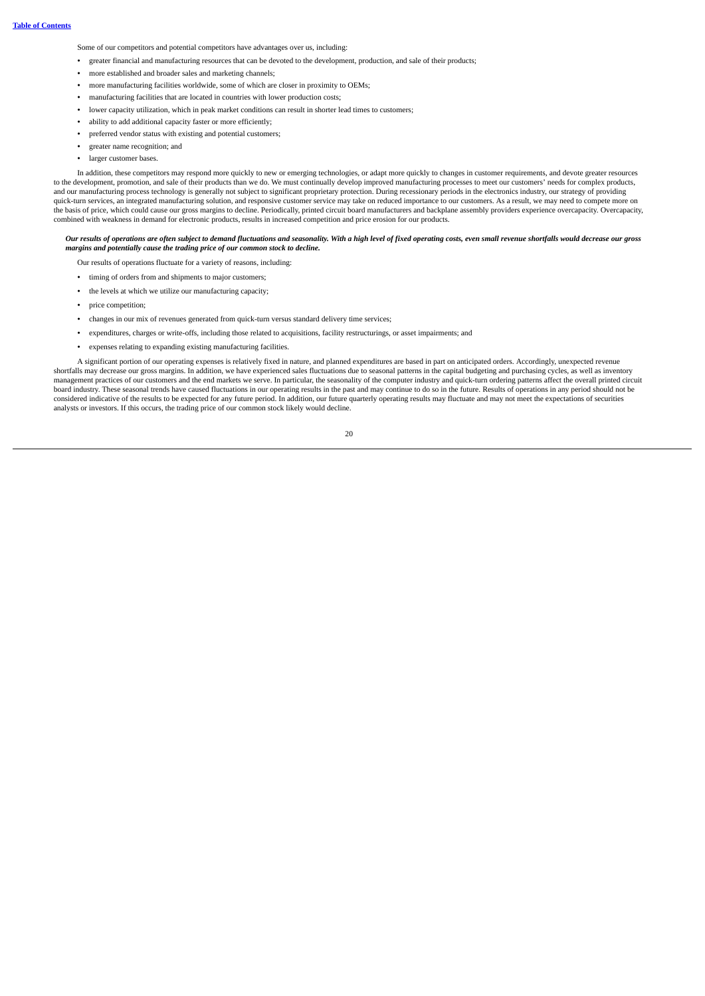Some of our competitors and potential competitors have advantages over us, including:

- **•** greater financial and manufacturing resources that can be devoted to the development, production, and sale of their products;
- **•** more established and broader sales and marketing channels;
- **•** more manufacturing facilities worldwide, some of which are closer in proximity to OEMs;
- **•** manufacturing facilities that are located in countries with lower production costs;
- **•** lower capacity utilization, which in peak market conditions can result in shorter lead times to customers;
- **•** ability to add additional capacity faster or more efficiently;
- **•** preferred vendor status with existing and potential customers;
- **•** greater name recognition; and
- **•** larger customer bases.

In addition, these competitors may respond more quickly to new or emerging technologies, or adapt more quickly to changes in customer requirements, and devote greater resources to the development, promotion, and sale of their products than we do. We must continually develop improved manufacturing processes to meet our customers' needs for complex products, and our manufacturing process technology is generally not subject to significant proprietary protection. During recessionary periods in the electronics industry, our strategy of providing quick-turn services, an integrated manufacturing solution, and responsive customer service may take on reduced importance to our customers. As a result, we may need to compete more on the basis of price, which could cause our gross margins to decline. Periodically, printed circuit board manufacturers and backplane assembly providers experience overcapacity. Overcapacity, combined with weakness in demand for electronic products, results in increased competition and price erosion for our products.

## Our results of operations are often subject to demand fluctuations and seasonality. With a high level of fixed operating costs, even small revenue shortfalls would decrease our gross *margins and potentially cause the trading price of our common stock to decline.*

- Our results of operations fluctuate for a variety of reasons, including:
- **•** timing of orders from and shipments to major customers;
- **•** the levels at which we utilize our manufacturing capacity;
- **•** price competition;
- **•** changes in our mix of revenues generated from quick-turn versus standard delivery time services;
- **•** expenditures, charges or write-offs, including those related to acquisitions, facility restructurings, or asset impairments; and
- **•** expenses relating to expanding existing manufacturing facilities.

A significant portion of our operating expenses is relatively fixed in nature, and planned expenditures are based in part on anticipated orders. Accordingly, unexpected revenue shortfalls may decrease our gross margins. In addition, we have experienced sales fluctuations due to seasonal patterns in the capital budgeting and purchasing cycles, as well as inventory management practices of our customers and the end markets we serve. In particular, the seasonality of the computer industry and quick-turn ordering patterns affect the overall printed circuit board industry. These seasonal trends have caused fluctuations in our operating results in the past and may continue to do so in the future. Results of operations in any period should not be considered indicative of the results to be expected for any future period. In addition, our future quarterly operating results may fluctuate and may not meet the expectations of securities analysts or investors. If this occurs, the trading price of our common stock likely would decline.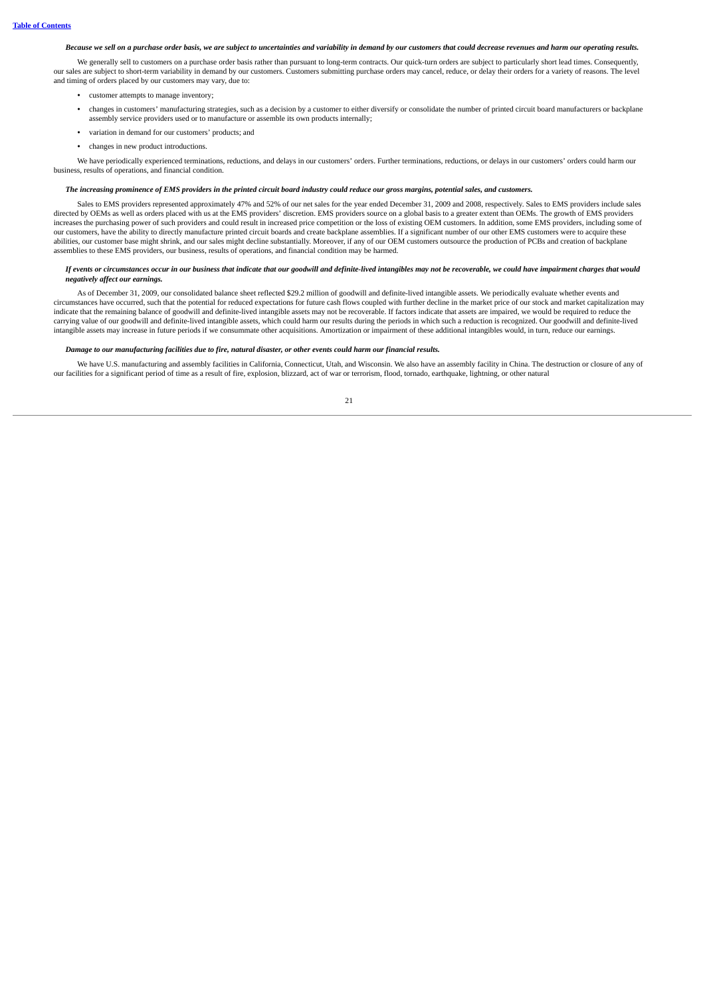#### Because we sell on a purchase order basis, we are subject to uncertainties and variability in demand by our customers that could decrease revenues and harm our operating results.

We generally sell to customers on a purchase order basis rather than pursuant to long-term contracts. Our quick-turn orders are subject to particularly short lead times. Consequently, our sales are subject to short-term variability in demand by our customers. Customers submitting purchase orders may cancel, reduce, or delay their orders for a variety of reasons. The level and timing of orders placed by our customers may vary, due to:

**•** customer attempts to manage inventory;

- **•** changes in customers' manufacturing strategies, such as a decision by a customer to either diversify or consolidate the number of printed circuit board manufacturers or backplane assembly service providers used or to manufacture or assemble its own products internally;
- **•** variation in demand for our customers' products; and
- **•** changes in new product introductions.

We have periodically experienced terminations, reductions, and delays in our customers' orders. Customers and delays in our customers' orders could harm our business, results of operations, and financial condition.

#### The increasing prominence of EMS providers in the printed circuit board industry could reduce our gross margins, potential sales, and customers.

Sales to EMS providers represented approximately 47% and 52% of our net sales for the year ended December 31, 2009 and 2008, respectively. Sales to EMS providers include sales directed by OEMs as well as orders placed with us at the EMS providers' discretion. EMS providers source on a global basis to a greater extent than OEMs. The growth of EMS providers vertextent than OEMs. The growth of EMS increases the purchasing power of such providers and could result in increased price competition or the loss of existing OEM customers. In addition, some EMS providers, including some of our customers, have the ability to directly manufacture printed circuit boards and create backplane assemblies. If a significant number of our other EMS customers were to acquire these abilities, our customer base might shrink, and our sales might decline substantially. Moreover, if any of our OEM customers outsource the production of PCBs and creation of backplane assemblies to these EMS providers, our business, results of operations, and financial condition may be harmed.

#### If events or circumstances occur in our business that indicate that our goodwill and definite-lived intangibles may not be recoverable, we could have impairment charges that would *negatively affect our earnings.*

As of December 31, 2009, our consolidated balance sheet reflected \$29.2 million of goodwill and definite-lived intangible assets. We periodically evaluate whether events and circumstances have occurred, such that the potential for reduced expectations for future cash flows coupled with further decline in the market price of our stock and market capitalization may indicate that the remaining balance of goodwill and definite-lived intangible assets may not be recoverable. If factors indicate that assets are impaired, we would be required to reduce the carrying value of our goodwill and definite-lived intangible assets, which could harm our results during the periods in which such a reduction is recognized. Our goodwill and definite-lived intangible assets may increase in future periods if we consummate other acquisitions. Amortization or impairment of these additional intangibles would, in turn, reduce our earnings.

#### Damage to our manufacturing facilities due to fire, natural disaster, or other events could harm our financial results.

We have U.S. manufacturing and assembly facilities in California, Connecticut, Utah, and Wisconsin. We also have an assembly facility in China. The destruction or closure of any of our facilities for a significant period of time as a result of fire, explosion, blizzard, act of war or terrorism, flood, tornado, earthquake, lightning, or other natural

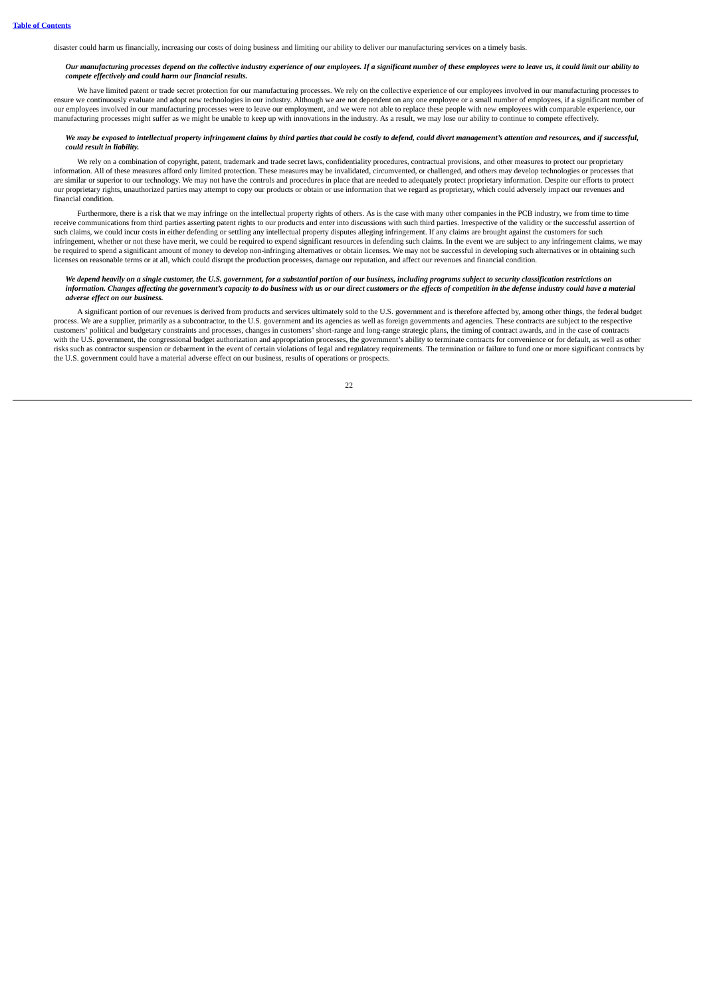disaster could harm us financially, increasing our costs of doing business and limiting our ability to deliver our manufacturing services on a timely basis.

#### Our manufacturing processes depend on the collective industry experience of our employees. If a significant number of these employees were to leave us, it could limit our ability to *compete effectively and could harm our financial results.*

We have limited patent or trade secret protection for our manufacturing processes. We rely on the collective experience of our employees involved in our manufacturing processes to ensure we continuously evaluate and adopt new technologies in our industry. Although we are not dependent on any one employee or a small number of employees, if a significant number of our employees involved in our manufacturing processes were to leave our employment, and we were not able to replace these people with new employees with comparable experience, our manufacturing processes might suffer as we might be unable to keep up with innovations in the industry. As a result, we may lose our ability to continue to compete effectively.

#### We may be exposed to intellectual property infringement claims by third parties that could be costly to defend, could divert management's attention and resources, and if successful, *could result in liability.*

We rely on a combination of copyright, patent, trademark and trade secret laws, confidentiality procedures, contractual provisions, and other measures to protect our proprietary information. All of these measures afford only limited protection. These measures may be invalidated, circumvented, or challenged, and others may develop technologies or processes that are similar or superior to our technology. We may not have the controls and procedures in place that are needed to adequately protect proprietary information. Despite our efforts to protect our proprietary rights, unauthorized parties may attempt to copy our products or obtain or use information that we regard as proprietary, which could adversely impact our revenues and financial condition.

Furthermore, there is a risk that we may infringe on the intellectual property rights of others. As is the case with many other companies in the PCB industry, we from time to time receive communications from third parties asserting patent rights to our products and enter into discussions with such third parties. Irrespective of the validity or the successful assertion of such claims, we could incur costs in either defending or settling any intellectual property disputes alleging infringement. If any claims are brought against the customers for such infringement, whether or not these have merit, we could be required to expend significant resources in defending such claims. In the event we are subject to any infringement claims, we may be required to spend a significant amount of money to develop non-infringing alternatives or obtain licenses. We may not be successful in developing such alternatives or in obtaining such licenses on reasonable terms or at all, which could disrupt the production processes, damage our reputation, and affect our revenues and financial condition.

#### .<br>We depend heavily on a single customer, the U.S. government, for a substantial portion of our business, including programs subject to security classification restrictions on information. Changes affecting the government's capacity to do business with us or our direct customers or the effects of competition in the defense industry could have a material *adverse effect on our business.*

A significant portion of our revenues is derived from products and services ultimately sold to the U.S. government and is therefore affected by, among other things, the federal budget process. We are a supplier, primarily as a subcontractor, to the U.S. government and its agencies as well as foreign governments and agencies. These contracts are subject to the respective customers' political and budgetary constraints and processes, changes in customers' short-range and long-range strategic plans, the timing of contract awards, and in the case of contracts with the U.S. government, the congressional budget authorization and appropriation processes, the government's ability to terminate contracts for convenience or for default, as well as other risks such as contractor suspension or debarment in the event of certain violations of legal and regulatory requirements. The termination or failure to fund one or more significant contracts by the U.S. government could have a material adverse effect on our business, results of operations or prospects.

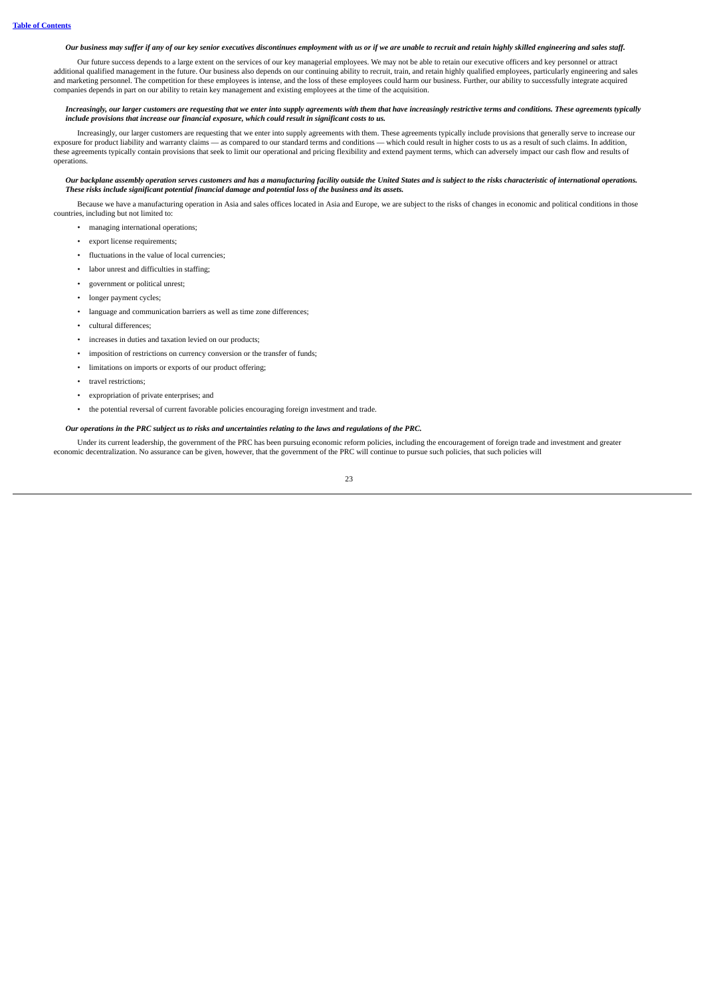#### Our business may suffer if any of our key senior executives discontinues employment with us or if we are unable to recruit and retain highly skilled engineering and sales staff.

Our future success depends to a large extent on the services of our key managerial employees. We may not be able to retain our executive officers and key personnel or attract additional qualified management in the future. Our business also depends on our continuing ability to recruit, train, and retain highly qualified employees, particularly engineering and sales and marketing personnel. The competition for these employees is intense, and the loss of these employees could harm our business. Further, our ability to successfully integrate acquired companies depends in part on our ability to retain key management and existing employees at the time of the acquisition.

## Increasingly, our larger customers are requesting that we enter into supply agreements with them that have increasingly restrictive terms and conditions. These agreements typically *include provisions that increase our financial exposure, which could result in significant costs to us.*

Increasingly, our larger customers are requesting that we enter into supply agreements with them. These agreements typically include provisions that generally serve to increase our exposure for product liability and warranty claims — as compared to our standard terms and conditions — which could result in higher costs to us as a result of such claims. In addition, these agreements typically contain provisions that seek to limit our operational and pricing flexibility and extend payment terms, which can adversely impact our cash flow and results of operations.

## Our backplane assembly operation serves customers and has a manufacturing facility outside the United States and is subject to the risks characteristic of international operations. *These risks include significant potential financial damage and potential loss of the business and its assets.*

Because we have a manufacturing operation in Asia and sales offices located in Asia and Europe, we are subject to the risks of changes in economic and political conditions in those countries, including but not limited to:

- managing international operations;
- export license requirements;
- fluctuations in the value of local currencies;
- labor unrest and difficulties in staffing;
- government or political unrest;
- longer payment cycles;
- language and communication barriers as well as time zone differences;
- cultural differences;
- increases in duties and taxation levied on our products;
- imposition of restrictions on currency conversion or the transfer of funds;
- limitations on imports or exports of our product offering;
- travel restrictions;
- expropriation of private enterprises; and
- the potential reversal of current favorable policies encouraging foreign investment and trade.

#### Our operations in the PRC subject us to risks and uncertainties relating to the laws and regulations of the PRC.

Under its current leadership, the government of the PRC has been pursuing economic reform policies, including the encouragement of foreign trade and investment and greater economic decentralization. No assurance can be given, however, that the government of the PRC will continue to pursue such policies, that such policies will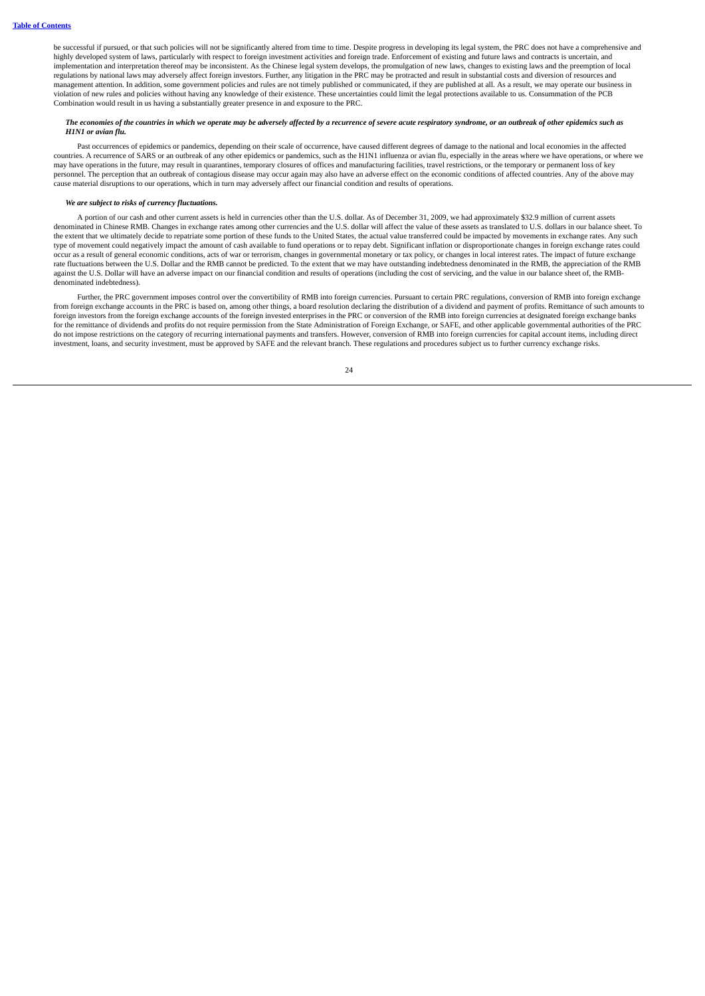be successful if pursued, or that such policies will not be significantly altered from time to time. Despite progress in developing its legal system, the PRC does not have a comprehensive and<br>highly developed system of law implementation and interpretation thereof may be inconsistent. As the Chinese legal system develops, the promulgation of new laws, changes to existing laws and the preemption of local regulations by national laws may adversely affect foreign investors. Further, any litigation in the PRC may be protracted and result in substantial costs and diversion of resources and management attention. In addition, some government policies and rules are not timely published or communicated, if they are published at all. As a result, we may operate our business in violation of new rules and policies without having any knowledge of their existence. These uncertainties could limit the legal protections available to us. Consummation of the PCB Combination would result in us having a substantially greater presence in and exposure to the PRC.

#### The economies of the countries in which we operate may be adversely affected by a recurrence of severe acute respiratory syndrome, or an outbreak of other epidemics such as *H1N1 or avian flu.*

Past occurrences of epidemics or pandemics, depending on their scale of occurrence, have caused different degrees of damage to the national and local economies in the affected countries. A recurrence of SARS or an outbreak of any other epidemics or pandemics, such as the H1N1 influenza or avian flu, especially in the areas where we have operations, or where we may have operations in the future, may result in quarantines, temporary closures of offices and manufacturing facilities, travel restrictions, or the temporary or permanent loss of key personnel. The perception that an outbreak of contagious disease may occur again may also have an adverse effect on the economic conditions of affected countries. Any of the above may cause material disruptions to our operations, which in turn may adversely affect our financial condition and results of operations.

#### *We are subject to risks of currency fluctuations.*

A portion of our cash and other current assets is held in currencies other than the U.S. dollar. As of December 31, 2009, we had approximately \$32.9 million of current assets denominated in Chinese RMB. Changes in exchange rates among other currencies and the U.S. dollar will affect the value of these assets as translated to U.S. dollars in our balance sheet. To the extent that we ultimately decide to repatriate some portion of these funds to the United States, the actual value transferred could be impacted by movements in exchange rates. Any such type of movement could negatively impact the amount of cash available to fund operations or to repay debt. Significant inflation or disproportionate changes in foreign exchange rates could occur as a result of general economic conditions, acts of war or terrorism, changes in governmental monetary or tax policy, or changes in local interest rates. The impact of future exchange rate fluctuations between the U.S. Dollar and the RMB cannot be predicted. To the extent that we may have outstanding indebtedness denominated in the RMB, the appreciation of the RMB against the U.S. Dollar will have an adverse impact on our financial condition and results of operations (including the cost of servicing, and the value in our balance sheet of, the RMBdenominated indebtedness).

Further, the PRC government imposes control over the convertibility of RMB into foreign currencies. Pursuant to certain PRC regulations, conversion of RMB into foreign exchange exchange exchange exchange accounts in the PR foreign investors from the foreign exchange accounts of the foreign invested enterprises in the PRC or conversion of the RMB into foreign currencies at designated foreign exchange banks for the remittance of dividends and profits do not require permission from the State Administration of Foreign Exchange, or SAFE, and other applicable governmental authorities of the PRC do not impose restrictions on the category of recurring international payments and transfers. However, conversion of RMB into foreign currencies for capital account items, including direct investment, loans, and security investment, must be approved by SAFE and the relevant branch. These regulations and procedures subject us to further currency exchange risks.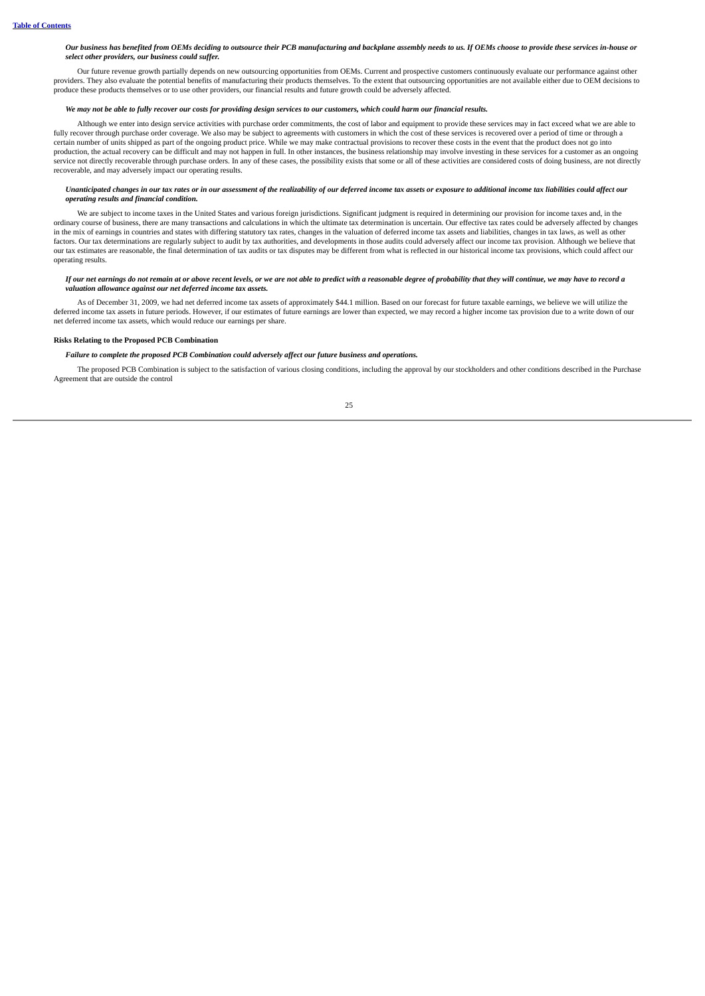#### Our business has benefited from OEMs deciding to outsource their PCB manufacturing and backplane assembly needs to us. If OEMs choose to provide these services in-house or *select other providers, our business could suffer.*

Our future revenue growth partially depends on new outsourcing opportunities from OEMs. Current and prospective customers continuously evaluate our performance against other providers. They also evaluate the potential benefits of manufacturing their products themselves. To the extent that outsourcing opportunities are not available either due to OEM decisions to produce these products themselves or to use other providers, our financial results and future growth could be adversely affected.

## We may not be able to fully recover our costs for providing design services to our customers, which could harm our financial results.

Although we enter into design service activities with purchase order commitments, the cost of labor and equipment to provide these services may in fact exceed what we are able to fully recover through purchase order coverage. We also may be subject to agreements with customers in which the cost of these services is recovered over a period of time or through a certain number of units shipped as part of the ongoing product price. While we may make contractual provisions to recover these costs in the event that the product does not go into production, the actual recovery can be difficult and may not happen in full. In other instances, the business relationship may involve investing in these services for a customer as an ongoing<br>service not directly recoverab recoverable, and may adversely impact our operating results.

#### Unanticipated changes in our tax rates or in our assessment of the realizability of our deferred income tax assets or exposure to additional income tax liabilities could affect our *operating results and financial condition.*

We are subject to income taxes in the United States and various foreign jurisdictions. Significant judgment is required in determining our provision for income taxes and, in the ordinary course of business, there are many transactions and calculations in which the ultimate tax determination is uncertain. Our effective tax rates could be adversely affected by changes in the mix of earnings in countries and states with differing statutory tax rates, changes in the valuation of deferred income tax assets and liabilities, changes in tax laws, as well as other factors. Our tax determinations are regularly subject to audit by tax authorities, and developments in those audits could adversely affect our income tax provision. Although we believe that our tax estimates are reasonable, the final determination of tax audits or tax disputes may be different from what is reflected in our historical income tax provisions, which could affect our operating results.

#### If our net earnings do not remain at or above recent levels, or we are not able to predict with a reasonable degree of probability that they will continue, we may have to record a *valuation allowance against our net deferred income tax assets.*

As of December 31, 2009, we had net deferred income tax assets of approximately \$44.1 million. Based on our forecast for future taxable earnings, we believe we will utilize the deferred income tax assets in future periods. However, if our estimates of future earnings are lower than expected, we may record a higher income tax provision due to a write down of our net deferred income tax assets, which would reduce our earnings per share.

#### **Risks Relating to the Proposed PCB Combination**

## *Failure to complete the proposed PCB Combination could adversely affect our future business and operations.*

The proposed PCB Combination is subject to the satisfaction of various closing conditions, including the approval by our stockholders and other conditions described in the Purchase Agreement that are outside the control

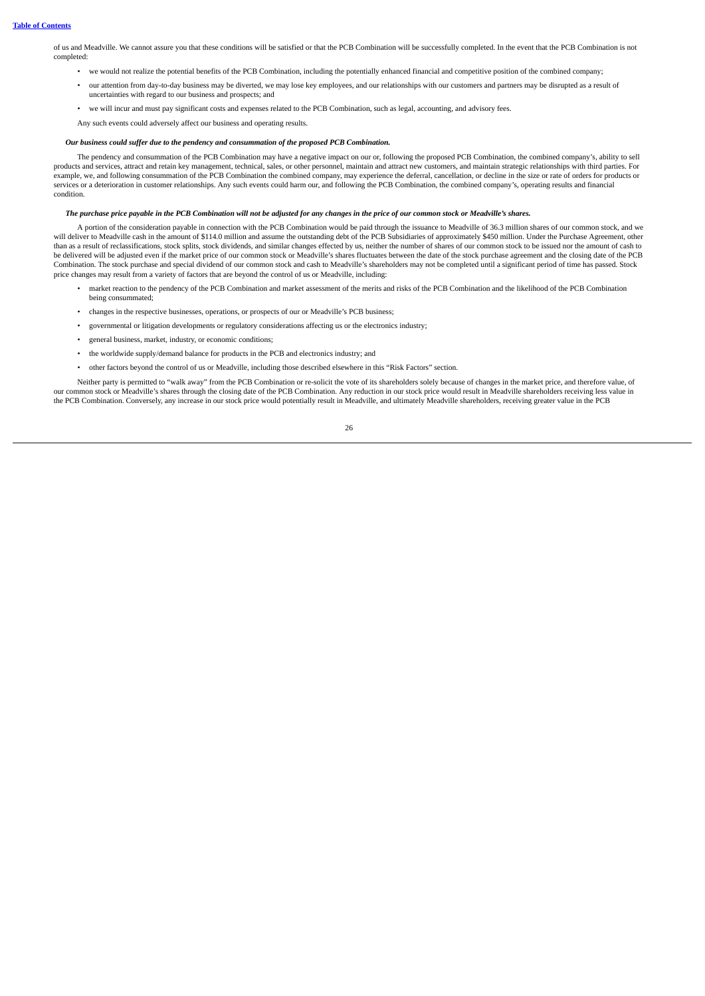of us and Meadville. We cannot assure you that these conditions will be satisfied or that the PCB Combination will be successfully completed. In the event that the PCB Combination is not completed:

- we would not realize the potential benefits of the PCB Combination, including the potentially enhanced financial and competitive position of the combined company;
- our attention from day-to-day business may be diverted, we may lose key employees, and our relationships with our customers and partners may be disrupted as a result of uncertainties with regard to our business and prospects; and
- we will incur and must pay significant costs and expenses related to the PCB Combination, such as legal, accounting, and advisory fees.

Any such events could adversely affect our business and operating results.

#### *Our business could suffer due to the pendency and consummation of the proposed PCB Combination.*

The pendency and consummation of the PCB Combination may have a negative impact on our or, following the proposed PCB Combination, the combined company's, ability to sell products and services, attract and retain key management, technical, sales, or other personnel, maintain and attract new customers, and maintain strategic relationships with third parties. For example, we, and following consummation of the PCB Combination the combined company, may experience the deferral, cancellation, or decline in the size or rate of orders for products or services or a deterioration in customer relationships. Any such events could harm our, and following the PCB Combination, the combined company's, operating results and financial condition.

## The purchase price payable in the PCB Combination will not be adjusted for any changes in the price of our common stock or Meadville's shares.

A portion of the consideration payable in connection with the PCB Combination would be paid through the issuance to Meadville of 36.3 million shares of our common stock, and we will deliver to Meadville cash in the amount of \$114.0 million and assume the outstanding debt of the PCB Subsidiaries of approximately \$450 million. Under the Purchase Agreement, other than as a result of reclassifications, stock splits, stock dividends, and similar changes effected by us, neither the number of shares of our common stock to be issued nor the amount of cash to be delivered will be adjusted even if the market price of our common stock or Meadville's shares fluctuates between the date of the stock purchase agreement and the closing date of the PCB Combination. The stock purchase and special dividend of our common stock and cash to Meadville's shareholders may not be completed until a significant period of time has passed. Stock price changes may result from a variety of factors that are beyond the control of us or Meadville, including:

- market reaction to the pendency of the PCB Combination and market assessment of the merits and risks of the PCB Combination and the likelihood of the PCB Combination being consummated;
- changes in the respective businesses, operations, or prospects of our or Meadville's PCB business;
- governmental or litigation developments or regulatory considerations affecting us or the electronics industry;
- general business, market, industry, or economic conditions;
- the worldwide supply/demand balance for products in the PCB and electronics industry; and
- other factors beyond the control of us or Meadville, including those described elsewhere in this "Risk Factors" section.

Neither party is permitted to "walk away" from the PCB Combination or re-solicit the vote of its shareholders solely because of changes in the market price, and therefore value, of our common stock or Meadville's shares through the closing date of the PCB Combination. Any reduction in our stock price would result in Meadville shareholders receiving less value in the PCB Combination. Conversely, any increase in our stock price would potentially result in Meadville, and ultimately Meadville shareholders, receiving greater value in the PCB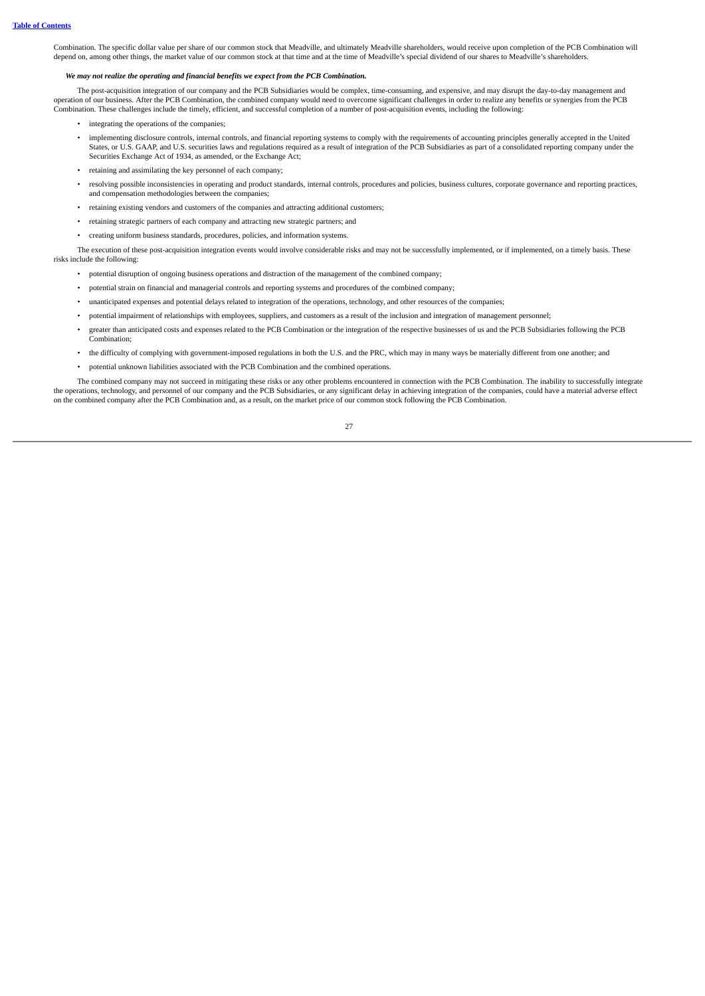Combination. The specific dollar value per share of our common stock that Meadville, and ultimately Meadville shareholders, would receive upon completion of the PCB Combination will depend on, among other things, the market value of our common stock at that time and at the time of Meadville's special dividend of our shares to Meadville's shareholders.

## *We may not realize the operating and financial benefits we expect from the PCB Combination.*

The post-acquisition integration of our company and the PCB Subsidiaries would be complex, time-consuming, and expensive, and may disrupt the day-to-day management and operation of our business. After the PCB Combination, the combined company would need to overcome significant challenges in order to realize any benefits or synergies from the PCB Combination. These challenges include the timely, efficient, and successful completion of a number of post-acquisition events, including the following:

- integrating the operations of the companies;
- implementing disclosure controls, internal controls, and financial reporting systems to comply with the requirements of accounting principles generally accepted in the United States, or U.S. GAAP, and U.S. securities laws and regulations required as a result of integration of the PCB Subsidiaries as part of a consolidated reporting company under the Securities Exchange Act of 1934, as amended, or the Exchange Act;
- retaining and assimilating the key personnel of each company;
- resolving possible inconsistencies in operating and product standards, internal controls, procedures and policies, business cultures, corporate governance and reporting practices, and compensation methodologies between the companies;
- retaining existing vendors and customers of the companies and attracting additional customers;
- retaining strategic partners of each company and attracting new strategic partners; and
- creating uniform business standards, procedures, policies, and information systems.

The execution of these post-acquisition integration events would involve considerable risks and may not be successfully implemented, or if implemented, on a timely basis. These risks include the following:

- potential disruption of ongoing business operations and distraction of the management of the combined company;
- potential strain on financial and managerial controls and reporting systems and procedures of the combined company;
- unanticipated expenses and potential delays related to integration of the operations, technology, and other resources of the companies;
- potential impairment of relationships with employees, suppliers, and customers as a result of the inclusion and integration of management personnel;
- greater than anticipated costs and expenses related to the PCB Combination or the integration of the respective businesses of us and the PCB Subsidiaries following the PCB Combination;
- the difficulty of complying with government-imposed regulations in both the U.S. and the PRC, which may in many ways be materially different from one another; and
- potential unknown liabilities associated with the PCB Combination and the combined operations.

The combined company may not succeed in mitigating these risks or any other problems encountered in connection with the PCB Combination. The inability to successfully integrate the operations, technology, and personnel of our company and the PCB Subsidiaries, or any significant delay in achieving integration of the companies, could have a material adverse effect on the combined company after the PCB Combination and, as a result, on the market price of our common stock following the PCB Combination.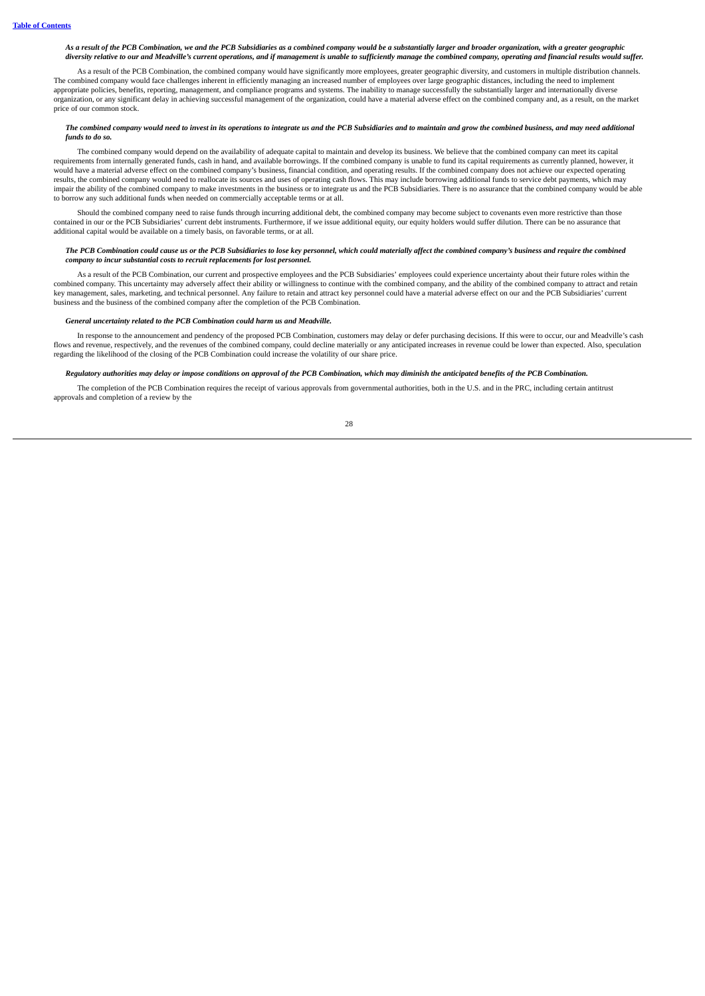# As a result of the PCB Combination, we and the PCB Subsidiaries as a combined company would be a substantially larger and broader organization, with a greater geographic<br>diversity relative to our and Meadville's current op

As a result of the PCB Combination, the combined company would have significantly more employees, greater geographic diversity, and customers in multiple distribution channels. The combined company would face challenges inherent in efficiently managing an increased number of employees over large geographic distances, including the need to implement<br>appropriate policies, benefits, reporting, manag organization, or any significant delay in achieving successful management of the organization, could have a material adverse effect on the combined company and, as a result, on the market price of our common stock.

#### The combined company would need to invest in its operations to integrate us and the PCB Subsidiaries and to maintain and grow the combined business, and may need additional *funds to do so.*

The combined company would depend on the availability of adequate capital to maintain and develop its business. We believe that the combined company can meet its capital requirements from internally generated funds, cash in hand, and available borrowings. If the combined company is unable to fund its capital requirements as currently planned, however, it would have a material adverse effect on the combined company's business, financial condition, and operating results. If the combined company does not achieve our expected operating results, the combined company would need to reallocate its sources and uses of operating cash flows. This may include borrowing additional funds to service debt payments, which may impair the ability of the combined company to make investments in the business or to integrate us and the PCB Subsidiaries. There is no assurance that the combined company would be able to borrow any such additional funds when needed on commercially acceptable terms or at all.

Should the combined company need to raise funds through incurring additional debt, the combined company may become subject to covenants even more restrictive than those contained in our or the PCB Subsidiaries' current debt instruments. Furthermore, if we issue additional equity, our equity holders would suffer dilution. There can be no assurance that additional capital would be available on a timely basis, on favorable terms, or at all.

#### The PCB Combination could cause us or the PCB Subsidiaries to lose key personnel, which could materially affect the combined company's business and require the combined *company to incur substantial costs to recruit replacements for lost personnel.*

As a result of the PCB Combination, our current and prospective employees and the PCB Subsidiaries' employees could experience uncertainty about their future roles within the combined company. This uncertainty may adversely affect their ability or willingness to continue with the combined company, and the ability of the combined company to attract and retain<br>key management, sales, marketing, an business and the business of the combined company after the completion of the PCB Combination.

#### *General uncertainty related to the PCB Combination could harm us and Meadville.*

In response to the announcement and pendency of the proposed PCB Combination, customers may delay or defer purchasing decisions. If this were to occur, our and Meadville's cash flows and revenue, respectively, and the revenues of the combined company, could decline materially or any anticipated increases in revenue could be lower than expected. Also, speculation regarding the likelihood of the closing of the PCB Combination could increase the volatility of our share price.

# Regulatory authorities may delay or impose conditions on approval of the PCB Combination, which may diminish the anticipated benefits of the PCB Combination.

The completion of the PCB Combination requires the receipt of various approvals from governmental authorities, both in the U.S. and in the PRC, including certain antitrust approvals and completion of a review by the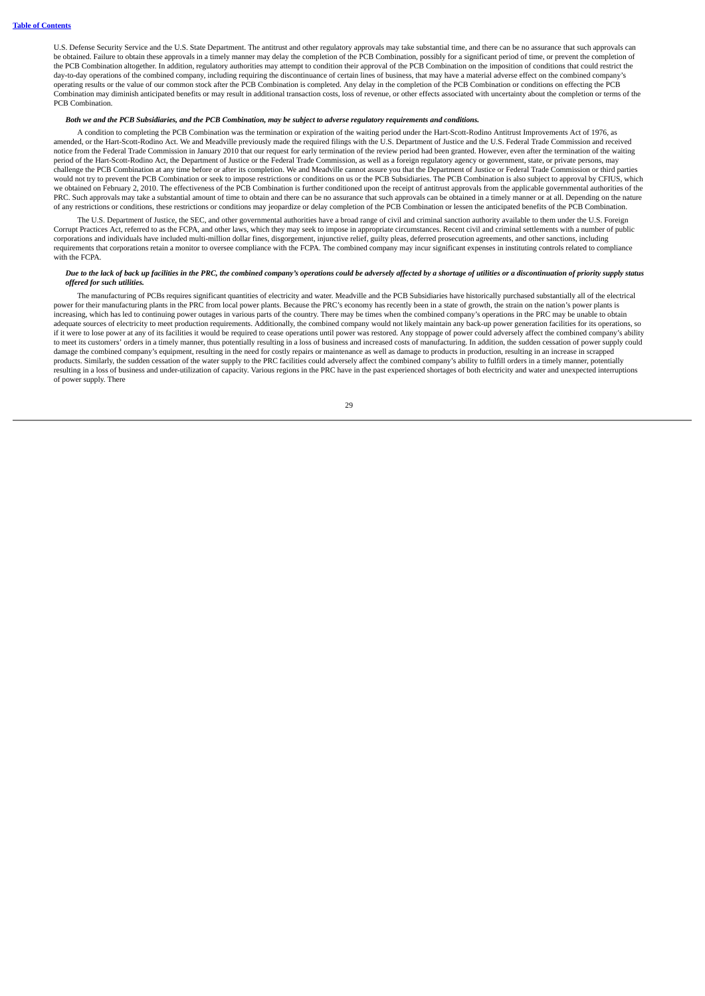U.S. Defense Security Service and the U.S. State Department. The antitrust and other regulatory approvals may take substantial time, and there can be no assurance that such approvals can<br>be obtained. Failure to obtain thes the PCB Combination altogether. In addition, regulatory authorities may attempt to condition their approval of the PCB Combination on the imposition of conditions that could restrict the day-to-day operations of the combined company, including requiring the discontinuance of certain lines of business, that may have a material adverse effect on the combined company's operating results or the value of our common stock after the PCB Combination is completed. Any delay in the completion of the PCB Combination or conditions on effecting the PCB Combination may diminish anticipated benefits or may result in additional transaction costs, loss of revenue, or other effects associated with uncertainty about the completion or terms of the PCB Combination.

#### Both we and the PCB Subsidiaries, and the PCB Combination, may be subject to adverse regulatory requirements and conditions.

A condition to completing the PCB Combination was the termination or expiration of the waiting period under the Hart-Scott-Rodino Antitrust Improvements Act of 1976, as amended, or the Hart-Scott-Rodino Act. We and Meadville previously made the required filings with the U.S. Department of Justice and the U.S. Federal Trade Commission and received notice from the Federal Trade Commission in January 2010 that our request for early termination of the review period had been granted. However, even after the termination of the waiting period of the Hart-Scott-Rodino Act, the Department of Justice or the Federal Trade Commission, as well as a foreign regulatory agency or government, state, or private persons, may challenge the PCB Combination at any time before or after its completion. We and Meadville cannot assure you that the Department of Justice or Federal Trade Commission or third parties would not try to prevent the PCB Combination or seek to impose restrictions or conditions on us or the PCB Subsidiaries. The PCB Combination is also subject to approval by CFIUS, which we obtained on February 2, 2010. The effectiveness of the PCB Combination is further conditioned upon the receipt of antitrust approvals from the applicable governmental authorities of the PRC. Such approvals may take a substantial amount of time to obtain and there can be no assurance that such approvals can be obtained in a timely manner or at all. Depending on the nature of any restrictions or conditions, these restrictions or conditions may jeopardize or delay completion of the PCB Combination or lessen the anticipated benefits of the PCB Combination.

The U.S. Department of Justice, the SEC, and other governmental authorities have a broad range of civil and criminal sanction authority available to them under the U.S. Foreign Corrupt Practices Act, referred to as the FCPA, and other laws, which they may seek to impose in appropriate circumstances. Recent civil and criminal settlements with a number of public corporations and individuals have included multi-million dollar fines, disgorgement, injunctive relief, guilty pleas, deferred prosecution agreements, and other sanctions, including requirements that corporations retain a monitor to oversee compliance with the FCPA. The combined company may incur significant expenses in instituting controls related to compliance with the FCPA.

## Due to the lack of back up facilities in the PRC, the combined company's operations could be adversely affected by a shortage of utilities or a discontinuation of priority supply status *offered for such utilities.*

The manufacturing of PCBs requires significant quantities of electricity and water. Meadville and the PCB Subsidiaries have historically purchased substantially all of the electrical power for their manufacturing plants in the PRC from local power plants. Because the PRC's economy has recently been in a state of growth, the strain on the nation's power plants is increasing, which has led to continuing power outages in various parts of the country. There may be times when the combined company's operations in the PRC may be unable to obtain adequate sources of electricity to meet production requirements. Additionally, the combined company would not likely maintain any back-up power generation facilities for its operations, so if it were to lose power at any of its facilities it would be required to cease operations until power was restored. Any stoppage of power could adversely affect the combined company's ability to meet its customers' orders in a timely manner, thus potentially resulting in a loss of business and increased costs of manufacturing. In addition, the sudden cessation of power supply could damage the combined company's equipment, resulting in the need for costly repairs or maintenance as well as damage to products in production, resulting in an increase in scrapped products. Similarly, the sudden cessation of the water supply to the PRC facilities could adversely affect the combined company's ability to fulfill orders in a timely manner, potentially resulting in a loss of business and under-utilization of capacity. Various regions in the PRC have in the past experienced shortages of both electricity and water and unexpected interruptions of power supply. There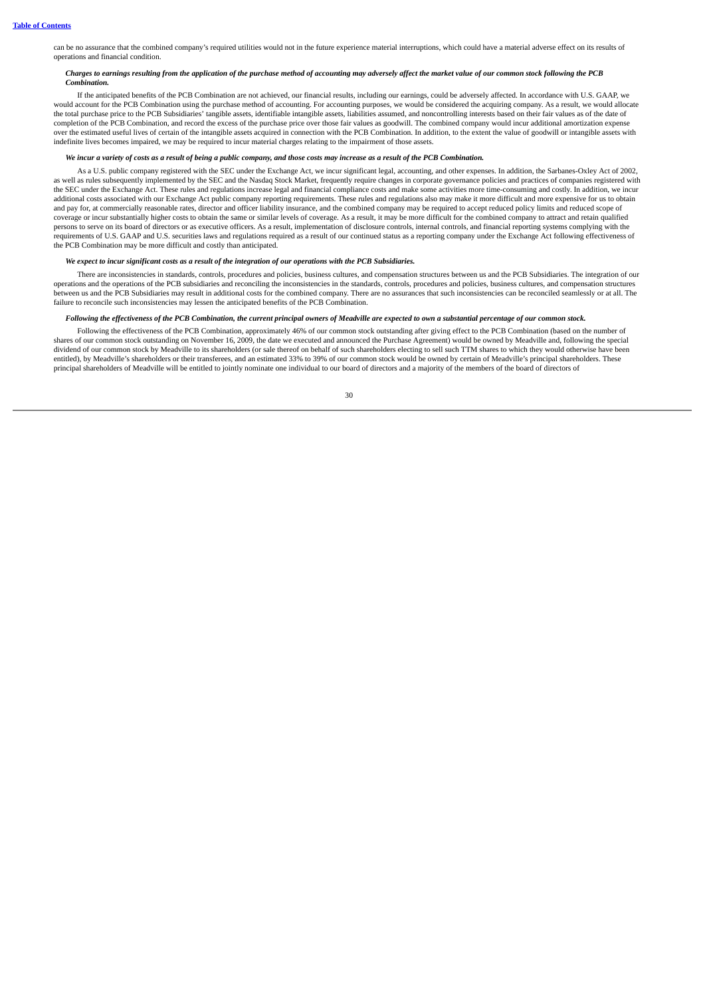can be no assurance that the combined company's required utilities would not in the future experience material interruptions, which could have a material adverse effect on its results of operations and financial condition.

## Charges to earnings resulting from the application of the purchase method of accounting may adversely affect the market value of our common stock following the PCB *Combination.*

If the anticipated benefits of the PCB Combination are not achieved, our financial results, including our earnings, could be adversely affected. In accordance with U.S. GAAP, we would account for the PCB Combination using the purchase method of accounting. For accounting purposes, we would be considered the acquiring company. As a result, we would allocate<br>the total purchase price to the PCB Subsi completion of the PCB Combination, and record the excess of the purchase price over those fair values as goodwill. The combined company would incur additional amortization expense over the estimated useful lives of certain of the intangible assets acquired in connection with the PCB Combination. In addition, to the extent the value of goodwill or intangible assets with indefinite lives becomes impaired, we may be required to incur material charges relating to the impairment of those assets.

## We incur a variety of costs as a result of being a public company, and those costs may increase as a result of the PCB Combination.

As a U.S. public company registered with the SEC under the Exchange Act, we incur significant legal, accounting, and other expenses. In addition, the Sarbanes-Oxley Act of 2002,<br>as well as rules subsequently implemented by the SEC under the Exchange Act. These rules and regulations increase legal and financial compliance costs and make some activities more time-consuming and costly. In addition, we incur additional costs associated with our Exchange Act public company reporting requirements. These rules and regulations also may make it more difficult and more expensive for us to obtain and pay for, at commercially reasonable rates, director and officer liability insurance, and the combined company may be required to accept reduced policy limits and reduced scope of coverage or incur substantially higher costs to obtain the same or similar levels of coverage. As a result, it may be more difficult for the combined company to attract and retain qualified persons to serve on its board of directors or as executive officers. As a result, implementation of disclosure controls, internal controls, and financial reporting systems complying with the requirements of U.S. GAAP and U.S. securities laws and regulations required as a result of our continued status as a reporting company under the Exchange Act following effectiveness of the PCB Combination may be more difficult and costly than anticipated.

# We expect to incur significant costs as a result of the integration of our operations with the PCB Subsidiaries.

There are inconsistencies in standards, controls, procedures and policies, business cultures, and compensation structures between us and the PCB Subsidiaries. The integration of our operations and the operations of the PCB subsidiaries and reconciling the inconsistencies in the standards, controls, procedures and policies, business cultures, and compensation structures between us and the PCB Subsidiaries may result in additional costs for the combined company. There are no assurances that such inconsistencies can be reconciled seamlessly or at all. The failure to reconcile such inconsistencies may lessen the anticipated benefits of the PCB Combination.

## ving the effectiveness of the PCB Combination, the current principal owners of Meadville are expected to own a substantial percentage of our common stock.

Following the effectiveness of the PCB Combination, approximately 46% of our common stock outstanding after giving effect to the PCB Combination (based on the number of shares of our common stock outstanding on November 16, 2009, the date we executed and announced the Purchase Agreement) would be owned by Meadville and, following the special dividend of our common stock by Meadville to its shareholders (or sale thereof on behalf of such shareholders electing to sell such TTM shares to which they would otherwise have been entitled), by Meadville's shareholders or their transferees, and an estimated 33% to 39% of our common stock would be owned by certain of Meadville's principal shareholders. These principal shareholders of Meadville will be entitled to jointly nominate one individual to our board of directors and a majority of the members of the board of directors of

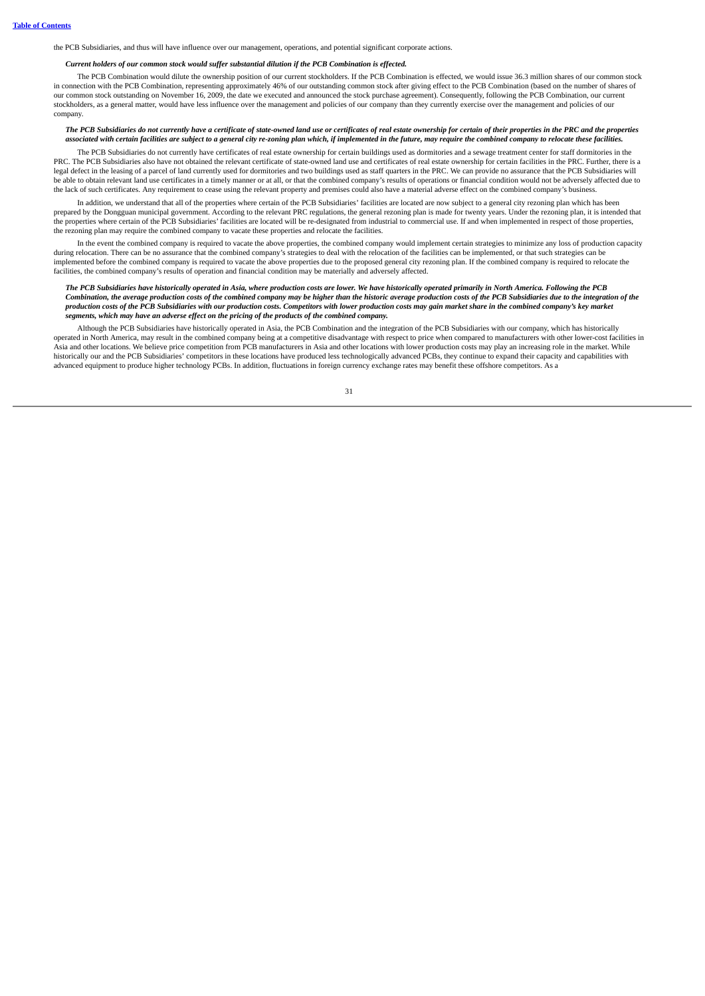the PCB Subsidiaries, and thus will have influence over our management, operations, and potential significant corporate actions.

#### *Current holders of our common stock would suffer substantial dilution if the PCB Combination is effected.*

The PCB Combination would dilute the ownership position of our current stockholders. If the PCB Combination is effected, we would issue 36.3 million shares of our common stock in connection with the PCB Combination, representing approximately 46% of our outstanding common stock after giving effect to the PCB Combination (based on the number of shares of our common stock outstanding on November 16, 2009, the date we executed and announced the stock purchase agreement). Consequently, following the PCB Combination, our current stockholders, as a general matter, would have less influence over the management and policies of our company than they currently exercise over the management and policies of our company.

#### The PCB Subsidiaries do not currently have a certificate of state-owned land use or certificates of real estate ownership for certain of their properties in the PRC and the properties associated with certain facilities are subject to a general city re-zoning plan which, if implemented in the future, may require the combined company to relocate these facilities.

The PCB Subsidiaries do not currently have certificates of real estate ownership for certain buildings used as dormitories and a sewage treatment center for staff dormitories in the PRC. The PCB Subsidiaries also have not obtained the relevant certificate of state-owned land use and certificates of real estate ownership for certain facilities in the PRC. Further, there is a legal defect in the leasing of a parcel of land currently used for dormitories and two buildings used as staff quarters in the PRC. We can provide no assurance that the PCB Subsidiaries will be able to obtain relevant land use certificates in a timely manner or at all, or that the combined company's results of operations or financial condition would not be adversely affected due to the lack of such certificates. Any requirement to cease using the relevant property and premises could also have a material adverse effect on the combined company's business.

In addition, we understand that all of the properties where certain of the PCB Subsidiaries' facilities are located are now subject to a general city rezoning plan which has been prepared by the Dongguan municipal government. According to the relevant PRC regulations, the general rezoning plan is made for twenty years. Under the rezoning plan, it is intended that the properties where certain of the PCB Subsidiaries' facilities are located will be re-designated from industrial to commercial use. If and when implemented in respect of those properties, the rezoning plan may require the combined company to vacate these properties and relocate the facilities.

In the event the combined company is required to vacate the above properties, the combined company would implement certain strategies to minimize any loss of production capacity during relocation. There can be no assurance that the combined company's strategies to deal with the relocation of the facilities can be implemented, or that such strategies can be implemented before the combined company is required to vacate the above properties due to the proposed general city rezoning plan. If the combined company is required to relocate the facilities, the combined company's results of operation and financial condition may be materially and adversely affected.

#### The PCB Subsidiaries have historically operated in Asia, where production costs are lower. We have historically operated primarily in North America. Following the PCB Combination, the average production costs of the combined company may be higher than the historic average production costs of the PCB Subsidiaries due to the integration of the production costs of the PCB Subsidiaries with our production costs. Competitors with lower production costs may gain market share in the combined company's key market *segments, which may have an adverse effect on the pricing of the products of the combined company.*

Although the PCB Subsidiaries have historically operated in Asia, the PCB Combination and the integration of the PCB Subsidiaries with our company, which has historically operated in North America, may result in the combined company being at a competitive disadvantage with respect to price when compared to manufacturers with other lower-cost facilities in Asia and other locations. We believe price competition from PCB manufacturers in Asia and other locations with lower production costs may play an increasing role in the market. While historically our and the PCB Subsidiaries' competitors in these locations have produced less technologically advanced PCBs, they continue to expand their capacity and capabilities with advanced equipment to produce higher technology PCBs. In addition, fluctuations in foreign currency exchange rates may benefit these offshore competitors. As a

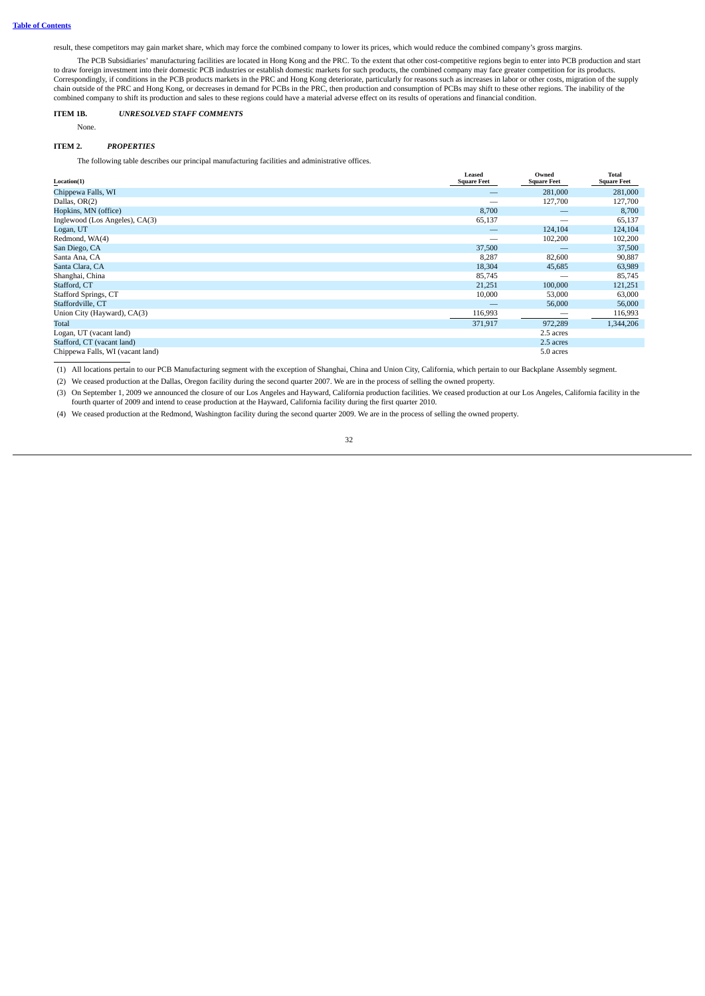result, these competitors may gain market share, which may force the combined company to lower its prices, which would reduce the combined company's gross margins.

The PCB Subsidiaries' manufacturing facilities are located in Hong Kong and the PRC. To the extent that other cost-competitive regions begin to enter into PCB production and start<br>to draw foreign investment into their dome Correspondingly, if conditions in the PCB products markets in the PRC and Hong Kong deteriorate, particularly for reasons such as increases in labor or other costs, migration of the supply chain outside of the PRC and Hong Kong, or decreases in demand for PCBs in the PRC, then production and consumption of PCBs may shift to these other regions. The inability of the combined company to shift its production and sales to these regions could have a material adverse effect on its results of operations and financial condition.

# **ITEM 1B.** *UNRESOLVED STAFF COMMENTS*

<span id="page-34-0"></span>None.

## **ITEM 2.** *PROPERTIES*

<span id="page-34-1"></span>The following table describes our principal manufacturing facilities and administrative offices.

|                                  | Leased             | Owned              | Total              |
|----------------------------------|--------------------|--------------------|--------------------|
| Location(1)                      | <b>Square Feet</b> | <b>Square Feet</b> | <b>Square Feet</b> |
| Chippewa Falls, WI               | _                  | 281,000            | 281,000            |
| Dallas, OR(2)                    |                    | 127,700            | 127,700            |
| Hopkins, MN (office)             | 8,700              |                    | 8,700              |
| Inglewood (Los Angeles), CA(3)   | 65,137             | —                  | 65,137             |
| Logan, UT                        |                    | 124,104            | 124,104            |
| Redmond, WA(4)                   |                    | 102,200            | 102,200            |
| San Diego, CA                    | 37,500             |                    | 37,500             |
| Santa Ana, CA                    | 8,287              | 82,600             | 90,887             |
| Santa Clara, CA                  | 18,304             | 45,685             | 63,989             |
| Shanghai, China                  | 85,745             |                    | 85,745             |
| Stafford, CT                     | 21,251             | 100,000            | 121,251            |
| Stafford Springs, CT             | 10,000             | 53,000             | 63,000             |
| Staffordville, CT                |                    | 56,000             | 56,000             |
| Union City (Hayward), CA(3)      | 116,993            |                    | 116,993            |
| Total                            | 371,917            | 972,289            | 1,344,206          |
| Logan, UT (vacant land)          |                    | 2.5 acres          |                    |
| Stafford, CT (vacant land)       |                    | 2.5 acres          |                    |
| Chippewa Falls, WI (vacant land) |                    | 5.0 acres          |                    |

(1) All locations pertain to our PCB Manufacturing segment with the exception of Shanghai, China and Union City, California, which pertain to our Backplane Assembly segment.

(2) We ceased production at the Dallas, Oregon facility during the second quarter 2007. We are in the process of selling the owned property.

(3) On September 1, 2009 we announced the closure of our Los Angeles and Hayward, California production facilities. We ceased production at our Los Angeles, California facility in the fourth quarter of 2009 and intend to cease production at the Hayward, California facility during the first quarter 2010.

(4) We ceased production at the Redmond, Washington facility during the second quarter 2009. We are in the process of selling the owned property.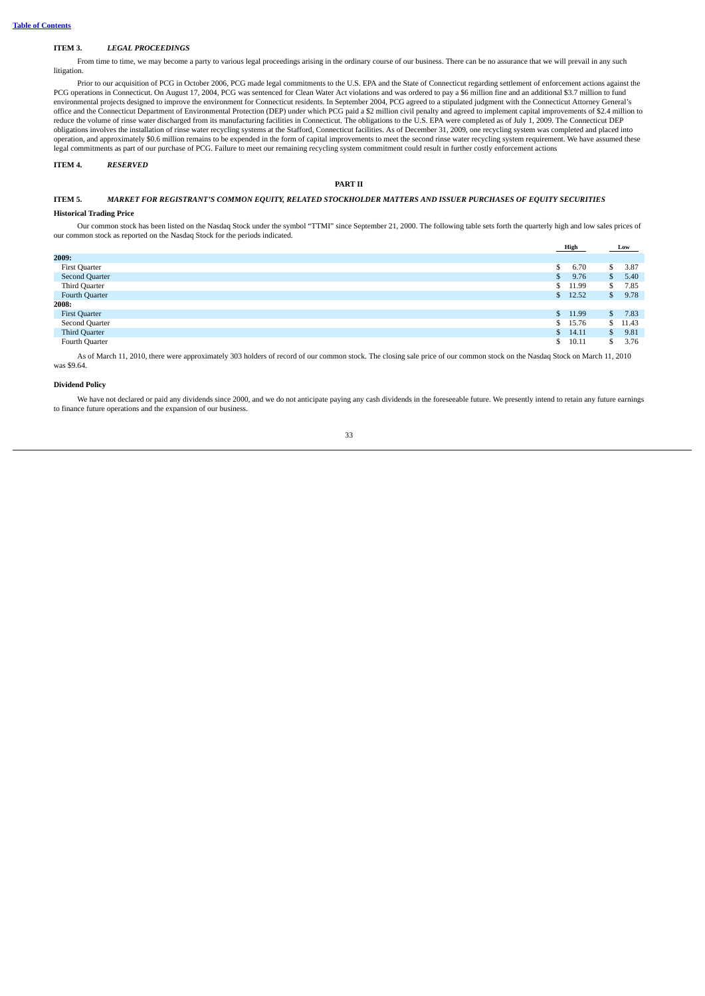## <span id="page-35-0"></span>**ITEM 3.** *LEGAL PROCEEDINGS*

From time to time, we may become a party to various legal proceedings arising in the ordinary course of our business. There can be no assurance that we will prevail in any such litigation.

Prior to our acquisition of PCG in October 2006, PCG made legal commitments to the U.S. EPA and the State of Connecticut regarding settlement of enforcement actions against the PCG operations in Connecticut. On August 17, 2004, PCG was sentenced for Clean Water Act violations and was ordered to pay a \$6 million fine and an additional \$3.7 million to fund environmental projects designed to improve the environment for Connecticut residents. In September 2004, PCG agreed to a stipulated judgment with the Connecticut Attorney General's office and the Connecticut Department of Environmental Protection (DEP) under which PCG paid a \$2 million civil penalty and agreed to implement capital improvements of \$2.4 million to reduce the volume of rinse water discharged from its manufacturing facilities in Connecticut. The obligations to the U.S. EPA were completed as of July 1, 2009. The Connecticut DEP obligations involves the installation of rinse water recycling systems at the Stafford, Connecticut facilities. As of December 31, 2009, one recycling system was completed and placed into operation, and approximately \$0.6 million remains to be expended in the form of capital improvements to meet the second rinse water recycling system requirement. We have assumed these legal commitments as part of our purchase of PCG. Failure to meet our remaining recycling system commitment could result in further costly enforcement actions

#### <span id="page-35-2"></span><span id="page-35-1"></span>**ITEM 4.** *RESERVED*

#### **PART II**

# <span id="page-35-3"></span>ITEM 5. MARKET FOR REGISTRANT'S COMMON EQUITY, RELATED STOCKHOLDER MATTERS AND ISSUER PURCHASES OF EQUITY SECURITIES

## **Historical Trading Price**

Our common stock has been listed on the Nasdaq Stock under the symbol "TTMI" since September 21, 2000. The following table sets forth the quarterly high and low sales prices of our common stock as reported on the Nasdaq Stock for the periods indicated.

|                      | High         |         |              | Low     |  |
|----------------------|--------------|---------|--------------|---------|--|
| 2009:                |              |         |              |         |  |
| <b>First Quarter</b> | s.           | 6.70    | \$.          | 3.87    |  |
| Second Quarter       | $\mathbb{S}$ | 9.76    | SS.          | 5.40    |  |
| Third Quarter        | \$           | 11.99   | S.           | 7.85    |  |
| Fourth Quarter       |              | \$12.52 | \$           | 9.78    |  |
| 2008:                |              |         |              |         |  |
| <b>First Quarter</b> | $\mathbb{S}$ | 11.99   | $\mathbf{s}$ | 7.83    |  |
| Second Quarter       |              | \$15.76 |              | \$11.43 |  |
| Third Quarter        |              | \$14.11 | S.           | 9.81    |  |
| Fourth Quarter       | S.           | 10.11   | \$.          | 3.76    |  |

As of March 11, 2010, there were approximately 303 holders of record of our common stock. The closing sale price of our common stock on the Nasdaq Stock on March 11, 2010 was \$9.64.

## **Dividend Policy**

We have not declared or paid any dividends since 2000, and we do not anticipate paying any cash dividends in the foreseeable future. We presently intend to retain any future earnings to finance future operations and the expansion of our business.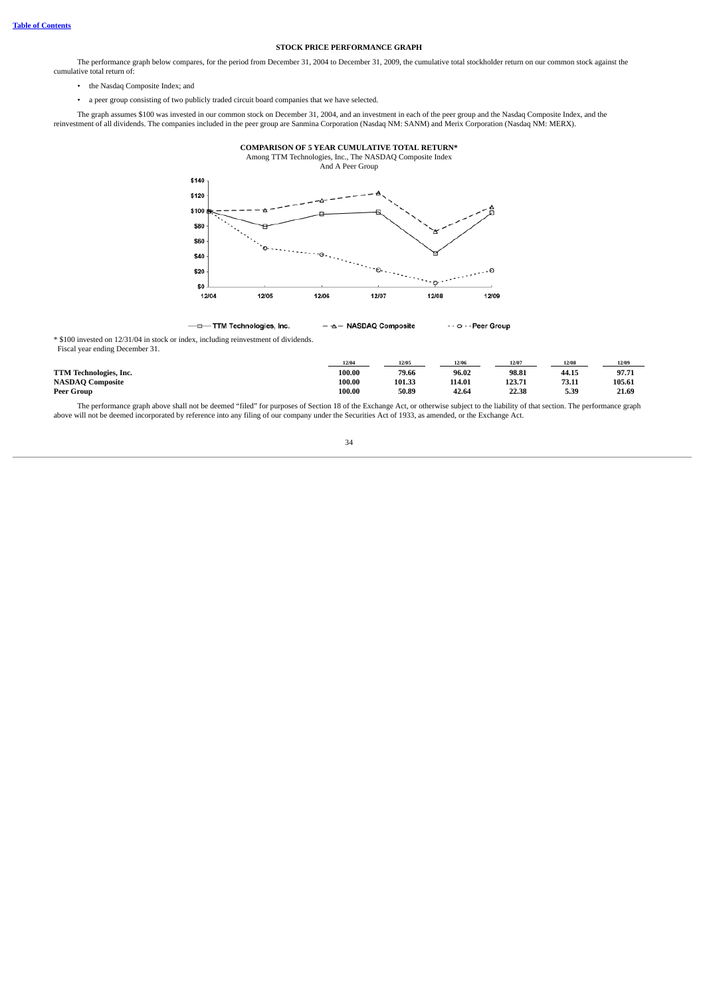# **STOCK PRICE PERFORMANCE GRAPH**

The performance graph below compares, for the period from December 31, 2004 to December 31, 2009, the cumulative total stockholder return on our common stock against the cumulative total return of:

- the Nasdaq Composite Index; and
- a peer group consisting of two publicly traded circuit board companies that we have selected.

The graph assumes \$100 was invested in our common stock on December 31, 2004, and an investment in each of the peer group and the Nasdaq Composite Index, and the teinvestment of all dividends. The companies included in the



- - TTM Technologies, Inc.  $\triangle$   $-$  NASDAQ Composite - - O - - Peer Group

\* \$100 invested on 12/31/04 in stock or index, including reinvestment of dividends. Fiscal year ending December 31.

|                         | 12/04  | 12/05  | 12/06  | 12/0   | 12/08 | 12/09  |
|-------------------------|--------|--------|--------|--------|-------|--------|
| TTM Technologies, Inc.  | 100.00 | 79.66  | 96.02  | 98.81  | 44.15 | 97.71  |
| <b>NASDAQ Composite</b> | 100.00 | 101.33 | 114.01 | 123.71 | 73.11 | 105.61 |
| <b>Peer Group</b>       | 100.00 | 50.89  | 42.64  | 22.38  | 5.39  | 21.69  |

The performance graph above shall not be deemed "filed" for purposes of Section 18 of the Exchange Act, or otherwise subject to the liability of that section. The performance graph<br>above will not be deemed incorporated by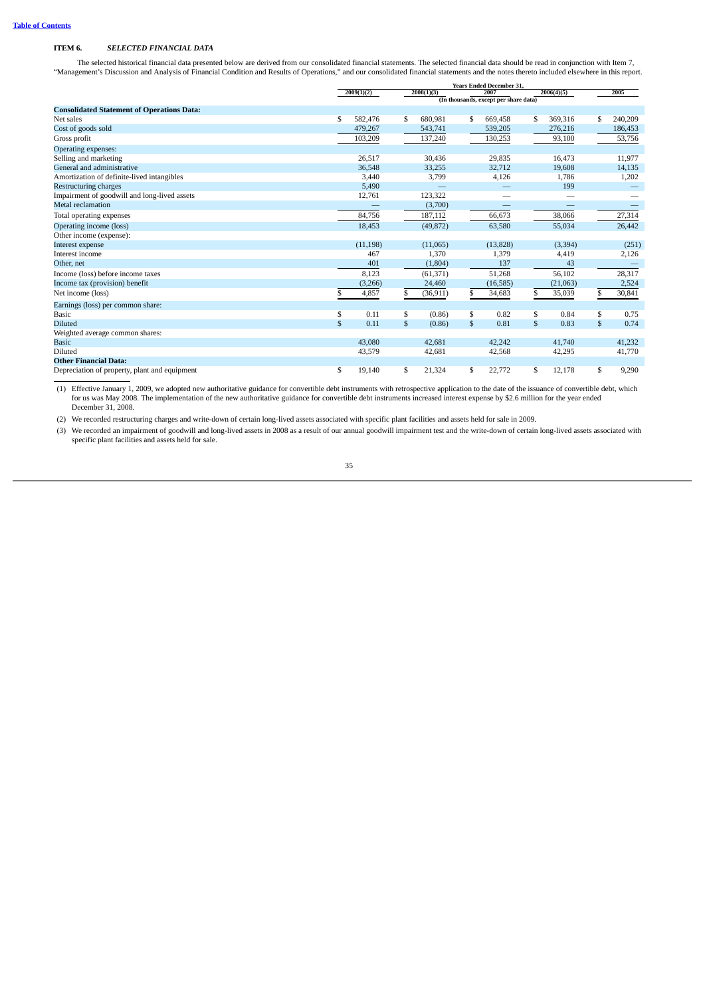# **ITEM 6.** *SELECTED FINANCIAL DATA*

.7 The selected historical financial data presented below are derived from our consolidated financial statements. The selected financial data should be read in conjunction with Item 7,<br>"Management's Discussion and Analysis

|                                                   |    | <b>Years Ended December 31,</b> |    |            |              |                                       |              |            |    |         |  |
|---------------------------------------------------|----|---------------------------------|----|------------|--------------|---------------------------------------|--------------|------------|----|---------|--|
|                                                   |    | 2009(1)(2)                      |    | 2008(1)(3) |              | 2007                                  |              | 2006(4)(5) |    | 2005    |  |
|                                                   |    |                                 |    |            |              | (In thousands, except per share data) |              |            |    |         |  |
| <b>Consolidated Statement of Operations Data:</b> |    |                                 |    |            |              |                                       |              |            |    |         |  |
| Net sales                                         | S  | 582,476                         | \$ | 680,981    | S            | 669,458                               | S            | 369,316    | S. | 240,209 |  |
| Cost of goods sold                                |    | 479,267                         |    | 543,741    |              | 539,205                               |              | 276,216    |    | 186,453 |  |
| Gross profit                                      |    | 103,209                         |    | 137,240    |              | 130,253                               |              | 93,100     |    | 53,756  |  |
| Operating expenses:                               |    |                                 |    |            |              |                                       |              |            |    |         |  |
| Selling and marketing                             |    | 26,517                          |    | 30,436     |              | 29,835                                |              | 16,473     |    | 11,977  |  |
| General and administrative                        |    | 36,548                          |    | 33,255     |              | 32,712                                |              | 19,608     |    | 14,135  |  |
| Amortization of definite-lived intangibles        |    | 3,440                           |    | 3,799      |              | 4,126                                 |              | 1,786      |    | 1,202   |  |
| Restructuring charges                             |    | 5,490                           |    |            |              | -                                     |              | 199        |    |         |  |
| Impairment of goodwill and long-lived assets      |    | 12,761                          |    | 123,322    |              |                                       |              |            |    |         |  |
| Metal reclamation                                 |    |                                 |    | (3,700)    |              |                                       |              |            |    |         |  |
| Total operating expenses                          |    | 84,756                          |    | 187,112    |              | 66,673                                |              | 38,066     |    | 27,314  |  |
| Operating income (loss)                           |    | 18,453                          |    | (49, 872)  |              | 63,580                                |              | 55,034     |    | 26,442  |  |
| Other income (expense):                           |    |                                 |    |            |              |                                       |              |            |    |         |  |
| Interest expense                                  |    | (11, 198)                       |    | (11,065)   |              | (13, 828)                             |              | (3,394)    |    | (251)   |  |
| Interest income                                   |    | 467                             |    | 1,370      |              | 1,379                                 |              | 4,419      |    | 2,126   |  |
| Other, net                                        |    | 401                             |    | (1,804)    |              | 137                                   |              | 43         |    |         |  |
| Income (loss) before income taxes                 |    | 8.123                           |    | (61, 371)  |              | 51,268                                |              | 56,102     |    | 28,317  |  |
| Income tax (provision) benefit                    |    | (3,266)                         |    | 24,460     |              | (16, 585)                             |              | (21,063)   |    | 2,524   |  |
| Net income (loss)                                 | S  | 4,857                           | \$ | (36, 911)  | \$           | 34,683                                | \$           | 35,039     | S  | 30,841  |  |
| Earnings (loss) per common share:                 |    |                                 |    |            |              |                                       |              |            |    |         |  |
| <b>Basic</b>                                      | \$ | 0.11                            | \$ | (0.86)     | \$           | 0.82                                  | \$           | 0.84       | S  | 0.75    |  |
| <b>Diluted</b>                                    | \$ | 0.11                            | \$ | (0.86)     | $\mathbb{S}$ | 0.81                                  | $\mathbb{S}$ | 0.83       | \$ | 0.74    |  |
| Weighted average common shares:                   |    |                                 |    |            |              |                                       |              |            |    |         |  |
| <b>Basic</b>                                      |    | 43,080                          |    | 42,681     |              | 42,242                                |              | 41,740     |    | 41,232  |  |
| Diluted                                           |    | 43,579                          |    | 42,681     |              | 42,568                                |              | 42,295     |    | 41,770  |  |
| <b>Other Financial Data:</b>                      |    |                                 |    |            |              |                                       |              |            |    |         |  |
| Depreciation of property, plant and equipment     | \$ | 19,140                          | \$ | 21,324     | \$           | 22,772                                | \$           | 12,178     | \$ | 9,290   |  |

(1) Effective January 1, 2009, we adopted new authoritative guidance for convertible debt instruments with retrospective application to the date of the issuance of convertible debt, which for us was May 2008. The implementation of the new authoritative guidance for convertible debt instruments increased interest expense by \$2.6 million for the year ended December 31, 2008.

(2) We recorded restructuring charges and write-down of certain long-lived assets associated with specific plant facilities and assets held for sale in 2009.

(3) We recorded an impairment of goodwill and long-lived assets in 2008 as a result of our annual goodwill impairment test and the write-down of certain long-lived assets associated with specific plant facilities and assets held for sale.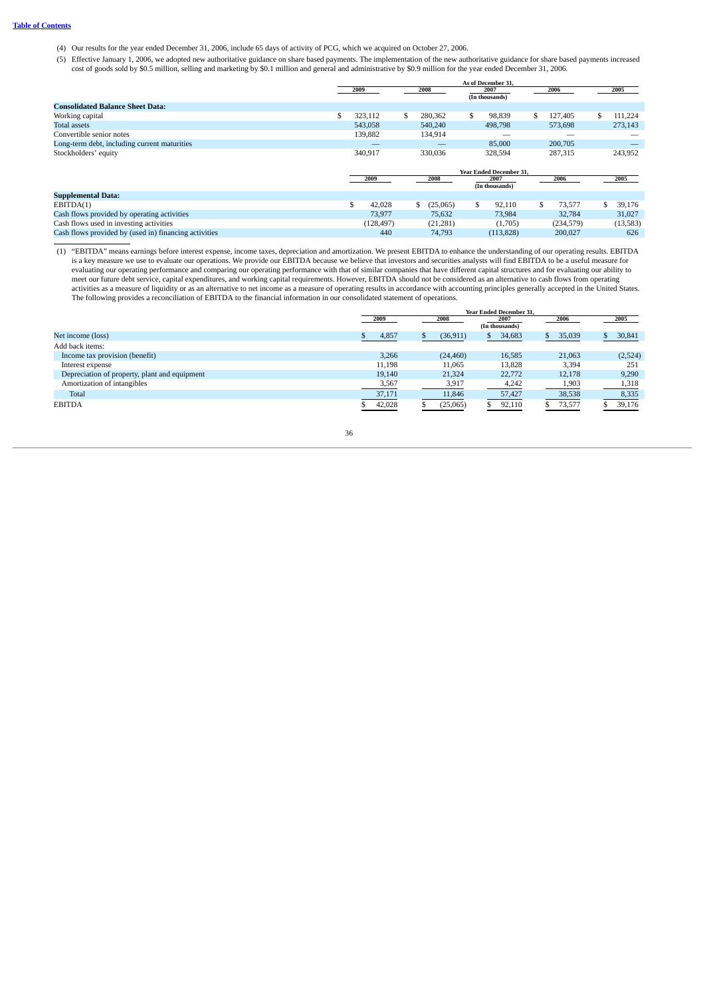- (4) Our results for the year ended December 31, 2006, include 65 days of activity of PCG, which we acquired on October 27, 2006.
- (5) Effective January 1, 2006, we adopted new authoritative guidance on share based payments. The implementation of the new authoritative guidance for share based payments increased cost of goods sold by \$0.5 million, selling and marketing by \$0.1 million and general and administrative by \$0.9 million for the year ended December 31, 2006.

|                                                       | As of December 31. |            |    |                |                        |                         |      |           |    |          |
|-------------------------------------------------------|--------------------|------------|----|----------------|------------------------|-------------------------|------|-----------|----|----------|
|                                                       | 2009               |            |    | 2008           | 2007<br>(In thousands) |                         | 2006 |           |    | 2005     |
|                                                       |                    |            |    |                |                        |                         |      |           |    |          |
| <b>Consolidated Balance Sheet Data:</b>               |                    |            |    |                |                        |                         |      |           |    |          |
| Working capital                                       |                    | 323,112    | \$ | 280,362        | \$                     | 98,839                  | S.   | 127,405   | S. | 111,224  |
| <b>Total assets</b>                                   |                    | 543,058    |    | 540,240        |                        | 498,798                 |      | 573,698   |    | 273,143  |
| Convertible senior notes                              |                    | 139,882    |    | 134,914        |                        |                         |      |           |    |          |
| Long-term debt, including current maturities          |                    |            |    | —              |                        | 85,000                  |      | 200,705   |    | —        |
| Stockholders' equity                                  |                    | 340,917    |    | 330,036        |                        | 328,594                 |      | 287,315   |    | 243,952  |
|                                                       |                    |            |    |                |                        |                         |      |           |    |          |
|                                                       |                    |            |    |                |                        | Year Ended December 31, |      |           |    |          |
|                                                       |                    | 2009       |    | 2008           |                        | 2007                    |      | 2006      |    | 2005     |
|                                                       |                    |            |    |                |                        | (In thousands)          |      |           |    |          |
| <b>Supplemental Data:</b>                             |                    |            |    |                |                        |                         |      |           |    |          |
| EBITDA(1)                                             | \$                 | 42.028     |    | S.<br>(25,065) | \$                     | 92,110                  | \$   | 73,577    |    | 39,176   |
| Cash flows provided by operating activities           |                    | 73,977     |    | 75,632         |                        | 73,984                  |      | 32,784    |    | 31,027   |
| Cash flows used in investing activities               |                    | (128, 497) |    | (21, 281)      |                        | (1,705)                 |      | (234,579) |    | (13,583) |
| Cash flows provided by (used in) financing activities |                    | 440        |    | 74,793         |                        | (113, 828)              |      | 200,027   |    | 626      |

(1) "EBITDA" means earnings before interest expense, income taxes, depreciation and amortization. We present EBITDA to enhance the understanding of our operating results. EBITDA is a key measure we use to evaluate our operations. We provide our EBITDA because we believe that investors and securities analysts will find EBITDA to be a useful measure for<br>evaluating our operating performance and compa activities as a measure of liquidity or as an alternative to net income as a measure of operating results in accordance with accounting principles generally accepted in the United States. The following provides a reconciliation of EBITDA to the financial information in our consolidated statement of operations.

|                                               | <b>Year Ended December 31.</b> |           |                |        |         |  |  |  |
|-----------------------------------------------|--------------------------------|-----------|----------------|--------|---------|--|--|--|
|                                               | 2009                           | 2008      | 2007           | 2006   | 2005    |  |  |  |
|                                               |                                |           | (In thousands) |        |         |  |  |  |
| Net income (loss)                             | 4,857                          | (36, 911) | 34,683         | 35,039 | 30,841  |  |  |  |
| Add back items:                               |                                |           |                |        |         |  |  |  |
| Income tax provision (benefit)                | 3,266                          | (24, 460) | 16,585         | 21,063 | (2,524) |  |  |  |
| Interest expense                              | 11,198                         | 11,065    | 13,828         | 3,394  | 251     |  |  |  |
| Depreciation of property, plant and equipment | 19,140                         | 21,324    | 22,772         | 12,178 | 9,290   |  |  |  |
| Amortization of intangibles                   | 3,567                          | 3,917     | 4,242          | 1,903  | 1,318   |  |  |  |
| Total                                         | 37,171                         | 11,846    | 57,427         | 38,538 | 8,335   |  |  |  |
| <b>EBITDA</b>                                 | 42,028                         | (25,065)  | 92,110         | 73,577 | 39,176  |  |  |  |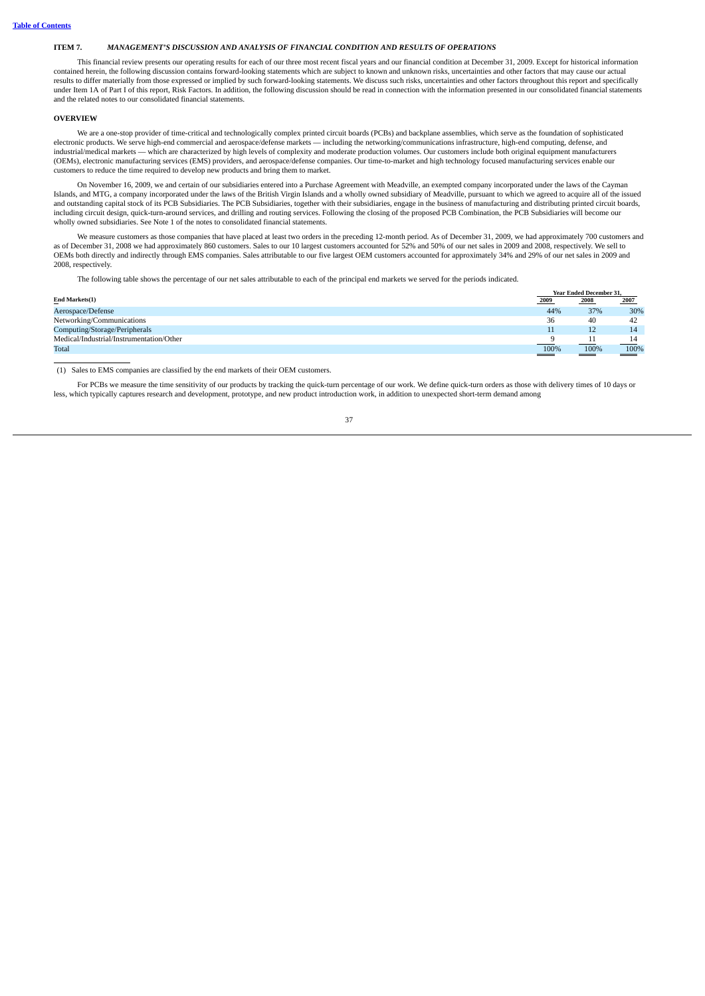#### **ITEM 7.** *MANAGEMENT'S DISCUSSION AND ANALYSIS OF FINANCIAL CONDITION AND RESULTS OF OPERATIONS*

This financial review presents our operating results for each of our three most recent fiscal years and our financial condition at December 31, 2009. Except for historical information contained herein, the following discussion contains forward-looking statements which are subject to known and unknown risks, uncertainties and other factors that may cause our actual results to differ materially from those expressed or implied by such forward-looking statements. We discuss such risks, uncertainties and other factors throughout this report and specifically under Item 1A of Part I of this report, Risk Factors. In addition, the following discussion should be read in connection with the information presented in our consolidated financial statements and the related notes to our consolidated financial statements.

### **OVERVIEW**

We are a one-stop provider of time-critical and technologically complex printed circuit boards (PCBs) and backplane assemblies, which serve as the foundation of sophisticated electronic products. We serve high-end commercial and aerospace/defense markets — including the networking/communications infrastructure, high-end computing, defense, and industrial/medical markets — which are characterized by high levels of complexity and moderate production volumes. Our customers include both original equipment manufacturers (OEMs), electronic manufacturing services (EMS) providers, and aerospace/defense companies. Our time-to-market and high technology focused manufacturing services enable our customers to reduce the time required to develop new products and bring them to market.

On November 16, 2009, we and certain of our subsidiaries entered into a Purchase Agreement with Meadville, an exempted company incorporated under the laws of the Cayman Islands, and MTG, a company incorporated under the laws of the British Virgin Islands and a wholly owned subsidiary of Meadville, pursuant to which we agreed to acquire all of the issued<br>and outstanding capital stock of it including circuit design, quick-turn-around services, and drilling and routing services. Following the closing of the proposed PCB Combination, the PCB Subsidiaries will become our wholly owned subsidiaries. See Note 1 of the notes to consolidated financial statements.

We measure customers as those companies that have placed at least two orders in the preceding 12-month period. As of December 31, 2009, we had approximately 700 customers and as of December 31, 2008 we had approximately 860 customers. Sales to our 10 largest customers accounted for 52% and 50% of our net sales in 2009 and 2008, respectively. We sell to OEMs both directly and indirectly through EMS companies. Sales attributable to our five largest OEM customers accounted for approximately 34% and 29% of our net sales in 2009 and 2008, respectively.

The following table shows the percentage of our net sales attributable to each of the principal end markets we served for the periods indicated.

|                                          |      | <b>Year Ended December 31.</b> |      |  |  |
|------------------------------------------|------|--------------------------------|------|--|--|
| End Markets(1)                           | 2009 | 2008                           | 2007 |  |  |
| Aerospace/Defense                        | 44%  | 37%                            | 30%  |  |  |
| Networking/Communications                | 36   | 40                             | 42   |  |  |
| Computing/Storage/Peripherals            | 11   | 12                             | 14   |  |  |
| Medical/Industrial/Instrumentation/Other | o    |                                | 14   |  |  |
| Total                                    | 100% | 100%                           | 100% |  |  |
|                                          |      |                                |      |  |  |

(1) Sales to EMS companies are classified by the end markets of their OEM customers.

For PCBs we measure the time sensitivity of our products by tracking the quick-turn percentage of our work. We define quick-turn orders as those with delivery times of 10 days or less, which typically captures research and development, prototype, and new product introduction work, in addition to unexpected short-term demand among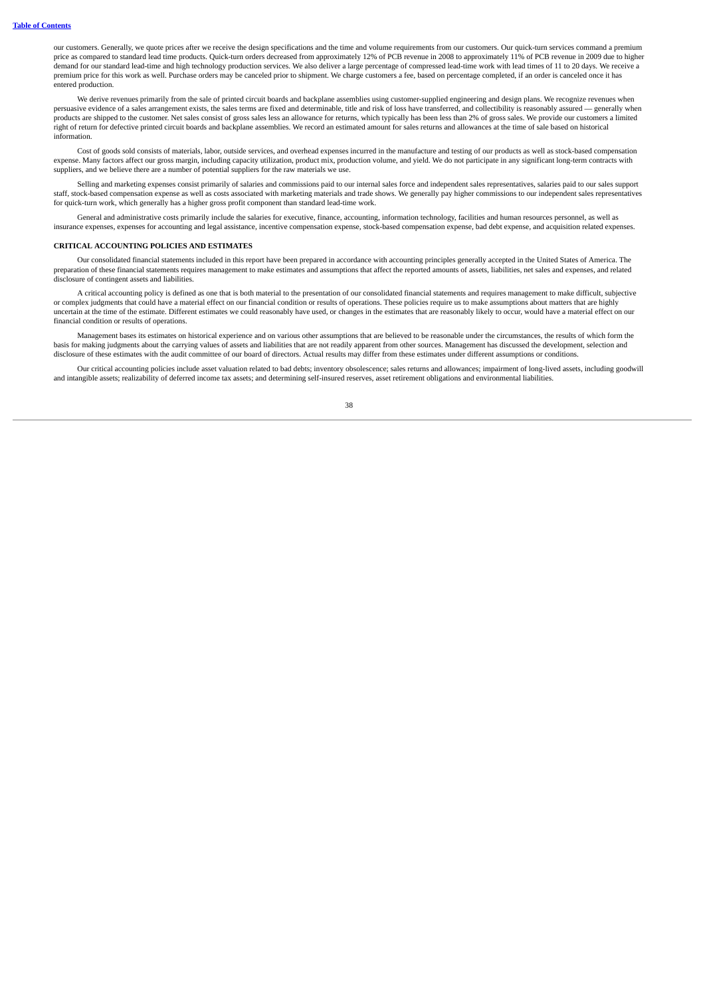our customers. Generally, we quote prices after we receive the design specifications and the time and volume requirements from our customers. Our quick-turn services command a premium price as compared to standard lead time products. Quick-turn orders decreased from approximately 12% of PCB revenue in 2008 to approximately 11% of PCB revenue in 2009 due to higher demand for our standard lead-time and high technology production services. We also deliver a large percentage of compressed lead-time work with lead times of 11 to 20 days. We receive a premium price for this work as well. Purchase orders may be canceled prior to shipment. We charge customers a fee, based on percentage completed, if an order is canceled once it has entered production.

We derive revenues primarily from the sale of printed circuit boards and backplane assemblies using customer-supplied engineering and design plans. We recognize revenues when persuasive evidence of a sales arrangement exists, the sales terms are fixed and determinable, title and risk of loss have transferred, and collectibility is reasonably assured — generally when products are shipped to the customer. Net sales consist of gross sales less an allowance for returns, which typically has been less than 2% of gross sales. We provide our customers a limited right of return for defective printed circuit boards and backplane assemblies. We record an estimated amount for sales returns and allowances at the time of sale based on historical information.

Cost of goods sold consists of materials, labor, outside services, and overhead expenses incurred in the manufacture and testing of our products as well as stock-based compensation expense. Many factors affect our gross margin, including capacity utilization, product mix, production volume, and yield. We do not participate in any significant long-term contracts with suppliers, and we believe there are a number of potential suppliers for the raw materials we use.

Selling and marketing expenses consist primarily of salaries and commissions paid to our internal sales force and independent sales representatives, salaries paid to our sales support staff, stock-based compensation expense as well as costs associated with marketing materials and trade shows. We generally pay higher commissions to our independent sales representatives for quick-turn work, which generally has a higher gross profit component than standard lead-time work.

General and administrative costs primarily include the salaries for executive, finance, accounting, information technology, facilities and human resources personnel, as well as insurance expenses, expenses for accounting and legal assistance, incentive compensation expense, stock-based compensation expense, bad debt expense, and acquisition related expenses.

### **CRITICAL ACCOUNTING POLICIES AND ESTIMATES**

Our consolidated financial statements included in this report have been prepared in accordance with accounting principles generally accepted in the United States of America. The preparation of these financial statements requires management to make estimates and assumptions that affect the reported amounts of assets, liabilities, net sales and expenses, and related disclosure of contingent assets and liabilities.

A critical accounting policy is defined as one that is both material to the presentation of our consolidated financial statements and requires management to make difficult, subjective or complex judgments that could have a material effect on our financial condition or results of operations. These policies require us to make assumptions about matters that are highly uncertain at the time of the estimate. Different estimates we could reasonably have used, or changes in the estimates that are reasonably likely to occur, would have a material effect on our financial condition or results of operations.

Management bases its estimates on historical experience and on various other assumptions that are believed to be reasonable under the circumstances, the results of which form the basis for making judgments about the carrying values of assets and liabilities that are not readily apparent from other sources. Management has discussed the development, selection and disclosure of these estimates with the audit committee of our board of directors. Actual results may differ from these estimates under different assumptions or conditions.

Our critical accounting policies include asset valuation related to bad debts; inventory obsolescence; sales returns and allowances; impairment of long-lived assets, including goodwill and intangible assets; realizability of deferred income tax assets; and determining self-insured reserves, asset retirement obligations and environmental liabilities.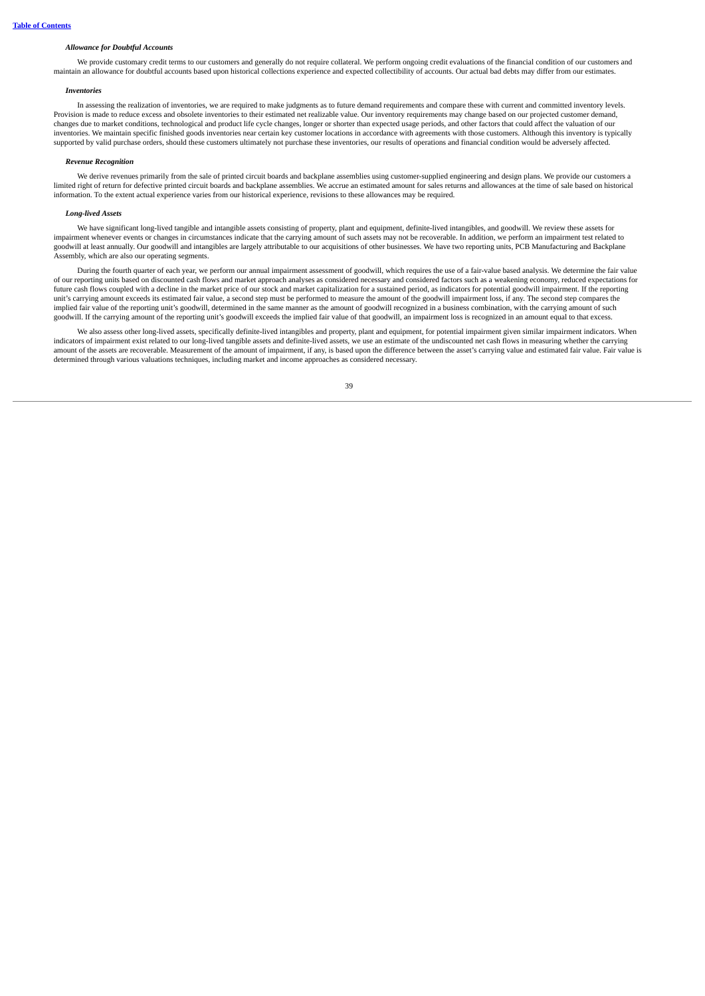### *Allowance for Doubtful Accounts*

We provide customary credit terms to our customers and generally do not require collateral. We perform ongoing credit evaluations of the financial condition of our customers and maintain an allowance for doubtful accounts based upon historical collections experience and expected collectibility of accounts. Our actual bad debts may differ from our estimates.

### *Inventories*

In assessing the realization of inventories, we are required to make judgments as to future demand requirements and compare these with current and committed inventory levels. Provision is made to reduce excess and obsolete inventories to their estimated net realizable value. Our inventory requirements may change based on our projected customer demand, changes due to market conditions, technological and product life cycle changes, longer or shorter than expected usage periods, and other factors that could affect the valuation of our inventories. We maintain specific finished goods inventories near certain key customer locations in accordance with agreements with those customers. Although this inventory is typically supported by valid purchase orders, should these customers ultimately not purchase these inventories, our results of operations and financial condition would be adversely affected.

### *Revenue Recognition*

We derive revenues primarily from the sale of printed circuit boards and backplane assemblies using customer-supplied engineering and design plans. We provide our customers a limited right of return for defective printed circuit boards and backplane assemblies. We accrue an estimated amount for sales returns and allowances at the time of sale based on historical information. To the extent actual experience varies from our historical experience, revisions to these allowances may be required.

#### *Long-lived Assets*

We have significant long-lived tangible and intangible assets consisting of property, plant and equipment, definite-lived intangibles, and goodwill. We review these assets for impairment whenever events or changes in circumstances indicate that the carrying amount of such assets may not be recoverable. In addition, we perform an impairment test related to goodwill at least annually. Our goodwill and intangibles are largely attributable to our acquisitions of other businesses. We have two reporting units, PCB Manufacturing and Backplane Assembly, which are also our operating segments.

During the fourth quarter of each year, we perform our annual impairment assessment of goodwill, which requires the use of a fair-value based analysis. We determine the fair value of our reporting units based on discounted cash flows and market approach analyses as considered necessary and considered factors such as a weakening economy, reduced expectations for future cash flows coupled with a decline in the market price of our stock and market capitalization for a sustained period, as indicators for potential goodwill impairment. If the reporting unit's carrying amount exceeds its estimated fair value, a second step must be performed to measure the amount of the goodwill impairment loss, if any. The second step compares the implied fair value of the reporting unit's goodwill, determined in the same manner as the amount of goodwill recognized in a business combination, with the carrying amount of such goodwill. If the carrying amount of the reporting unit's goodwill exceeds the implied fair value of that goodwill, an impairment loss is recognized in an amount equal to that excess.

We also assess other long-lived assets, specifically definite-lived intangibles and property, plant and equipment, for potential impairment given similar impairment indicators. When indicators of impairment exist related to our long-lived tangible assets and definite-lived assets, we use an estimate of the undiscounted net cash flows in measuring whether the carrying amount of the assets are recoverable. Measurement of the amount of impairment, if any, is based upon the difference between the asset's carrying value and estimated fair value. Fair value is determined through various valuations techniques, including market and income approaches as considered necessary.

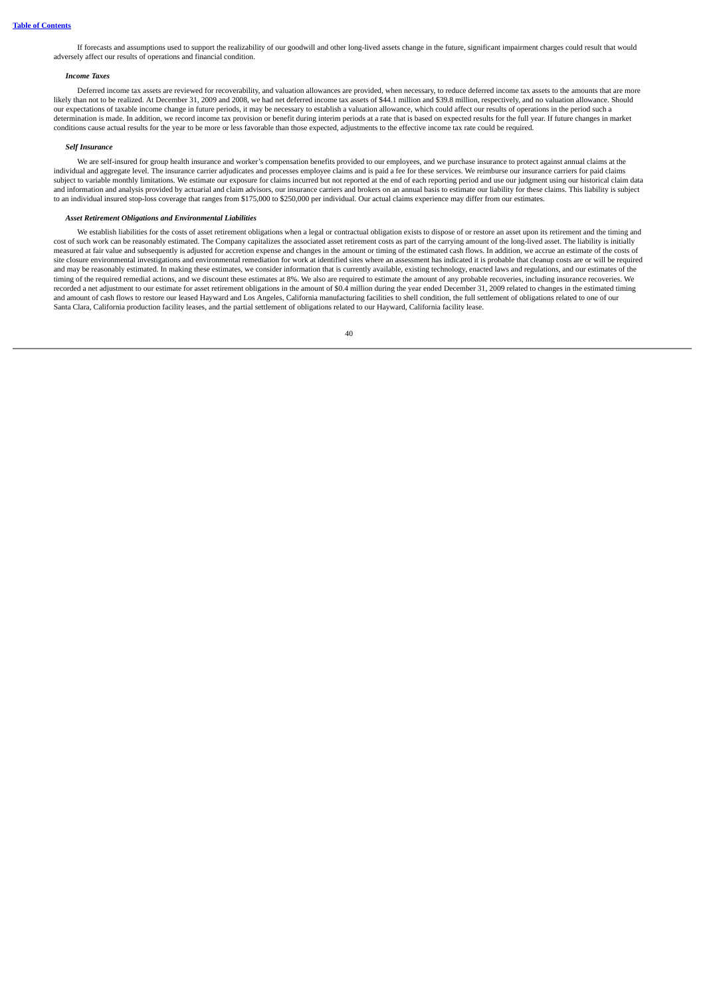If forecasts and assumptions used to support the realizability of our goodwill and other long-lived assets change in the future, significant impairment charges could result that would<br>adversely affect our results of operat

### *Income Taxes*

Deferred income tax assets are reviewed for recoverability, and valuation allowances are provided, when necessary, to reduce deferred income tax assets to the amounts that are more likely than not to be realized. At December 31, 2009 and 2008, we had net deferred income tax assets of \$44.1 million and \$39.8 million, respectively, and no valuation allowance. Should our expectations of taxable income change in future periods, it may be necessary to establish a valuation allowance, which could affect our results of operations in the period such a determination is made. In addition, we record income tax provision or benefit during interim periods at a rate that is based on expected results for the full year. If future changes in market conditions cause actual results for the year to be more or less favorable than those expected, adjustments to the effective income tax rate could be required.

### *Self Insurance*

We are self-insured for group health insurance and worker's compensation benefits provided to our employees, and we purchase insurance to protect against annual claims at the individual and aggregate level. The insurance carrier adjudicates and processes employee claims and is paid a fee for these services. We reimburse our insurance carriers for paid claims<br>subject to variable monthly limitati and information and analysis provided by actuarial and claim advisors, our insurance carriers and brokers on an annual basis to estimate our liability for these claims. This liability is subject and the extreme carriers an to an individual insured stop-loss coverage that ranges from \$175,000 to \$250,000 per individual. Our actual claims experience may differ from our estimates.

### *Asset Retirement Obligations and Environmental Liabilities*

We establish liabilities for the costs of asset retirement obligations when a legal or contractual obligation exists to dispose of or restore an asset upon its retirement and the timing and cost of such work can be reasonably estimated. The Company capitalizes the associated asset retirement costs as part of the carrying amount of the long-lived asset. The liability is initially measured at fair value and subsequently is adjusted for accretion expense and changes in the amount or timing of the estimated cash flows. In addition, we accrue an estimate of the costs of site closure environmental investigations and environmental remediation for work at identified sites where an assessment has indicated it is probable that cleanup costs are or will be required and may be reasonably estimated. In making these estimates, we consider information that is currently available, existing technology, enacted laws and regulations, and our estimates of the timing of the required remedial actions, and we discount these estimates at 8%. We also are required to estimate the amount of any probable recoveries, including insurance recoveries. We recorded a net adjustment to our estimate for asset retirement obligations in the amount of \$0.4 million during the year ended December 31, 2009 related to changes in the estimated timing and amount of cash flows to restore our leased Hayward and Los Angeles, California manufacturing facilities to shell condition, the full settlement of obligations related to one of our Santa Clara, California production facility leases, and the partial settlement of obligations related to our Hayward, California facility lease.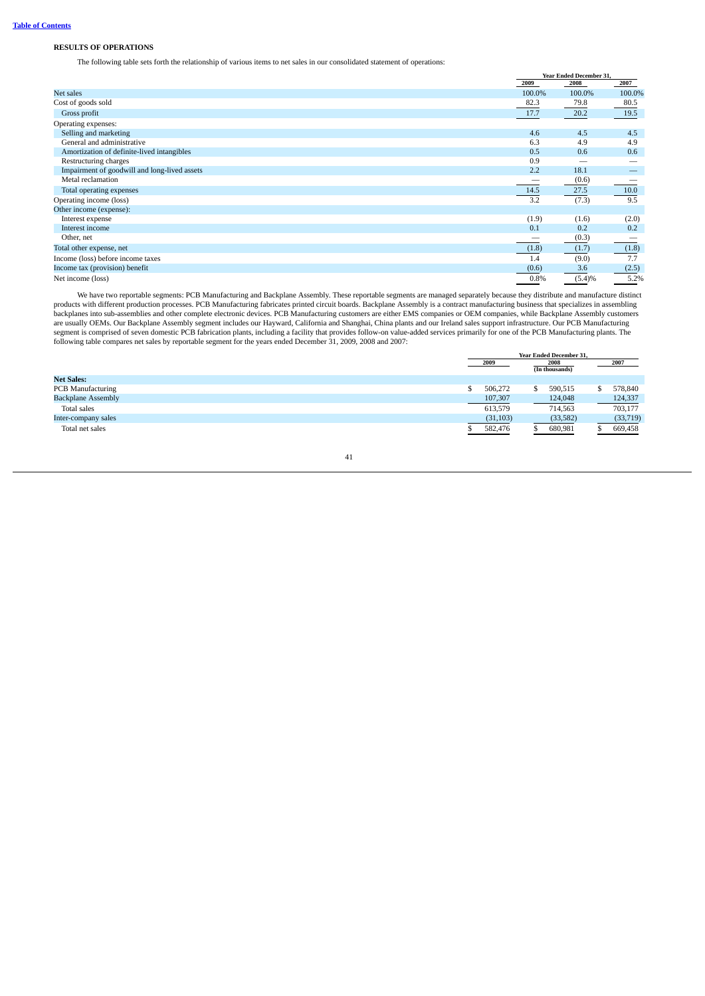# **RESULTS OF OPERATIONS**

The following table sets forth the relationship of various items to net sales in our consolidated statement of operations:

|                                              |        | Year Ended December 31, |        |  |
|----------------------------------------------|--------|-------------------------|--------|--|
|                                              | 2009   | 2008                    | 2007   |  |
| Net sales                                    | 100.0% | 100.0%                  | 100.0% |  |
| Cost of goods sold                           | 82.3   | 79.8                    | 80.5   |  |
| Gross profit                                 | 17.7   | 20.2                    | 19.5   |  |
| Operating expenses:                          |        |                         |        |  |
| Selling and marketing                        | 4.6    | 4.5                     | 4.5    |  |
| General and administrative                   | 6.3    | 4.9                     | 4.9    |  |
| Amortization of definite-lived intangibles   | 0.5    | 0.6                     | 0.6    |  |
| Restructuring charges                        | 0.9    |                         |        |  |
| Impairment of goodwill and long-lived assets | 2.2    | 18.1                    |        |  |
| Metal reclamation                            |        | (0.6)                   |        |  |
| Total operating expenses                     | 14.5   | 27.5                    | 10.0   |  |
| Operating income (loss)                      | 3.2    | (7.3)                   | 9.5    |  |
| Other income (expense):                      |        |                         |        |  |
| Interest expense                             | (1.9)  | (1.6)                   | (2.0)  |  |
| Interest income                              | 0.1    | 0.2                     | 0.2    |  |
| Other, net                                   |        | (0.3)                   |        |  |
| Total other expense, net                     | (1.8)  | (1.7)                   | (1.8)  |  |
| Income (loss) before income taxes            | 1.4    | (9.0)                   | 7.7    |  |
| Income tax (provision) benefit               | (0.6)  | 3.6                     | (2.5)  |  |
| Net income (loss)                            | 0.8%   | (5.4)%                  | 5.2%   |  |

We have two reportable segments: PCB Manufacturing and Backplane Assembly. These reportable segments are managed separately because they distribute and manufacture distinct<br>products with different production processes. PCB backplanes into sub-assemblies and other complete electronic devices. PCB Manufacturing customers are either EMS companies or OEM companies, while Backplane Assembly customers<br>are usually OEMs. Our Backplane Assembly segme segment is comprised of seven domestic PCB fabrication plants, including a facility that provides follow-on value-added services primarily for one of the PCB Manufacturing plants. The<br>following table compares net sales by

|                           | <b>Year Ended December 31.</b> |    |           |   |          |
|---------------------------|--------------------------------|----|-----------|---|----------|
|                           | 2009<br>2008<br>(In thousands) |    |           |   | 2007     |
| <b>Net Sales:</b>         |                                |    |           |   |          |
| <b>PCB</b> Manufacturing  | 506,272                        | S. | 590,515   | S | 578,840  |
| <b>Backplane Assembly</b> | 107,307                        |    | 124,048   |   | 124,337  |
| Total sales               | 613.579                        |    | 714.563   |   | 703,177  |
| Inter-company sales       | (31, 103)                      |    | (33, 582) |   | (33,719) |
| Total net sales           | 582,476                        |    | 680,981   |   | 669,458  |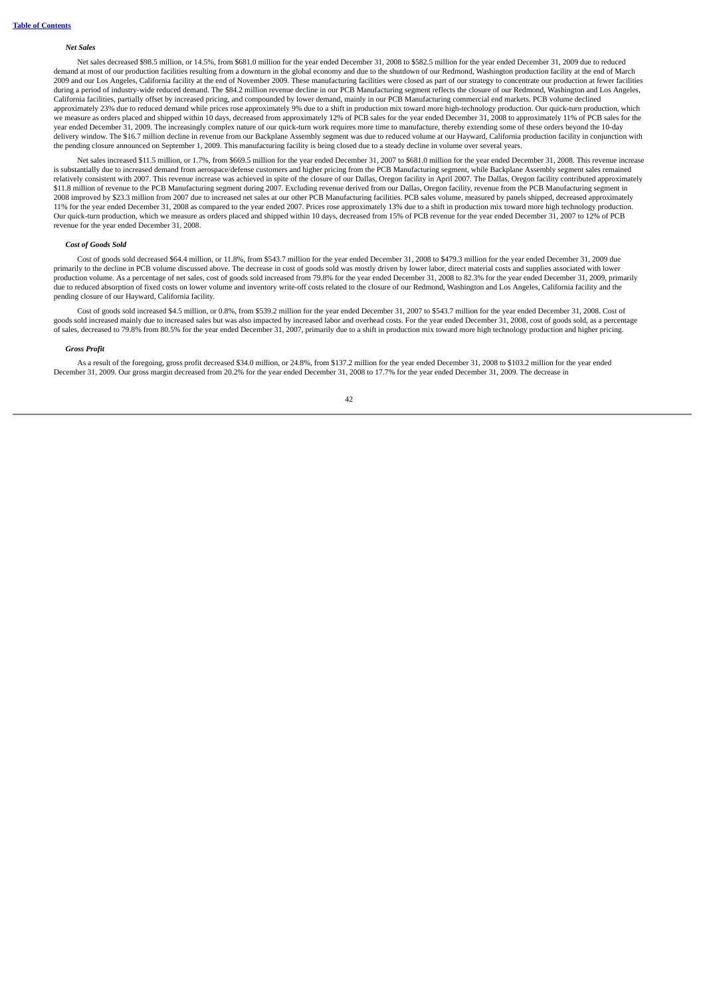### *Net Sales*

Net sales decreased \$98.5 million, or 14.5%, from \$681.0 million for the year ended December 31, 2008 to \$582.5 million for the year ended December 31, 2009 due to reduced demand at most of our production facilities resulting from a downturn in the global economy and due to the shutdown of our Redmond, Washington production facility at the end of March 2009 and our Los Angeles, California facility at the end of November 2009. These manufacturing facilities were closed as part of our strategy to concentrate our production at fewer facilities during a period of industry-wide reduced demand. The \$84.2 million revenue decline in our PCB Manufacturing segment reflects the closure of our Redmond, Washington and Los Angeles, California facilities, partially offset by increased pricing, and compounded by lower demand, mainly in our PCB Manufacturing commercial end markets. PCB volume declined approximately 23% due to reduced demand while prices rose approximately 9% due to a shift in production mix toward more high-technology production. Our quick-turn production, which we measure as orders placed and shipped within 10 days, decreased from approximately 12% of PCB sales for the year ended December 31, 2008 to approximately 11% of PCB sales for the year ended December 31, 2009. The increasingly complex nature of our quick-turn work requires more time to manufacture, thereby extending some of these orders beyond the 10-day delivery window. The \$16.7 million decline in revenue from our Backplane Assembly segment was due to reduced volume at our Hayward, California production facility in conjunction with the pending closure announced on September 1, 2009. This manufacturing facility is being closed due to a steady decline in volume over several years.

Net sales increased \$11.5 million, or 1.7%, from \$669.5 million for the year ended December 31, 2007 to \$681.0 million for the year ended December 31, 2008. This revenue increase is substantially due to increased demand from aerospace/defense customers and higher pricing from the PCB Manufacturing segment, while Backplane Assembly segment sales remained relatively consistent with 2007. This revenue increase was achieved in spite of the closure of our Dallas, Oregon facility in April 2007. The Dallas, Oregon facility contributed approximately \$11.8 million of revenue to the PCB Manufacturing segment during 2007. Excluding revenue derived from our Dallas, Oregon facility, revenue from the PCB Manufacturing segment in 2008 improved by \$23.3 million from 2007 due to increased net sales at our other PCB Manufacturing facilities. PCB sales volume, measured by panels shipped, decreased approximately 11% for the year ended December 31, 2008 as compared to the year ended 2007. Prices rose approximately 13% due to a shift in production mix toward more high technology production. Our quick-turn production, which we measure as orders placed and shipped within 10 days, decreased from 15% of PCB revenue for the year ended December 31, 2007 to 12% of PCB revenue for the year ended December 31, 2008.

### *Cost of Goods Sold*

Cost of goods sold decreased \$64.4 million, or 11.8%, from \$543.7 million for the year ended December 31, 2008 to \$479.3 million for the year ended December 31, 2009 due primarily to the decline in PCB volume discussed above. The decrease in cost of goods sold was mostly driven by lower labor, direct material costs and supplies associated with lower production volume. As a percentage of net sales, cost of goods sold increased from 79.8% for the year ended December 31, 2008 to 82.3% for the year ended December 31, 2009, primarily due to reduced absorption of fixed costs on lower volume and inventory write-off costs related to the closure of our Redmond, Washington and Los Angeles, California facility and the pending closure of our Hayward, California facility.

Cost of goods sold increased \$4.5 million, or 0.8%, from \$539.2 million for the year ended December 31, 2007 to \$543.7 million for the year ended December 31, 2008. Cost of goods sold increased mainly due to increased sales but was also impacted by increased labor and overhead costs. For the year ended December 31, 2008, cost of goods sold, as a percentage<br>of sales, decreased to 79.8% from 80

### *Gross Profit*

As a result of the foregoing, gross profit decreased \$34.0 million, or 24.8%, from \$137.2 million for the year ended December 31, 2008 to \$103.2 million for the year ended December 31, 2009. Our gross margin decreased from 20.2% for the year ended December 31, 2008 to 17.7% for the year ended December 31, 2009. The decrease in

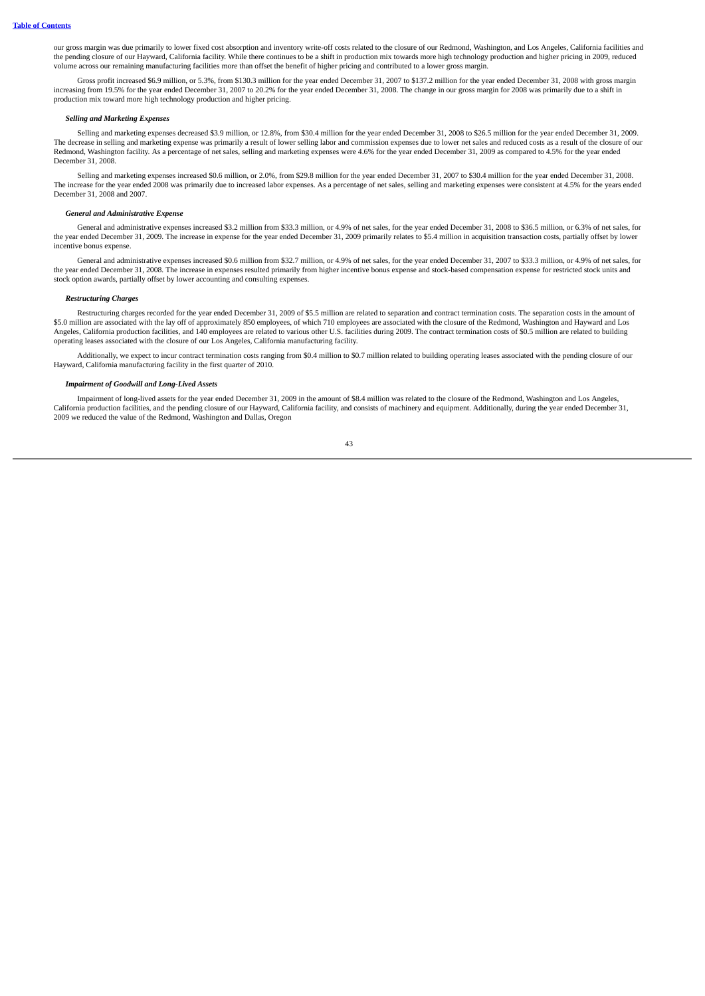our gross margin was due primarily to lower fixed cost absorption and inventory write-off costs related to the closure of our Redmond, Washington, and Los Angeles, California facilities and the pending closure of our Hayward, California facility. While there continues to be a shift in production mix towards more high technology production and higher pricing in 2009, reduced volume across our remaining manufacturing facilities more than offset the benefit of higher pricing and contributed to a lower gross margin.

Gross profit increased \$6.9 million, or 5.3%, from \$130.3 million for the year ended December 31, 2007 to \$137.2 million for the year ended December 31, 2008 with gross margin increasing from 19.5% for the year ended December 31, 2007 to 20.2% for the year ended December 31, 2008. The change in our gross margin for 2008 was primarily due to a shift in production mix toward more high technology production and higher pricing.

### *Selling and Marketing Expenses*

Selling and marketing expenses decreased \$3.9 million, or 12.8%, from \$30.4 million for the year ended December 31, 2008 to \$26.5 million for the year ended December 31, 2009. The decrease in selling and marketing expense was primarily a result of lower selling labor and commission expenses due to lower net sales and reduced costs as a result of the closure of our Redmond, Washington facility. As a percentage of net sales, selling and marketing expenses were 4.6% for the year ended December 31, 2009 as compared to 4.5% for the year ended December 31, 2008.

Selling and marketing expenses increased \$0.6 million, or 2.0%, from \$29.8 million for the year ended December 31, 2007 to \$30.4 million for the year ended December 31, 2008. The increase for the year ended 2008 was primarily due to increased labor expenses. As a percentage of net sales, selling and marketing expenses were consistent at 4.5% for the years ended December 31, 2008 and 2007.

### *General and Administrative Expense*

General and administrative expenses increased \$3.2 million from \$33.3 million, or 4.9% of net sales, for the year ended December 31, 2008 to \$36.5 million, or 6.3% of net sales, for the year ended December 31, 2009. The increase in expense for the year ended December 31, 2009 primarily relates to \$5.4 million in acquisition transaction costs, partially offset by lower incentive bonus expense.

General and administrative expenses increased \$0.6 million from \$32.7 million, or 4.9% of net sales, for the year ended December 31, 2007 to \$33.3 million, or 4.9% of net sales, for the year ended December 31, 2008. The increase in expenses resulted primarily from higher incentive bonus expense and stock-based compensation expense for restricted stock units and stock option awards, partially offset by lower accounting and consulting expenses.

#### *Restructuring Charges*

Restructuring charges recorded for the year ended December 31, 2009 of \$5.5 million are related to separation and contract termination costs. The separation costs in the amount of \$5.0 million are associated with the lay off of approximately 850 employees, of which 710 employees are associated with the closure of the Redmond, Washington and Hayward and Los Angeles, California production facilities, and 140 employees are related to various other U.S. facilities during 2009. The contract termination costs of \$0.5 million are related to building operating leases associated with the closure of our Los Angeles, California manufacturing facility.

Additionally, we expect to incur contract termination costs ranging from \$0.4 million to \$0.7 million related to building operating leases associated with the pending closure of our Hayward, California manufacturing facility in the first quarter of 2010.

### *Impairment of Goodwill and Long-Lived Assets*

Impairment of long-lived assets for the year ended December 31, 2009 in the amount of \$8.4 million was related to the closure of the Redmond, Washington and Los Angeles, California production facilities, and the pending closure of our Hayward, California facility, and consists of machinery and equipment. Additionally, during the year ended December 31, 2009 we reduced the value of the Redmond, Washington and Dallas, Oregon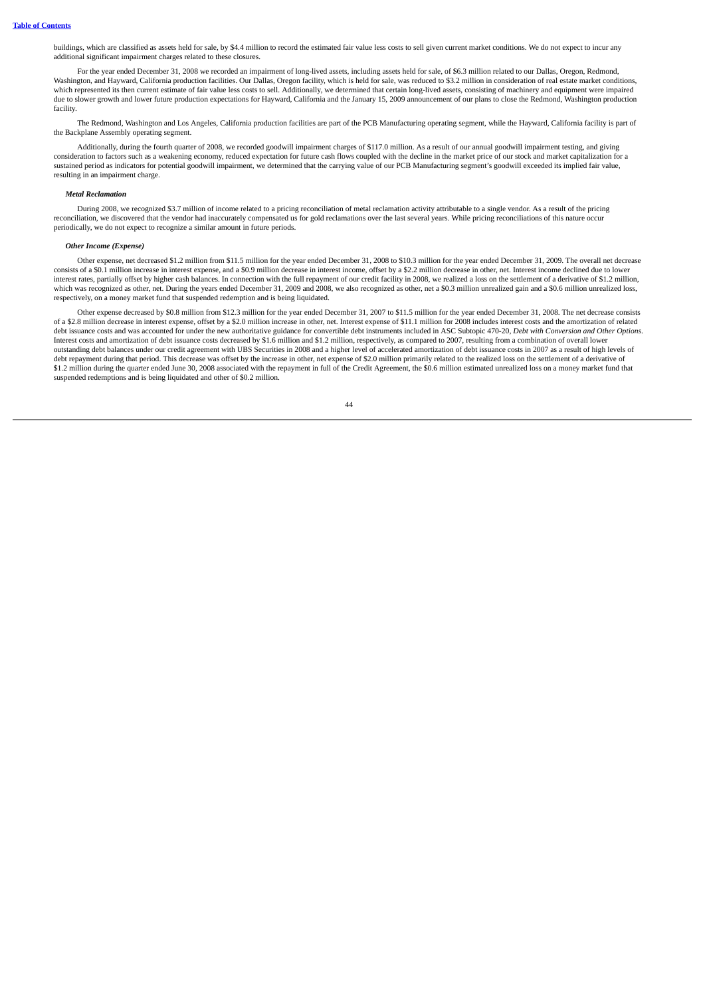buildings, which are classified as assets held for sale, by \$4.4 million to record the estimated fair value less costs to sell given current market conditions. We do not expect to incur any additional significant impairment charges related to these closures.

For the year ended December 31, 2008 we recorded an impairment of long-lived assets, including assets held for sale, of \$6.3 million related to our Dallas, Oregon, Redmond, Washington, and Hayward, California production facilities. Our Dallas, Oregon facility, which is held for sale, was reduced to \$3.2 million in consideration of real estate market conditions, which represented its then current estimate of fair value less costs to sell. Additionally, we determined that certain long-lived assets, consisting of machinery and equipment were impaired due to slower growth and lower future production expectations for Hayward, California and the January 15, 2009 announcement of our plans to close the Redmond, Washington production facility.

The Redmond, Washington and Los Angeles, California production facilities are part of the PCB Manufacturing operating segment, while the Hayward, California facility is part of the Backplane Assembly operating segment.

Additionally, during the fourth quarter of 2008, we recorded goodwill impairment charges of \$117.0 million. As a result of our annual goodwill impairment testing, and giving consideration to factors such as a weakening economy, reduced expectation for future cash flows coupled with the decline in the market price of our stock and market capitalization for a sustained period as indicators for potential goodwill impairment, we determined that the carrying value of our PCB Manufacturing segment's goodwill exceeded its implied fair value, resulting in an impairment charge.

#### *Metal Reclamation*

During 2008, we recognized \$3.7 million of income related to a pricing reconciliation of metal reclamation activity attributable to a single vendor. As a result of the pricing reconciliation, we discovered that the vendor had inaccurately compensated us for gold reclamations over the last several years. While pricing reconciliations of this nature occur periodically, we do not expect to recognize a similar amount in future periods.

#### *Other Income (Expense)*

Other expense, net decreased \$1.2 million from \$11.5 million for the year ended December 31, 2008 to \$10.3 million for the year ended December 31, 2009. The overall net decrease consists of a \$0.1 million increase in interest expense, and a \$0.9 million decrease in interest income, offset by a \$2.2 million decrease in other, net. Interest income declined due to lower interest rates, partially offset by higher cash balances. In connection with the full repayment of our credit facility in 2008, we realized a loss on the settlement of a derivative of \$1.2 million, which was recognized as other, net. During the years ended December 31, 2009 and 2008, we also recognized as other, net a \$0.3 million unrealized gain and a \$0.6 million unrealized loss, respectively, on a money market fund that suspended redemption and is being liquidated.

Other expense decreased by \$0.8 million from \$12.3 million for the year ended December 31, 2007 to \$11.5 million for the year ended December 31, 2008. The net decrease consists of a \$2.8 million decrease in interest expense, offset by a \$2.0 million increase in other, net. Interest expense of \$11.1 million for 2008 includes interest costs and the amortization of related debt issuance costs and was accounted for under the new authoritative guidance for convertible debt instruments included in ASC Subtopic 470-20, Debt with Conversion and Other Options. Interest costs and amortization of debt issuance costs decreased by \$1.6 million and \$1.2 million, respectively, as compared to 2007, resulting from a combination of overall lower<br>outstanding debt balances under our credit debt repayment during that period. This decrease was offset by the increase in other, net expense of \$2.0 million primarily related to the realized loss on the settlement of a derivative of \$1.2 million during the quarter ended June 30, 2008 associated with the repayment in full of the Credit Agreement, the \$0.6 million estimated unrealized loss on a money market fund that suspended redemptions and is being liquidated and other of \$0.2 million.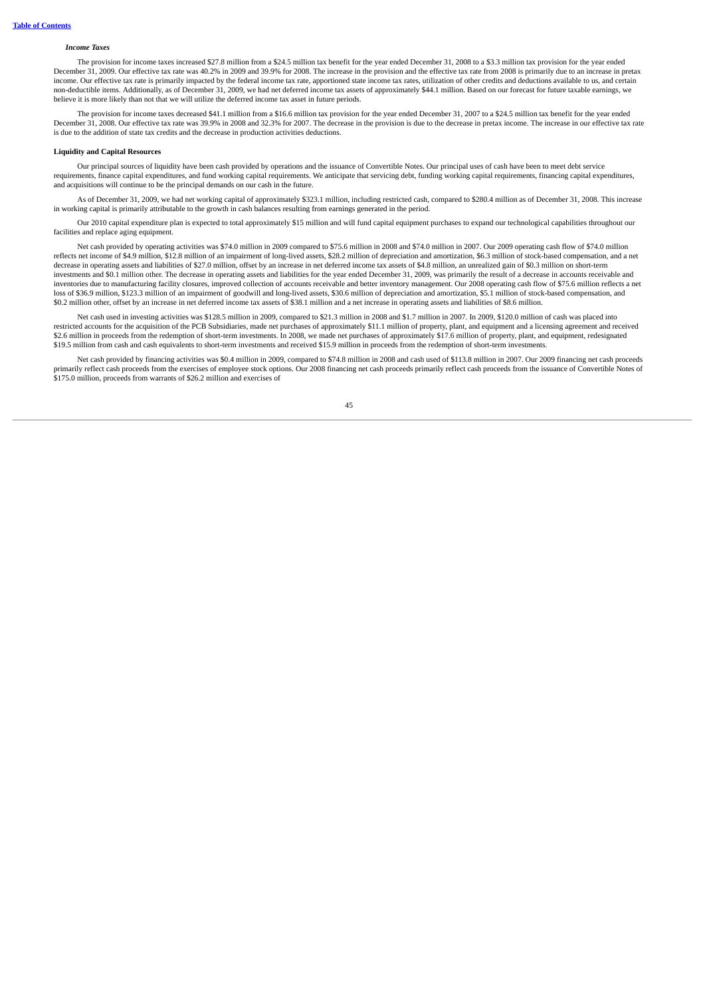### *Income Taxes*

The provision for income taxes increased \$27.8 million from a \$24.5 million tax benefit for the year ended December 31, 2008 to a \$3.3 million tax provision for the year ended December 31, 2009. Our effective tax rate was 40.2% in 2009 and 39.9% for 2008. The increase in the provision and the effective tax rate from 2008 is primarily due to an increase in pretax income. Our effective tax rate is primarily impacted by the federal income tax rate, apportioned state income tax rates, utilization of other credits and deductions available to us, and certain non-deductible items. Additionally, as of December 31, 2009, we had net deferred income tax assets of approximately \$44.1 million. Based on our forecast for future taxable earnings, we can be approximately \$44.1 million. B believe it is more likely than not that we will utilize the deferred income tax asset in future periods.

The provision for income taxes decreased \$41.1 million from a \$16.6 million tax provision for the year ended December 31, 2007 to a \$24.5 million tax benefit for the year ended December 31, 2008. Our effective tax rate was 39.9% in 2008 and 32.3% for 2007. The decrease in the provision is due to the decrease in pretax income. The increase in our effective tax rate is due to the addition of state tax credits and the decrease in production activities deductions.

### **Liquidity and Capital Resources**

Our principal sources of liquidity have been cash provided by operations and the issuance of Convertible Notes. Our principal uses of cash have been to meet debt service requirements, finance capital expenditures, and fund working capital requirements. We anticipate that servicing debt, funding working capital requirements, financing capital expenditures, and acquisitions will continue to be the principal demands on our cash in the future.

As of December 31, 2009, we had net working capital of approximately \$323.1 million, including restricted cash, compared to \$280.4 million as of December 31, 2008. This increase in working capital is primarily attributable to the growth in cash balances resulting from earnings generated in the period.

Our 2010 capital expenditure plan is expected to total approximately \$15 million and will fund capital equipment purchases to expand our technological capabilities throughout our facilities and replace aging equipment.

Net cash provided by operating activities was \$74.0 million in 2009 compared to \$75.6 million in 2008 and \$74.0 million in 2007. Our 2009 operating cash flow of \$74.0 million reflects net income of \$4.9 million, \$12.8 million of an impairment of long-lived assets, \$28.2 million of depreciation and amortization, \$6.3 million of stock-based compensation, and a net decrease in operating assets and liabilities of \$27.0 million, offset by an increase in net deferred income tax assets of \$4.8 million, an unrealized gain of \$0.3 million on short-term investments and \$0.1 million other. The decrease in operating assets and liabilities for the year ended December 31, 2009, was primarily the result of a decrease in accounts receivable and inventories due to manufacturing facility closures, improved collection of accounts receivable and better inventory management. Our 2008 operating cash flow of \$75.6 million reflects a net loss of \$36.9 million, \$123.3 million of an impairment of goodwill and long-lived assets, \$30.6 million of depreciation and amortization, \$5.1 million of stock-based compensation, and \$0.2 million other, offset by an increase in net deferred income tax assets of \$38.1 million and a net increase in operating assets and liabilities of \$8.6 million.

Net cash used in investing activities was \$128.5 million in 2009, compared to \$21.3 million in 2008 and \$1.7 million in 2007. In 2009, \$120.0 million of cash was placed into restricted accounts for the acquisition of the PCB Subsidiaries, made net purchases of approximately \$11.1 million of property, plant, and equipment and a licensing agreement and received<br>\$2.6 million in proceeds from the \$19.5 million from cash and cash equivalents to short-term investments and received \$15.9 million in proceeds from the redemption of short-term investments.

Net cash provided by financing activities was \$0.4 million in 2009, compared to \$74.8 million in 2008 and cash used of \$113.8 million in 2007. Our 2009 financing net cash proceeds primarily reflect cash proceeds from the exercises of employee stock options. Our 2008 financing net cash proceeds primarily reflect cash proceeds from the issuance of Convertible Notes of \$175.0 million, proceeds from warrants of \$26.2 million and exercises of

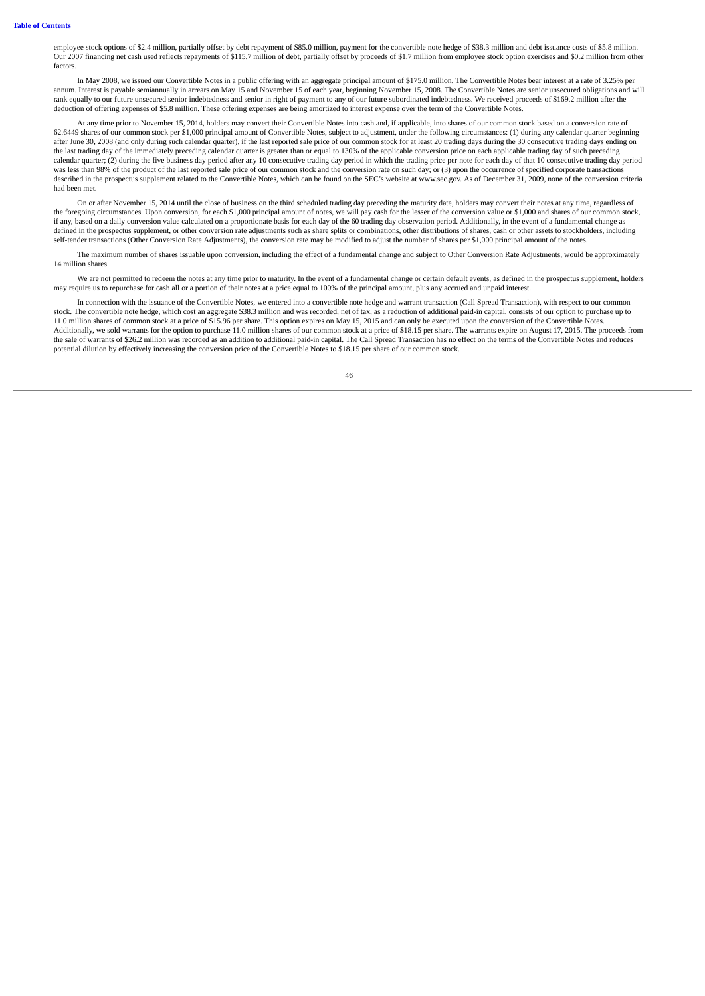employee stock options of \$2.4 million, partially offset by debt repayment of \$85.0 million, payment for the convertible note hedge of \$38.3 million and debt issuance costs of \$5.8 million. Our 2007 financing net cash used reflects repayments of \$115.7 million of debt, partially offset by proceeds of \$1.7 million from employee stock option exercises and \$0.2 million from other factors.

In May 2008, we issued our Convertible Notes in a public offering with an aggregate principal amount of \$175.0 million. The Convertible Notes bear interest at a rate of 3.25% per annum. Interest is payable semiannually in arrears on May 15 and November 15 of each year, beginning November 15, 2008. The Convertible Notes are senior unsecured obligations and will rank equally to our future unsecured senior indebtedness and senior in right of payment to any of our future subordinated indebtedness. We received proceeds of \$169.2 million after the deduction of offering expenses of \$5.8 million. These offering expenses are being amortized to interest expense over the term of the Convertible Notes.

At any time prior to November 15, 2014, holders may convert their Convertible Notes into cash and, if applicable, into shares of our common stock based on a conversion rate of 62.6449 shares of our common stock per \$1,000 principal amount of Convertible Notes, subject to adjustment, under the following circumstances: (1) during any calendar quarter beginning after June 30, 2008 (and only during such calendar quarter), if the last reported sale price of our common stock for at least 20 trading days during the 30 consecutive trading days ending on the last trading day of the immediately preceding calendar quarter is greater than or equal to 130% of the applicable conversion price on each applicable trading day of such preceding calendar quarter; (2) during the five business day period after any 10 consecutive trading day period in which the trading price per note for each day of that 10 consecutive trading day period was less than 98% of the product of the last reported sale price of our common stock and the conversion rate on such day; or (3) upon the occurrence of specified corporate transactions described in the prospectus supplement related to the Convertible Notes, which can be found on the SEC's website at www.sec.gov. As of December 31, 2009, none of the conversion criteria had been met.

On or after November 15, 2014 until the close of business on the third scheduled trading day preceding the maturity date, holders may convert their notes at any time, regardless of the foregoing circumstances. Upon conversion, for each \$1,000 principal amount of notes, we will pay cash for the lesser of the conversion value or \$1,000 and shares of our common stock, if any, based on a daily conversion value calculated on a proportionate basis for each day of the 60 trading day observation period. Additionally, in the event of a fundamental change as defined in the prospectus supplement, or other conversion rate adjustments such as share splits or combinations, other distributions of shares, cash or other assets to stockholders, including self-tender transactions (Other Conversion Rate Adjustments), the conversion rate may be modified to adjust the number of shares per \$1,000 principal amount of the notes.

The maximum number of shares issuable upon conversion, including the effect of a fundamental change and subject to Other Conversion Rate Adjustments, would be approximately 14 million shares.

We are not permitted to redeem the notes at any time prior to maturity. In the event of a fundamental change or certain default events, as defined in the prospectus supplement, holders may require us to repurchase for cash all or a portion of their notes at a price equal to 100% of the principal amount, plus any accrued and unpaid interest.

In connection with the issuance of the Convertible Notes, we entered into a convertible note hedge and warrant transaction (Call Spread Transaction), with respect to our common stock. The convertible note hedge, which cost an aggregate \$38.3 million and was recorded, net of tax, as a reduction of additional paid-in capital, consists of our option to purchase up to 11.0 million shares of common stock at a price of \$15.96 per share. This option expires on May 15, 2015 and can only be executed upon the conversion of the Convertible Notes. Additionally, we sold warrants for the option to purchase 11.0 million shares of our common stock at a price of \$18.15 per share. The warrants expire on August 17, 2015. The proceeds from the sale of warrants of \$26.2 million was recorded as an addition to additional paid-in capital. The Call Spread Transaction has no effect on the terms of the Convertible Notes and reduces potential dilution by effectively increasing the conversion price of the Convertible Notes to \$18.15 per share of our common stock.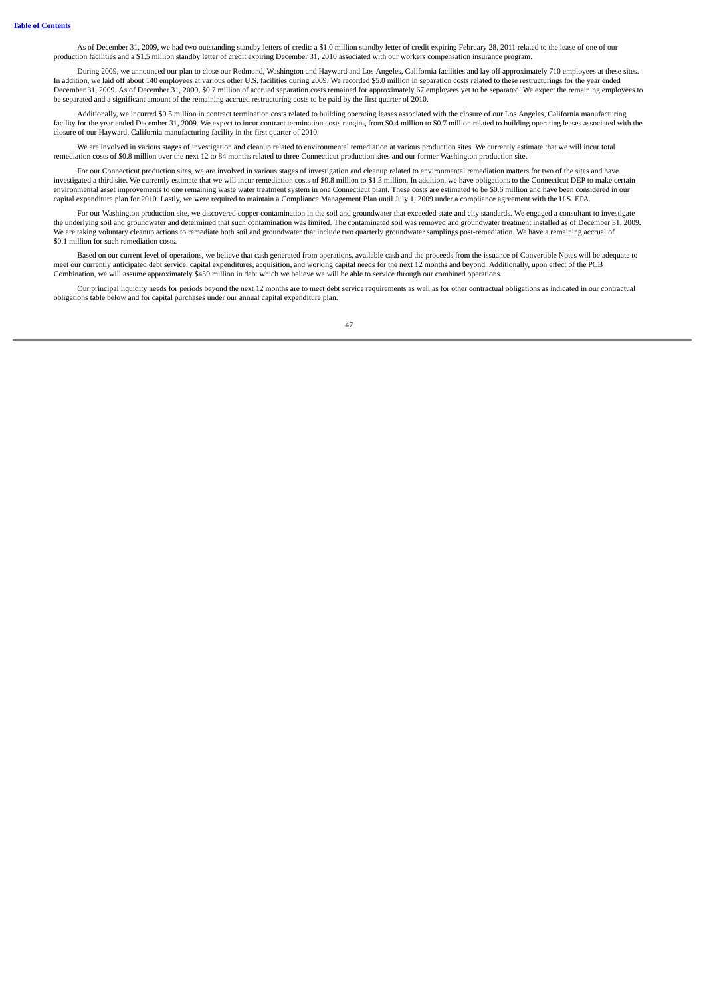As of December 31, 2009, we had two outstanding standby letters of credit: a \$1.0 million standby letter of credit expiring February 28, 2011 related to the lease of one of our production facilities and a \$1.5 million standby letter of credit expiring December 31, 2010 associated with our workers compensation insurance program.

During 2009, we announced our plan to close our Redmond, Washington and Hayward and Los Angeles, California facilities and lay off approximately 710 employees at these sites. In addition, we laid off about 140 employees at various other U.S. facilities during 2009. We recorded \$5.0 million in separation costs related to these restructurings for the year ended December 31, 2009. As of December 31, 2009, \$0.7 million of accrued separation costs remained for approximately 67 employees yet to be separated. We expect the remaining employees to be separated and a significant amount of the remaining accrued restructuring costs to be paid by the first quarter of 2010.

Additionally, we incurred \$0.5 million in contract termination costs related to building operating leases associated with the closure of our Los Angeles, California manufacturing facility for the year ended December 31, 2009. We expect to incur contract termination costs ranging from \$0.4 million to \$0.7 million related to building operating leases associated with the closure of our Hayward, California manufacturing facility in the first quarter of 2010.

We are involved in various stages of investigation and cleanup related to environmental remediation at various production sites. We currently estimate that we will incur total remediation costs of \$0.8 million over the next 12 to 84 months related to three Connecticut production sites and our former Washington production site.

For our Connecticut production sites, we are involved in various stages of investigation and cleanup related to environmental remediation matters for two of the sites and have investigated a third site. We currently estimate that we will incur remediation costs of \$0.8 million to \$1.3 million. In addition, we have obligations to the Connecticut DEP to make certain environmental asset improvements to one remaining waste water treatment system in one Connecticut plant. These costs are estimated to be \$0.6 million and have been considered in our capital expenditure plan for 2010. Lastly, we were required to maintain a Compliance Management Plan until July 1, 2009 under a compliance agreement with the U.S. EPA.

For our Washington production site, we discovered copper contamination in the soil and groundwater that exceeded state and city standards. We engaged a consultant to investigate the underlying soil and groundwater and determined that such contamination was limited. The contaminated soil was removed and groundwater treatment installed as of December 31, 2009. We are taking voluntary cleanup actions to remediate both soil and groundwater that include two quarterly groundwater samplings post-remediation. We have a remaining accrual of \$0.1 million for such remediation costs.

Based on our current level of operations, we believe that cash generated from operations, available cash and the proceeds from the issuance of Convertible Notes will be adequate to meet our currently anticipated debt service, capital expenditures, acquisition, and working capital needs for the next 12 months and beyond. Additionally, upon effect of the PCB Combination, we will assume approximately \$450 million in debt which we believe we will be able to service through our combined operations.

Our principal liquidity needs for periods beyond the next 12 months are to meet debt service requirements as well as for other contractual obligations as indicated in our contractual obligations table below and for capital purchases under our annual capital expenditure plan.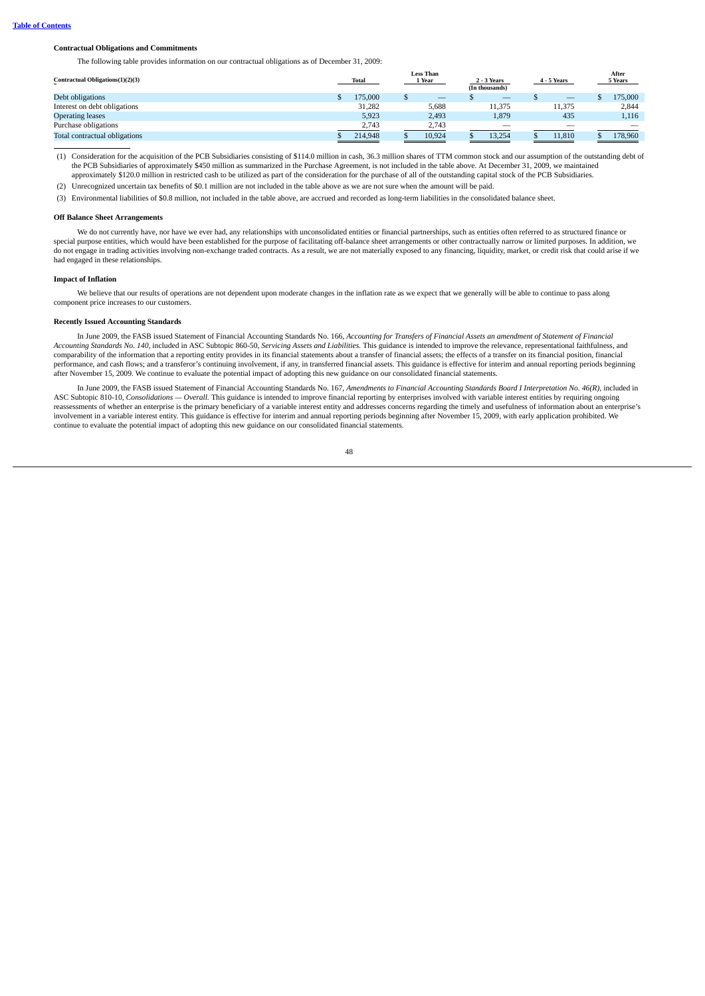### **Contractual Obligations and Commitments**

The following table provides information on our contractual obligations as of December 31, 2009:

| Contractual Obligations(1)(2)(3) | <b>Less Than</b><br>Total<br>1 Year |         |        |  |        |  | 4 - 5 Years<br>2 - 3 Years<br>(In thousands) |  |         | After<br>5 Years |  |  |
|----------------------------------|-------------------------------------|---------|--------|--|--------|--|----------------------------------------------|--|---------|------------------|--|--|
| Debt obligations                 |                                     | 175,000 |        |  | –      |  | –                                            |  | 175,000 |                  |  |  |
| Interest on debt obligations     |                                     | 31,282  | 5,688  |  | 11,375 |  | 11,375                                       |  | 2,844   |                  |  |  |
| <b>Operating leases</b>          |                                     | 5,923   | 2,493  |  | 1,879  |  | 435                                          |  | 1,116   |                  |  |  |
| Purchase obligations             |                                     | 2,743   | 2.743  |  | –      |  | –                                            |  |         |                  |  |  |
| Total contractual obligations    |                                     | 214.948 | 10,924 |  | 13.254 |  | 11,810                                       |  | 178,960 |                  |  |  |

- (1) Consideration for the acquisition of the PCB Subsidiaries consisting of \$114.0 million in cash, 36.3 million shares of TTM common stock and our assumption of the outstanding debt of the PCB Subsidiaries of approximately \$450 million as summarized in the Purchase Agreement, is not included in the table above. At December 31, 2009, we maintained approximately \$120.0 million in restricted cash to be utilized as part of the consideration for the purchase of all of the outstanding capital stock of the PCB Subsidiaries.
- (2) Unrecognized uncertain tax benefits of \$0.1 million are not included in the table above as we are not sure when the amount will be paid.
- (3) Environmental liabilities of \$0.8 million, not included in the table above, are accrued and recorded as long-term liabilities in the consolidated balance sheet.

### **Off Balance Sheet Arrangements**

We do not currently have, nor have we ever had, any relationships with unconsolidated entities or financial partnerships, such as entities often referred to as structured finance or special purpose entities, which would have been established for the purpose of facilitating off-balance sheet arrangements or other contractually narrow or limited purposes. In addition, we do not engage in trading activities involving non-exchange traded contracts. As a result, we are not materially exposed to any financing, liquidity, market, or credit risk that could arise if we had engaged in these relationships.

# **Impact of Inflation**

We believe that our results of operations are not dependent upon moderate changes in the inflation rate as we expect that we generally will be able to continue to pass along component price increases to our customers.

### **Recently Issued Accounting Standards**

In June 2009, the FASB issued Statement of Financial Accounting Standards No. 166, Accounting for Transfers of Financial Assets an amendment of Statement of Financial Accounting Standards No. 140, included in ASC Subtopic 860-50, Servicing Assets and Liabilities. This guidance is intended to improve the relevance, representational faithfulness, and comparability of the information that a reporting entity provides in its financial statements about a transfer of financial assets; the effects of a transfer on its financial position, financial performance, and cash flows; and a transferor's continuing involvement, if any, in transferred financial assets. This guidance is effective for interim and annual reporting periods beginning after November 15, 2009. We continue to evaluate the potential impact of adopting this new guidance on our consolidated financial statements.

In June 2009, the FASB issued Statement of Financial Accounting Standards No. 167, Amendments to Financial Accounting Standards Board I Interpretation No. 46(R), included in ASC Subtopic 810-10, *Consolidations — Overall.* This guidance is intended to improve financial reporting by enterprises involved with variable interest entities by requiring ongoing reassessments of whether an enterprise is the primary beneficiary of a variable interest entity and addresses concerns regarding the timely and usefulness of information about an enterprise's involvement in a variable interest entity. This guidance is effective for interim and annual reporting periods beginning after November 15, 2009, with early application prohibited. We continue to evaluate the potential impact of adopting this new guidance on our consolidated financial statements.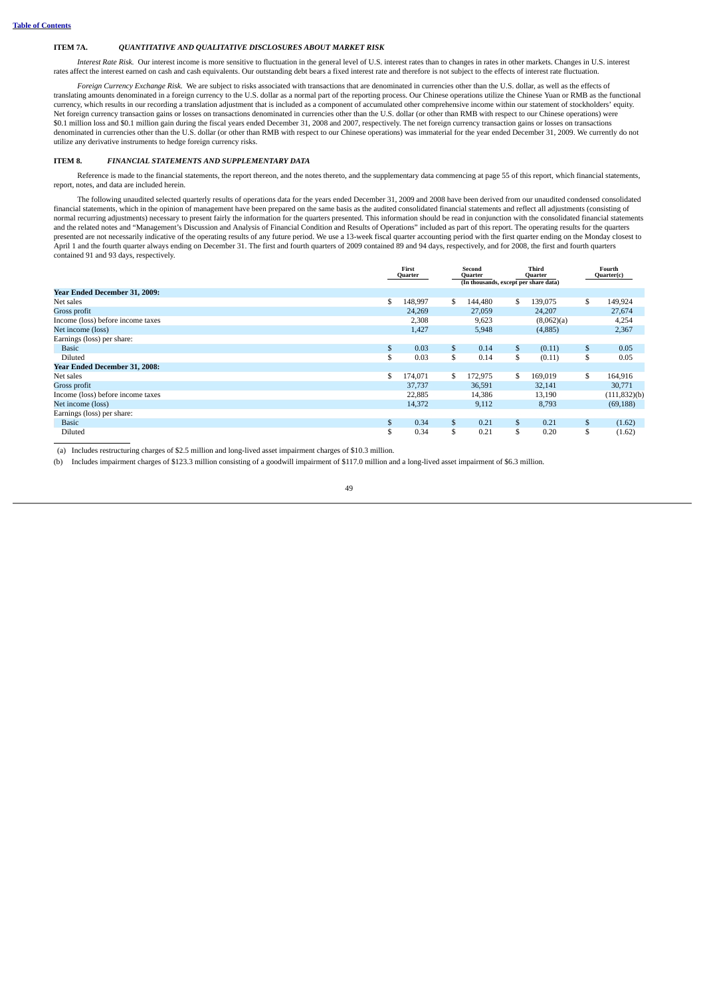### **ITEM 7A.** *QUANTITATIVE AND QUALITATIVE DISCLOSURES ABOUT MARKET RISK*

*Interest Rate Risk.* Our interest income is more sensitive to fluctuation in the general level of U.S. interest rates than to changes in rates in other markets. Changes in U.S. interest rates affect the interest earned on cash and cash equivalents. Our outstanding debt bears a fixed interest rate and therefore is not subject to the effects of interest rate fluctuation.

*Foreign Currency Exchange Risk.* We are subject to risks associated with transactions that are denominated in currencies other than the U.S. dollar, as well as the effects of translating amounts denominated in a foreign currency to the U.S. dollar as a normal part of the reporting process. Our Chinese operations utilize the Chinese Yuan or RMB as the functional currency, which results in our recording a translation adjustment that is included as a component of accumulated other comprehensive income within our statement of stockholders' equity. Net foreign currency transaction gains or losses on transactions denominated in currencies other than the U.S. dollar (or other than RMB with respect to our Chinese operations) were \$0.1 million loss and \$0.1 million gain during the fiscal years ended December 31, 2008 and 2007, respectively. The net foreign currency transaction gains or losses on transactions denominated in currencies other than the U.S. dollar (or other than RMB with respect to our Chinese operations) was immaterial for the year ended December 31, 2009. We currently do not utilize any derivative instruments to hedge foreign currency risks.

# **ITEM 8.** *FINANCIAL STATEMENTS AND SUPPLEMENTARY DATA*

Reference is made to the financial statements, the report thereon, and the notes thereto, and the supplementary data commencing at page 55 of this report, which financial statements, report, notes, and data are included herein.

The following unaudited selected quarterly results of operations data for the years ended December 31, 2009 and 2008 have been derived from our unaudited condensed consolidated financial statements, which in the opinion of management have been prepared on the same basis as the audited consolidated financial statements and reflect all adjustments (consisting of normal recurring adjustments) necessary to present fairly the information for the quarters presented. This information should be read in conjunction with the consolidated financial statements and the related notes and "Management's Discussion and Analysis of Financial Condition and Results of Operations" included as part of this report. The operating results for the quarters presented are not necessarily indicative of the operating results of any future period. We use a 13-week fiscal quarter accounting period with the first quarter ending on the Monday closest to April 1 and the fourth quarter always ending on December 31. The first and fourth quarters of 2009 contained 89 and 94 days, respectively, and for 2008, the first and fourth quarters contained 91 and 93 days, respectively.

|                                   | First<br>Quarter |                                       | Second<br>Quarter |    | Third<br>Quarter |    | Fourth<br>Quarter(c) |
|-----------------------------------|------------------|---------------------------------------|-------------------|----|------------------|----|----------------------|
|                                   |                  | (In thousands, except per share data) |                   |    |                  |    |                      |
| Year Ended December 31, 2009:     |                  |                                       |                   |    |                  |    |                      |
| Net sales                         | \$<br>148,997    | S                                     | 144,480           | \$ | 139.075          | \$ | 149,924              |
| Gross profit                      | 24,269           |                                       | 27,059            |    | 24,207           |    | 27,674               |
| Income (loss) before income taxes | 2,308            |                                       | 9,623             |    | $(8,062)$ (a)    |    | 4,254                |
| Net income (loss)                 | 1,427            |                                       | 5,948             |    | (4,885)          |    | 2,367                |
| Earnings (loss) per share:        |                  |                                       |                   |    |                  |    |                      |
| <b>Basic</b>                      | \$<br>0.03       | \$                                    | 0.14              | \$ | (0.11)           | \$ | 0.05                 |
| Diluted                           | \$<br>0.03       | \$                                    | 0.14              | \$ | (0.11)           | \$ | 0.05                 |
| Year Ended December 31, 2008:     |                  |                                       |                   |    |                  |    |                      |
| Net sales                         | \$<br>174,071    | S                                     | 172,975           | \$ | 169,019          | \$ | 164,916              |
| Gross profit                      | 37,737           |                                       | 36,591            |    | 32,141           |    | 30,771               |
| Income (loss) before income taxes | 22,885           |                                       | 14,386            |    | 13,190           |    | (111, 832)(b)        |
| Net income (loss)                 | 14,372           |                                       | 9,112             |    | 8,793            |    | (69, 188)            |
| Earnings (loss) per share:        |                  |                                       |                   |    |                  |    |                      |
| <b>Basic</b>                      | \$<br>0.34       | \$                                    | 0.21              | \$ | 0.21             | \$ | (1.62)               |
| Diluted                           | \$<br>0.34       | \$                                    | 0.21              | \$ | 0.20             | \$ | (1.62)               |

(a) Includes restructuring charges of \$2.5 million and long-lived asset impairment charges of \$10.3 million.

(b) Includes impairment charges of \$123.3 million consisting of a goodwill impairment of \$117.0 million and a long-lived asset impairment of \$6.3 million.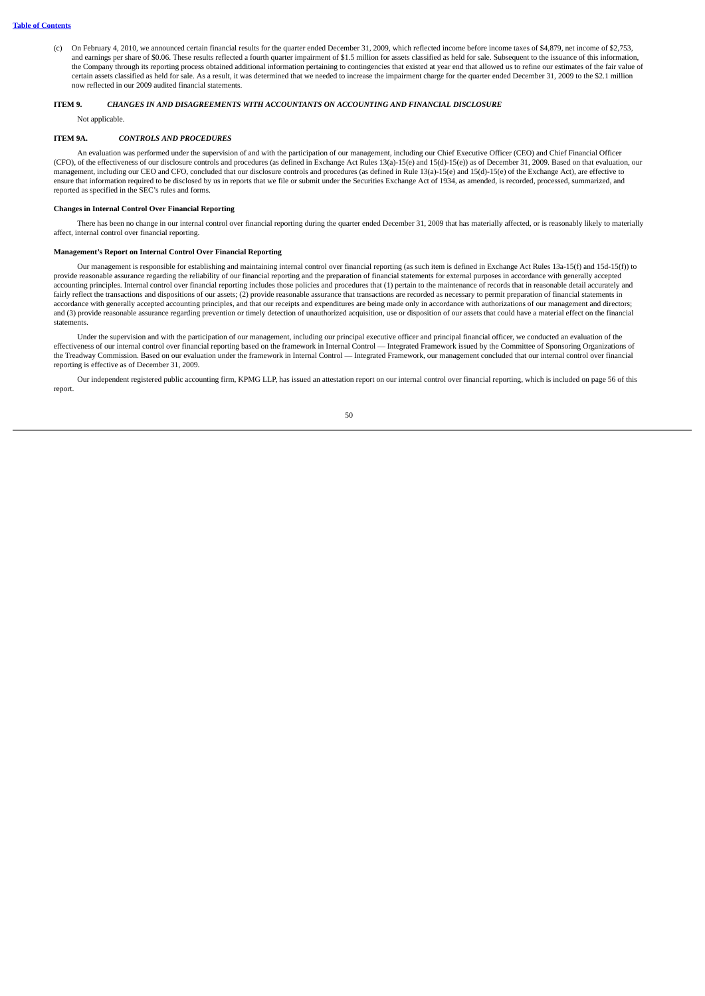(c) On February 4, 2010, we announced certain financial results for the quarter ended December 31, 2009, which reflected income before income taxes of \$4,879, net income of \$2,753, and earnings per share of \$0.06. These results reflected a fourth quarter impairment of \$1.5 million for assets classified as held for sale. Subsequent to the issuance of this information, the Company through its reporting process obtained additional information pertaining to contingencies that existed at year end that allowed us to refine our estimates of the fair value of certain assets classified as held for sale. As a result, it was determined that we needed to increase the impairment charge for the quarter ended December 31, 2009 to the \$2.1 million now reflected in our 2009 audited financial statements.

# **ITEM 9.** *CHANGES IN AND DISAGREEMENTS WITH ACCOUNTANTS ON ACCOUNTING AND FINANCIAL DISCLOSURE*

Not applicable.

### **ITEM 9A.** *CONTROLS AND PROCEDURES*

An evaluation was performed under the supervision of and with the participation of our management, including our Chief Executive Officer (CEO) and Chief Financial Officer (CFO), of the effectiveness of our disclosure controls and procedures (as defined in Exchange Act Rules 13(a)-15(e) and 15(d)-15(e)) as of December 31, 2009. Based on that evaluation, our management, including our CEO and CFO, concluded that our disclosure controls and procedures (as defined in Rule 13(a)-15(e) and 15(d)-15(e) of the Exchange Act), are effective to ensure that information required to be disclosed by us in reports that we file or submit under the Securities Exchange Act of 1934, as amended, is recorded, processed, summarized, and<br>reported as specified in the SEC's rul

### **Changes in Internal Control Over Financial Reporting**

There has been no change in our internal control over financial reporting during the quarter ended December 31, 2009 that has materially affected, or is reasonably likely to materially affect, internal control over financial reporting.

# **Management's Report on Internal Control Over Financial Reporting**

Our management is responsible for establishing and maintaining internal control over financial reporting (as such item is defined in Exchange Act Rules 13a-15(f) and 15d-15(f)) to provide reasonable assurance regarding the reliability of our financial reporting and the preparation of financial statements for external purposes in accordance with generally accepted accounting principles. Internal control over financial reporting includes those policies and procedures that (1) pertain to the maintenance of records that in reasonable detail accurately and fairly reflect the transactions and dispositions of our assets; (2) provide reasonable assurance that transactions are recorded as necessary to permit preparation of financial statements in accordance with generally accepted accounting principles, and that our receipts and expenditures are being made only in accordance with authorizations of our management and directors; and (3) provide reasonable assurance regarding prevention or timely detection of unauthorized acquisition, use or disposition of our assets that could have a material effect on the financial statements.

Under the supervision and with the participation of our management, including our principal executive officer and principal financial officer, we conducted an evaluation of the Gommitted an evaluation of the effectiveness the Treadway Commission. Based on our evaluation under the framework in Internal Control — Integrated Framework, our management concluded that our internal control over financial reporting is effective as of December 31, 2009.

Our independent registered public accounting firm, KPMG LLP, has issued an attestation report on our internal control over financial reporting, which is included on page 56 of this report.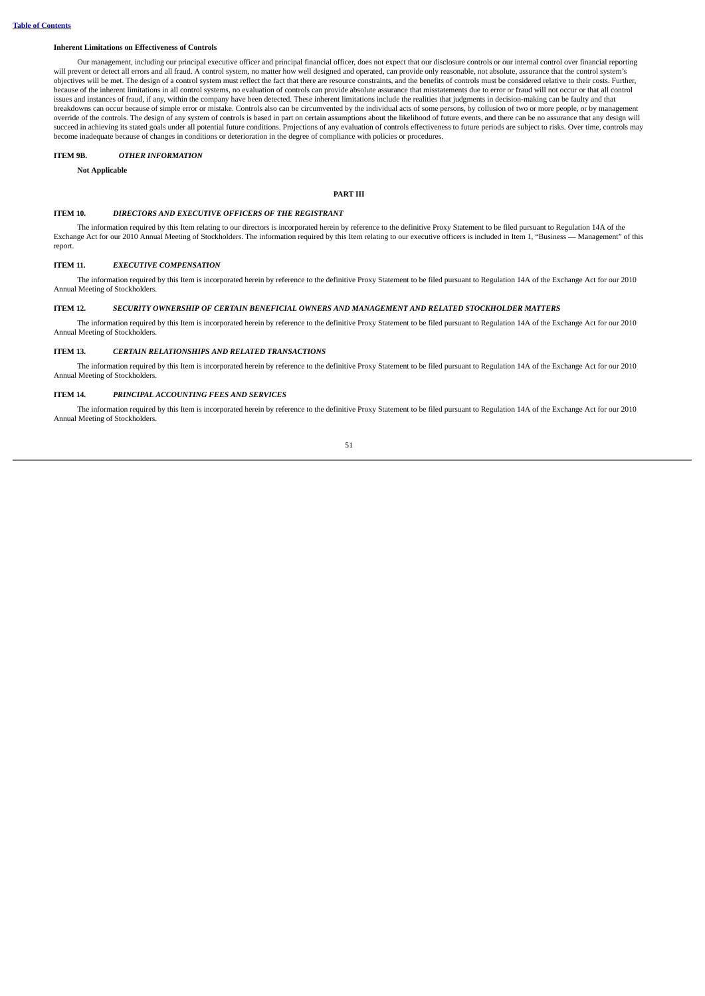### **Inherent Limitations on Effectiveness of Controls**

Our management, including our principal executive officer and principal financial officer, does not expect that our disclosure controls or our internal control over financial reporting will prevent or detect all errors and all fraud. A control system, no matter how well designed and operated, can provide only reasonable, not absolute, assurance that the control system's objectives will be met. The design of a control system must reflect the fact that there are resource constraints, and the benefits of controls must be considered relative to their costs. Further, because of the inherent limitations in all control systems, no evaluation of controls can provide absolute assurance that misstatements due to error or fraud will not occur or that all control issues and instances of fraud, if any, within the company have been detected. These inherent limitations include the realities that judgments in decision-making can be faulty and that breakdowns can occur because of simple error or mistake. Controls also can be circumvented by the individual acts of some persons, by collusion of two or more people, or by management override of the controls. The design of any system of controls is based in part on certain assumptions about the likelihood of future events, and there can be no assurance that any design will<br>succeed in achieving its stat become inadequate because of changes in conditions or deterioration in the degree of compliance with policies or procedures.

### **ITEM 9B.** *OTHER INFORMATION*

**Not Applicable**

### **PART III**

# **ITEM 10.** *DIRECTORS AND EXECUTIVE OFFICERS OF THE REGISTRANT*

The information required by this Item relating to our directors is incorporated herein by reference to the definitive Proxy Statement to be filed pursuant to Regulation 14A of the Exchange Act for our 2010 Annual Meeting of Stockholders. The information required by this Item relating to our executive officers is included in Item 1, "Business — Management" of this report.

# **ITEM 11.** *EXECUTIVE COMPENSATION*

The information required by this Item is incorporated herein by reference to the definitive Proxy Statement to be filed pursuant to Regulation 14A of the Exchange Act for our 2010 Annual Meeting of Stockholders.

# **ITEM 12.** *SECURITY OWNERSHIP OF CERTAIN BENEFICIAL OWNERS AND MANAGEMENT AND RELATED STOCKHOLDER MATTERS*

The information required by this Item is incorporated herein by reference to the definitive Proxy Statement to be filed pursuant to Regulation 14A of the Exchange Act for our 2010 Annual Meeting of Stockholders.

### **ITEM 13.** *CERTAIN RELATIONSHIPS AND RELATED TRANSACTIONS*

The information required by this Item is incorporated herein by reference to the definitive Proxy Statement to be filed pursuant to Regulation 14A of the Exchange Act for our 2010 Annual Meeting of Stockholders.

# **ITEM 14.** *PRINCIPAL ACCOUNTING FEES AND SERVICES*

The information required by this Item is incorporated herein by reference to the definitive Proxy Statement to be filed pursuant to Regulation 14A of the Exchange Act for our 2010 Annual Meeting of Stockholders.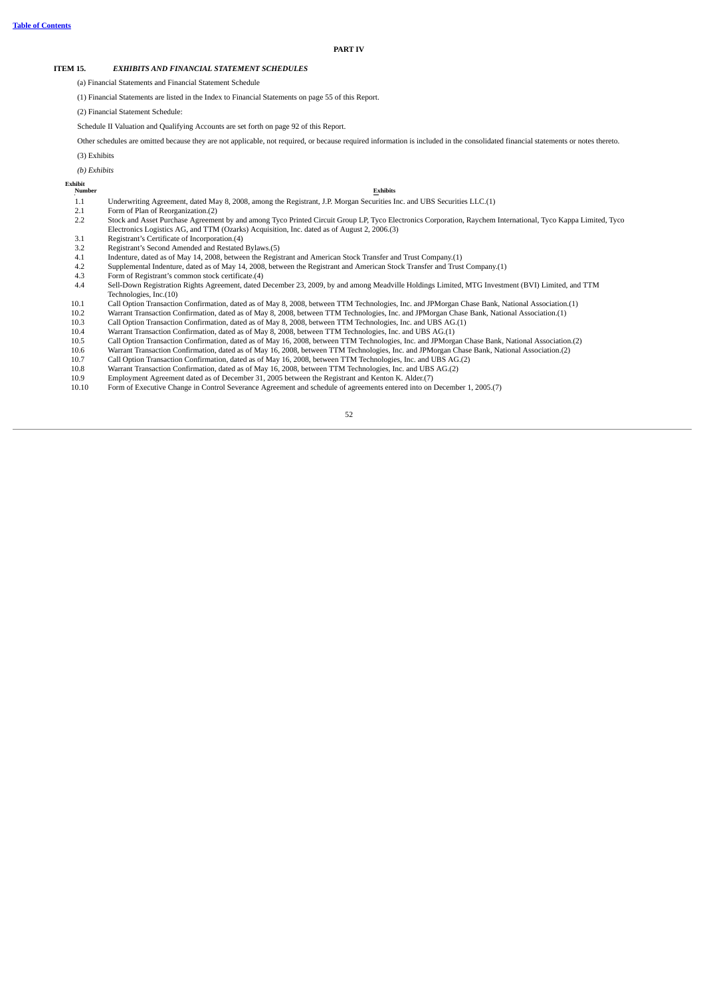### **PART IV**

### **ITEM 15.** *EXHIBITS AND FINANCIAL STATEMENT SCHEDULES*

(a) Financial Statements and Financial Statement Schedule

(1) Financial Statements are listed in the Index to Financial Statements on page 55 of this Report.

(2) Financial Statement Schedule:

Schedule II Valuation and Qualifying Accounts are set forth on page 92 of this Report.

Other schedules are omitted because they are not applicable, not required, or because required information is included in the consolidated financial statements or notes thereto. (3) Exhibits

*(b) Exhibits*

# **Exhibit**

#### **Number Exhibits**

- 1.1 Underwriting Agreement, dated May 8, 2008, among the Registrant, J.P. Morgan Securities Inc. and UBS Securities LLC.(1)
- 2.1 Form of Plan of Reorganization.(2)<br>2.2 Stock and Asset Purchase Agreeme
- 2.2 Stock and Asset Purchase Agreement by and among Tyco Printed Circuit Group LP, Tyco Electronics Corporation, Raychem International, Tyco Kappa Limited, Tyco Electronics Logistics AG, and TTM (Ozarks) Acquisition, Inc. dated as of August 2, 2006.(3)
- 3.1 Registrant's Certificate of Incorporation.(4)
- 3.2 Registrant's Second Amended and Restated Bylaws.(5)
- 4.1 Indenture, dated as of May 14, 2008, between the Registrant and American Stock Transfer and Trust Company.(1)
- 4.2 Supplemental Indenture, dated as of May 14, 2008, between the Registrant and American Stock Transfer and Trust Company.(1)
- 4.3 Form of Registrant's common stock certificate.(4)<br>4.4 Sell-Down Registration Rights Agreement, dated I
- 4.4 Sell-Down Registration Rights Agreement, dated December 23, 2009, by and among Meadville Holdings Limited, MTG Investment (BVI) Limited, and TTM Technologies, Inc.(10)
- 10.1 Call Option Transaction Confirmation, dated as of May 8, 2008, between TTM Technologies, Inc. and JPMorgan Chase Bank, National Association.(1)<br>10.2 Warrant Transaction Confirmation, dated as of May
- 
- 10.3 Call Option Transaction Confirmation, dated as of May 8, 2008, between TTM Technologies, Inc. and UBS AG.(1)<br>10.4 Warrant Transaction Confirmation, dated as of May 8, 2008, between TTM Technologies, Inc. and UBS AG.(1
- 10.4 Warrant Transaction Confirmation, dated as of May 8, 2008, between TTM Technologies, Inc. and UBS AG.(1) 10.5 Call Option Transaction Confirmation, dated as of May 16, 2008, between TTM Technologies, Inc. and JPMorgan Chase Bank, National Association.(2)
- 10.6 Warrant Transaction Confirmation, dated as of May 16, 2008, between TTM Technologies, Inc. and JPMorgan Chase Bank, National Association.(2)
- 
- 10.7 Call Option Transaction Confirmation, dated as of May 16, 2008, between TTM Technologies, Inc. and UBS AG.(2)<br>10.8 Warrant Transaction Confirmation, dated as of May 16, 2008, between TTM Technologi
- 10.9 Employment Agreement dated as of December 31, 2005 between the Registrant and Kenton K. Alder.(7)
- 10.10 Form of Executive Change in Control Severance Agreement and schedule of agreements entered into on December 1, 2005.(7)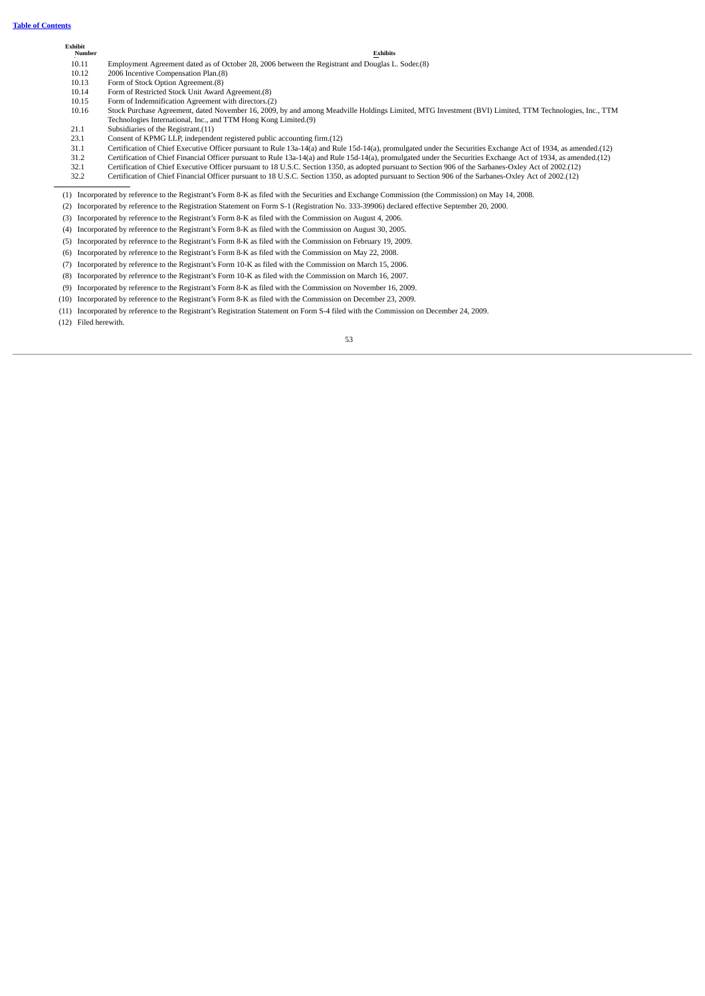**Exhibit**

### **Number Exhibits**

- 10.11 Employment Agreement dated as of October 28, 2006 between the Registrant and Douglas L. Soder.(8)
- 10.12 2006 Incentive Compensation Plan.(8)<br>10.13 Form of Stock Option Agreement.(8)
- 10.13 Form of Stock Option Agreement.(8)<br>10.14 Form of Restricted Stock Unit Award
- Form of Restricted Stock Unit Award Agreement.(8)
- 10.15 Form of Indemnification Agreement with directors.(2)<br>10.16 Stock Purchase Agreement, dated November 16, 2009.
- 10.16 Stock Purchase Agreement, dated November 16, 2009, by and among Meadville Holdings Limited, MTG Investment (BVI) Limited, TTM Technologies, Inc., TTM Technologies International, Inc., and TTM Hong Kong Limited.(9)
- 21.1 Subsidiaries of the Registrant. $(11)$ <br>23.1 Consent of KPMG LLP independent
- 23.1 Consent of KPMG LLP, independent registered public accounting firm.(12)<br>31.1 Certification of Chief Executive Officer pursuant to Rule 13a-14(a) and Rul
- 31.1 Certification of Chief Executive Officer pursuant to Rule 13a-14(a) and Rule 15d-14(a), promulgated under the Securities Exchange Act of 1934, as amended.(12)<br>31.2 Certification of Chief Financial Officer pursuant to
- 
- 32.1 Certification of Chief Executive Officer pursuant to 18 U.S.C. Section 1350, as adopted pursuant to Section 906 of the Sarbanes-Oxley Act of 2002.(12)<br>32.2 Certification of Chief Einancial Officer pursuant to 18 U.S. 32.2 Certification of Chief Financial Officer pursuant to 18 U.S.C. Section 1350, as adopted pursuant to Section 906 of the Sarbanes-Oxley Act of 2002.(12)
- 
- (1) Incorporated by reference to the Registrant's Form 8-K as filed with the Securities and Exchange Commission (the Commission) on May 14, 2008.
- (2) Incorporated by reference to the Registration Statement on Form S-1 (Registration No. 333-39906) declared effective September 20, 2000.
- (3) Incorporated by reference to the Registrant's Form 8-K as filed with the Commission on August 4, 2006.
- (4) Incorporated by reference to the Registrant's Form 8-K as filed with the Commission on August 30, 2005.
- (5) Incorporated by reference to the Registrant's Form 8-K as filed with the Commission on February 19, 2009.
- (6) Incorporated by reference to the Registrant's Form 8-K as filed with the Commission on May 22, 2008.
- (7) Incorporated by reference to the Registrant's Form 10-K as filed with the Commission on March 15, 2006.
- (8) Incorporated by reference to the Registrant's Form 10-K as filed with the Commission on March 16, 2007.
- (9) Incorporated by reference to the Registrant's Form 8-K as filed with the Commission on November 16, 2009.
- (10) Incorporated by reference to the Registrant's Form 8-K as filed with the Commission on December 23, 2009.
- (11) Incorporated by reference to the Registrant's Registration Statement on Form S-4 filed with the Commission on December 24, 2009.

(12) Filed herewith.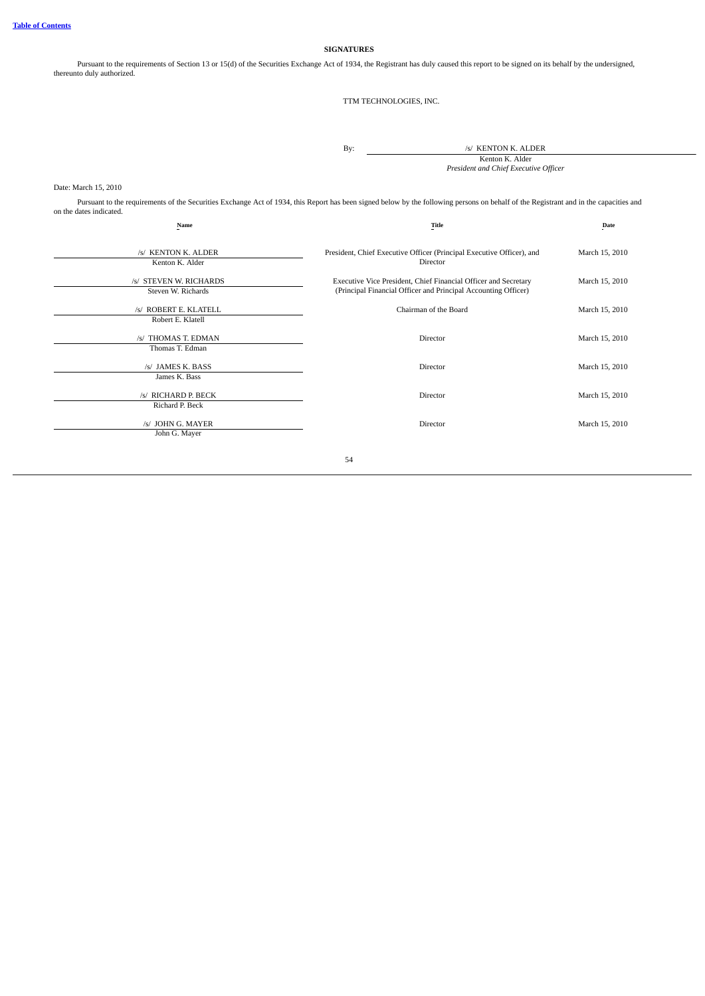# **SIGNATURES**

Pursuant to the requirements of Section 13 or 15(d) of the Securities Exchange Act of 1934, the Registrant has duly caused this report to be signed on its behalf by the undersigned, thereunto duly authorized.

TTM TECHNOLOGIES, INC.

By: <br> /s/ KENTON K. ALDER

Kenton K. Alder *President and Chief Executive Officer*

Date: March 15, 2010

Pursuant to the requirements of the Securities Exchange Act of 1934, this Report has been signed below by the following persons on behalf of the Registrant and in the capacities and on the dates indicated.

| Name                                         | Title                                                                                                                             | Date           |
|----------------------------------------------|-----------------------------------------------------------------------------------------------------------------------------------|----------------|
| /s/ KENTON K. ALDER<br>Kenton K. Alder       | President, Chief Executive Officer (Principal Executive Officer), and<br>Director                                                 | March 15, 2010 |
| /s/ STEVEN W. RICHARDS<br>Steven W. Richards | Executive Vice President, Chief Financial Officer and Secretary<br>(Principal Financial Officer and Principal Accounting Officer) | March 15, 2010 |
| /s/ ROBERT E. KLATELL<br>Robert E. Klatell   | Chairman of the Board                                                                                                             | March 15, 2010 |
| /s/ THOMAS T. EDMAN<br>Thomas T. Edman       | Director                                                                                                                          | March 15, 2010 |
| /s/ JAMES K. BASS<br>James K. Bass           | Director                                                                                                                          | March 15, 2010 |
| /s/ RICHARD P. BECK<br>Richard P. Beck       | Director                                                                                                                          | March 15, 2010 |
| /s/ JOHN G. MAYER<br>John G. Mayer           | Director                                                                                                                          | March 15, 2010 |
|                                              | 54                                                                                                                                |                |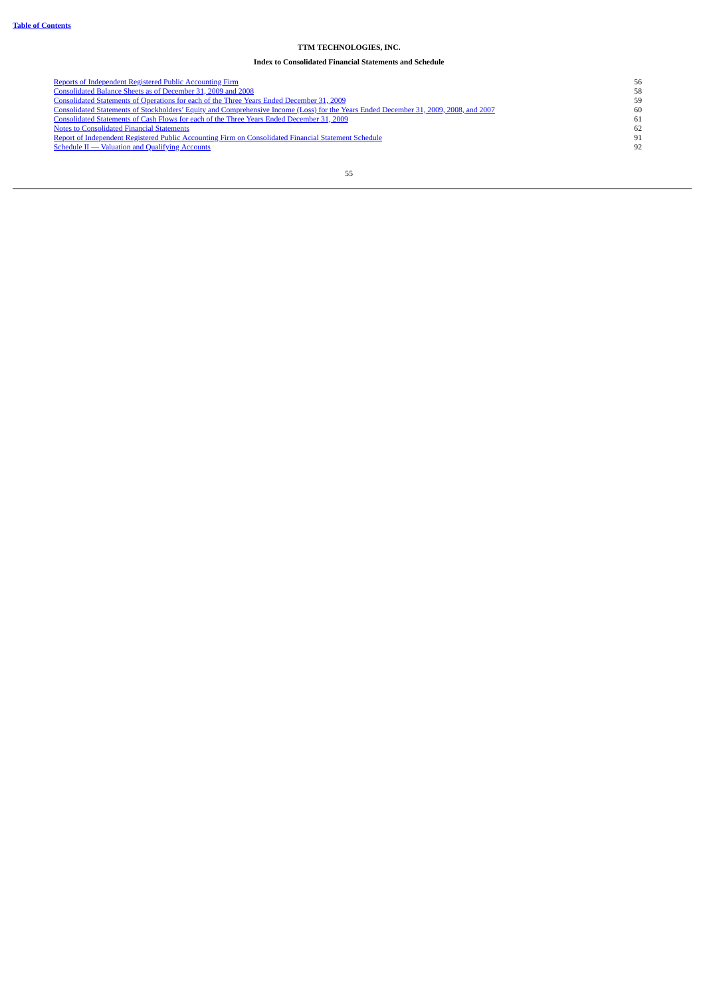# **Index to Consolidated Financial Statements and Schedule**

| <b>Reports of Independent Registered Public Accounting Firm</b>                                                                       |    |
|---------------------------------------------------------------------------------------------------------------------------------------|----|
| Consolidated Balance Sheets as of December 31, 2009 and 2008                                                                          | 58 |
| Consolidated Statements of Operations for each of the Three Years Ended December 31, 2009                                             | 59 |
| Consolidated Statements of Stockholders' Equity and Comprehensive Income (Loss) for the Years Ended December 31, 2009, 2008, and 2007 | 60 |
| Consolidated Statements of Cash Flows for each of the Three Years Ended December 31, 2009                                             |    |
| <b>Notes to Consolidated Financial Statements</b>                                                                                     | 62 |
| Report of Independent Registered Public Accounting Firm on Consolidated Financial Statement Schedule                                  | Q1 |
| Schedule II — Valuation and Qualifying Accounts                                                                                       | 92 |
|                                                                                                                                       |    |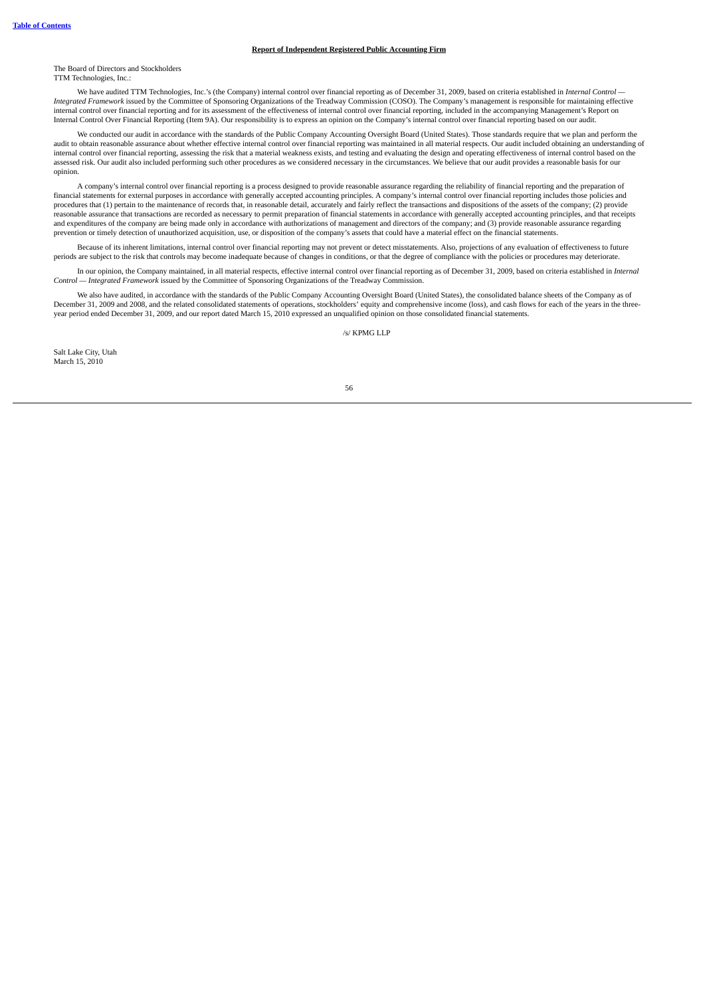### **Report of Independent Registered Public Accounting Firm**

<span id="page-58-0"></span>The Board of Directors and Stockholders TTM Technologies, Inc.:

We have audited TTM Technologies, Inc.'s (the Company) internal control over financial reporting as of December 31, 2009, based on criteria established in *Internal Control — Integrated Framework* issued by the Committee of Sponsoring Organizations of the Treadway Commission (COSO). The Company's management is responsible for maintaining effective internal control over financial reporting and for its assessment of the effectiveness of internal control over financial reporting, included in the accompanying Management's Report on Internal Control Over Financial Reporting (Item 9A). Our responsibility is to express an opinion on the Company's internal control over financial reporting based on our audit.

We conducted our audit in accordance with the standards of the Public Company Accounting Oversight Board (United States). Those standards require that we plan and perform the audit to obtain reasonable assurance about whether effective internal control over financial reporting was maintained in all material respects. Our audit included obtaining an understanding of internal control over financial reporting, assessing the risk that a material weakness exists, and testing and evaluating the design and operating effectiveness of internal control based on the assessed risk. Our audit also included performing such other procedures as we considered necessary in the circumstances. We believe that our audit provides a reasonable basis for our opinion.

A company's internal control over financial reporting is a process designed to provide reasonable assurance regarding the reliability of financial reporting and the preparation of financial statements for external purposes in accordance with generally accepted accounting principles. A company's internal control over financial reporting includes those policies and procedures that (1) pertain to the maintenance of records that, in reasonable detail, accurately and fairly reflect the transactions and dispositions of the assets of the company; (2) provide reasonable assurance that transactions are recorded as necessary to permit preparation of financial statements in accordance with generally accepted accounting principles, and that receipts and expenditures of the company are being made only in accordance with authorizations of management and directors of the company; and (3) provide reasonable assurance regarding prevention or timely detection of unauthorized acquisition, use, or disposition of the company's assets that could have a material effect on the financial statements.

Because of its inherent limitations, internal control over financial reporting may not prevent or detect misstatements. Also, projections of any evaluation of effectiveness to future periods are subject to the risk that controls may become inadequate because of changes in conditions, or that the degree of compliance with the policies or procedures may deteriorate.

In our opinion, the Company maintained, in all material respects, effective internal control over financial reporting as of December 31, 2009, based on criteria established in *Internal Control — Integrated Framework* issued by the Committee of Sponsoring Organizations of the Treadway Commission.

We also have audited, in accordance with the standards of the Public Company Accounting Oversight Board (United States), the consolidated balance sheets of the Company as of December 31, 2009 and 2008, and the related consolidated statements of operations, stockholders' equity and comprehensive income (loss), and cash flows for each of the years in the threeyear period ended December 31, 2009, and our report dated March 15, 2010 expressed an unqualified opinion on those consolidated financial statements.

/s/ KPMG LLP

Salt Lake City, Utah March 15, 2010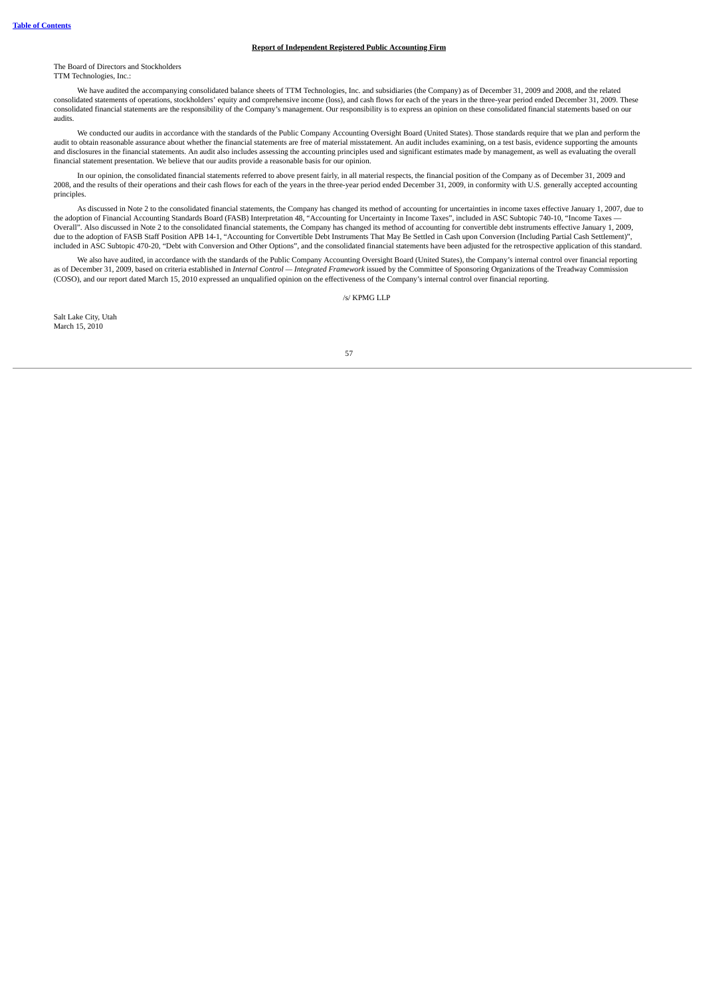### **Report of Independent Registered Public Accounting Firm**

The Board of Directors and Stockholders TTM Technologies, Inc.:

We have audited the accompanying consolidated balance sheets of TTM Technologies, Inc. and subsidiaries (the Company) as of December 31, 2009 and 2008, and the related consolidated statements of operations, stockholders' equity and comprehensive income (loss), and cash flows for each of the years in the three-year period ended December 31, 2009. These consolidated financial statements are the responsibility of the Company's management. Our responsibility is to express an opinion on these consolidated financial statements based on our audits.

We conducted our audits in accordance with the standards of the Public Company Accounting Oversight Board (United States). Those standards require that we plan and perform the audit to obtain reasonable assurance about whether the financial statements are free of material misstatement. An audit includes examining, on a test basis, evidence supporting the amounts and disclosures in the financial statements. An audit also includes assessing the accounting principles used and significant estimates made by management, as well as evaluating the overall financial statement presentation. We believe that our audits provide a reasonable basis for our opinion.

In our opinion, the consolidated financial statements referred to above present fairly, in all material respects, the financial position of the Company as of December 31, 2009 and 2008, and the results of their operations and their cash flows for each of the years in the three-year period ended December 31, 2009, in conformity with U.S. generally accepted accounting principles.

As discussed in Note 2 to the consolidated financial statements, the Company has changed its method of accounting for uncertainties in income taxes effective January 1, 2007, due to the adoption of Financial Accounting Standards Board (FASB) Interpretation 48, "Accounting for Uncertainty in Income Taxes", included in ASC Subtopic 740-10, "Income Taxes Overall". Also discussed in Note 2 to the consolidated financial statements, the Company has changed its method of accounting for convertible debt instruments effective January 1, 2009, due to the adoption of FASB Staff Position APB 14-1, "Accounting for Convertible Debt Instruments That May Be Settled in Cash upon Conversion (Including Partial Cash Settlement)", included in ASC Subtopic 470-20, "Debt with Conversion and Other Options", and the consolidated financial statements have been adjusted for the retrospective application of this standard.

We also have audited, in accordance with the standards of the Public Company Accounting Oversight Board (United States), the Company's internal control over financial reporting as of December 31, 2009, based on criteria established in *Internal Control — Integrated Framework* issued by the Committee of Sponsoring Organizations of the Treadway Commission (COSO), and our report dated March 15, 2010 expressed an unqualified opinion on the effectiveness of the Company's internal control over financial reporting.

/s/ KPMG LLP

Salt Lake City, Utah March 15, 2010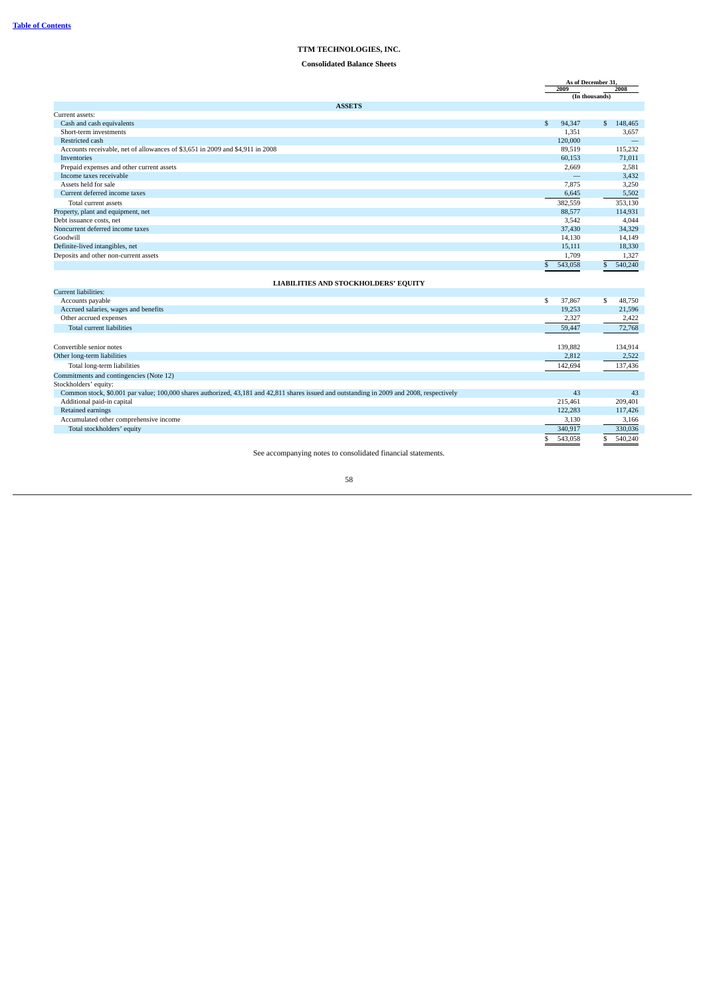# <span id="page-60-0"></span>**Consolidated Balance Sheets**

| $($ In thousands $)$<br><b>ASSETS</b><br>Current assets:<br>Cash and cash equivalents<br>94,347<br>\$148,465<br>\$<br>1,351<br>3,657<br>Short-term investments<br>120,000<br>Restricted cash<br>$\overline{\phantom{0}}$<br>Accounts receivable, net of allowances of \$3,651 in 2009 and \$4,911 in 2008<br>89.519<br>115.232<br>Inventories<br>60,153<br>71,011<br>Prepaid expenses and other current assets<br>2,669<br>2,581<br>Income taxes receivable<br>3,432<br>$\overline{\phantom{0}}$<br>Assets held for sale<br>7.875<br>3,250<br>Current deferred income taxes<br>6,645<br>5,502<br>382,559<br>353,130<br>Total current assets<br>88,577<br>Property, plant and equipment, net<br>114,931<br>3,542<br>Debt issuance costs, net<br>4,044<br>37,430<br>Noncurrent deferred income taxes<br>34,329<br>Goodwill<br>14.130<br>14.149<br>Definite-lived intangibles, net<br>18,330<br>15,111<br>Deposits and other non-current assets<br>1,709<br>1,327<br>543,058<br>540,240<br>\$<br>\$<br><b>LIABILITIES AND STOCKHOLDERS' EQUITY</b><br>37,867<br>Accounts payable<br>\$<br>\$<br>48,750<br>Accrued salaries, wages and benefits<br>19,253<br>21,596<br>Other accrued expenses<br>2,327<br>2,422<br><b>Total current liabilities</b><br>59,447<br>72,768<br>Convertible senior notes<br>139,882<br>134,914<br>Other long-term liabilities<br>2,522<br>2,812<br>Total long-term liabilities<br>137,436<br>142,694<br>Commitments and contingencies (Note 12)<br>Common stock, \$0.001 par value; 100,000 shares authorized, 43,181 and 42,811 shares issued and outstanding in 2009 and 2008, respectively<br>43<br>43<br>Additional paid-in capital<br>215,461<br>209,401<br>Retained earnings<br>122,283<br>117,426<br>Accumulated other comprehensive income<br>3,166<br>3,130 |                             | As of December 31, |  |         |
|---------------------------------------------------------------------------------------------------------------------------------------------------------------------------------------------------------------------------------------------------------------------------------------------------------------------------------------------------------------------------------------------------------------------------------------------------------------------------------------------------------------------------------------------------------------------------------------------------------------------------------------------------------------------------------------------------------------------------------------------------------------------------------------------------------------------------------------------------------------------------------------------------------------------------------------------------------------------------------------------------------------------------------------------------------------------------------------------------------------------------------------------------------------------------------------------------------------------------------------------------------------------------------------------------------------------------------------------------------------------------------------------------------------------------------------------------------------------------------------------------------------------------------------------------------------------------------------------------------------------------------------------------------------------------------------------------------------------------------------------------------------------------------------------|-----------------------------|--------------------|--|---------|
|                                                                                                                                                                                                                                                                                                                                                                                                                                                                                                                                                                                                                                                                                                                                                                                                                                                                                                                                                                                                                                                                                                                                                                                                                                                                                                                                                                                                                                                                                                                                                                                                                                                                                                                                                                                             |                             | 2009               |  | 2008    |
|                                                                                                                                                                                                                                                                                                                                                                                                                                                                                                                                                                                                                                                                                                                                                                                                                                                                                                                                                                                                                                                                                                                                                                                                                                                                                                                                                                                                                                                                                                                                                                                                                                                                                                                                                                                             |                             |                    |  |         |
|                                                                                                                                                                                                                                                                                                                                                                                                                                                                                                                                                                                                                                                                                                                                                                                                                                                                                                                                                                                                                                                                                                                                                                                                                                                                                                                                                                                                                                                                                                                                                                                                                                                                                                                                                                                             |                             |                    |  |         |
|                                                                                                                                                                                                                                                                                                                                                                                                                                                                                                                                                                                                                                                                                                                                                                                                                                                                                                                                                                                                                                                                                                                                                                                                                                                                                                                                                                                                                                                                                                                                                                                                                                                                                                                                                                                             |                             |                    |  |         |
|                                                                                                                                                                                                                                                                                                                                                                                                                                                                                                                                                                                                                                                                                                                                                                                                                                                                                                                                                                                                                                                                                                                                                                                                                                                                                                                                                                                                                                                                                                                                                                                                                                                                                                                                                                                             |                             |                    |  |         |
|                                                                                                                                                                                                                                                                                                                                                                                                                                                                                                                                                                                                                                                                                                                                                                                                                                                                                                                                                                                                                                                                                                                                                                                                                                                                                                                                                                                                                                                                                                                                                                                                                                                                                                                                                                                             |                             |                    |  |         |
|                                                                                                                                                                                                                                                                                                                                                                                                                                                                                                                                                                                                                                                                                                                                                                                                                                                                                                                                                                                                                                                                                                                                                                                                                                                                                                                                                                                                                                                                                                                                                                                                                                                                                                                                                                                             |                             |                    |  |         |
|                                                                                                                                                                                                                                                                                                                                                                                                                                                                                                                                                                                                                                                                                                                                                                                                                                                                                                                                                                                                                                                                                                                                                                                                                                                                                                                                                                                                                                                                                                                                                                                                                                                                                                                                                                                             |                             |                    |  |         |
|                                                                                                                                                                                                                                                                                                                                                                                                                                                                                                                                                                                                                                                                                                                                                                                                                                                                                                                                                                                                                                                                                                                                                                                                                                                                                                                                                                                                                                                                                                                                                                                                                                                                                                                                                                                             |                             |                    |  |         |
|                                                                                                                                                                                                                                                                                                                                                                                                                                                                                                                                                                                                                                                                                                                                                                                                                                                                                                                                                                                                                                                                                                                                                                                                                                                                                                                                                                                                                                                                                                                                                                                                                                                                                                                                                                                             |                             |                    |  |         |
|                                                                                                                                                                                                                                                                                                                                                                                                                                                                                                                                                                                                                                                                                                                                                                                                                                                                                                                                                                                                                                                                                                                                                                                                                                                                                                                                                                                                                                                                                                                                                                                                                                                                                                                                                                                             |                             |                    |  |         |
|                                                                                                                                                                                                                                                                                                                                                                                                                                                                                                                                                                                                                                                                                                                                                                                                                                                                                                                                                                                                                                                                                                                                                                                                                                                                                                                                                                                                                                                                                                                                                                                                                                                                                                                                                                                             |                             |                    |  |         |
|                                                                                                                                                                                                                                                                                                                                                                                                                                                                                                                                                                                                                                                                                                                                                                                                                                                                                                                                                                                                                                                                                                                                                                                                                                                                                                                                                                                                                                                                                                                                                                                                                                                                                                                                                                                             |                             |                    |  |         |
|                                                                                                                                                                                                                                                                                                                                                                                                                                                                                                                                                                                                                                                                                                                                                                                                                                                                                                                                                                                                                                                                                                                                                                                                                                                                                                                                                                                                                                                                                                                                                                                                                                                                                                                                                                                             |                             |                    |  |         |
|                                                                                                                                                                                                                                                                                                                                                                                                                                                                                                                                                                                                                                                                                                                                                                                                                                                                                                                                                                                                                                                                                                                                                                                                                                                                                                                                                                                                                                                                                                                                                                                                                                                                                                                                                                                             |                             |                    |  |         |
|                                                                                                                                                                                                                                                                                                                                                                                                                                                                                                                                                                                                                                                                                                                                                                                                                                                                                                                                                                                                                                                                                                                                                                                                                                                                                                                                                                                                                                                                                                                                                                                                                                                                                                                                                                                             |                             |                    |  |         |
|                                                                                                                                                                                                                                                                                                                                                                                                                                                                                                                                                                                                                                                                                                                                                                                                                                                                                                                                                                                                                                                                                                                                                                                                                                                                                                                                                                                                                                                                                                                                                                                                                                                                                                                                                                                             |                             |                    |  |         |
|                                                                                                                                                                                                                                                                                                                                                                                                                                                                                                                                                                                                                                                                                                                                                                                                                                                                                                                                                                                                                                                                                                                                                                                                                                                                                                                                                                                                                                                                                                                                                                                                                                                                                                                                                                                             |                             |                    |  |         |
|                                                                                                                                                                                                                                                                                                                                                                                                                                                                                                                                                                                                                                                                                                                                                                                                                                                                                                                                                                                                                                                                                                                                                                                                                                                                                                                                                                                                                                                                                                                                                                                                                                                                                                                                                                                             |                             |                    |  |         |
|                                                                                                                                                                                                                                                                                                                                                                                                                                                                                                                                                                                                                                                                                                                                                                                                                                                                                                                                                                                                                                                                                                                                                                                                                                                                                                                                                                                                                                                                                                                                                                                                                                                                                                                                                                                             |                             |                    |  |         |
|                                                                                                                                                                                                                                                                                                                                                                                                                                                                                                                                                                                                                                                                                                                                                                                                                                                                                                                                                                                                                                                                                                                                                                                                                                                                                                                                                                                                                                                                                                                                                                                                                                                                                                                                                                                             |                             |                    |  |         |
|                                                                                                                                                                                                                                                                                                                                                                                                                                                                                                                                                                                                                                                                                                                                                                                                                                                                                                                                                                                                                                                                                                                                                                                                                                                                                                                                                                                                                                                                                                                                                                                                                                                                                                                                                                                             |                             |                    |  |         |
|                                                                                                                                                                                                                                                                                                                                                                                                                                                                                                                                                                                                                                                                                                                                                                                                                                                                                                                                                                                                                                                                                                                                                                                                                                                                                                                                                                                                                                                                                                                                                                                                                                                                                                                                                                                             | <b>Current liabilities:</b> |                    |  |         |
|                                                                                                                                                                                                                                                                                                                                                                                                                                                                                                                                                                                                                                                                                                                                                                                                                                                                                                                                                                                                                                                                                                                                                                                                                                                                                                                                                                                                                                                                                                                                                                                                                                                                                                                                                                                             |                             |                    |  |         |
|                                                                                                                                                                                                                                                                                                                                                                                                                                                                                                                                                                                                                                                                                                                                                                                                                                                                                                                                                                                                                                                                                                                                                                                                                                                                                                                                                                                                                                                                                                                                                                                                                                                                                                                                                                                             |                             |                    |  |         |
|                                                                                                                                                                                                                                                                                                                                                                                                                                                                                                                                                                                                                                                                                                                                                                                                                                                                                                                                                                                                                                                                                                                                                                                                                                                                                                                                                                                                                                                                                                                                                                                                                                                                                                                                                                                             |                             |                    |  |         |
|                                                                                                                                                                                                                                                                                                                                                                                                                                                                                                                                                                                                                                                                                                                                                                                                                                                                                                                                                                                                                                                                                                                                                                                                                                                                                                                                                                                                                                                                                                                                                                                                                                                                                                                                                                                             |                             |                    |  |         |
|                                                                                                                                                                                                                                                                                                                                                                                                                                                                                                                                                                                                                                                                                                                                                                                                                                                                                                                                                                                                                                                                                                                                                                                                                                                                                                                                                                                                                                                                                                                                                                                                                                                                                                                                                                                             |                             |                    |  |         |
|                                                                                                                                                                                                                                                                                                                                                                                                                                                                                                                                                                                                                                                                                                                                                                                                                                                                                                                                                                                                                                                                                                                                                                                                                                                                                                                                                                                                                                                                                                                                                                                                                                                                                                                                                                                             |                             |                    |  |         |
|                                                                                                                                                                                                                                                                                                                                                                                                                                                                                                                                                                                                                                                                                                                                                                                                                                                                                                                                                                                                                                                                                                                                                                                                                                                                                                                                                                                                                                                                                                                                                                                                                                                                                                                                                                                             |                             |                    |  |         |
|                                                                                                                                                                                                                                                                                                                                                                                                                                                                                                                                                                                                                                                                                                                                                                                                                                                                                                                                                                                                                                                                                                                                                                                                                                                                                                                                                                                                                                                                                                                                                                                                                                                                                                                                                                                             |                             |                    |  |         |
|                                                                                                                                                                                                                                                                                                                                                                                                                                                                                                                                                                                                                                                                                                                                                                                                                                                                                                                                                                                                                                                                                                                                                                                                                                                                                                                                                                                                                                                                                                                                                                                                                                                                                                                                                                                             |                             |                    |  |         |
|                                                                                                                                                                                                                                                                                                                                                                                                                                                                                                                                                                                                                                                                                                                                                                                                                                                                                                                                                                                                                                                                                                                                                                                                                                                                                                                                                                                                                                                                                                                                                                                                                                                                                                                                                                                             | Stockholders' equity:       |                    |  |         |
|                                                                                                                                                                                                                                                                                                                                                                                                                                                                                                                                                                                                                                                                                                                                                                                                                                                                                                                                                                                                                                                                                                                                                                                                                                                                                                                                                                                                                                                                                                                                                                                                                                                                                                                                                                                             |                             |                    |  |         |
|                                                                                                                                                                                                                                                                                                                                                                                                                                                                                                                                                                                                                                                                                                                                                                                                                                                                                                                                                                                                                                                                                                                                                                                                                                                                                                                                                                                                                                                                                                                                                                                                                                                                                                                                                                                             |                             |                    |  |         |
|                                                                                                                                                                                                                                                                                                                                                                                                                                                                                                                                                                                                                                                                                                                                                                                                                                                                                                                                                                                                                                                                                                                                                                                                                                                                                                                                                                                                                                                                                                                                                                                                                                                                                                                                                                                             |                             |                    |  |         |
|                                                                                                                                                                                                                                                                                                                                                                                                                                                                                                                                                                                                                                                                                                                                                                                                                                                                                                                                                                                                                                                                                                                                                                                                                                                                                                                                                                                                                                                                                                                                                                                                                                                                                                                                                                                             |                             |                    |  |         |
|                                                                                                                                                                                                                                                                                                                                                                                                                                                                                                                                                                                                                                                                                                                                                                                                                                                                                                                                                                                                                                                                                                                                                                                                                                                                                                                                                                                                                                                                                                                                                                                                                                                                                                                                                                                             | Total stockholders' equity  | 340.917            |  | 330,036 |
| 543,058<br>540,240<br>\$<br>\$                                                                                                                                                                                                                                                                                                                                                                                                                                                                                                                                                                                                                                                                                                                                                                                                                                                                                                                                                                                                                                                                                                                                                                                                                                                                                                                                                                                                                                                                                                                                                                                                                                                                                                                                                              |                             |                    |  |         |

See accompanying notes to consolidated financial statements.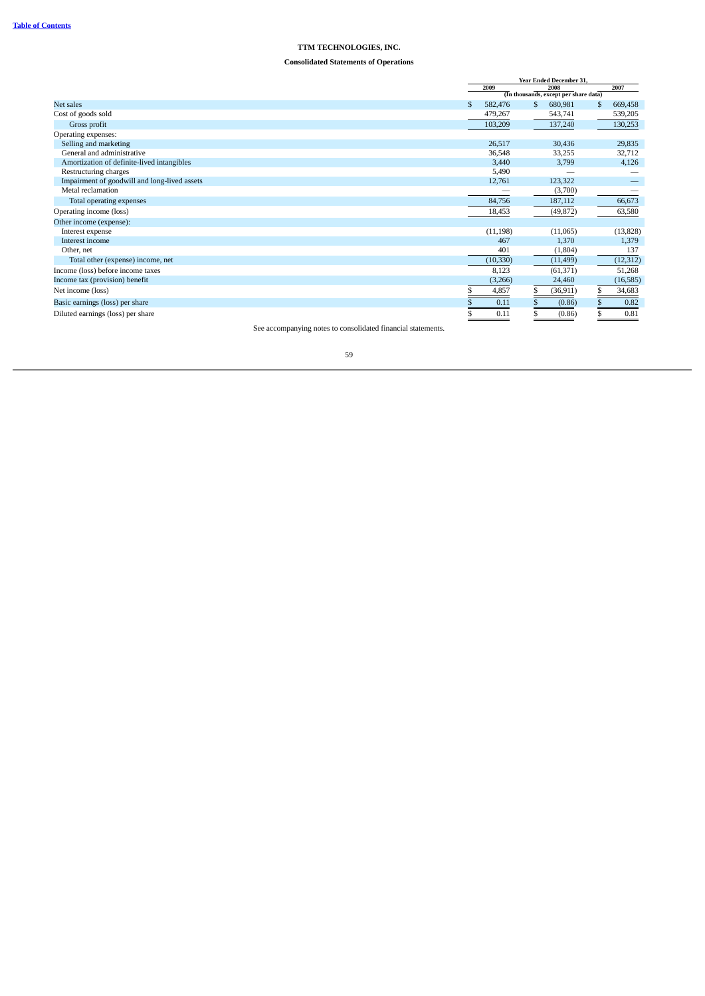# <span id="page-61-0"></span>**Consolidated Statements of Operations**

|                                              | Year Ended December 31,               |           |    |           |     |           |
|----------------------------------------------|---------------------------------------|-----------|----|-----------|-----|-----------|
|                                              |                                       | 2009      |    | 2008      |     | 2007      |
|                                              | (In thousands, except per share data) |           |    |           |     |           |
| Net sales                                    | \$                                    | 582,476   | \$ | 680,981   | \$. | 669,458   |
| Cost of goods sold                           |                                       | 479,267   |    | 543,741   |     | 539,205   |
| Gross profit                                 |                                       | 103,209   |    | 137,240   |     | 130,253   |
| Operating expenses:                          |                                       |           |    |           |     |           |
| Selling and marketing                        |                                       | 26,517    |    | 30,436    |     | 29,835    |
| General and administrative                   |                                       | 36,548    |    | 33,255    |     | 32,712    |
| Amortization of definite-lived intangibles   |                                       | 3,440     |    | 3,799     |     | 4,126     |
| Restructuring charges                        |                                       | 5,490     |    |           |     |           |
| Impairment of goodwill and long-lived assets |                                       | 12,761    |    | 123,322   |     |           |
| Metal reclamation                            |                                       |           |    | (3,700)   |     |           |
| Total operating expenses                     |                                       | 84,756    |    | 187,112   |     | 66,673    |
| Operating income (loss)                      |                                       | 18,453    |    | (49, 872) |     | 63,580    |
| Other income (expense):                      |                                       |           |    |           |     |           |
| Interest expense                             |                                       | (11, 198) |    | (11,065)  |     | (13, 828) |
| Interest income                              |                                       | 467       |    | 1,370     |     | 1,379     |
| Other, net                                   |                                       | 401       |    | (1,804)   |     | 137       |
| Total other (expense) income, net            |                                       | (10, 330) |    | (11, 499) |     | (12, 312) |
| Income (loss) before income taxes            |                                       | 8,123     |    | (61, 371) |     | 51,268    |
| Income tax (provision) benefit               |                                       | (3,266)   |    | 24,460    |     | (16, 585) |
| Net income (loss)                            |                                       | 4,857     | S  | (36, 911) |     | 34,683    |
| Basic earnings (loss) per share              |                                       | 0.11      |    | (0.86)    |     | 0.82      |
| Diluted earnings (loss) per share            |                                       | 0.11      |    | (0.86)    |     | 0.81      |

See accompanying notes to consolidated financial statements.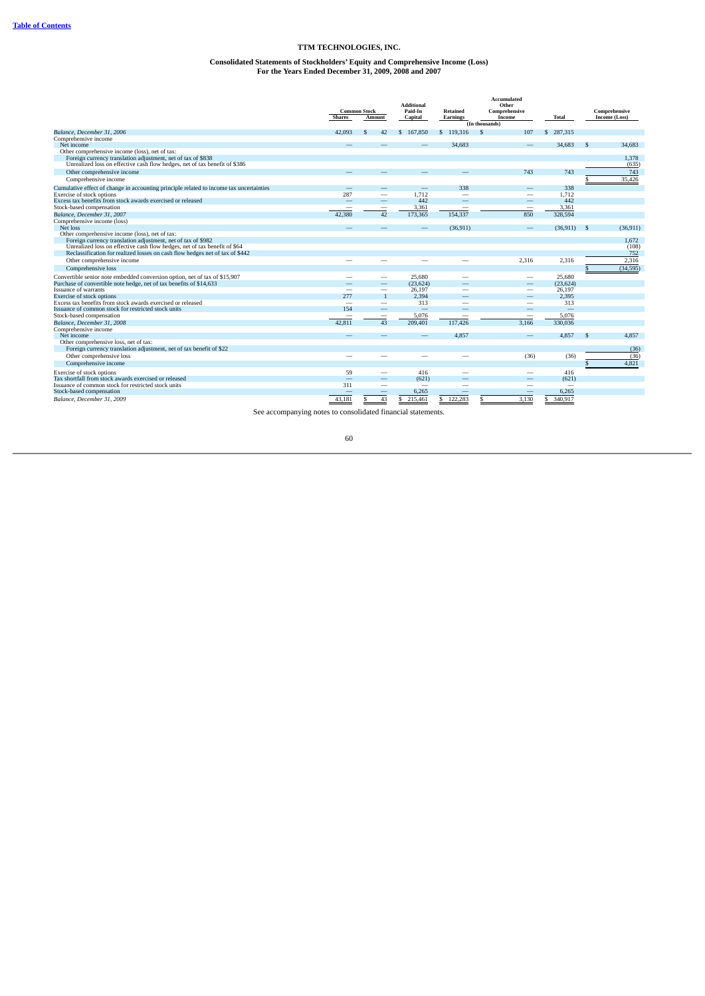# <span id="page-62-0"></span>Consolidated Statements of Stockholders' Equity and Comprehensive Income (Loss)<br>For the Years Ended December 31, 2009, 2008 and 2007

|                                                                                         | <b>Common Stock</b>      |                          | <b>Additional</b><br>Paid-In | <b>Retained</b>          | <b>Accumulated</b><br>Other<br>Comprehensive |                          | Comprehensive |           |
|-----------------------------------------------------------------------------------------|--------------------------|--------------------------|------------------------------|--------------------------|----------------------------------------------|--------------------------|---------------|-----------|
|                                                                                         | <b>Shares</b>            | <b>Amount</b>            | Capital                      | <b>Earnings</b>          | Income<br>(In thousands)                     | <b>Total</b>             | Income (Loss) |           |
| Balance, December 31, 2006                                                              | 42.093                   | \$<br>42                 | \$167,850                    | \$119,316                | 107<br>$\mathcal{S}$                         | \$ 287,315               |               |           |
| Comprehensive income                                                                    |                          |                          |                              |                          |                                              |                          |               |           |
| Net income                                                                              |                          |                          |                              | 34,683                   |                                              | 34,683                   | $\mathcal{S}$ | 34,683    |
| Other comprehensive income (loss), net of tax:                                          |                          |                          |                              |                          |                                              |                          |               |           |
| Foreign currency translation adjustment, net of tax of \$838                            |                          |                          |                              |                          |                                              |                          |               | 1.378     |
| Unrealized loss on effective cash flow hedges, net of tax benefit of \$386              |                          |                          |                              |                          |                                              |                          |               | (635)     |
| Other comprehensive income                                                              |                          |                          |                              |                          | 743                                          | 743                      |               | 743       |
| Comprehensive income                                                                    |                          |                          |                              |                          |                                              |                          |               | 35.426    |
| Cumulative effect of change in accounting principle related to income tax uncertainties | -                        |                          | $\qquad \qquad -$            | 338                      | $\overline{\phantom{a}}$                     | 338                      |               |           |
| Exercise of stock options                                                               | 287                      | $\qquad \qquad$          | 1,712                        | $\overline{\phantom{m}}$ | $\overline{\phantom{a}}$                     | 1.712                    |               |           |
| Excess tax benefits from stock awards exercised or released                             |                          |                          | 442                          |                          |                                              | 442                      |               |           |
| Stock-based compensation                                                                |                          | $\overline{\phantom{0}}$ | 3,361                        |                          | $\overline{\phantom{0}}$                     | 3,361                    |               |           |
| Balance, December 31, 2007                                                              | 42,380                   | $\overline{42}$          | 173,365                      | 154,337                  | 850                                          | 328,594                  |               |           |
| Comprehensive income (loss)                                                             |                          |                          |                              |                          |                                              |                          |               |           |
| Net loss                                                                                |                          |                          |                              | (36, 911)                | $\qquad \qquad -$                            | (36, 911)                | $^{\circ}$    | (36, 911) |
| Other comprehensive income (loss), net of tax:                                          |                          |                          |                              |                          |                                              |                          |               |           |
| Foreign currency translation adjustment, net of tax of \$982                            |                          |                          |                              |                          |                                              |                          |               | 1.672     |
| Unrealized loss on effective cash flow hedges, net of tax benefit of \$64               |                          |                          |                              |                          |                                              |                          |               | (108)     |
| Reclassification for realized losses on cash flow hedges net of tax of \$442            |                          |                          |                              |                          |                                              |                          |               | 752       |
| Other comprehensive income                                                              |                          |                          |                              |                          | 2,316                                        | 2,316                    |               | 2,316     |
| Comprehensive loss                                                                      |                          |                          |                              |                          |                                              |                          |               | (34, 595) |
| Convertible senior note embedded conversion option, net of tax of \$15,907              |                          | -                        | 25,680                       |                          |                                              | 25,680                   |               |           |
| Purchase of convertible note hedge, net of tax benefits of \$14,633                     |                          |                          | (23, 624)                    |                          |                                              | (23.624)                 |               |           |
| <b>Issuance of warrants</b>                                                             | $\overline{\phantom{a}}$ | $\overline{\phantom{0}}$ | 26,197                       | $\overline{\phantom{0}}$ | $\overline{\phantom{0}}$                     | 26,197                   |               |           |
| <b>Exercise of stock options</b>                                                        | 277                      | $\mathbf{1}$             | 2.394                        |                          |                                              | 2.395                    |               |           |
| Excess tax benefits from stock awards exercised or released                             | -                        | $\overline{\phantom{m}}$ | 313                          | $\overline{\phantom{0}}$ | $\overline{\phantom{a}}$                     | 313                      |               |           |
| Issuance of common stock for restricted stock units                                     | 154                      | $\qquad \qquad -$        | $\equiv$                     |                          |                                              |                          |               |           |
| Stock-based compensation                                                                |                          | $\qquad \qquad$          | 5,076                        | -                        | $\overline{\phantom{0}}$                     | 5.076                    |               |           |
| Balance, December 31, 2008                                                              | 42,811                   | 43                       | 209,401                      | 117,426                  | 3.166                                        | 330,036                  |               |           |
| Comprehensive income                                                                    |                          |                          |                              |                          |                                              |                          |               |           |
| Net income                                                                              |                          |                          |                              | 4.857                    |                                              | 4.857                    | $\mathcal{S}$ | 4.857     |
| Other comprehensive loss, net of tax:                                                   |                          |                          |                              |                          |                                              |                          |               |           |
| Foreign currency translation adjustment, net of tax benefit of \$22                     |                          |                          |                              |                          |                                              |                          |               | (36)      |
| Other comprehensive loss                                                                |                          |                          |                              |                          | (36)                                         | (36)                     |               | (36)      |
| Comprehensive income                                                                    |                          |                          |                              |                          |                                              |                          |               | 4,821     |
| Exercise of stock options                                                               | 59                       |                          | 416                          | $\overline{\phantom{0}}$ | $\overline{\phantom{a}}$                     | 416                      |               |           |
| Tax shortfall from stock awards exercised or released                                   | ÷                        |                          | (621)                        |                          |                                              | (621)                    |               |           |
| Issuance of common stock for restricted stock units                                     | 311                      | $\overline{\phantom{m}}$ | $\overline{\phantom{a}}$     | $\overline{\phantom{0}}$ | $\overline{\phantom{a}}$                     | $\overline{\phantom{a}}$ |               |           |
| Stock-based compensation                                                                |                          |                          | 6,265                        |                          |                                              | 6.265                    |               |           |
| Balance, December 31, 2009                                                              | 43,181                   | 43                       | 215,461                      | \$122,283                | 3,130                                        | 340,917                  |               |           |

See accompanying notes to consolidated financial statements.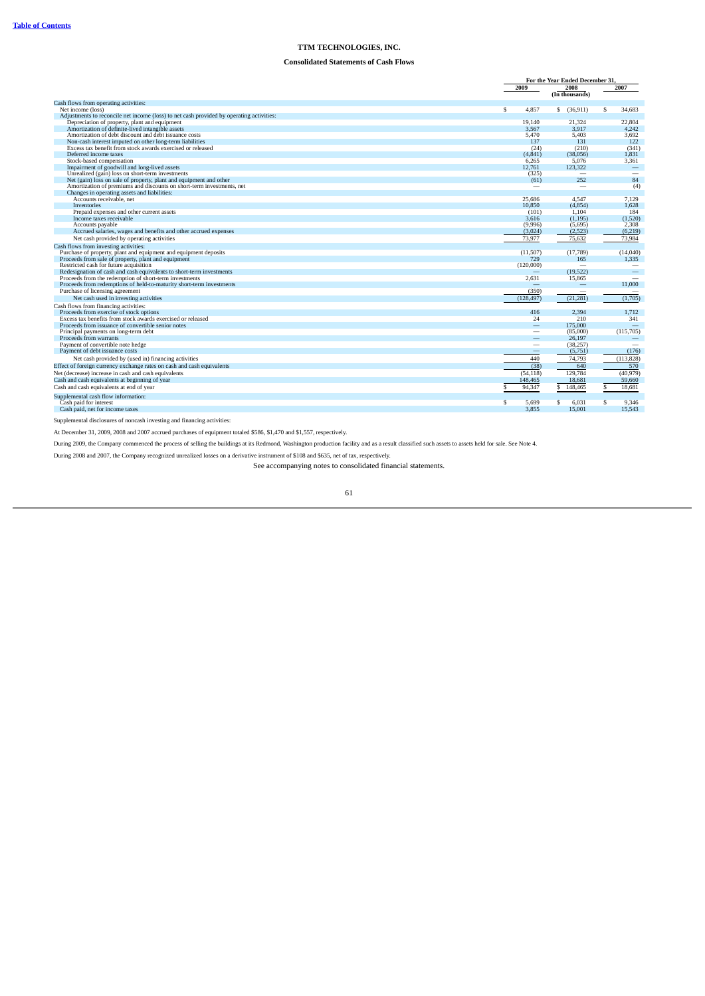# <span id="page-63-0"></span>**Consolidated Statements of Cash Flows**

|                                                                                          |              | For the Year Ended December 31, |                 |                         |                          |
|------------------------------------------------------------------------------------------|--------------|---------------------------------|-----------------|-------------------------|--------------------------|
|                                                                                          |              | 2009                            | 2008            |                         | 2007                     |
|                                                                                          |              |                                 | (In thousands)  |                         |                          |
| Cash flows from operating activities:                                                    |              |                                 |                 |                         |                          |
| Net income (loss)                                                                        | $\mathbf{s}$ | 4.857                           | \$ (36,911)     | $\overline{\mathbf{s}}$ | 34.683                   |
| Adjustments to reconcile net income (loss) to net cash provided by operating activities: |              |                                 |                 |                         |                          |
| Depreciation of property, plant and equipment                                            |              | 19.140                          | 21.324          |                         | 22,804                   |
| Amortization of definite-lived intangible assets                                         |              | 3.567                           | 3,917           |                         | 4,242                    |
| Amortization of debt discount and debt issuance costs                                    |              | 5,470                           | 5,403           |                         | 3,692                    |
| Non-cash interest imputed on other long-term liabilities                                 |              | 137                             | 131             |                         | 122                      |
| Excess tax benefit from stock awards exercised or released                               |              | (24)                            | (210)           |                         | (341)                    |
| Deferred income taxes                                                                    |              | (4, 841)                        | (38,056)        |                         | 1,831                    |
| Stock-based compensation                                                                 |              | 6,265                           | 5,076           |                         | 3,361                    |
| Impairment of goodwill and long-lived assets                                             |              | 12,761                          | 123,322         |                         | $\qquad \qquad -$        |
| Unrealized (gain) loss on short-term investments                                         |              | (325)                           |                 |                         |                          |
| Net (gain) loss on sale of property, plant and equipment and other                       |              | (61)                            | 252             |                         | 84                       |
| Amortization of premiums and discounts on short-term investments, net                    |              |                                 | -               |                         | (4)                      |
| Changes in operating assets and liabilities:                                             |              |                                 |                 |                         |                          |
| Accounts receivable, net                                                                 |              | 25.686                          | 4.547           |                         | 7,129                    |
| Inventories                                                                              |              | 10.850                          | (4, 854)        |                         | 1.628                    |
| Prepaid expenses and other current assets                                                |              | (101)                           | 1,104           |                         | 184                      |
| Income taxes receivable                                                                  |              | 3,616                           | (1, 195)        |                         | (1,520)                  |
| Accounts payable                                                                         |              | (9,996)                         | (5,695)         |                         | 2.308                    |
| Accrued salaries, wages and benefits and other accrued expenses                          |              | (3,024)                         | (2,523)         |                         | (6, 219)                 |
| Net cash provided by operating activities                                                |              | 73,977                          | 75,632          |                         | 73,984                   |
| Cash flows from investing activities:                                                    |              |                                 |                 |                         |                          |
| Purchase of property, plant and equipment and equipment deposits                         |              | (11, 507)                       | (17,789)        |                         | (14,040)                 |
| Proceeds from sale of property, plant and equipment                                      |              | 729                             | 165             |                         | 1,335                    |
| Restricted cash for future acquisition                                                   |              | (120,000)                       |                 |                         | $\overline{\phantom{a}}$ |
| Redesignation of cash and cash equivalents to short-term investments                     |              |                                 | (19, 522)       |                         |                          |
| Proceeds from the redemption of short-term investments                                   |              | 2,631                           | 15,865          |                         | $\sim$                   |
| Proceeds from redemptions of held-to-maturity short-term investments                     |              |                                 | -               |                         | 11,000                   |
| Purchase of licensing agreement                                                          |              | (350)                           | $\qquad \qquad$ |                         | $\sim$                   |
| Net cash used in investing activities                                                    |              | (128.497)                       | (21, 281)       |                         | (1,705)                  |
| Cash flows from financing activities:                                                    |              |                                 |                 |                         |                          |
| Proceeds from exercise of stock options                                                  |              | 416                             | 2.394           |                         | 1.712                    |
| Excess tax benefits from stock awards exercised or released                              |              | 24                              | 210             |                         | 341                      |
| Proceeds from issuance of convertible senior notes                                       |              | $\overline{\phantom{0}}$        | 175,000         |                         |                          |
| Principal payments on long-term debt                                                     |              | $\overline{\phantom{m}}$        | (85,000)        |                         | (115, 705)               |
| Proceeds from warrants                                                                   |              | $\equiv$                        | 26,197          |                         |                          |
| Payment of convertible note hedge                                                        |              |                                 | (38, 257)       |                         |                          |
| Payment of debt issuance costs                                                           |              |                                 | (5,751)         |                         | (176)                    |
| Net cash provided by (used in) financing activities                                      |              | 440                             | 74,793          |                         | (113, 828)               |
|                                                                                          |              | (38)                            |                 |                         | 570                      |
| Effect of foreign currency exchange rates on cash and cash equivalents                   |              |                                 | 640             |                         |                          |
| Net (decrease) increase in cash and cash equivalents                                     |              | (54, 118)                       | 129,784         |                         | (40, 979)                |
| Cash and cash equivalents at beginning of year                                           |              | 148,465                         | 18,681          |                         | 59,660                   |
| Cash and cash equivalents at end of year                                                 |              | 94,347                          | 148,465         |                         | 18,681                   |
| Supplemental cash flow information:                                                      |              |                                 |                 |                         |                          |
| Cash paid for interest                                                                   | \$.          | 5.699                           | 6.031<br>\$     | \$.                     | 9.346                    |
| Cash paid, net for income taxes                                                          |              | 3.855                           | 15.001          |                         | 15,543                   |

 ${\sf Supplemental}$  disclosures of noncash investing and financing activities:

At December 31, 2009, 2008 and 2007 accrued purchases of equipment totaled \$586, \$1,470 and \$1,557, respectively.

During 2009, the Company commenced the process of selling the buildings at its Redmond, Washington production facility and as a result classified such assets to assets held for sale. See Note 4.

During 2008 and 2007, the Company recognized unrealized losses on a derivative instrument of \$108 and \$635, net of tax, respectively.

See accompanying notes to consolidated financial statements.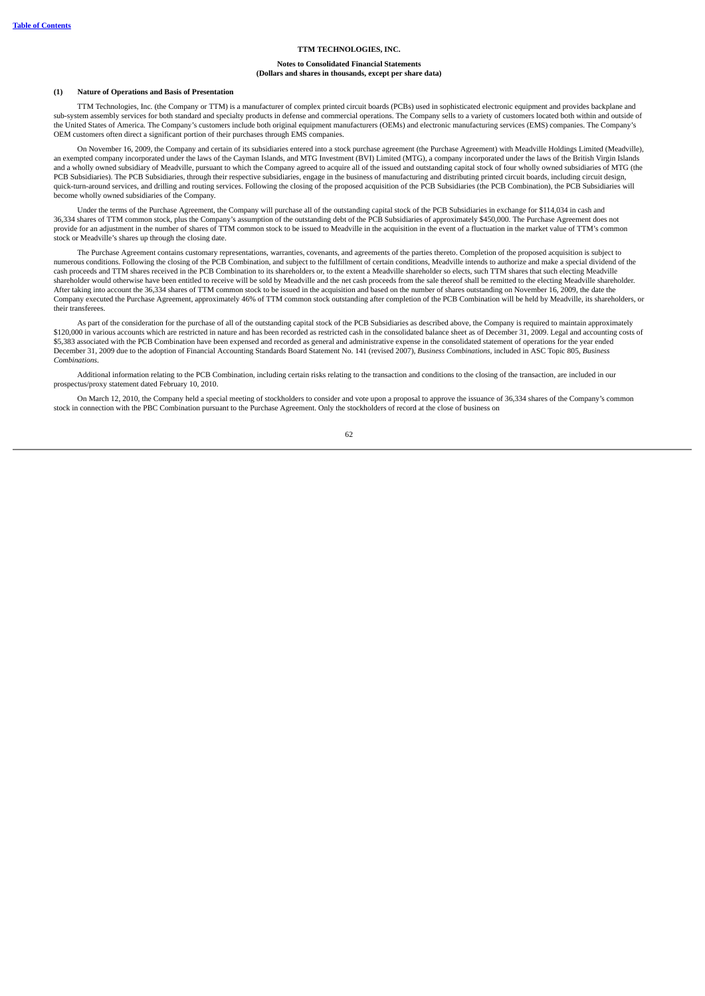### <span id="page-64-0"></span>**Notes to Consolidated Financial Statements (Dollars and shares in thousands, except per share data)**

### **(1) Nature of Operations and Basis of Presentation**

TTM Technologies, Inc. (the Company or TTM) is a manufacturer of complex printed circuit boards (PCBs) used in sophisticated electronic equipment and provides backplane and sub-system assembly services for both standard and specialty products in defense and commercial operations. The Company sells to a variety of customers located both within and outside of the United States of America. The Company's customers include both original equipment manufacturers (OEMs) and electronic manufacturing services (EMS) companies. The Company's OEM customers often direct a significant portion of their purchases through EMS companies.

On November 16, 2009, the Company and certain of its subsidiaries entered into a stock purchase agreement (the Purchase Agreement) with Meadville Holdings Limited (Meadville), an exempted company incorporated under the laws of the Cayman Islands, and MTG Investment (BVI) Limited (MTG), a company incorporated under the laws of the British Virgin Islands and a wholly owned subsidiary of Meadville, pursuant to which the Company agreed to acquire all of the issued and outstanding capital stock of four wholly owned subsidiaries of MTG (the PCB Subsidiaries). The PCB Subsidiaries, through their respective subsidiaries, engage in the business of manufacturing and distributing printed circuit boards, including circuit design, quick-turn-around services, and drilling and routing services. Following the closing of the proposed acquisition of the PCB Subsidiaries (the PCB Combination), the PCB Subsidiaries will become wholly owned subsidiaries of the Company.

Under the terms of the Purchase Agreement, the Company will purchase all of the outstanding capital stock of the PCB Subsidiaries in exchange for \$114,034 in cash and 36,334 shares of TTM common stock, plus the Company's assumption of the outstanding debt of the PCB Subsidiaries of approximately \$450,000. The Purchase Agreement does not provide for an adjustment in the number of shares of TTM common stock to be issued to Meadville in the acquisition in the event of a fluctuation in the market value of TTM's common stock or Meadville's shares up through the closing date.

The Purchase Agreement contains customary representations, warranties, covenants, and agreements of the parties thereto. Completion of the proposed acquisition is subject to numerous conditions. Following the closing of the PCB Combination, and subject to the fulfillment of certain conditions, Meadville intends to authorize and make a special dividend of the cash proceeds and TTM shares received in the PCB Combination to its shareholders or, to the extent a Meadville shareholder so elects, such TTM shares that such electing Meadville shareholder would otherwise have been entitled to receive will be sold by Meadville and the net cash proceeds from the sale thereof shall be remitted to the electing Meadville shareholder. After taking into account the 36,334 shares of TTM common stock to be issued in the acquisition and based on the number of shares outstanding on November 16, 2009, the date the Company executed the Purchase Agreement, approximately 46% of TTM common stock outstanding after completion of the PCB Combination will be held by Meadville, its shareholders, or their transferees.

As part of the consideration for the purchase of all of the outstanding capital stock of the PCB Subsidiaries as described above, the Company is required to maintain approximately \$120,000 in various accounts which are restricted in nature and has been recorded as restricted cash in the consolidated balance sheet as of December 31, 2009. Legal and accounting costs of \$5,383 associated with the PCB Combination have been expensed and recorded as general and administrative expense in the consolidated statement of operations for the year ended December 31, 2009 due to the adoption of Financial Accounting Standards Board Statement No. 141 (revised 2007), *Business Combinations,* included in ASC Topic 805, *Business Combinations.*

Additional information relating to the PCB Combination, including certain risks relating to the transaction and conditions to the closing of the transaction, are included in our prospectus/proxy statement dated February 10, 2010.

On March 12, 2010, the Company held a special meeting of stockholders to consider and vote upon a proposal to approve the issuance of 36,334 shares of the Company's common stock in connection with the PBC Combination pursuant to the Purchase Agreement. Only the stockholders of record at the close of business on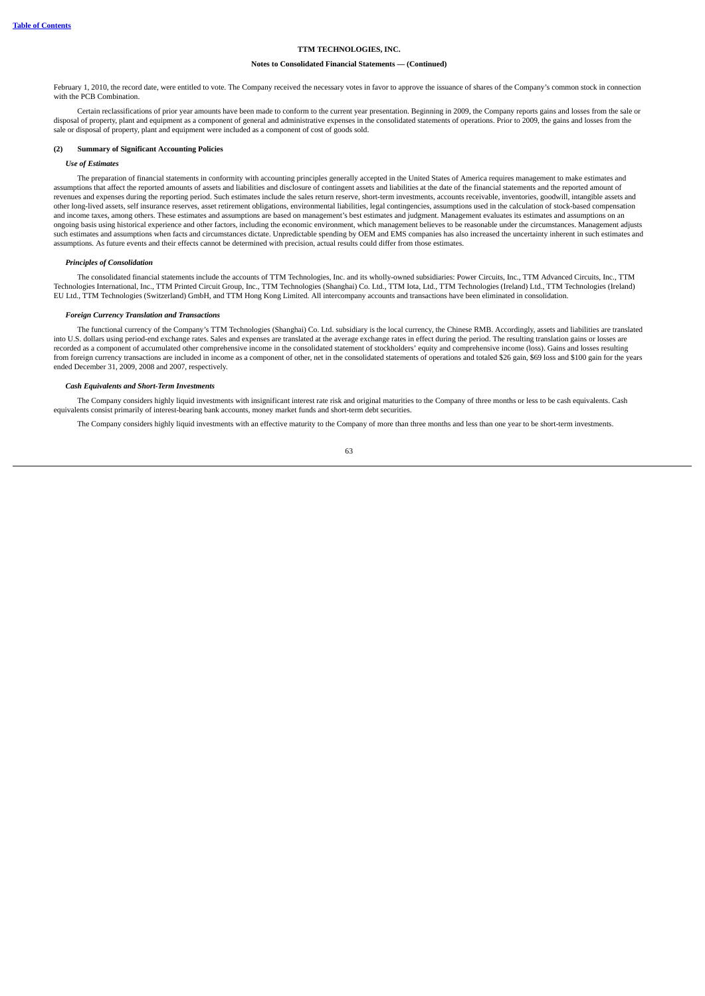### **Notes to Consolidated Financial Statements — (Continued)**

February 1, 2010, the record date, were entitled to vote. The Company received the necessary votes in favor to approve the issuance of shares of the Company's common stock in connection with the PCB Combination.

Certain reclassifications of prior year amounts have been made to conform to the current year presentation. Beginning in 2009, the Company reports gains and losses from the sale or disposal of property, plant and equipment as a component of general and administrative expenses in the consolidated statements of operations. Prior to 2009, the gains and losses from the sale or disposal of property, plant and equipment were included as a component of cost of goods sold.

### **(2) Summary of Significant Accounting Policies**

### *Use of Estimates*

The preparation of financial statements in conformity with accounting principles generally accepted in the United States of America requires management to make estimates and assumptions that affect the reported amounts of assets and liabilities and disclosure of contingent assets and liabilities at the date of the financial statements and the reported amount of revenues and expenses during the reporting period. Such estimates include the sales return reserve, short-term investments, accounts receivable, inventories, goodwill, intangible assets and other long-lived assets, self insurance reserves, asset retirement obligations, environmental liabilities, legal contingencies, assumptions used in the calculation of stock-based compensation and income taxes, among others. These estimates and assumptions are based on management's best estimates and judgment. Management evaluates its estimates and assumptions on an ongoing basis using historical experience and other factors, including the economic environment, which management believes to be reasonable under the circumstances. Management adjusts such estimates and assumptions when facts and circumstances dictate. Unpredictable spending by OEM and EMS companies has also increased the uncertainty inherent in such estimates and<br>assumptions. As future events and their

### *Principles of Consolidation*

The consolidated financial statements include the accounts of TTM Technologies, Inc. and its wholly-owned subsidiaries: Power Circuits, Inc., TTM Advanced Circuits, Inc., TTM Technologies International, Inc., TTM Printed Circuit Group, Inc., TTM Technologies (Shanghai) Co. Ltd., TTM Iota, Ltd., TTM Technologies (Ireland) Ltd., TTM Technologies (Ireland)<br>EU Ltd., TTM Technologies (Switzerland) G

### *Foreign Currency Translation and Transactions*

The functional currency of the Company's TTM Technologies (Shanghai) Co. Ltd. subsidiary is the local currency, the Chinese RMB. Accordingly, assets and liabilities are translated into U.S. dollars using period-end exchange rates. Sales and expenses are translated at the average exchange rates in effect during the period. The resulting translation gains or losses are recorded as a component of accumulated other comprehensive income in the consolidated statement of stockholders' equity and comprehensive income (loss). Gains and losses resulting from foreign currency transactions are included in income as a component of other, net in the consolidated statements of operations and totaled \$26 gain, \$69 loss and \$100 gain for the years ended December 31, 2009, 2008 and 2007, respectively.

# *Cash Equivalents and Short-Term Investments*

The Company considers highly liquid investments with insignificant interest rate risk and original maturities to the Company of three months or less to be cash equivalents. Cash equivalents consist primarily of interest-bearing bank accounts, money market funds and short-term debt securities.

The Company considers highly liquid investments with an effective maturity to the Company of more than three months and less than one year to be short-term investments.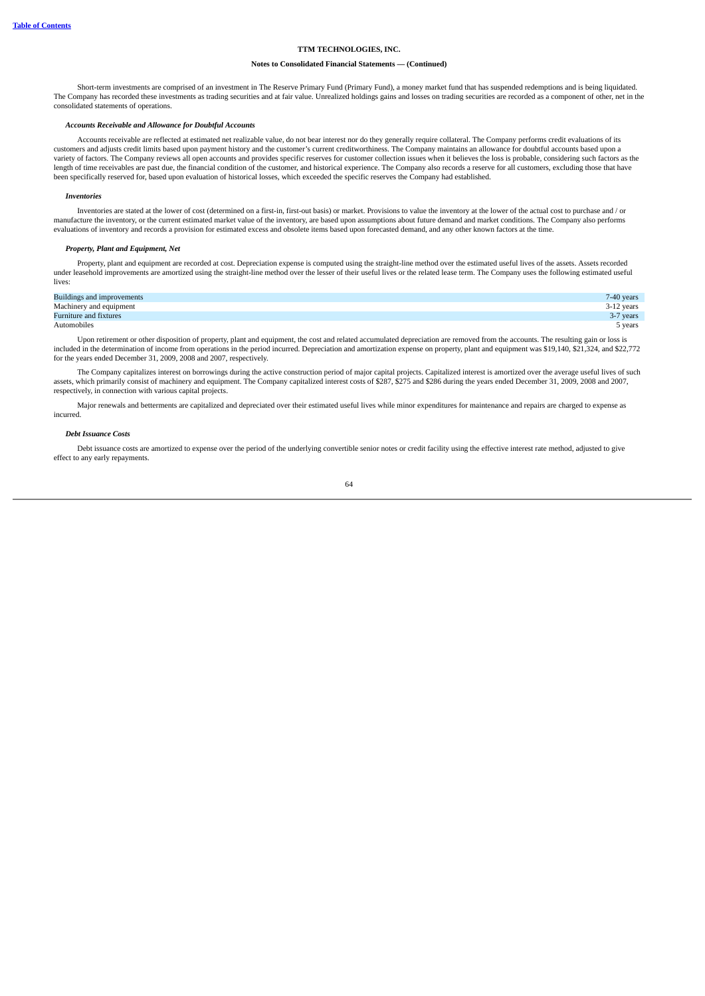# **Notes to Consolidated Financial Statements — (Continued)**

Short-term investments are comprised of an investment in The Reserve Primary Fund (Primary Fund), a money market fund that has suspended redemptions and is being liquidated.<br>The Company has recorded these investments as tr consolidated statements of operations.

### *Accounts Receivable and Allowance for Doubtful Accounts*

Accounts receivable are reflected at estimated net realizable value, do not bear interest nor do they generally require collateral. The Company performs credit evaluations of its customers and adjusts credit limits based upon payment history and the customer's current creditworthiness. The Company maintains an allowance for doubtful accounts based upon a variety of factors. The Company reviews all open accounts and provides specific reserves for customer collection issues when it believes the loss is probable, considering such factors as the length of time receivables are past due, the financial condition of the customer, and historical experience. The Company also records a reserve for all customers, excluding those that have been specifically reserved for, based upon evaluation of historical losses, which exceeded the specific reserves the Company had established.

#### *Inventories*

Inventories are stated at the lower of cost (determined on a first-in, first-out basis) or market. Provisions to value the inventory at the lower of the actual cost to purchase and / or manufacture the inventory, or the current estimated market value of the inventory, are based upon assumptions about future demand and market conditions. The Company also performs evaluations of inventory and records a provision for estimated excess and obsolete items based upon forecasted demand, and any other known factors at the time.

### *Property, Plant and Equipment, Net*

Property, plant and equipment are recorded at cost. Depreciation expense is computed using the straight-line method over the estimated useful lives of the assets. Assets recorded under leasehold improvements are amortized using the straight-line method over the lesser of their useful lives or the related lease term. The Company uses the following estimated useful lives:

| Buildings and improvements | 7-40 years |
|----------------------------|------------|
| Machinery and equipment    | 3-12 years |
| Furniture and fixtures     | 3-7 years  |
| Automobiles                | 5 years    |

Upon retirement or other disposition of property, plant and equipment, the cost and related accumulated depreciation are removed from the accounts. The resulting gain or loss is included in the determination of income from operations in the period incurred. Depreciation and amortization expense on property, plant and equipment was \$19,140, \$21,324, and \$22,772 for the years ended December 31, 2009, 2008 and 2007, respectively.

The Company capitalizes interest on borrowings during the active construction period of major capital projects. Capitalized interest is amortized over the average useful lives of such assets, which primarily consist of machinery and equipment. The Company capitalized interest costs of \$287, \$275 and \$286 during the years ended December 31, 2009, 2008 and 2007, respectively, in connection with various capital projects.

Major renewals and betterments are capitalized and depreciated over their estimated useful lives while minor expenditures for maintenance and repairs are charged to expense as incurred.

#### *Debt Issuance Costs*

Debt issuance costs are amortized to expense over the period of the underlying convertible senior notes or credit facility using the effective interest rate method, adjusted to give effect to any early repayments.

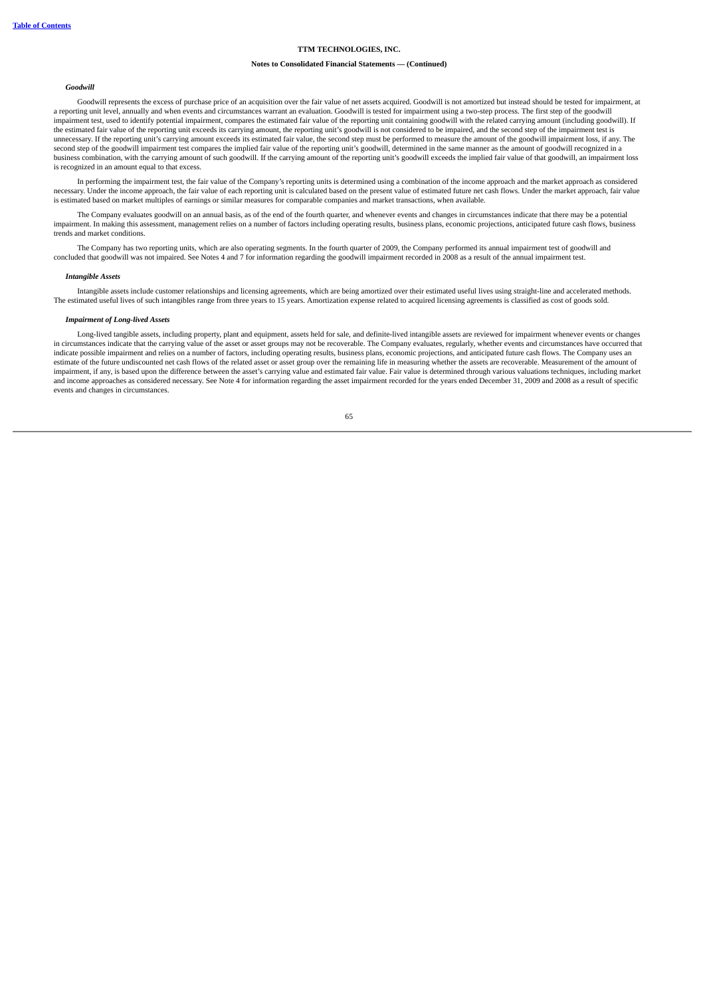### **Notes to Consolidated Financial Statements — (Continued)**

#### *Goodwill*

Goodwill represents the excess of purchase price of an acquisition over the fair value of net assets acquired. Goodwill is not amortized but instead should be tested for impairment, at a reporting unit level, annually and when events and circumstances warrant an evaluation. Goodwill is tested for impairment using a two-step process. The first step of the goodwill impairment test, used to identify potential impairment, compares the estimated fair value of the reporting unit containing goodwill with the related carrying amount (including goodwill). If the estimated fair value of the reporting unit exceeds its carrying amount, the reporting unit's goodwill is not considered to be impaired, and the second step of the impairment test is unnecessary. If the reporting unit's carrying amount exceeds its estimated fair value, the second step must be performed to measure the amount of the goodwill impairment loss, if any. The second step of the goodwill impairment test compares the implied fair value of the reporting unit's goodwill, determined in the same manner as the amount of goodwill recognized in a business combination, with the carrying amount of such goodwill. If the carrying amount of the reporting unit's goodwill exceeds the implied fair value of that goodwill, an impairment loss is recognized in an amount equal to that excess.

In performing the impairment test, the fair value of the Company's reporting units is determined using a combination of the income approach and the market approach as considered necessary. Under the income approach, the fair value of each reporting unit is calculated based on the present value of estimated future net cash flows. Under the market approach, fair value is estimated based on market multiples of earnings or similar measures for comparable companies and market transactions, when available.

The Company evaluates goodwill on an annual basis, as of the end of the fourth quarter, and whenever events and changes in circumstances indicate that there may be a potential impairment. In making this assessment, management relies on a number of factors including operating results, business plans, economic projections, anticipated future cash flows, business trends and market conditions.

The Company has two reporting units, which are also operating segments. In the fourth quarter of 2009, the Company performed its annual impairment test of goodwill and<br>Concluded that goodwill was not impaired. See Notes 4

### *Intangible Assets*

Intangible assets include customer relationships and licensing agreements, which are being amortized over their estimated useful lives using straight-line and accelerated methods. The estimated useful lives of such intangibles range from three years to 15 years. Amortization expense related to acquired licensing agreements is classified as cost of goods sold.

#### *Impairment of Long-lived Assets*

Long-lived tangible assets, including property, plant and equipment, assets held for sale, and definite-lived intangible assets are reviewed for impairment whenever events or changes in circumstances indicate that the carrying value of the asset or asset groups may not be recoverable. The Company evaluates, regularly, whether events and circumstances have occurred that indicate possible impairment and relies on a number of factors, including operating results, business plans, economic projections, and anticipated future cash flows. The Company uses an estimate of the future undiscounted net cash flows of the related asset or asset group over the remaining life in measuring whether the assets are recoverable. Measurement of the amount of impairment, if any, is based upon the difference between the asset's carrying value and estimated fair value. Fair value is determined through various valuations techniques, including market and income approaches as considered necessary. See Note 4 for information regarding the asset impairment recorded for the years ended December 31, 2009 and 2008 as a result of specific events and changes in circumstances.

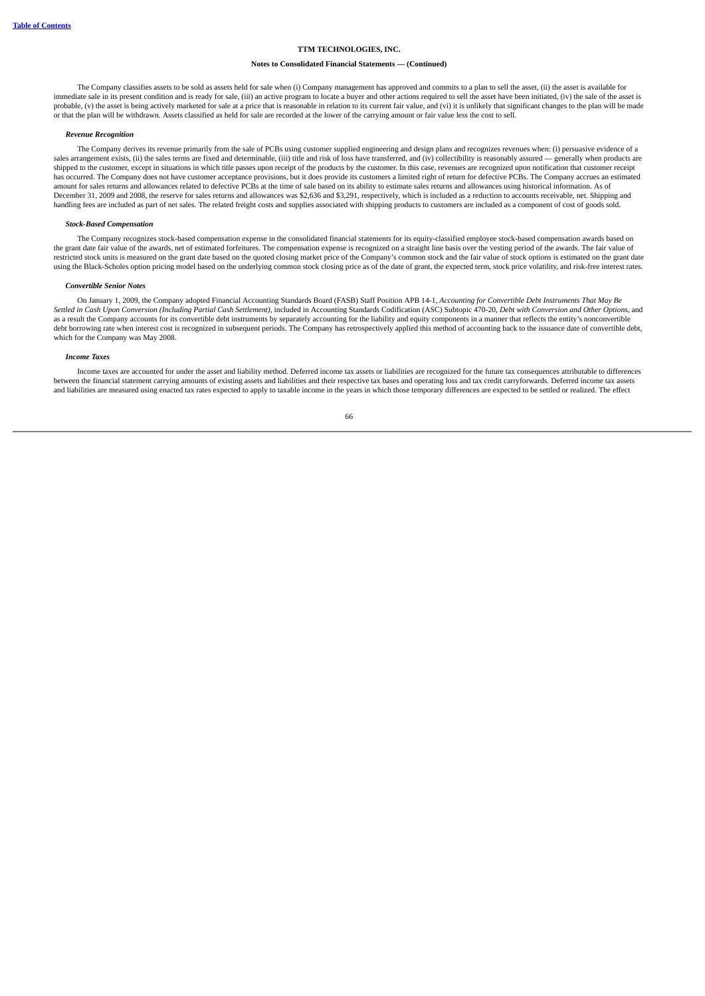# **Notes to Consolidated Financial Statements — (Continued)**

The Company classifies assets to be sold as assets held for sale when (i) Company management has approved and commits to a plan to sell the asset, (ii) the asset is available for immediate sale in its present condition and is ready for sale, (iii) an active program to locate a buyer and other actions required to sell the asset have been initiated, (iv) the sale of the asset is probable, (v) the asset is being actively marketed for sale at a price that is reasonable in relation to its current fair value, and (vi) it is unlikely that significant changes to the plan will be made or that the plan will be withdrawn. Assets classified as held for sale are recorded at the lower of the carrying amount or fair value less the cost to sell.

### *Revenue Recognition*

The Company derives its revenue primarily from the sale of PCBs using customer supplied engineering and design plans and recognizes revenues when: (i) persuasive evidence of a sales arrangement exists, (ii) the sales terms are fixed and determinable, (iii) title and risk of loss have transferred, and (iv) collectibility is reasonably assured — generally when products are shipped to the customer, except in situations in which title passes upon receipt of the products by the customer. In this case, revenues are recognized upon notification that customer receipt has occurred. The Company does not have customer acceptance provisions, but it does provide its customers a limited right of return for defective PCBs. The Company accrues an estimated amount for sales returns and allowances related to defective PCBs at the time of sale based on its ability to estimate sales returns and allowances using historical information. As of December 31, 2009 and 2008, the reserve for sales returns and allowances was \$2,636 and \$3,291, respectively, which is included as a reduction to accounts receivable, net. Shipping and handling fees are included as part of net sales. The related freight costs and supplies associated with shipping products to customers are included as a component of cost of goods sold.

### *Stock-Based Compensation*

The Company recognizes stock-based compensation expense in the consolidated financial statements for its equity-classified employee stock-based compensation awards based on the grant date fair value of the awards, net of estimated forfeitures. The compensation expense is recognized on a straight line basis over the vesting period of the awards. The fair value of restricted stock units is measured on the grant date based on the quoted closing market price of the Company's common stock and the fair value of stock options is estimated on the grant date using the Black-Scholes option pricing model based on the underlying common stock closing price as of the date of grant, the expected term, stock price volatility, and risk-free interest rates.

#### *Convertible Senior Notes*

On January 1, 2009, the Company adopted Financial Accounting Standards Board (FASB) Staff Position APB 14-1, Accounting for Convertible Debt Instruments That May Be<br>Settled in Cash Upon Conversion (Including Partial Cash S as a result the Company accounts for its convertible debt instruments by separately accounting for the liability and equity components in a manner that reflects the entity's nonconvertible debt borrowing rate when interest cost is recognized in subsequent periods. The Company has retrospectively applied this method of accounting back to the issuance date of convertible debt, which for the Company was May 2008.

### *Income Taxes*

Income taxes are accounted for under the asset and liability method. Deferred income tax assets or liabilities are recognized for the future tax consequences attributable to differences between the financial statement carrying amounts of existing assets and liabilities and their respective tax bases and operating loss and tax credit carryforwards. Deferred income tax assets and liabilities are measured using enacted tax rates expected to apply to taxable income in the years in which those temporary differences are expected to be settled or realized. The effect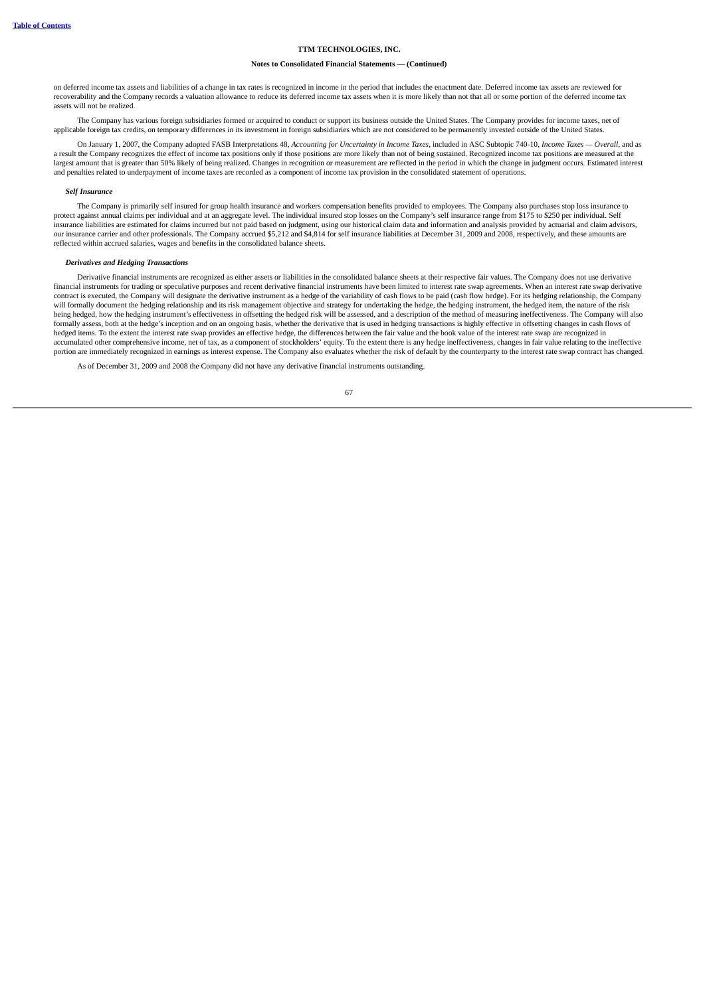### **Notes to Consolidated Financial Statements — (Continued)**

on deferred income tax assets and liabilities of a change in tax rates is recognized in income in the period that includes the enactment date. Deferred income tax assets are reviewed for<br>recoverability and the Company reco assets will not be realized.

The Company has various foreign subsidiaries formed or acquired to conduct or support its business outside the United States. The Company provides for income taxes, net of applicable foreign tax credits, on temporary differences in its investment in foreign subsidiaries which are not considered to be permanently invested outside of the United States.

On January 1, 2007, the Company adopted FASB Interpretations 48, Accounting for Uncertainty in Income Taxes, included in ASC Subtopic 740-10, Income Taxes - Overall, and as a result the Company recognizes the effect of income tax positions only if those positions are more likely than not of being sustained. Recognized income tax positions are measured at the largest amount that is greater than 50% likely of being realized. Changes in recognition or measurement are reflected in the period in which the change in judgment occurs. Estimated interest and penalties related to underpayment of income taxes are recorded as a component of income tax provision in the consolidated statement of operations.

#### *Self Insurance*

The Company is primarily self insured for group health insurance and workers compensation benefits provided to employees. The Company also purchases stop loss insurance to protect against annual claims per individual and at an aggregate level. The individual insured stop losses on the Company's self insurance range from \$175 to \$250 per individual. Self insurance liabilities are estimated for claims incurred but not paid based on judgment, using our historical claim data and information and analysis provided by actuarial and claim advisors, our insurance carrier and other professionals. The Company accrued \$5,212 and \$4,814 for self insurance liabilities at December 31, 2009 and 2008, respectively, and these amounts are reflected within accrued salaries, wages and benefits in the consolidated balance sheets.

# *Derivatives and Hedging Transactions*

Derivative financial instruments are recognized as either assets or liabilities in the consolidated balance sheets at their respective fair values. The Company does not use derivative financial instruments for trading or speculative purposes and recent derivative financial instruments have been limited to interest rate swap agreements. When an interest rate swap derivative contract is executed, the Company will designate the derivative instrument as a hedge of the variability of cash flows to be paid (cash flow hedge). For its hedging relationship, the Company will formally document the hedging relationship and its risk management objective and strategy for undertaking the hedge, the hedging instrument, the hedged item, the nature of the risk being hedged, how the hedging instrument's effectiveness in offsetting the hedged risk will be assessed, and a description of the method of measuring ineffectiveness. The Company will also formally assess, both at the hedge's inception and on an ongoing basis, whether the derivative that is used in hedging transactions is highly effective in offsetting changes in cash flows of hedged items. To the extent the interest rate swap provides an effective hedge, the differences between the fair value and the book value of the interest rate swap are recognized in accumulated other comprehensive income, net of tax, as a component of stockholders' equity. To the extent there is any hedge ineffectiveness, changes in fair value relating to the ineffective portion are immediately recognized in earnings as interest expense. The Company also evaluates whether the risk of default by the counterparty to the interest rate swap contract has changed.

As of December 31, 2009 and 2008 the Company did not have any derivative financial instruments outstanding.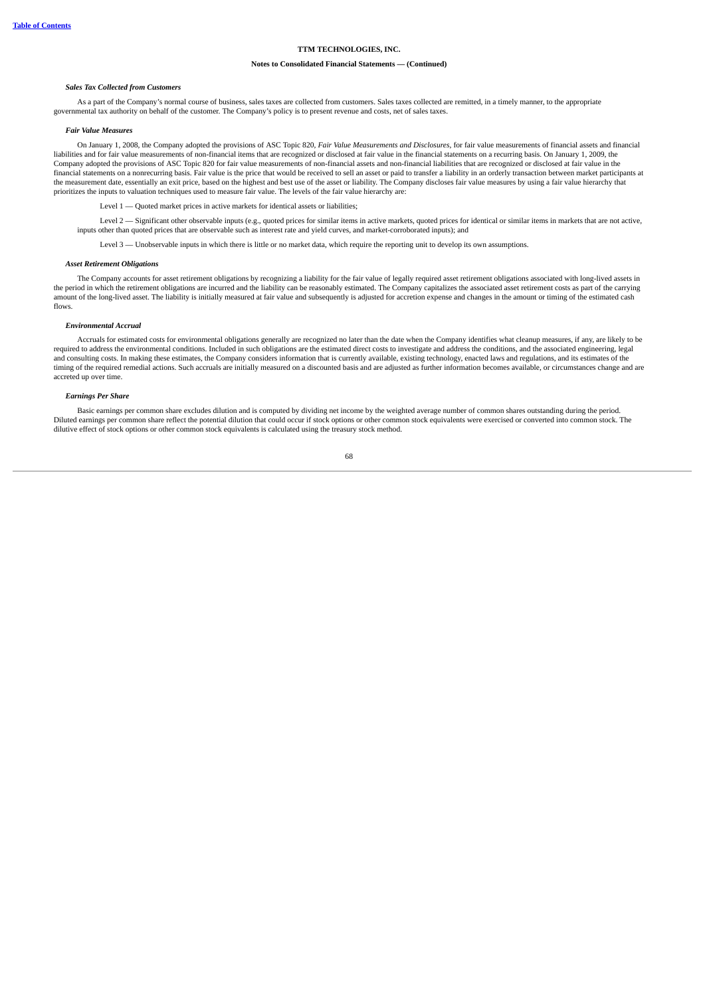### **Notes to Consolidated Financial Statements — (Continued)**

### *Sales Tax Collected from Customers*

As a part of the Company's normal course of business, sales taxes are collected from customers. Sales taxes collected are remitted, in a timely manner, to the appropriate governmental tax authority on behalf of the customer. The Company's policy is to present revenue and costs, net of sales taxes.

#### *Fair Value Measures*

On January 1, 2008, the Company adopted the provisions of ASC Topic 820, *Fair Value Measurements and Disclosures*, for fair value measurements of financial assets and financial liabilities and for fair value measurements of non-financial items that are recognized or disclosed at fair value in the financial statements on a recurring basis. On January 1, 2009, the Company adopted the provisions of ASC Topic 820 for fair value measurements of non-financial assets and non-financial liabilities that are recognized or disclosed at fair value in the financial statements on a nonrecurring basis. Fair value is the price that would be received to sell an asset or paid to transfer a liability in an orderly transaction between market participants at the measurement date, essentially an exit price, based on the highest and best use of the asset or liability. The Company discloses fair value measures by using a fair value hierarchy that prioritizes the inputs to valuation techniques used to measure fair value. The levels of the fair value hierarchy are:

- Quoted market prices in active markets for identical assets or liabilities:

Level 2 — Significant other observable inputs (e.g., quoted prices for similar items in active markets, quoted prices for identical or similar items in markets that are not active, inputs other than quoted prices that are

Level 3 — Unobservable inputs in which there is little or no market data, which require the reporting unit to develop its own assumptions.

### *Asset Retirement Obligations*

The Company accounts for asset retirement obligations by recognizing a liability for the fair value of legally required asset retirement obligations associated with long-lived assets in the period in which the retirement obligations are incurred and the liability can be reasonably estimated. The Company capitalizes the associated asset retirement costs as part of the carrying amount of the long-lived asset. The liability is initially measured at fair value and subsequently is adjusted for accretion expense and changes in the amount or timing of the estimated cash flows.

### *Environmental Accrual*

Accruals for estimated costs for environmental obligations generally are recognized no later than the date when the Company identifies what cleanup measures, if any, are likely to be required to address the environmental conditions. Included in such obligations are the estimated direct costs to investigate and address the conditions, and the associated engineering, legal and consulting costs. In making these estimates, the Company considers information that is currently available, existing technology, enacted laws and regulations, and its estimates of the timing of the required remedial actions. Such accruals are initially measured on a discounted basis and are adjusted as further information becomes available, or circumstances change and are accreted up over time.

### *Earnings Per Share*

Basic earnings per common share excludes dilution and is computed by dividing net income by the weighted average number of common shares outstanding during the period. Diluted earnings per common share reflect the potential dilution that could occur if stock options or other common stock equivalents were exercised or converted into common stock. The dilutive effect of stock options or other common stock equivalents is calculated using the treasury stock method.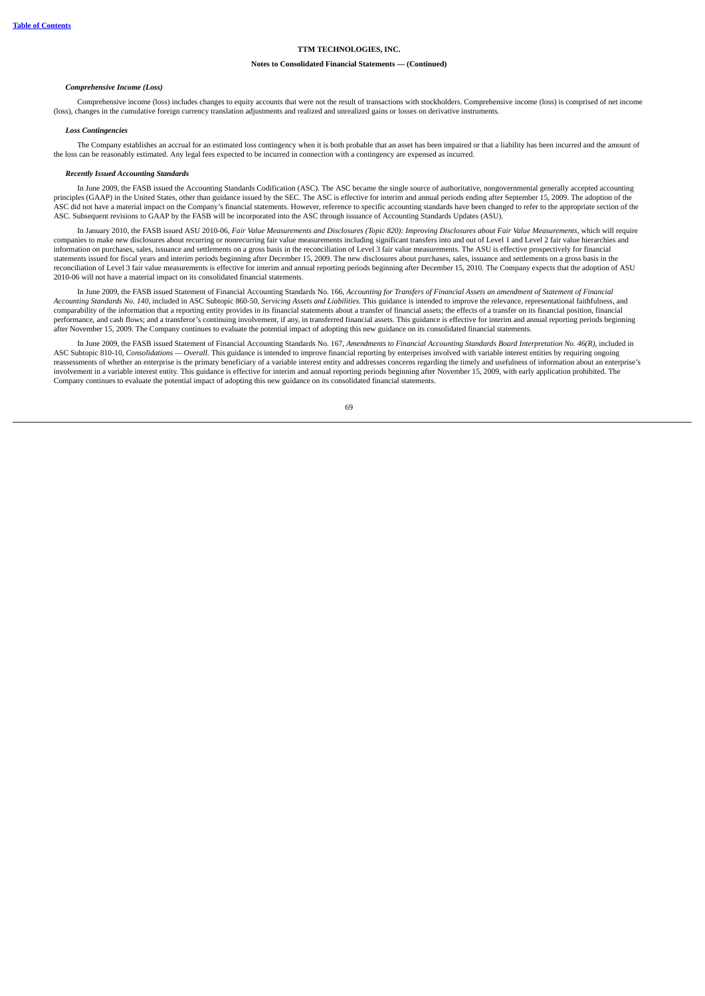### **Notes to Consolidated Financial Statements — (Continued)**

#### *Comprehensive Income (Loss)*

Comprehensive income (loss) includes changes to equity accounts that were not the result of transactions with stockholders. Comprehensive income (loss) is comprised of net income (loss), changes in the cumulative foreign currency translation adjustments and realized and unrealized gains or losses on derivative instruments.

#### *Loss Contingencies*

The Company establishes an accrual for an estimated loss contingency when it is both probable that an asset has been impaired or that a liability has been incurred and the amount of the loss can be reasonably estimated. Any legal fees expected to be incurred in connection with a contingency are expensed as incurred.

#### *Recently Issued Accounting Standards*

In June 2009, the FASB issued the Accounting Standards Codification (ASC). The ASC became the single source of authoritative, nongovernmental generally accepted accounting principles (GAAP) in the United States, other than guidance issued by the SEC. The ASC is effective for interim and annual periods ending after September 15, 2009. The adoption of the ASC did not have a material impact on the Company's financial statements. However, reference to specific accounting standards have been changed to refer to the appropriate section of the ASC. Subsequent revisions to GAAP by the FASB will be incorporated into the ASC through issuance of Accounting Standards Updates (ASU).

In January 2010, the FASB issued ASU 2010-06, Fair Value Measurements and Disclosures (Topic 820): Improving Disclosures about Fair Value Measurements, which will require companies to make new disclosures about recurring or nonrecurring fair value measurements including significant transfers into and out of Level 1 and Level 2 fair value hierarchies and information on purchases, sales, issuance and settlements on a gross basis in the reconciliation of Level 3 fair value measurements. The ASU is effective prospectively for financial statements issued for fiscal years and interim periods beginning after December 15, 2009. The new disclosures about purchases, sales, issuance and settlements on a gross basis in the reconciliation of Level 3 fair value measurements is effective for interim and annual reporting periods beginning after December 15, 2010. The Company expects that the adoption of ASU 2010-06 will not have a material impact on its consolidated financial statements.

In June 2009, the FASB issued Statement of Financial Accounting Standards No. 166, Accounting for Transfers of Financial Assets an amendment of Statement of Financial Accounting Standards No. 140, included in ASC Subtopic 860-50, Servicing Assets and Liabilities. This guidance is intended to improve the relevance, representational faithfulness, and comparability of the information that a reporting entity provides in its financial statements about a transfer of financial assets; the effects of a transfer on its financial position, financial performance, and cash flows; and a transferor's continuing involvement, if any, in transferred financial assets. This guidance is effective for interim and annual reporting periods beginning after November 15, 2009. The Company continues to evaluate the potential impact of adopting this new guidance on its consolidated financial statements.

In June 2009, the FASB issued Statement of Financial Accounting Standards No. 167, Amendments to Financial Accounting Standards Board Interpretation No. 46(R), included in ASC Subtopic 810-10, *Consolidations — Overall.* This guidance is intended to improve financial reporting by enterprises involved with variable interest entities by requiring ongoing reassessments of whether an enterprise is the primary beneficiary of a variable interest entity and addresses concerns regarding the timely and usefulness of information about an enterprise's involvement in a variable interest entity. This guidance is effective for interim and annual reporting periods beginning after November 15, 2009, with early application prohibited. The Company continues to evaluate the potential impact of adopting this new guidance on its consolidated financial statements.

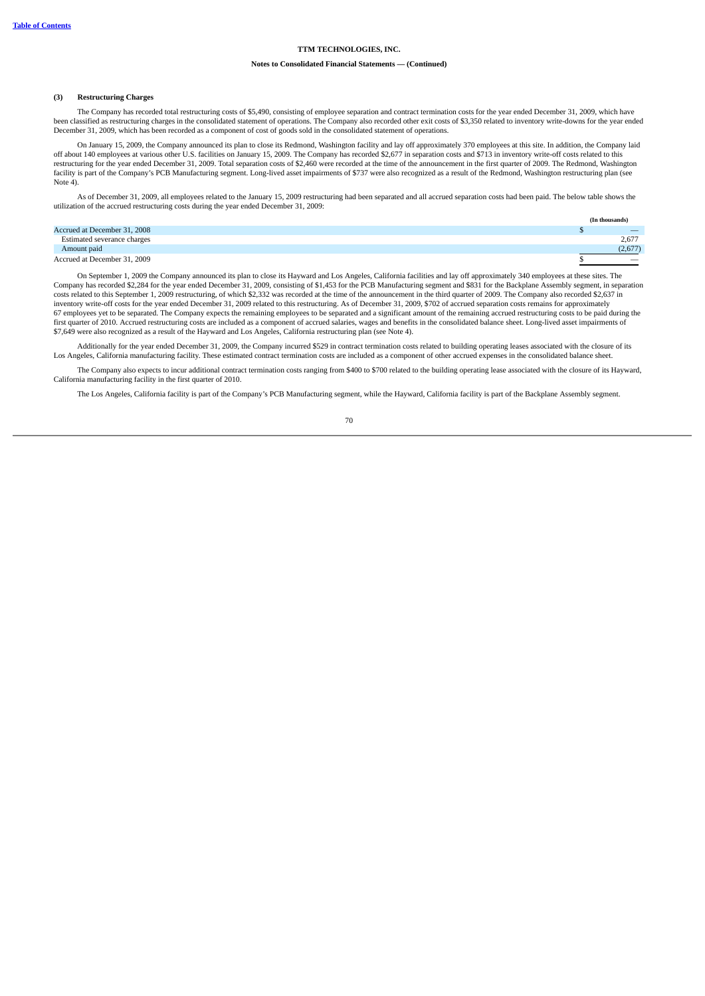#### **Notes to Consolidated Financial Statements — (Continued)**

#### **(3) Restructuring Charges**

The Company has recorded total restructuring costs of \$5,490, consisting of employee separation and contract termination costs for the year ended December 31, 2009, which have been classified as restructuring charges in the consolidated statement of operations. The Company also recorded other exit costs of \$3,350 related to inventory write-downs for the year ended December 31, 2009, which has been recorded as a component of cost of goods sold in the consolidated statement of operations.

On January 15, 2009, the Company announced its plan to close its Redmond, Washington facility and lay off approximately 370 employees at this site. In addition, the Company laid off about 140 employees at various other U.S. facilities on January 15, 2009. The Company has recorded \$2,677 in separation costs and \$713 in inventory write-off costs related to this restructuring for the year ended December 31, 2009. Total separation costs of \$2,460 were recorded at the time of the announcement in the first quarter of 2009. The Redmond, Washington facility is part of the Company's PCB Manufacturing segment. Long-lived asset impairments of \$737 were also recognized as a result of the Redmond, Washington restructuring plan (see Note 4).

As of December 31, 2009, all employees related to the January 15, 2009 restructuring had been separated and all accrued separation costs had been paid. The below table shows the utilization of the accrued restructuring costs during the year ended December 31, 2009:

|                              | (In thousands) |
|------------------------------|----------------|
| Accrued at December 31, 2008 |                |
| Estimated severance charges  | 2.677          |
| Amount paid                  | (2,677)        |
| Accrued at December 31, 2009 |                |

On September 1, 2009 the Company announced its plan to close its Hayward and Los Angeles, California facilities and lay off approximately 340 employees at these sites. The Company has recorded \$2,284 for the year ended December 31, 2009, consisting of \$1,453 for the PCB Manufacturing segment and \$831 for the Backplane Assembly segment, in separation costs related to this September 1, 2009 restructuring, of which \$2,332 was recorded at the time of the announcement in the third quarter of 2009. The Company also recorded \$2,637 in inventory write-off costs for the year ended December 31, 2009 related to this restructuring. As of December 31, 2009, \$702 of accrued separation costs remains for approximately 67 employees yet to be separated. The Company expects the remaining employees to be separated and a significant amount of the remaining accrued restructuring costs to be paid during the first quarter of 2010. Accrued restructuring costs are included as a component of accrued salaries, wages and benefits in the consolidated balance sheet. Long-lived asset impairments of \$7,649 were also recognized as a result of the Hayward and Los Angeles, California restructuring plan (see Note 4).

Additionally for the year ended December 31, 2009, the Company incurred \$529 in contract termination costs related to building operating leases associated with the closure of its Los Angeles, California manufacturing facility. These estimated contract termination costs are included as a component of other accrued expenses in the consolidated balance sheet.

The Company also expects to incur additional contract termination costs ranging from \$400 to \$700 related to the building operating lease associated with the closure of its Hayward, California manufacturing facility in the first quarter of 2010.

The Los Angeles, California facility is part of the Company's PCB Manufacturing segment, while the Hayward, California facility is part of the Backplane Assembly segment.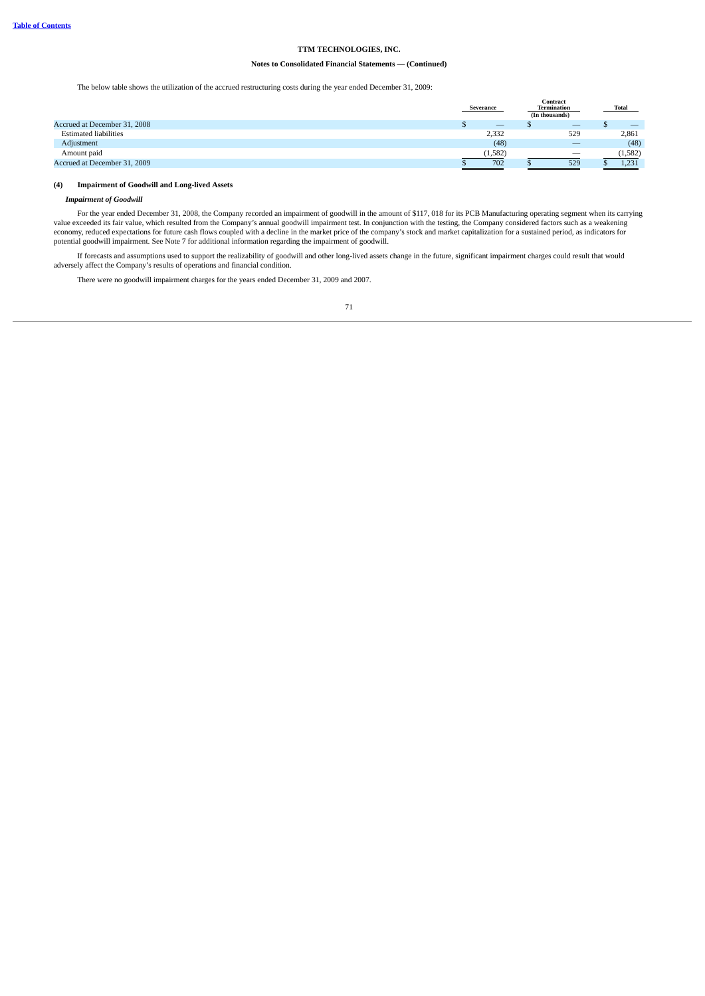## **Notes to Consolidated Financial Statements — (Continued)**

The below table shows the utilization of the accrued restructuring costs during the year ended December 31, 2009:

|                              |  | Severance | (In thousands) | Contract<br>Termination | Total    |
|------------------------------|--|-----------|----------------|-------------------------|----------|
| Accrued at December 31, 2008 |  |           |                |                         |          |
| Estimated liabilities        |  | 2,332     |                | 529                     | 2,861    |
| Adjustment                   |  | (48)      |                |                         | (48)     |
| Amount paid                  |  | (1, 582)  |                |                         | (1, 582) |
| Accrued at December 31, 2009 |  | 702       |                | 529                     | 1,231    |

## **(4) Impairment of Goodwill and Long-lived Assets**

# *Impairment of Goodwill*

For the year ended December 31, 2008, the Company recorded an impairment of goodwill in the amount of \$117, 018 for its PCB Manufacturing operating segment when its carrying value exceeded its fair value, which resulted fr

If forecasts and assumptions used to support the realizability of goodwill and other long-lived assets change in the future, significant impairment charges could result that would adversely affect the Company's results of operations and financial condition.

There were no goodwill impairment charges for the years ended December 31, 2009 and 2007.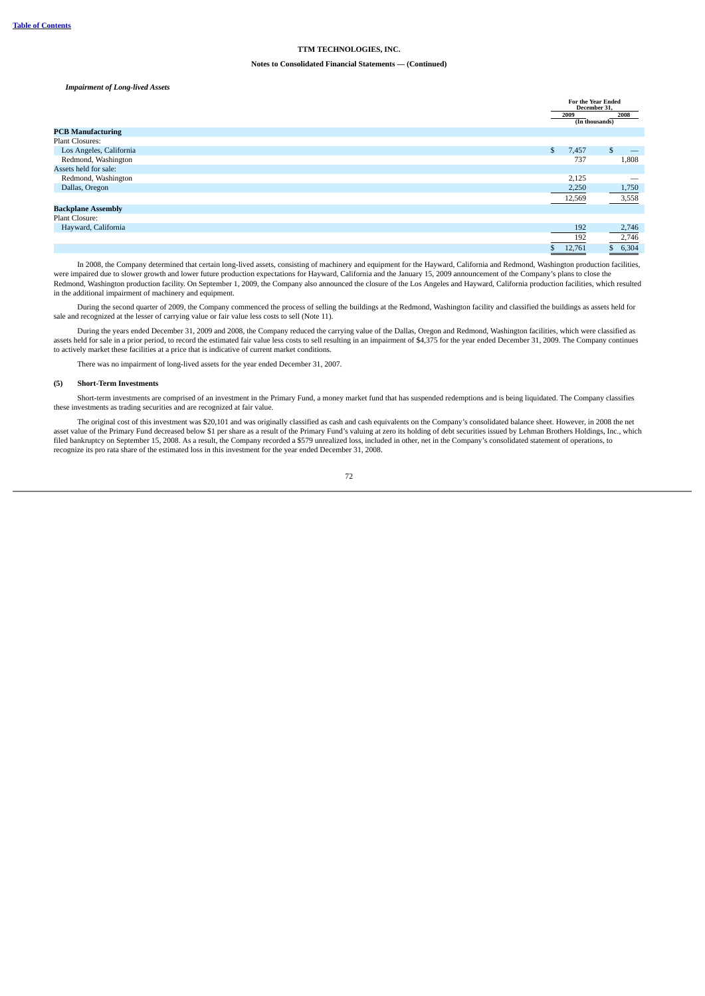## **Notes to Consolidated Financial Statements — (Continued)**

#### *Impairment of Long-lived Assets*

|                           |              | For the Year Ended<br>December 31, |                |       |  |
|---------------------------|--------------|------------------------------------|----------------|-------|--|
|                           |              | 2009                               | (In thousands) | 2008  |  |
| <b>PCB Manufacturing</b>  |              |                                    |                |       |  |
| <b>Plant Closures:</b>    |              |                                    |                |       |  |
| Los Angeles, California   | $\mathbb{S}$ | 7,457                              | $\mathbb{S}$   | —     |  |
| Redmond, Washington       |              | 737                                |                | 1,808 |  |
| Assets held for sale:     |              |                                    |                |       |  |
| Redmond, Washington       |              | 2,125                              |                |       |  |
| Dallas, Oregon            |              | 2,250                              |                | 1,750 |  |
|                           |              | 12,569                             |                | 3,558 |  |
| <b>Backplane Assembly</b> |              |                                    |                |       |  |
| Plant Closure:            |              |                                    |                |       |  |
| Hayward, California       |              | 192                                |                | 2,746 |  |
|                           |              | 192                                |                | 2,746 |  |
|                           |              | 12,761                             |                | 6,304 |  |

In 2008, the Company determined that certain long-lived assets, consisting of machinery and equipment for the Hayward, California and Redmond, Washington production facilities, were impaired due to slower growth and lower future production expectations for Hayward, California and the January 15, 2009 announcement of the Company's plans to close the Redmond, Washington production facility. On September 1, 2009, the Company also announced the closure of the Los Angeles and Hayward, California production facilities, which resulted in the additional impairment of machinery and equipment.

During the second quarter of 2009, the Company commenced the process of selling the buildings at the Redmond, Washington facility and classified the buildings as assets held for sale and recognized at the lesser of carrying value or fair value less costs to sell (Note 11).

During the years ended December 31, 2009 and 2008, the Company reduced the carrying value of the Dallas, Oregon and Redmond, Washington facilities, which were classified as assets held for sale in a prior period, to record the estimated fair value less costs to sell resulting in an impairment of \$4,375 for the year ended December 31, 2009. The Company continues<br>to actively market these facili

There was no impairment of long-lived assets for the year ended December 31, 2007.

## **(5) Short-Term Investments**

Short-term investments are comprised of an investment in the Primary Fund, a money market fund that has suspended redemptions and is being liquidated. The Company classifies these investments as trading securities and are recognized at fair value.

The original cost of this investment was \$20,101 and was originally classified as cash and cash equivalents on the Company's consolidated balance sheet. However, in 2008 the net asset value of the Primary Fund decreased below \$1 per share as a result of the Primary Fund's valuing at zero its holding of debt securities issued by Lehman Brothers Holdings, Inc., which filed bankruptcy on September 15, 2008. As a result, the Company recorded a \$579 unrealized loss, included in other, net in the Company's consolidated statement of operations, to recognize its pro rata share of the estimated loss in this investment for the year ended December 31, 2008.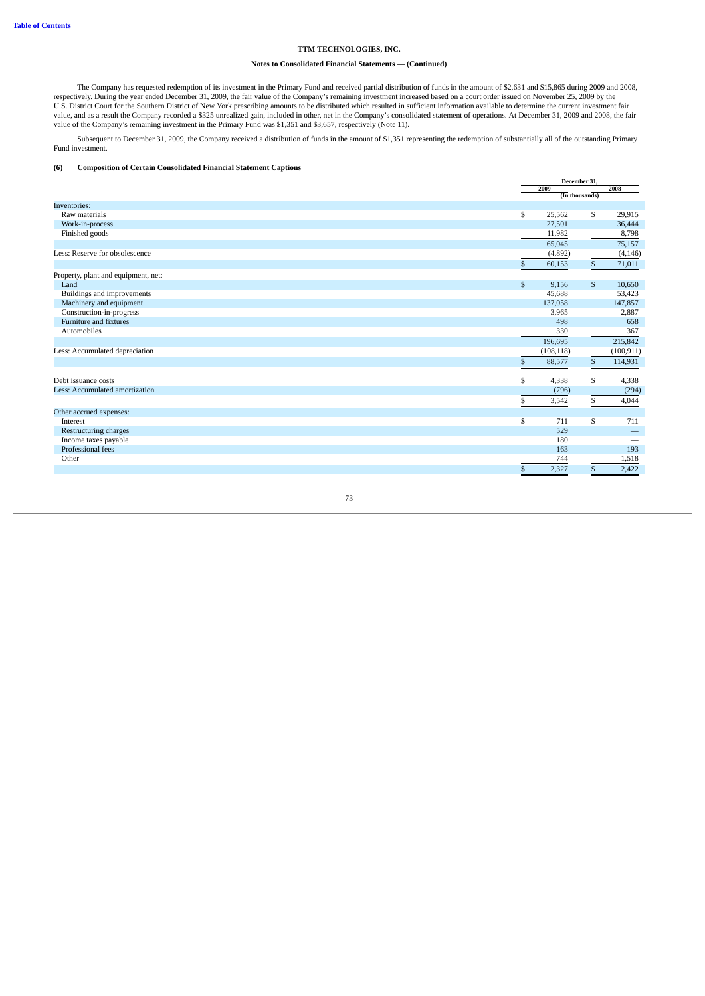## **Notes to Consolidated Financial Statements — (Continued)**

The Company has requested redemption of its investment in the Primary Fund and received partial distribution of funds in the amount of \$2,631 and \$15,865 during 2009 and 2008,<br>respectively. During the year ended December 3 U.S. District Court for the Southern District of New York prescribing amounts to be distributed which resulted in sufficient information available to determine the current investment fair value, and as a result the Company recorded a \$325 unrealized gain, included in other, net in the Company's consolidated statement of operations. At December 31, 2009 and 2008, the fair value of the Company's remaining investment in the Primary Fund was \$1,351 and \$3,657, respectively (Note 11).

Subsequent to December 31, 2009, the Company received a distribution of funds in the amount of \$1,351 representing the redemption of substantially all of the outstanding Primary Fund investment.

#### **(6) Composition of Certain Consolidated Financial Statement Captions**

|                                     |     | December 31,           |    |            |  |
|-------------------------------------|-----|------------------------|----|------------|--|
|                                     |     | 2009<br>(In thousands) |    | 2008       |  |
|                                     |     |                        |    |            |  |
| Inventories:                        |     |                        |    |            |  |
| Raw materials                       | \$  | 25,562                 | \$ | 29,915     |  |
| Work-in-process                     |     | 27,501                 |    | 36,444     |  |
| Finished goods                      |     | 11,982                 |    | 8,798      |  |
|                                     |     | 65,045                 |    | 75,157     |  |
| Less: Reserve for obsolescence      |     | (4,892)                |    | (4, 146)   |  |
|                                     | S.  | 60,153                 | \$ | 71,011     |  |
| Property, plant and equipment, net: |     |                        |    |            |  |
| Land                                | \$  | 9,156                  | \$ | 10,650     |  |
| Buildings and improvements          |     | 45,688                 |    | 53,423     |  |
| Machinery and equipment             |     | 137,058                |    | 147,857    |  |
| Construction-in-progress            |     | 3,965                  |    | 2,887      |  |
| Furniture and fixtures              |     | 498                    |    | 658        |  |
| Automobiles                         |     | 330                    |    | 367        |  |
|                                     |     | 196,695                |    | 215,842    |  |
| Less: Accumulated depreciation      |     | (108, 118)             |    | (100, 911) |  |
|                                     | \$  | 88,577                 | \$ | 114,931    |  |
|                                     |     |                        |    |            |  |
| Debt issuance costs                 | \$  | 4,338                  | \$ | 4,338      |  |
| Less: Accumulated amortization      |     | (796)                  |    | (294)      |  |
|                                     | \$. | 3,542                  | \$ | 4,044      |  |
| Other accrued expenses:             |     |                        |    |            |  |
| Interest                            | \$  | 711                    | \$ | 711        |  |
| Restructuring charges               |     | 529                    |    | —          |  |
| Income taxes payable                |     | 180                    |    |            |  |
| Professional fees                   |     | 163                    |    | 193        |  |
| Other                               |     | 744                    |    | 1,518      |  |
|                                     | \$  | 2,327                  | \$ |            |  |
|                                     |     |                        |    | 2,422      |  |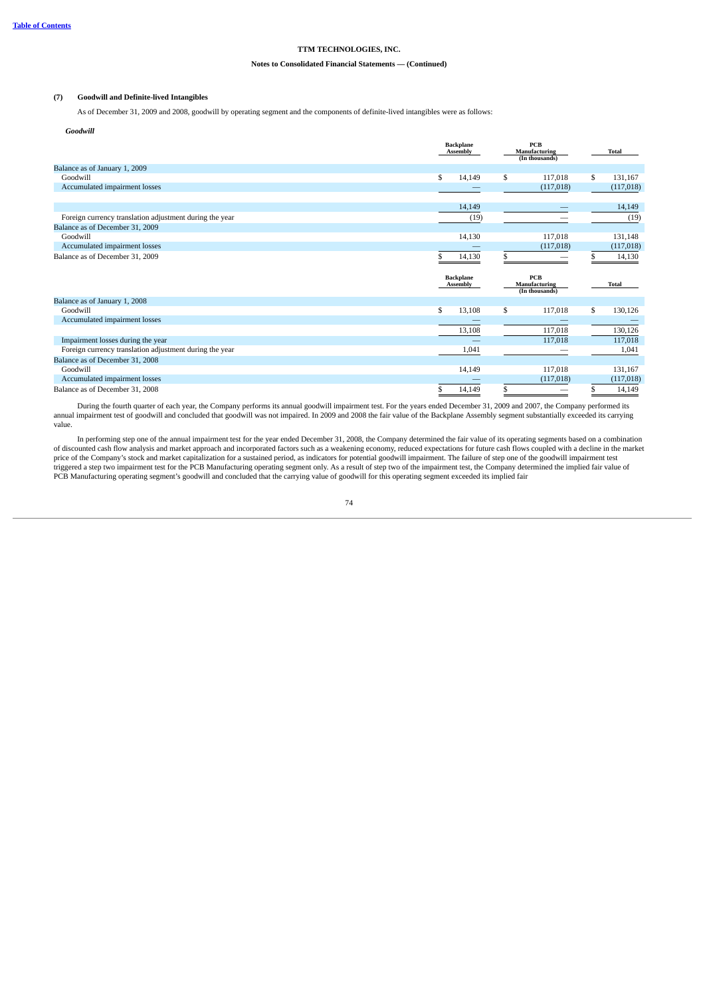## **Notes to Consolidated Financial Statements — (Continued)**

## **(7) Goodwill and Definite-lived Intangibles**

As of December 31, 2009 and 2008, goodwill by operating segment and the components of definite-lived intangibles were as follows:

| Goodwill |
|----------|
|          |

|                                                         | <b>Backplane</b><br><b>Assembly</b> |      | <b>PCB</b><br>Manufacturing<br>(In thousands) |    | <b>Total</b> |
|---------------------------------------------------------|-------------------------------------|------|-----------------------------------------------|----|--------------|
| Balance as of January 1, 2009                           |                                     |      |                                               |    |              |
| Goodwill                                                | \$<br>14,149                        | \$   | 117,018                                       | \$ | 131,167      |
| Accumulated impairment losses                           |                                     |      | (117,018)                                     |    | (117, 018)   |
|                                                         | 14,149                              |      |                                               |    | 14,149       |
| Foreign currency translation adjustment during the year |                                     | (19) |                                               |    | (19)         |
| Balance as of December 31, 2009                         |                                     |      |                                               |    |              |
| Goodwill                                                | 14,130                              |      | 117,018                                       |    | 131,148      |
| Accumulated impairment losses                           |                                     |      | (117,018)                                     |    | (117, 018)   |
| Balance as of December 31, 2009                         | 14,130                              |      |                                               | S  | 14,130       |
|                                                         |                                     |      |                                               |    |              |
|                                                         | <b>Backplane</b><br><b>Assembly</b> |      | PCB<br>Manufacturing<br>(In thousands)        |    | <b>Total</b> |
| Balance as of January 1, 2008                           |                                     |      |                                               |    |              |
| Goodwill                                                | 13,108<br>\$                        | \$   | 117,018                                       | \$ | 130,126      |
| Accumulated impairment losses                           |                                     |      |                                               |    |              |
|                                                         | 13,108                              |      | 117,018                                       |    | 130,126      |
| Impairment losses during the year                       |                                     |      | 117,018                                       |    | 117,018      |
| Foreign currency translation adjustment during the year | 1,041                               |      |                                               |    | 1,041        |
| Balance as of December 31, 2008                         |                                     |      |                                               |    |              |
| Goodwill                                                | 14,149                              |      | 117,018                                       |    | 131,167      |
| Accumulated impairment losses                           |                                     |      | (117,018)                                     |    | (117, 018)   |

During the fourth quarter of each year, the Company performs its annual goodwill impairment test. For the years ended December 31, 2009 and 2007, the Company performed its<br>annual impairment test of goodwill and concluded t value.

In performing step one of the annual impairment test for the year ended December 31, 2008, the Company determined the fair value of its operating segments based on a combination of discounted cash flow analysis and market approach and incorporated factors such as a weakening economy, reduced expectations for future cash flows coupled with a decline in the market<br>price of the Company's stock and ma triggered a step two impairment test for the PCB Manufacturing operating segment only. As a result of step two of the impairment test, the Company determined the implied fair value of<br>PCB Manufacturing operating segment's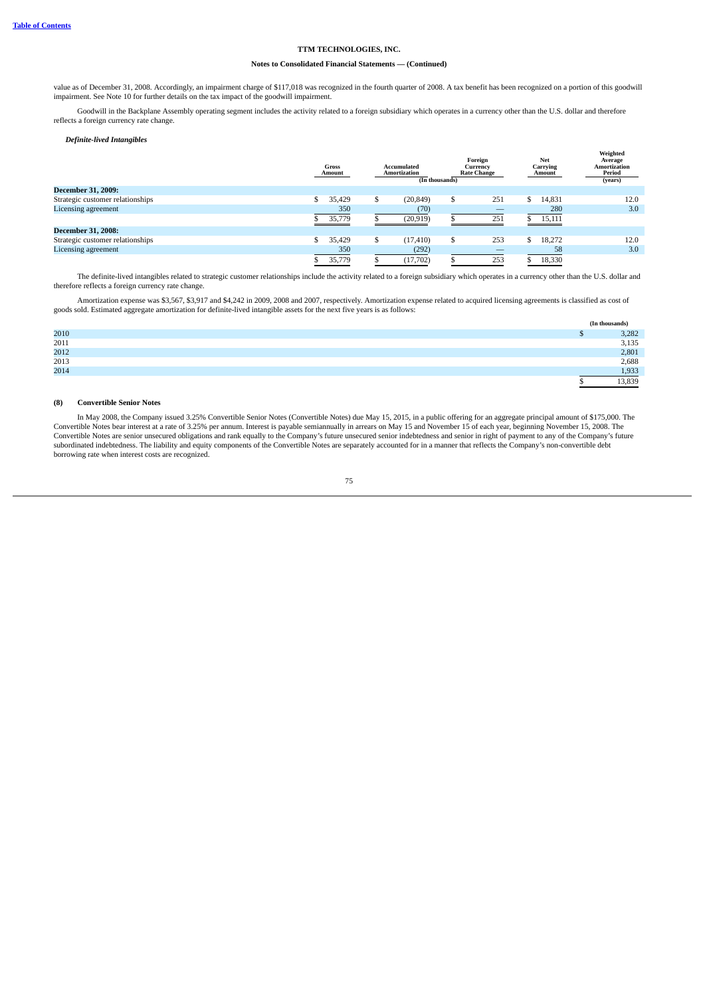## **Notes to Consolidated Financial Statements — (Continued)**

value as of December 31, 2008. Accordingly, an impairment charge of \$117,018 was recognized in the fourth quarter of 2008. A tax benefit has been recognized on a portion of this goodwill<br>impairment. See Note 10 for further

Goodwill in the Backplane Assembly operating segment includes the activity related to a foreign subsidiary which operates in a currency other than the U.S. dollar and therefore reflects a foreign currency rate change.

#### *Definite-lived Intangibles*

|                                  | <b>Gross</b><br>Amount | Accumulated<br><b>Amortization</b> | Foreign<br>Currency<br><b>Rate Change</b><br>(In thousands) | <b>Net</b><br>Carrying<br>Amount | Weighted<br>Average<br><b>Amortization</b><br>Period<br>(years) |
|----------------------------------|------------------------|------------------------------------|-------------------------------------------------------------|----------------------------------|-----------------------------------------------------------------|
| <b>December 31, 2009:</b>        |                        |                                    |                                                             |                                  |                                                                 |
| Strategic customer relationships | \$<br>35,429           | S<br>(20, 849)                     | 251<br>\$                                                   | 14,831<br>\$                     | 12.0                                                            |
| <b>Licensing agreement</b>       | 350                    | (70)                               |                                                             | 280                              | 3.0                                                             |
|                                  | 35,779                 | (20, 919)                          | 251                                                         | 15,111                           |                                                                 |
| <b>December 31, 2008:</b>        |                        |                                    |                                                             |                                  |                                                                 |
| Strategic customer relationships | 35,429<br>\$           | (17, 410)                          | 253<br>\$                                                   | \$<br>18.272                     | 12.0                                                            |
| Licensing agreement              | 350                    | (292)                              |                                                             | 58                               | 3.0                                                             |
|                                  | 35,779                 | (17, 702)                          | 253                                                         | 18,330                           |                                                                 |

The definite-lived intangibles related to strategic customer relationships include the activity related to a foreign subsidiary which operates in a currency other than the U.S. dollar and therefore reflects a foreign currency rate change.

Amortization expense was \$3,567, \$3,917 and \$4,242 in 2009, 2008 and 2007, respectively. Amortization expense related to acquired licensing agreements is classified as cost of<br>goods sold. Estimated aggregate amortization f

|              | 'In thousands) |
|--------------|----------------|
| 2010         | 3,282          |
| 2011<br>2012 | 3,135          |
|              | 2,801          |
| 2013         | 2,688          |
| 2014         | 1,933          |
|              | 13,839         |

#### **(8) Convertible Senior Notes**

In May 2008, the Company issued 3.25% Convertible Senior Notes (Convertible Notes) due May 15, 2015, in a public offering for an aggregate principal amount of \$175,000. The Convertible Notes bear interest at a rate of 3.25% per annum. Interest is payable semiannually in arrears on May 15 and November 15 of each year, beginning November 15, 2008. The<br>Convertible Notes are senior unsecured obli subordinated indebtedness. The liability and equity components of the Convertible Notes are separately accounted for in a manner that reflects the Company's non-convertible debt borrowing rate when interest costs are recognized.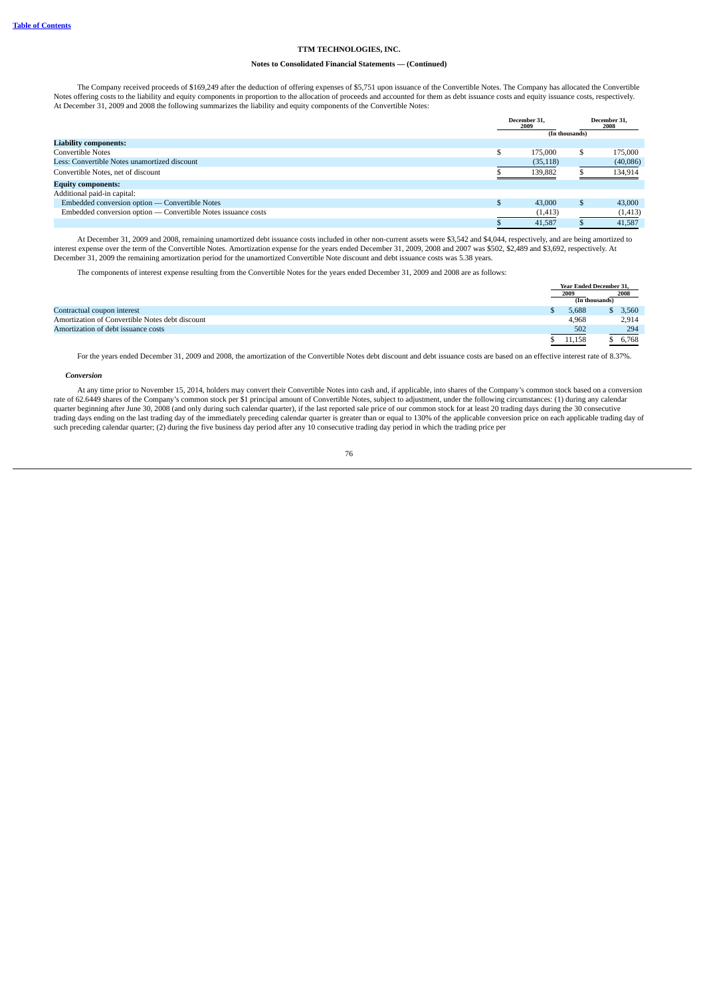## **Notes to Consolidated Financial Statements — (Continued)**

The Company received proceeds of \$169,249 after the deduction of offering expenses of \$5,751 upon issuance of the Convertible Notes. The Company has allocated the Convertible<br>Notes offering costs to the liability and equit At December 31, 2009 and 2008 the following summarizes the liability and equity components of the Convertible Notes:

|                                                               |                | December 31.<br>2009 |    | December 31,<br>2008 |
|---------------------------------------------------------------|----------------|----------------------|----|----------------------|
|                                                               | (In thousands) |                      |    |                      |
| <b>Liability components:</b>                                  |                |                      |    |                      |
| Convertible Notes                                             | ۰Π.            | 175,000              | S  | 175,000              |
| Less: Convertible Notes unamortized discount                  |                | (35, 118)            |    | (40,086)             |
| Convertible Notes, net of discount                            |                | 139,882              |    | 134,914              |
| <b>Equity components:</b>                                     |                |                      |    |                      |
| Additional paid-in capital:                                   |                |                      |    |                      |
| Embedded conversion option — Convertible Notes                | n B            | 43,000               | S. | 43,000               |
| Embedded conversion option — Convertible Notes issuance costs |                | (1, 413)             |    | (1, 413)             |
|                                                               |                | 41,587               |    | 41,587               |

At December 31, 2009 and 2008, remaining unamortized debt issuance costs included in other non-current assets were \$3,542 and \$4,044, respectively, and are being amortized to interest expense over the term of the Convertible Notes. Amortization expense for the years ended December 31, 2009, 2008 and 2007 was \$502, \$2,489 and \$3,692, respectively. At December 31, 2009 the remaining amortization period for the unamortized Convertible Note discount and debt issuance costs was 5.38 years.

The components of interest expense resulting from the Convertible Notes for the years ended December 31, 2009 and 2008 are as follows:

|                                                 | <b>Year Ended December 31.</b> |        |                |         |
|-------------------------------------------------|--------------------------------|--------|----------------|---------|
|                                                 | 2009                           |        |                | 2008    |
|                                                 |                                |        | (In thousands) |         |
| Contractual coupon interest                     |                                | 5,688  |                | \$3,560 |
| Amortization of Convertible Notes debt discount |                                | 4.968  |                | 2,914   |
| Amortization of debt issuance costs             |                                | 502    |                | 294     |
|                                                 |                                | 11.158 |                | \$6,768 |

For the years ended December 31, 2009 and 2008, the amortization of the Convertible Notes debt discount and debt issuance costs are based on an effective interest rate of 8.37%.

#### *Conversion*

At any time prior to November 15, 2014, holders may convert their Convertible Notes into cash and, if applicable, into shares of the Company's common stock based on a conversion<br>rate of 62.6449 shares of the Company's comm quarter beginning after June 30, 2008 (and only during such calendar quarter), if the last reported sale price of our common stock for at least 20 trading days during the 30 consecutive trading days ending on the last trading day of the immediately preceding calendar quarter is greater than or equal to 130% of the applicable conversion price on each applicable trading day of such preceding calendar quarter; (2) during the five business day period after any 10 consecutive trading day period in which the trading price per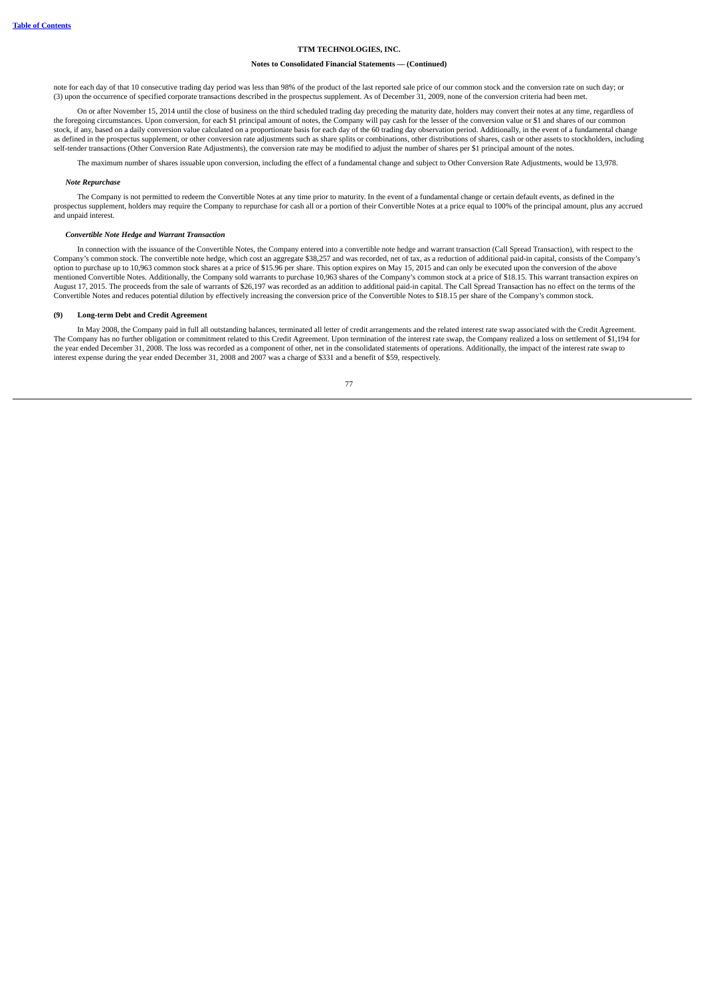#### **Notes to Consolidated Financial Statements — (Continued)**

note for each day of that 10 consecutive trading day period was less than 98% of the product of the last reported sale price of our common stock and the conversion rate on such day; or<br>(3) upon the occurrence of specified

On or after November 15, 2014 until the close of business on the third scheduled trading day preceding the maturity date, holders may convert their notes at any time, regardless of the foregoing circumstances. Upon conversion, for each \$1 principal amount of notes, the Company will pay cash for the lesser of the conversion value or \$1 and shares of our common stock, if any, based on a daily conversion value calculated on a proportionate basis for each day of the 60 trading day observation period. Additionally, in the event of a fundamental change as defined in the prospectus supplement, or other conversion rate adjustments such as share splits or combinations, other distributions of shares, cash or other assets to stockholders, including self-tender transactions (Other Conversion Rate Adjustments), the conversion rate may be modified to adjust the number of shares per \$1 principal amount of the notes.

The maximum number of shares issuable upon conversion, including the effect of a fundamental change and subject to Other Conversion Rate Adjustments, would be 13,978.

#### *Note Repurchase*

The Company is not permitted to redeem the Convertible Notes at any time prior to maturity. In the event of a fundamental change or certain default events, as defined in the prospectus supplement, holders may require the Company to repurchase for cash all or a portion of their Convertible Notes at a price equal to 100% of the principal amount, plus any accrued and unpaid interest.

#### *Convertible Note Hedge and Warrant Transaction*

In connection with the issuance of the Convertible Notes, the Company entered into a convertible note hedge and warrant transaction (Call Spread Transaction), with respect to the Company's common stock. The convertible note hedge, which cost an aggregate \$38,257 and was recorded, net of tax, as a reduction of additional paid-in capital, consists of the Company's option to purchase up to 10,963 common stock shares at a price of \$15.96 per share. This option expires on May 15, 2015 and can only be executed upon the conversion of the above mentioned Convertible Notes. Additionally, the Company sold warrants to purchase 10,963 shares of the Company's common stock at a price of \$18.15. This warrant transaction expires on August 17, 2015. The proceeds from the sale of warrants of \$26,197 was recorded as an addition to additional paid-in capital. The Call Spread Transaction has no effect on the terms of the Convertible Notes and reduces potential dilution by effectively increasing the conversion price of the Convertible Notes to \$18.15 per share of the Company's common stock.

#### **(9) Long-term Debt and Credit Agreement**

In May 2008, the Company paid in full all outstanding balances, terminated all letter of credit arrangements and the related interest rate swap associated with the Credit Agreement. The Company has no further obligation or commitment related to this Credit Agreement. Upon termination of the interest rate swap, the Company realized a loss on settlement of \$1,194 for the year ended December 31, 2008. The loss was recorded as a component of other, net in the consolidated statements of operations. Additionally, the impact of the interest rate swap to interest expense during the year ended December 31, 2008 and 2007 was a charge of \$331 and a benefit of \$59, respectively.

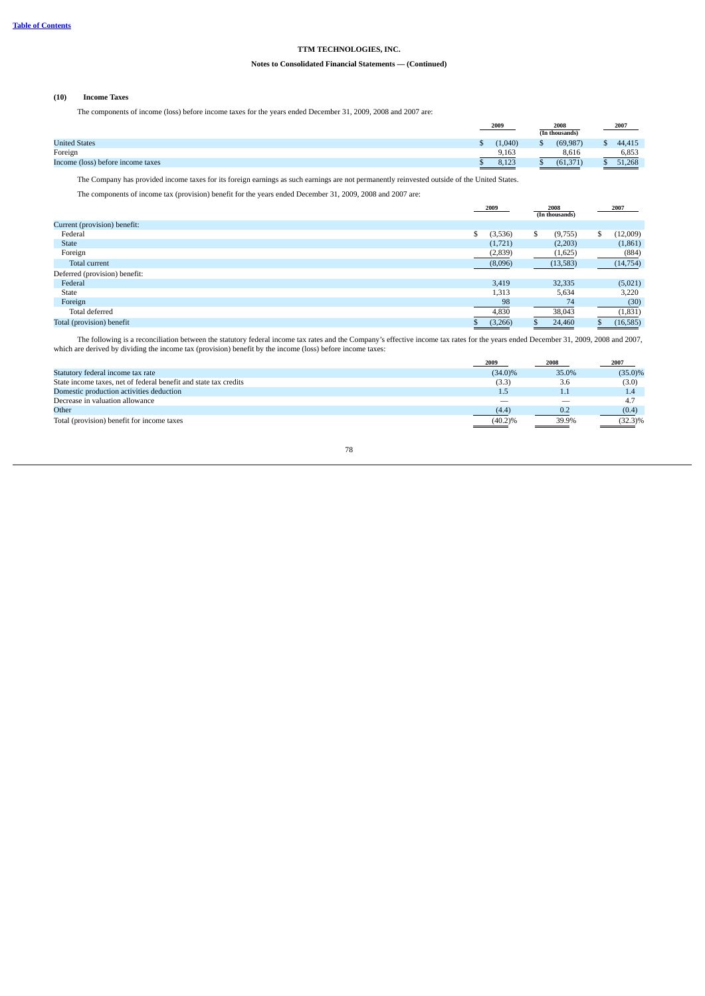# **Notes to Consolidated Financial Statements — (Continued)**

**(10) Income Taxes**

The components of income (loss) before income taxes for the years ended December 31, 2009, 2008 and 2007 are:

|                                   | 2009    | 2008<br>(In thousands) | 2007      |  |        |
|-----------------------------------|---------|------------------------|-----------|--|--------|
| <b>United States</b>              | (1.040) |                        | (69, 987) |  | 44.415 |
| Foreign                           | 9,163   |                        | 8.616     |  | 6,853  |
| Income (loss) before income taxes | 8.123   |                        | (61, 371) |  | 51.268 |
|                                   |         |                        |           |  |        |

The Company has provided income taxes for its foreign earnings as such earnings are not permanently reinvested outside of the United States.

The components of income tax (provision) benefit for the years ended December 31, 2009, 2008 and 2007 are:

|                               | 2009 |         | 2008<br>(In thousands) |          |   | 2007      |
|-------------------------------|------|---------|------------------------|----------|---|-----------|
| Current (provision) benefit:  |      |         |                        |          |   |           |
| Federal                       | S    | (3,536) | \$                     | (9,755)  | S | (12,009)  |
| State                         |      | (1,721) |                        | (2,203)  |   | (1,861)   |
| Foreign                       |      | (2,839) |                        | (1,625)  |   | (884)     |
| Total current                 |      | (8,096) |                        | (13,583) |   | (14, 754) |
| Deferred (provision) benefit: |      |         |                        |          |   |           |
| Federal                       |      | 3,419   |                        | 32,335   |   | (5,021)   |
| State                         |      | 1,313   |                        | 5,634    |   | 3,220     |
| Foreign                       |      | 98      |                        | 74       |   | (30)      |
| Total deferred                |      | 4,830   |                        | 38,043   |   | (1, 831)  |
| Total (provision) benefit     |      | (3,266) |                        | 24,460   |   | (16, 585) |

The following is a reconciliation between the statutory federal income tax rates and the Company's effective income tax rates for the years ended December 31, 2009, 2008 and 2007, which are derived by dividing the income t

|                                                                  | 2009       | 2008  | 2007       |
|------------------------------------------------------------------|------------|-------|------------|
| Statutory federal income tax rate                                | $(34.0)\%$ | 35.0% | $(35.0)\%$ |
| State income taxes, net of federal benefit and state tax credits | (3.3)      | 3.6   | (3.0)      |
| Domestic production activities deduction                         | 1.5        | 1.1   | 1.4        |
| Decrease in valuation allowance                                  |            |       | 4.7        |
| Other                                                            | (4.4)      | 0.2   | (0.4)      |
| Total (provision) benefit for income taxes                       | $(40.2)\%$ | 39.9% | $(32.3)\%$ |
|                                                                  |            |       |            |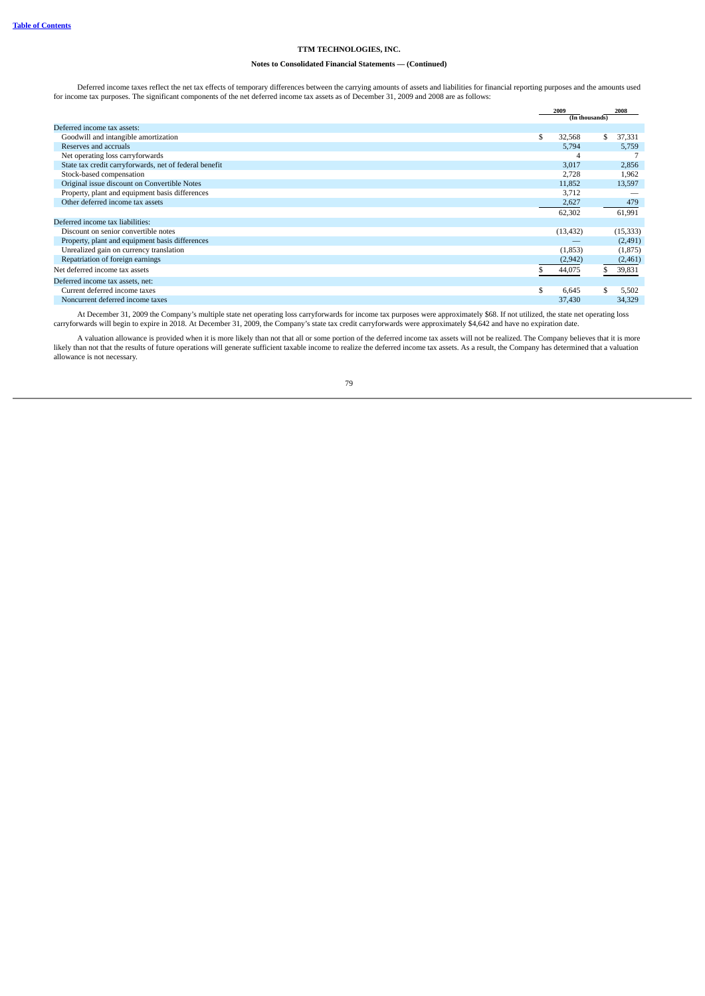# **Notes to Consolidated Financial Statements — (Continued)**

Deferred income taxes reflect the net tax effects of temporary differences between the carrying amounts of assets and liabilities for financial reporting purposes and the amounts used<br>for income tax purposes. The significa

|                                                        | 2009<br>(In thousands) |           |    | 2008      |
|--------------------------------------------------------|------------------------|-----------|----|-----------|
|                                                        |                        |           |    |           |
| Deferred income tax assets:                            |                        |           |    |           |
| Goodwill and intangible amortization                   | \$                     | 32,568    | .S | 37,331    |
| Reserves and accruals                                  |                        | 5,794     |    | 5,759     |
| Net operating loss carryforwards                       |                        | 4         |    |           |
| State tax credit carryforwards, net of federal benefit |                        | 3,017     |    | 2,856     |
| Stock-based compensation                               |                        | 2,728     |    | 1,962     |
| Original issue discount on Convertible Notes           |                        | 11,852    |    | 13,597    |
| Property, plant and equipment basis differences        |                        | 3,712     |    |           |
| Other deferred income tax assets                       |                        | 2,627     |    | 479       |
|                                                        |                        | 62,302    |    | 61,991    |
| Deferred income tax liabilities:                       |                        |           |    |           |
| Discount on senior convertible notes                   |                        | (13, 432) |    | (15, 333) |
| Property, plant and equipment basis differences        |                        |           |    | (2, 491)  |
| Unrealized gain on currency translation                |                        | (1,853)   |    | (1,875)   |
| Repatriation of foreign earnings                       |                        | (2,942)   |    | (2,461)   |
| Net deferred income tax assets                         |                        | 44,075    |    | 39,831    |
| Deferred income tax assets, net:                       |                        |           |    |           |
| Current deferred income taxes                          | \$                     | 6,645     |    | 5,502     |
| Noncurrent deferred income taxes                       |                        | 37,430    |    | 34,329    |

At December 31, 2009 the Company's multiple state net operating loss carryforwards for income tax purposes were approximately \$68. If not utilized, the state net operating loss carryforwards will begin to expire in 2018. At December 31, 2009, the Company's state tax credit carryforwards were approximately \$4,642 and have no expiration date.

A valuation allowance is provided when it is more likely than not that all or some portion of the deferred income tax assets will not be realized. The Company believes that it is more likely than not that the results of future operations will generate sufficient taxable income to realize the deferred income tax assets. As a result, the Company has determined that a valuation allowance is not necessary.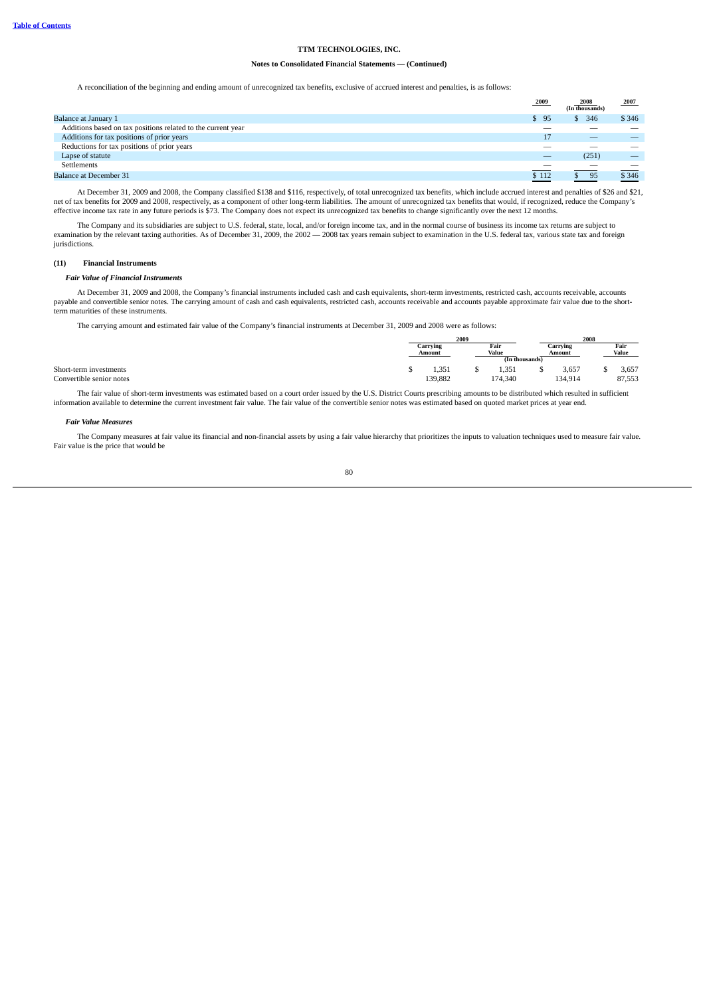## **Notes to Consolidated Financial Statements — (Continued)**

A reconciliation of the beginning and ending amount of unrecognized tax benefits, exclusive of accrued interest and penalties, is as follows:

|                                                              | 2009  | 2008<br>(In thousands) | 2007  |
|--------------------------------------------------------------|-------|------------------------|-------|
| Balance at January 1                                         | \$95  | \$346                  | \$346 |
| Additions based on tax positions related to the current year |       |                        |       |
| Additions for tax positions of prior years                   | 17    |                        |       |
| Reductions for tax positions of prior years                  |       |                        |       |
| Lapse of statute                                             |       | (251)                  |       |
| Settlements                                                  |       |                        |       |
| <b>Balance at December 31</b>                                | \$112 | 95                     | \$346 |

At December 31, 2009 and 2008, the Company classified \$138 and \$116, respectively, of total unrecognized tax benefits, which include accrued interest and penalties of \$26 and \$21, net of tax benefits for 2009 and 2008, respectively, as a component of other long-term liabilities. The amount of unrecognized tax benefits that would, if recognized, reduce the Company's effective income tax rate in any future periods is \$73. The Company does not expect its unrecognized tax benefits to change significantly over the next 12 months.

The Company and its subsidiaries are subject to U.S. federal, state, local, and/or foreign income tax, and in the normal course of business its income tax returns are subject to examination by the relevant taxing authorities. As of December 31, 2009, the 2002 — 2008 tax years remain subject to examination in the U.S. federal tax, various state tax and foreign jurisdictions.

## **(11) Financial Instruments**

#### *Fair Value of Financial Instruments*

At December 31, 2009 and 2008, the Company's financial instruments included cash and cash equivalents, short-term investments, restricted cash, accounts receivable, accounts payable and convertible senior notes. The carrying amount of cash and cash equivalents, restricted cash, accounts receivable and accounts payable approximate fair value due to the shortterm maturities of these instruments.

The carrying amount and estimated fair value of the Company's financial instruments at December 31, 2009 and 2008 were as follows:

|                                                    | 2009               |                  |  |                                 |  | 2008               |  |                      |  |
|----------------------------------------------------|--------------------|------------------|--|---------------------------------|--|--------------------|--|----------------------|--|
|                                                    | Carrying<br>Amount |                  |  | Fair<br>Value<br>(In thousands) |  | Carrying<br>Amount |  | Fair<br><b>Value</b> |  |
| Short-term investments<br>Convertible senior notes |                    | 1.351<br>139.882 |  | 1.351<br>174.340                |  | 3.657<br>134.914   |  | 3,657<br>87,553      |  |

The fair value of short-term investments was estimated based on a court order issued by the U.S. District Courts prescribing amounts to be distributed which resulted in sufficient information available to determine the current investment fair value. The fair value of the convertible senior notes was estimated based on quoted market prices at year end.

#### *Fair Value Measures*

The Company measures at fair value its financial and non-financial assets by using a fair value hierarchy that prioritizes the inputs to valuation techniques used to measure fair value. Fair value is the price that would be

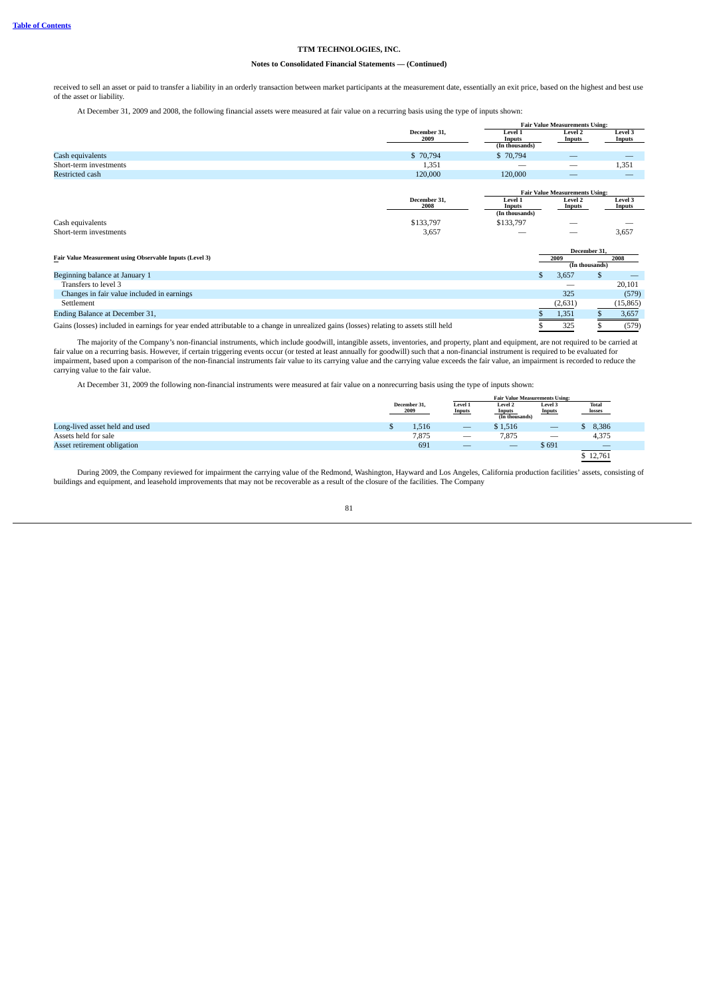## **Notes to Consolidated Financial Statements — (Continued)**

received to sell an asset or paid to transfer a liability in an orderly transaction between market participants at the measurement date, essentially an exit price, based on the highest and best use of the asset or liability.

At December 31, 2009 and 2008, the following financial assets were measured at fair value on a recurring basis using the type of inputs shown:

|                                                                                                                                        |              | <b>Fair Value Measurements Using:</b> |                                                  |   |                          |
|----------------------------------------------------------------------------------------------------------------------------------------|--------------|---------------------------------------|--------------------------------------------------|---|--------------------------|
|                                                                                                                                        | December 31, | Level 1                               | Level 2                                          |   | Level 3                  |
|                                                                                                                                        | 2009         | <b>Inputs</b>                         | <b>Inputs</b>                                    |   | <b>Inputs</b>            |
|                                                                                                                                        |              | (In thousands)                        |                                                  |   |                          |
| Cash equivalents                                                                                                                       | \$70,794     | \$70,794                              |                                                  |   |                          |
| Short-term investments                                                                                                                 | 1,351        |                                       |                                                  |   | 1,351                    |
| <b>Restricted cash</b>                                                                                                                 | 120,000      | 120,000                               |                                                  |   | $\overline{\phantom{a}}$ |
|                                                                                                                                        |              |                                       |                                                  |   |                          |
|                                                                                                                                        | December 31, | Level 1                               | <b>Fair Value Measurements Using:</b><br>Level 2 |   | Level 3                  |
|                                                                                                                                        | 2008         | <b>Inputs</b>                         | Inputs                                           |   | <b>Inputs</b>            |
|                                                                                                                                        |              | (In thousands)                        |                                                  |   |                          |
| Cash equivalents                                                                                                                       | \$133,797    | \$133,797                             |                                                  |   |                          |
| Short-term investments                                                                                                                 | 3,657        |                                       |                                                  |   | 3,657                    |
|                                                                                                                                        |              |                                       | December 31,                                     |   |                          |
| Fair Value Measurement using Observable Inputs (Level 3)                                                                               |              |                                       | 2009                                             |   | 2008                     |
|                                                                                                                                        |              |                                       | (In thousands)                                   |   |                          |
| Beginning balance at January 1                                                                                                         |              | \$                                    | 3,657                                            | S |                          |
| Transfers to level 3                                                                                                                   |              |                                       |                                                  |   | 20,101                   |
| Changes in fair value included in earnings                                                                                             |              |                                       | 325                                              |   | (579)                    |
| Settlement                                                                                                                             |              |                                       | (2,631)                                          |   | (15, 865)                |
| Ending Balance at December 31,                                                                                                         |              |                                       | 1,351                                            |   | 3,657                    |
| Gains (losses) included in earnings for year ended attributable to a change in unrealized gains (losses) relating to assets still held |              |                                       | 325                                              |   | (579)                    |

The majority of the Company's non-financial instruments, which include goodwill, intangible assets, inventories, and property, plant and equipment, are not required to be carried at fair value on a recurring basis. However, if certain triggering events occur (or tested at least annually for goodwill) such that a non-financial instrument is required to be evaluated for impairment, based upon a comparison of the non-financial instruments fair value to its carrying value and the carrying value exceeds the fair value, an impairment is recorded to reduce the carrying value to the fair value.

At December 31, 2009 the following non-financial instruments were measured at fair value on a nonrecurring basis using the type of inputs shown:

|                                |                      |                          | <b>Fair Value Measurements Using:</b>      |                                 |                 |  |
|--------------------------------|----------------------|--------------------------|--------------------------------------------|---------------------------------|-----------------|--|
|                                | December 31.<br>2009 | Level 1<br><b>Inputs</b> | <b>Level 2</b><br>Inputs<br>(In thousands) | Level 3<br><b>Inputs</b>        | Total<br>losses |  |
| Long-lived asset held and used | 1,516                | —                        | \$1.516                                    | $\overline{\phantom{m}}$        | 8,386           |  |
| Assets held for sale           | 7,875                | $\overline{\phantom{m}}$ | 7,875                                      | $\hspace{0.1mm}-\hspace{0.1mm}$ | 4,375           |  |
| Asset retirement obligation    | 691                  |                          |                                            | \$691                           |                 |  |
|                                |                      |                          |                                            |                                 | \$12.761        |  |

During 2009, the Company reviewed for impairment the carrying value of the Redmond, Washington, Hayward and Los Angeles, California production facilities' assets, consisting of<br>buildings and equipment, and leasehold improv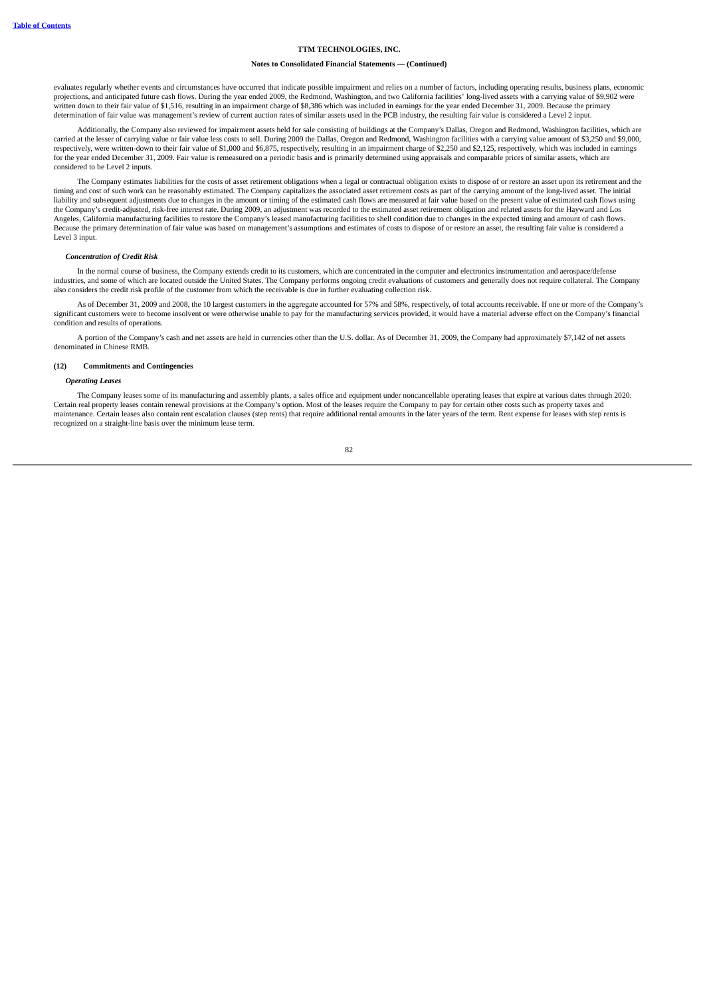#### **Notes to Consolidated Financial Statements — (Continued)**

evaluates regularly whether events and circumstances have occurred that indicate possible impairment and relies on a number of factors, including operating results, business plans, economic projections, and anticipated future cash flows. During the year ended 2009, the Redmond, Washington, and two California facilities' long-lived assets with a carrying value of \$9,902 were written down to their fair value of \$1,516, resulting in an impairment charge of \$8,386 which was included in earnings for the year ended December 31, 2009. Because the primary determination of fair value was management's review of current auction rates of similar assets used in the PCB industry, the resulting fair value is considered a Level 2 input.

Additionally, the Company also reviewed for impairment assets held for sale consisting of buildings at the Company's Dallas, Oregon and Redmond, Washington facilities, which are carried at the lesser of carrying value or fair value less costs to sell. During 2009 the Dallas, Oregon and Redmond, Washington facilities with a carrying value amount of \$3,250 and \$9,000, respectively, were written-down to their fair value of \$1,000 and \$6,875, respectively, resulting in an impairment charge of \$2,250 and \$2,125, respectively, which was included in earnings for the year ended December 31, 2009. Fair value is remeasured on a periodic basis and is primarily determined using appraisals and comparable prices of similar assets, which are considered to be Level 2 inputs.

The Company estimates liabilities for the costs of asset retirement obligations when a legal or contractual obligation exists to dispose of or restore an asset upon its retirement and the timing and cost of such work can be reasonably estimated. The Company capitalizes the associated asset retirement costs as part of the carrying amount of the long-lived asset. The initial liability and subsequent adjustments due to changes in the amount or timing of the estimated cash flows are measured at fair value based on the present value of estimated cash flows using the Company's credit-adjusted, risk-free interest rate. During 2009, an adjustment was recorded to the estimated asset retirement obligation and related assets for the Hayward and Los Angeles, California manufacturing facilities to restore the Company's leased manufacturing facilities to shell condition due to changes in the expected timing and amount of cash flows. Because the primary determination of fair value was based on management's assumptions and estimates of costs to dispose of or restore an asset, the resulting fair value is considered a Level 3 input.

#### *Concentration of Credit Risk*

In the normal course of business, the Company extends credit to its customers, which are concentrated in the computer and electronics instrumentation and aerospace/defense industries, and some of which are located outside the United States. The Company performs ongoing credit evaluations of customers and generally does not require collateral. The Company also considers the credit risk profile of the customer from which the receivable is due in further evaluating collection risk.

As of December 31, 2009 and 2008, the 10 largest customers in the aggregate accounted for 57% and 58%, respectively, of total accounts receivable. If one or more of the Company's significant customers were to become insolvent or were otherwise unable to pay for the manufacturing services provided, it would have a material adverse effect on the Company's financial condition and results of operations.

A portion of the Company's cash and net assets are held in currencies other than the U.S. dollar. As of December 31, 2009, the Company had approximately \$7,142 of net assets denominated in Chinese RMB.

#### **(12) Commitments and Contingencies**

## *Operating Leases*

The Company leases some of its manufacturing and assembly plants, a sales office and equipment under noncancellable operating leases that expire at various dates through 2020. Certain real property leases contain renewal provisions at the Company's option. Most of the leases require the Company to pay for certain other costs such as property taxes and maintenance. Certain leases also contain rent escalation clauses (step rents) that require additional rental amounts in the later years of the term. Rent expense for leases with step rents is recognized on a straight-line basis over the minimum lease term.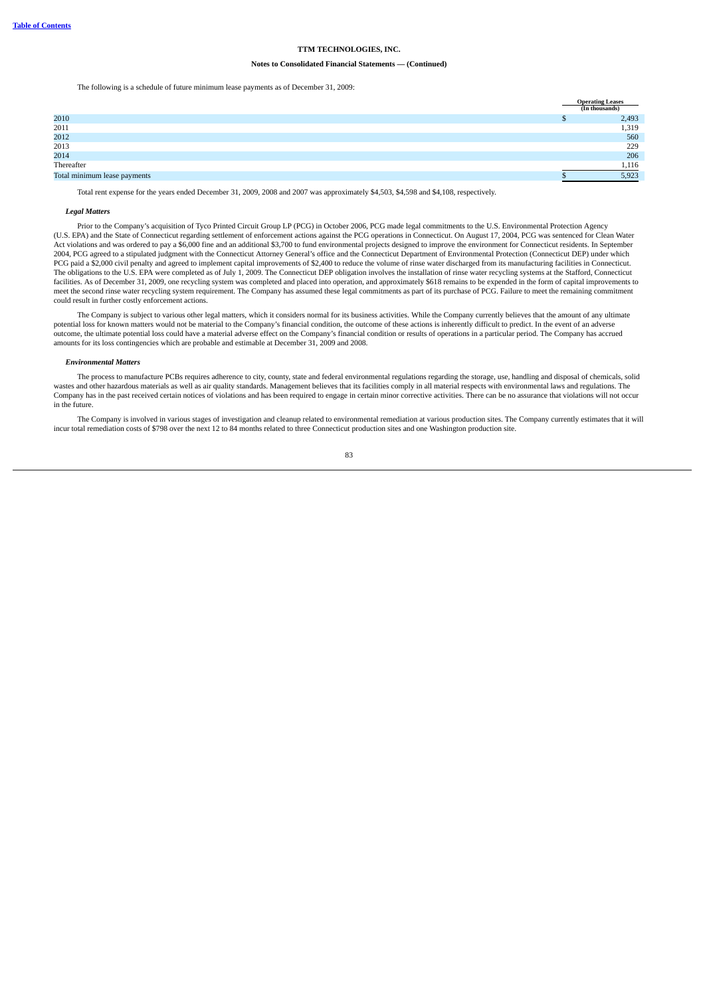## **Notes to Consolidated Financial Statements — (Continued)**

The following is a schedule of future minimum lease payments as of December 31, 2009:

|                              | <b>Operating Leases</b><br>(In thousands) |
|------------------------------|-------------------------------------------|
| 2010                         | 2,493                                     |
| 2011                         | 1,319                                     |
| 2012                         | 560                                       |
| 2013                         | 229                                       |
| 2014                         | 206                                       |
| Thereafter                   | 1,116                                     |
| Total minimum lease payments | 5.923                                     |

Total rent expense for the years ended December 31, 2009, 2008 and 2007 was approximately \$4,503, \$4,598 and \$4,108, respectively.

## *Legal Matters*

Prior to the Company's acquisition of Tyco Printed Circuit Group LP (PCG) in October 2006, PCG made legal commitments to the U.S. Environmental Protection Agency (U.S. EPA) and the State of Connecticut regarding settlement of enforcement actions against the PCG operations in Connecticut. On August 17, 2004, PCG was sentenced for Clean Water Act violations and was ordered to pay a \$6,000 fine and an additional \$3,700 to fund environmental projects designed to improve the environment for Connecticut residents. In September 2004, PCG agreed to a stipulated judgment with the Connecticut Attorney General's office and the Connecticut Department of Environmental Protection (Connecticut DEP) under which PCG paid a \$2,000 civil penalty and agreed to implement capital improvements of \$2,400 to reduce the volume of rinse water discharged from its manufacturing facilities in Connecticut. The obligations to the U.S. EPA were completed as of July 1, 2009. The Connecticut DEP obligation involves the installation of rinse water recycling systems at the Stafford, Connecticut facilities. As of December 31, 2009, one recycling system was completed and placed into operation, and approximately \$618 remains to be expended in the form of capital improvements to meet the second rinse water recycling system requirement. The Company has assumed these legal commitments as part of its purchase of PCG. Failure to meet the remaining commitment could result in further costly enforcement actions.

The Company is subject to various other legal matters, which it considers normal for its business activities. While the Company currently believes that the amount of any ultimate potential loss for known matters would not be material to the Company's financial condition, the outcome of these actions is inherently difficult to predict. In the event of an adverse outcome, the ultimate potential loss could have a material adverse effect on the Company's financial condition or results of operations in a particular period. The Company has accrued amounts for its loss contingencies which are probable and estimable at December 31, 2009 and 2008.

#### *Environmental Matters*

The process to manufacture PCBs requires adherence to city, county, state and federal environmental regulations regarding the storage, use, handling and disposal of chemicals, solid<br>wastes and other hazardous materials as Company has in the past received certain notices of violations and has been required to engage in certain minor corrective activities. There can be no assurance that violations will not occur in the future.

The Company is involved in various stages of investigation and cleanup related to environmental remediation at various production sites. The Company currently estimates that it will incur total remediation costs of \$798 over the next 12 to 84 months related to three Connecticut production sites and one Washington production site.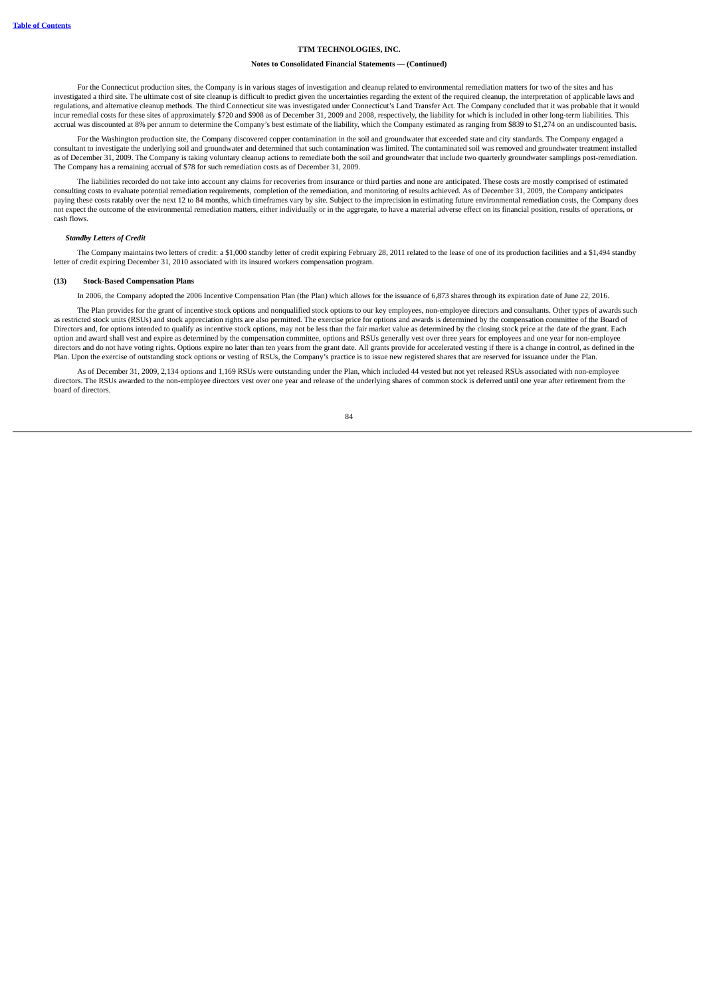#### **Notes to Consolidated Financial Statements — (Continued)**

For the Connecticut production sites, the Company is in various stages of investigation and cleanup related to environmental remediation matters for two of the sites and has investigated a third site. The ultimate cost of site cleanup is difficult to predict given the uncertainties regarding the extent of the required cleanup, the interpretation of applicable laws and regulations, and alternative cleanup methods. The third Connecticut site was investigated under Connecticut's Land Transfer Act. The Company concluded that it was probable that it would incur remedial costs for these sites of approximately \$720 and \$908 as of December 31, 2009 and 2008, respectively, the liability for which is included in other long-term liabilities. This accrual was discounted at 8% per annum to determine the Company's best estimate of the liability, which the Company estimated as ranging from \$839 to \$1,274 on an undiscounted basis.

For the Washington production site, the Company discovered copper contamination in the soil and groundwater that exceeded state and city standards. The Company engaged a consultant to investigate the underlying soil and groundwater and determined that such contamination was limited. The contaminated soil was removed and groundwater treatment installed as of December 31, 2009. The Company is taking voluntary cleanup actions to remediate both the soil and groundwater that include two quarterly groundwater samplings post-remediation. The Company has a remaining accrual of \$78 for such remediation costs as of December 31, 2009.

The liabilities recorded do not take into account any claims for recoveries from insurance or third parties and none are anticipated. These costs are mostly comprised of estimated consulting costs to evaluate potential remediation requirements, completion of the remediation, and monitoring of results achieved. As of December 31, 2009, the Company anticipates paying these costs ratably over the next 12 to 84 months, which timeframes vary by site. Subject to the imprecision in estimating future environmental remediation costs, the Company does not expect the outcome of the environmental remediation matters, either individually or in the aggregate, to have a material adverse effect on its financial position, results of operations, or cash flows.

#### *Standby Letters of Credit*

The Company maintains two letters of credit: a \$1,000 standby letter of credit expiring February 28, 2011 related to the lease of one of its production facilities and a \$1,494 standby letter of credit expiring December 31, 2010 associated with its insured workers compensation program.

#### **(13) Stock-Based Compensation Plans**

In 2006, the Company adopted the 2006 Incentive Compensation Plan (the Plan) which allows for the issuance of 6,873 shares through its expiration date of June 22, 2016.

The Plan provides for the grant of incentive stock options and nonqualified stock options to our key employees, non-employee directors and consultants. Other types of awards such as restricted stock units (RSUs) and stock appreciation rights are also permitted. The exercise price for options and awards is determined by the compensation committee of the Board of the Board of Directors and, for options intended to qualify as incentive stock options, may not be less than the fair market value as determined by the closing stock price at the date of the grant. Each option and award shall vest and expire as determined by the compensation committee, options and RSUs generally vest over three years for employees and one year for non-employee directors and do not have voting rights. Options expire no later than ten years from the grant date. All grants provide for accelerated vesting if there is a change in control, as defined in the Plan. Upon the exercise of outstanding stock options or vesting of RSUs, the Company's practice is to issue new registered shares that are reserved for issuance under the Plan.

As of December 31, 2009, 2,134 options and 1,169 RSUs were outstanding under the Plan, which included 44 vested but not yet released RSUs associated with non-employee directors. The RSUs awarded to the non-employee directors vest over one year and release of the underlying shares of common stock is deferred until one year after retirement from the board of directors.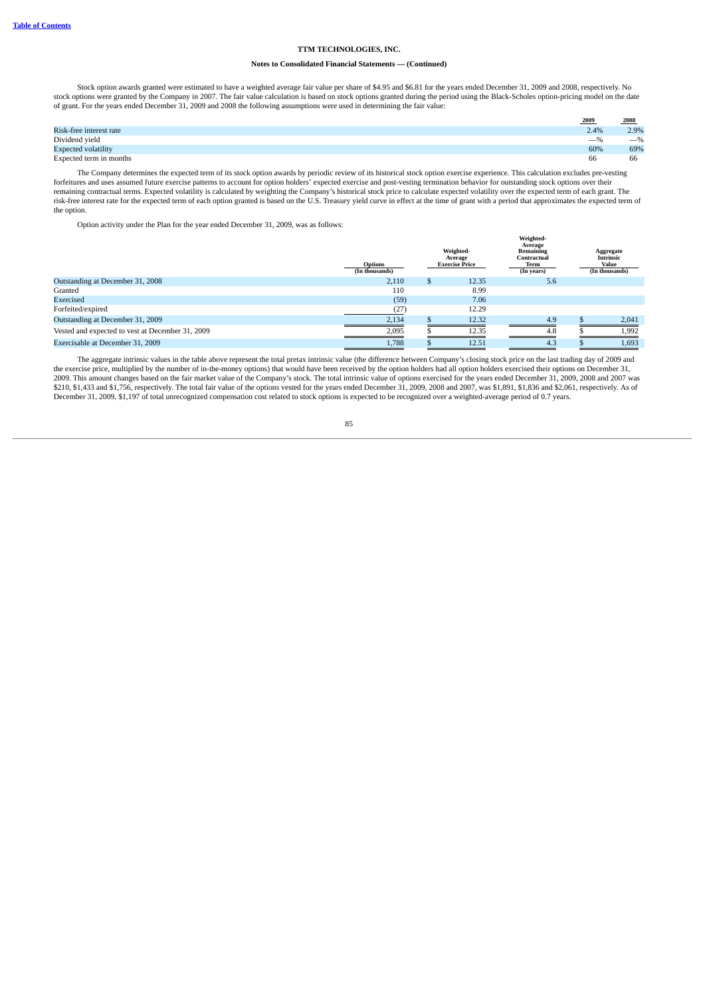## **Notes to Consolidated Financial Statements — (Continued)**

Stock option awards granted were estimated to have a weighted average fair value per share of \$4.95 and \$6.81 for the years ended December 31, 2009 and 2008, respectively. No<br>stock options were granted by the Company in 20 of grant. For the years ended December 31, 2009 and 2008 the following assumptions were used in determining the fair value:

|                            | 2009    | 2008              |
|----------------------------|---------|-------------------|
| Risk-free interest rate    | 2.4%    | 2.9%              |
| Dividend yield             | $-^{0}$ | $\Omega$<br>$-\%$ |
| <b>Expected volatility</b> | 60%     | 69%               |
| Expected term in months    | 66      | 66                |

The Company determines the expected term of its stock option awards by periodic review of its historical stock option exercise experience. This calculation excludes pre-vesting forfeitures and uses assumed future exercise patterns to account for option holders' expected exercise and post-vesting termination behavior for outstanding stock options over their remaining contractual terms. Expected volatility is calculated by weighting the Company's historical stock price to calculate expected volatility over the expected term of each grant. The risk-free interest rate for the expected term of each option granted is based on the U.S. Treasury yield curve in effect at the time of grant with a period that approximates the expected term of the option.

Option activity under the Plan for the year ended December 31, 2009, was as follows:

|                                                  | <b>Options</b><br>(In thousands) |   | Weighted-<br>Average<br><b>Exercise Price</b> | Weighted-<br>Average<br>Remaining<br>Contractual<br>Term<br>(In years) | Aggregate<br>Intrinsic<br>Value<br>(In thousands) |
|--------------------------------------------------|----------------------------------|---|-----------------------------------------------|------------------------------------------------------------------------|---------------------------------------------------|
| Outstanding at December 31, 2008                 | 2,110                            | S | 12.35                                         | 5.6                                                                    |                                                   |
| Granted                                          | 110                              |   | 8.99                                          |                                                                        |                                                   |
| Exercised                                        | (59)                             |   | 7.06                                          |                                                                        |                                                   |
| Forfeited/expired                                | (27)                             |   | 12.29                                         |                                                                        |                                                   |
| Outstanding at December 31, 2009                 | 2,134                            |   | 12.32                                         | 4.9                                                                    | 2,041                                             |
| Vested and expected to vest at December 31, 2009 | 2,095                            |   | 12.35                                         | 4.8                                                                    | 1,992                                             |
| Exercisable at December 31, 2009                 | 1,788                            |   | 12.51                                         | 4.3                                                                    | 1,693                                             |

The aggregate intrinsic values in the table above represent the total pretax intrinsic value (the difference between Company's closing stock price on the last trading day of 2009 and<br>the exercise price, multiplied by the n 2009. This amount changes based on the fair market value of the Company's stock. The total intrinsic value of options exercised for the years ended December 31, 2009, 2008 and 2007 was \$210, \$1,433 and \$1,756, respectively. The total fair value of the options vested for the years ended December 31, 2009, 2008 and 2007, was \$1,891, \$1,836 and \$2,061, respectively. As of December 31, 2009, \$1,197 of total unrecognized compensation cost related to stock options is expected to be recognized over a weighted-average period of 0.7 years.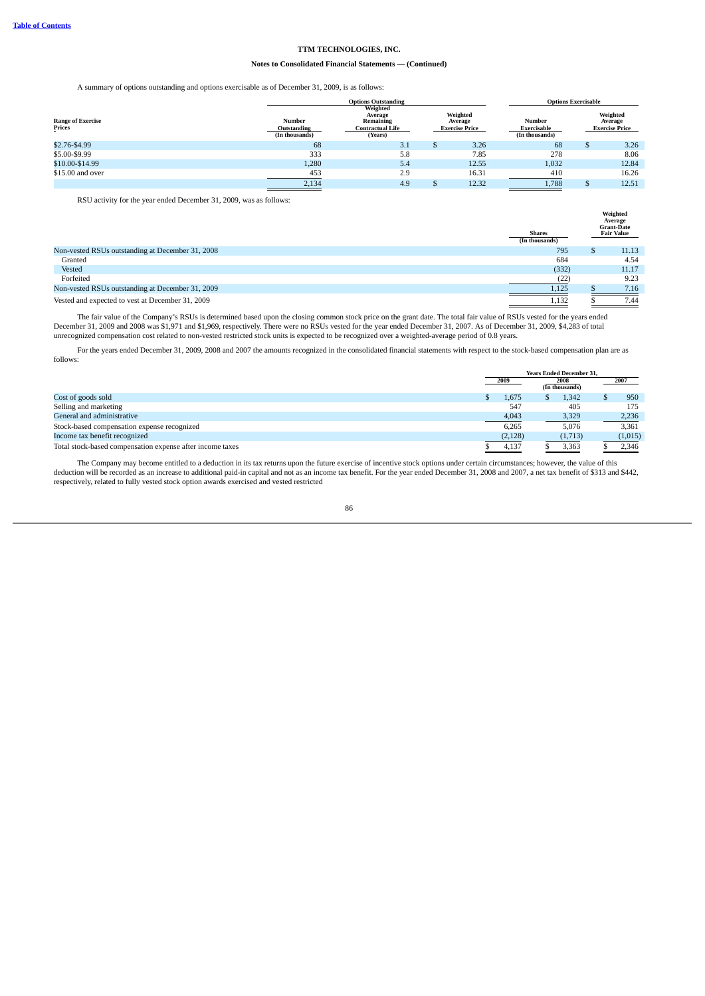## **Notes to Consolidated Financial Statements — (Continued)**

A summary of options outstanding and options exercisable as of December 31, 2009, is as follows:

|                                    |                                                | <b>Options Outstanding</b>                                      |   |                                              |                                         |  | <b>Options Exercisable</b>                   |
|------------------------------------|------------------------------------------------|-----------------------------------------------------------------|---|----------------------------------------------|-----------------------------------------|--|----------------------------------------------|
| <b>Range of Exercise</b><br>Prices | <b>Number</b><br>Outstanding<br>(In thousands) | Weighted<br>Average<br>Remaining<br>Contractual Life<br>(Years) |   | Weighted<br>Average<br><b>Exercise Price</b> | Number<br>Exercisable<br>(In thousands) |  | Weighted<br>Average<br><b>Exercise Price</b> |
| \$2.76-\$4.99                      | 68                                             | 3.1                                                             | D | 3.26                                         | 68                                      |  | 3.26                                         |
| \$5.00-\$9.99                      | 333                                            | 5.8                                                             |   | 7.85                                         | 278                                     |  | 8.06                                         |
| \$10.00-\$14.99                    | 1,280                                          | 5.4                                                             |   | 12.55                                        | 1,032                                   |  | 12.84                                        |
| \$15.00 and over                   | 453                                            | 2.9                                                             |   | 16.31                                        | 410                                     |  | 16.26                                        |
|                                    | 2,134                                          | 4.9                                                             |   | 12.32                                        | 1,788                                   |  | 12.51                                        |

RSU activity for the year ended December 31, 2009, was as follows:

|                                                  | <b>Shares</b><br>(In thousands) | Weighted<br>Average<br><b>Grant-Date</b><br>Fair Value |
|--------------------------------------------------|---------------------------------|--------------------------------------------------------|
| Non-vested RSUs outstanding at December 31, 2008 | 795                             | 11.13                                                  |
| Granted                                          | 684                             | 4.54                                                   |
| Vested                                           | (332)                           | 11.17                                                  |
| Forfeited                                        | (22)                            | 9.23                                                   |
| Non-vested RSUs outstanding at December 31, 2009 | 1,125                           | 7.16                                                   |
| Vested and expected to vest at December 31, 2009 | 1,132                           | 7.44                                                   |

The fair value of the Company's RSUs is determined based upon the closing common stock price on the grant date. The total fair value of RSUs vested for the years ended December 31, 2009 and 2008 was \$1,971 and \$1,969, resp

For the years ended December 31, 2009, 2008 and 2007 the amounts recognized in the consolidated financial statements with respect to the stock-based compensation plan are as follows:

|                                                           | <b>Years Ended December 31.</b> |  |         |  |         |  |
|-----------------------------------------------------------|---------------------------------|--|---------|--|---------|--|
|                                                           | 2009<br>2008<br>(In thousands)  |  |         |  | 2007    |  |
| Cost of goods sold                                        | 1,675                           |  | 1,342   |  | 950     |  |
| Selling and marketing                                     | 547                             |  | 405     |  | 175     |  |
| General and administrative                                | 4,043                           |  | 3,329   |  | 2,236   |  |
| Stock-based compensation expense recognized               | 6.265                           |  | 5,076   |  | 3,361   |  |
| Income tax benefit recognized                             | (2, 128)                        |  | (1,713) |  | (1,015) |  |
| Total stock-based compensation expense after income taxes | 4,137                           |  | 3,363   |  | 2,346   |  |

The Company may become entitled to a deduction in its tax returns upon the future exercise of incentive stock options under certain circumstances; however, the value of this<br>deduction will be recorded as an increase to add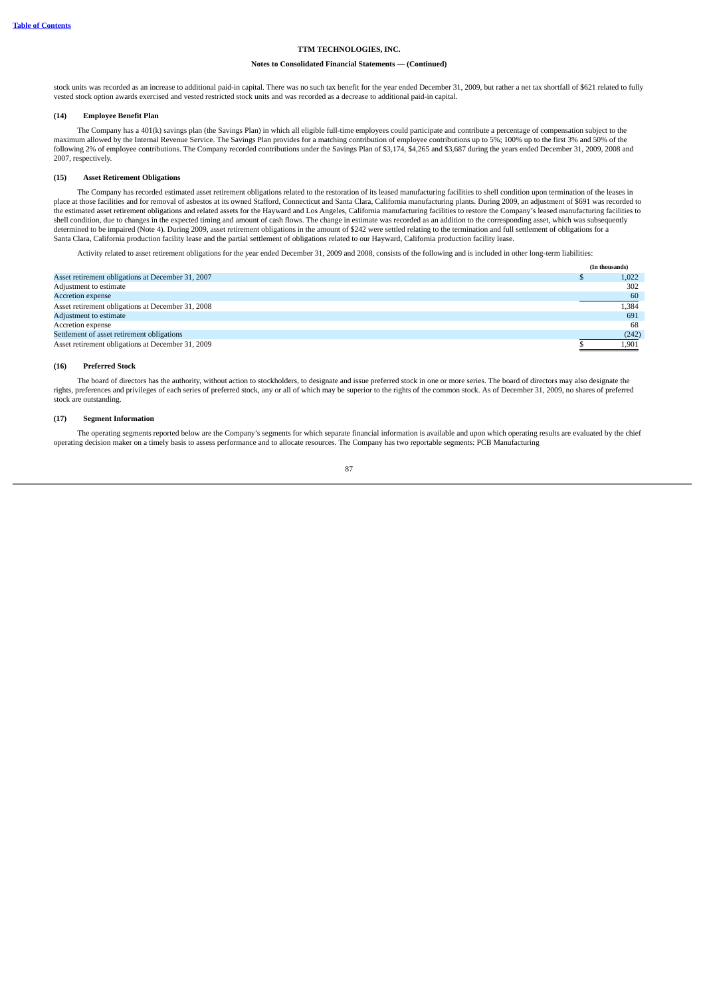## **Notes to Consolidated Financial Statements — (Continued)**

stock units was recorded as an increase to additional paid-in capital. There was no such tax benefit for the year ended December 31, 2009, but rather a net tax shortfall of \$621 related to fully<br>vested stock option awards

#### **(14) Employee Benefit Plan**

The Company has a 401(k) savings plan (the Savings Plan) in which all eligible full-time employees could participate and contribute a percentage of compensation subject to the maximum allowed by the Internal Revenue Service. The Savings Plan provides for a matching contribution of employee contributions up to 5%; 100% up to the first 3% and 50% of the following 2% of employee contributions. The Company recorded contributions under the Savings Plan of \$3,174, \$4,265 and \$3,687 during the years ended December 31, 2009, 2008 and 2007, respectively.

## **(15) Asset Retirement Obligations**

The Company has recorded estimated asset retirement obligations related to the restoration of its leased manufacturing facilities to shell condition upon termination of the leases in place at those facilities and for removal of asbestos at its owned Stafford, Connecticut and Santa Clara, California manufacturing plants. During 2009, an adjustment of \$691 was recorded to the estimated asset retirement obligations and related assets for the Hayward and Los Angeles, California manufacturing facilities to restore the Company's leased manufacturing facilities to shell condition, due to changes in the expected timing and amount of cash flows. The change in estimate was recorded as an addition to the corresponding asset, which was subsequently determined to be impaired (Note 4). During 2009, asset retirement obligations in the amount of \$242 were settled relating to the termination and full settlement of obligations for a Santa Clara, California production facility lease and the partial settlement of obligations related to our Hayward, California production facility lease.

Activity related to asset retirement obligations for the year ended December 31, 2009 and 2008, consists of the following and is included in other long-term liabilities:

|                                                   | (In thousands) |
|---------------------------------------------------|----------------|
| Asset retirement obligations at December 31, 2007 | 1,022          |
| Adjustment to estimate                            | 302            |
| <b>Accretion expense</b>                          | 60             |
| Asset retirement obligations at December 31, 2008 | 1.384          |
| Adjustment to estimate                            | 691            |
| Accretion expense                                 | 68             |
| Settlement of asset retirement obligations        | (242)          |
| Asset retirement obligations at December 31, 2009 | 1.901          |

#### **(16) Preferred Stock**

The board of directors has the authority, without action to stockholders, to designate and issue preferred stock in one or more series. The board of directors may also designate the rights, preferences and privileges of each series of preferred stock, any or all of which may be superior to the rights of the common stock. As of December 31, 2009, no shares of preferred stock are outstanding.

#### **(17) Segment Information**

The operating segments reported below are the Company's segments for which separate financial information is available and upon which operating results are evaluated by the chief operating decision maker on a timely basis to assess performance and to allocate resources. The Company has two reportable segments: PCB Manufacturing

| I | I |
|---|---|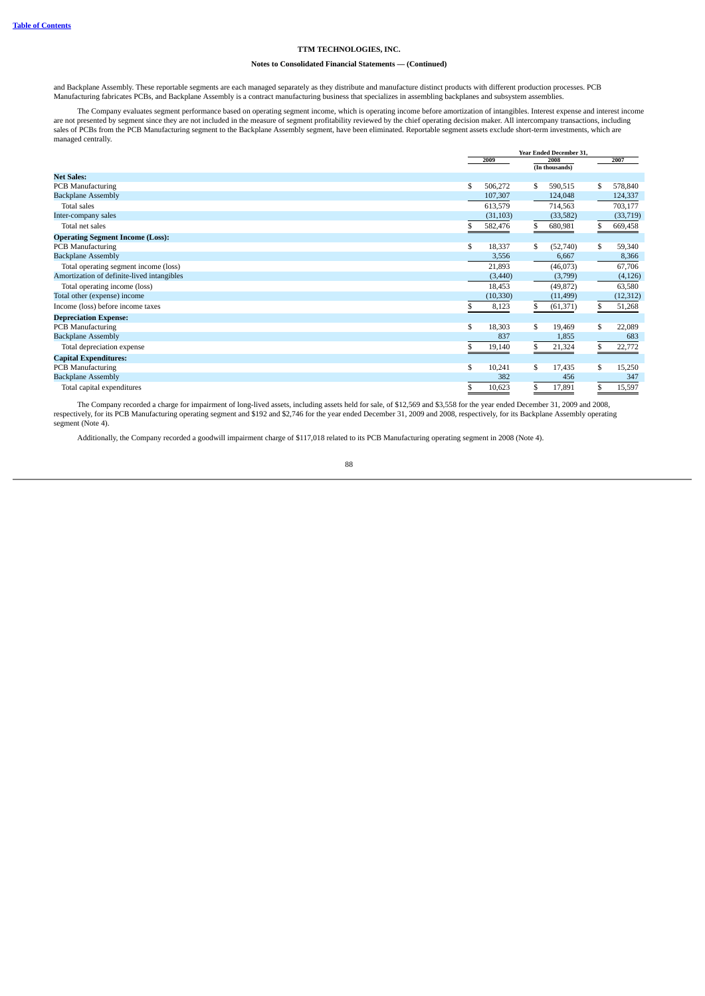## **Notes to Consolidated Financial Statements — (Continued)**

and Backplane Assembly. These reportable segments are each managed separately as they distribute and manufacture distinct products with different production processes. PCB<br>Manufacturing fabricates PCBs, and Backplane Assem

The Company evaluates segment performance based on operating segment income, which is operating income before amortization of intangibles. Interest expense and interest income are not presented by segment since they are no managed centrally.

|                                            |               |    | Year Ended December 31, |    |           |
|--------------------------------------------|---------------|----|-------------------------|----|-----------|
|                                            | 2009          |    | 2008<br>(In thousands)  |    | 2007      |
| <b>Net Sales:</b>                          |               |    |                         |    |           |
| <b>PCB Manufacturing</b>                   | \$<br>506,272 | \$ | 590,515                 | \$ | 578,840   |
| <b>Backplane Assembly</b>                  | 107,307       |    | 124,048                 |    | 124,337   |
| <b>Total sales</b>                         | 613,579       |    | 714,563                 |    | 703,177   |
| Inter-company sales                        | (31, 103)     |    | (33, 582)               |    | (33,719)  |
| Total net sales                            | 582,476       | \$ | 680,981                 | S  | 669,458   |
| <b>Operating Segment Income (Loss):</b>    |               |    |                         |    |           |
| <b>PCB Manufacturing</b>                   | \$<br>18,337  | \$ | (52,740)                | S  | 59,340    |
| <b>Backplane Assembly</b>                  | 3,556         |    | 6,667                   |    | 8,366     |
| Total operating segment income (loss)      | 21,893        |    | (46,073)                |    | 67,706    |
| Amortization of definite-lived intangibles | (3, 440)      |    | (3,799)                 |    | (4, 126)  |
| Total operating income (loss)              | 18,453        |    | (49, 872)               |    | 63,580    |
| Total other (expense) income               | (10, 330)     |    | (11, 499)               |    | (12, 312) |
| Income (loss) before income taxes          | 8,123         | S  | (61, 371)               |    | 51,268    |
| <b>Depreciation Expense:</b>               |               |    |                         |    |           |
| <b>PCB Manufacturing</b>                   | \$<br>18,303  | \$ | 19,469                  | S  | 22,089    |
| <b>Backplane Assembly</b>                  | 837           |    | 1,855                   |    | 683       |
| Total depreciation expense                 | 19,140        |    | 21,324                  |    | 22,772    |
| <b>Capital Expenditures:</b>               |               |    |                         |    |           |
| <b>PCB Manufacturing</b>                   | \$<br>10,241  | \$ | 17,435                  | \$ | 15,250    |
| <b>Backplane Assembly</b>                  | 382           |    | 456                     |    | 347       |
| Total capital expenditures                 | 10,623        |    | 17,891                  |    | 15,597    |

The Company recorded a charge for impairment of long-lived assets, including assets held for sale, of \$12,569 and \$3,558 for the year ended December 31, 2009 and 2008, respectively, for its PCB Manufacturing operating segment and \$192 and \$2,746 for the year ended December 31, 2009 and 2008, respectively, for its Backplane Assembly operating segment (Note 4).

Additionally, the Company recorded a goodwill impairment charge of \$117,018 related to its PCB Manufacturing operating segment in 2008 (Note 4).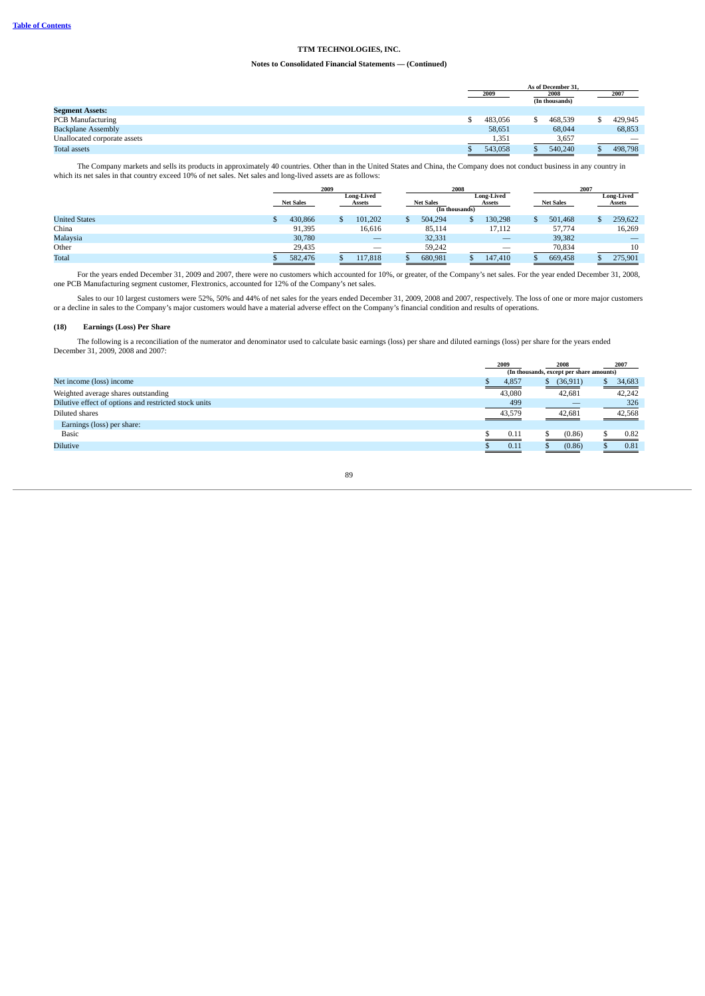## **Notes to Consolidated Financial Statements — (Continued)**

|                              | As of December 31. |  |                        |  |         |
|------------------------------|--------------------|--|------------------------|--|---------|
|                              | 2009               |  | 2008<br>(In thousands) |  | 2007    |
| <b>Segment Assets:</b>       |                    |  |                        |  |         |
| <b>PCB Manufacturing</b>     | 483,056            |  | 468,539                |  | 429,945 |
| <b>Backplane Assembly</b>    | 58,651             |  | 68,044                 |  | 68,853  |
| Unallocated corporate assets | 1,351              |  | 3,657                  |  |         |
| <b>Total assets</b>          | 543,058            |  | 540,240                |  | 498,798 |

The Company markets and sells its products in approximately 40 countries. Other than in the United States and China, the Company does not conduct business in any country in which its net sales in that country exceed 10% of net sales. Net sales and long-lived assets are as follows:

|                      |                  | 2009 |                             |                  | 2008           |                             |                  | 2007 |                                    |
|----------------------|------------------|------|-----------------------------|------------------|----------------|-----------------------------|------------------|------|------------------------------------|
|                      | <b>Net Sales</b> |      | <b>Long-Lived</b><br>Assets | <b>Net Sales</b> | (In thousands) | <b>Long-Lived</b><br>Assets | <b>Net Sales</b> |      | <b>Long-Lived</b><br><b>Assets</b> |
| <b>United States</b> | 430,866          | S    | 101.202                     | 504,294          |                | 130,298                     | 501,468          |      | 259,622                            |
| China                | 91,395           |      | 16,616                      | 85,114           |                | 17,112                      | 57,774           |      | 16,269                             |
| Malaysia             | 30,780           |      |                             | 32,331           |                | _                           | 39,382           |      |                                    |
| Other                | 29,435           |      |                             | 59,242           |                |                             | 70,834           |      | 10                                 |
| <b>Total</b>         | 582,476          |      | 117,818                     | 680,981          |                | 147,410                     | 669,458          |      | 275,901                            |

For the years ended December 31, 2009 and 2007, there were no customers which accounted for 10%, or greater, of the Company's net sales. For the year ended December 31, 2008, one PCB Manufacturing segment customer, Flextronics, accounted for 12% of the Company's net sales.

Sales to our 10 largest customers were 52%, 50% and 44% of net sales for the years ended December 31, 2009, 2008 and 2007, respectively. The loss of one or more major customers or a decline in sales to the Company's major customers would have a material adverse effect on the Company's financial condition and results of operations.

## **(18) Earnings (Loss) Per Share**

The following is a reconciliation of the numerator and denominator used to calculate basic earnings (loss) per share and diluted earnings (loss) per share for the years ended December 31, 2009, 2008 and 2007:

|                                                       | 2009   | 2008                                     | 2007   |
|-------------------------------------------------------|--------|------------------------------------------|--------|
|                                                       |        | (In thousands, except per share amounts) |        |
| Net income (loss) income                              | 4,857  | \$ (36,911)                              | 34,683 |
| Weighted average shares outstanding                   | 43.080 | 42,681                                   | 42,242 |
| Dilutive effect of options and restricted stock units | 499    |                                          | 326    |
| Diluted shares                                        | 43,579 | 42.681                                   | 42,568 |
| Earnings (loss) per share:                            |        |                                          |        |
| <b>Basic</b>                                          | 0.11   | (0.86)                                   | 0.82   |
| <b>Dilutive</b>                                       | 0.11   | (0.86)                                   | 0.81   |
|                                                       |        |                                          |        |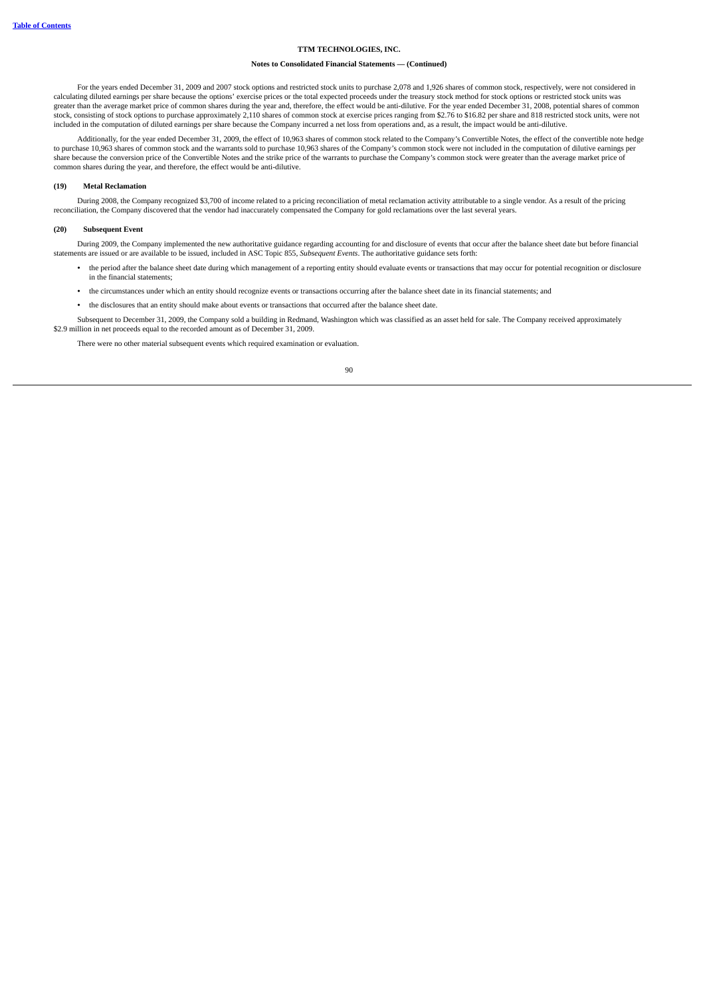#### **Notes to Consolidated Financial Statements — (Continued)**

For the years ended December 31, 2009 and 2007 stock options and restricted stock units to purchase 2,078 and 1,926 shares of common stock, respectively, were not considered in calculating diluted earnings per share because the options' exercise prices or the total expected proceeds under the treasury stock method for stock options or restricted stock units was greater than the average market price of common shares during the year and, therefore, the effect would be anti-dilutive. For the year ended December 31, 2008, potential shares of common stock, consisting of stock options to purchase approximately 2,110 shares of common stock at exercise prices ranging from \$2.76 to \$16.82 per share and 818 restricted stock units, were not included in the computation of diluted earnings per share because the Company incurred a net loss from operations and, as a result, the impact would be anti-dilutive.

Additionally, for the year ended December 31, 2009, the effect of 10,963 shares of common stock related to the Company's Convertible Notes, the effect of the convertible note hedge to purchase 10,963 shares of common stock and the warrants sold to purchase 10,963 shares of the Company's common stock were not included in the computation of dilutive earnings per share because the conversion price of the Convertible Notes and the strike price of the warrants to purchase the Company's common stock were greater than the average market price of common shares during the year, and therefore, the effect would be anti-dilutive.

## **(19) Metal Reclamation**

During 2008, the Company recognized \$3,700 of income related to a pricing reconciliation of metal reclamation activity attributable to a single vendor. As a result of the pricing reconciliation, the Company discovered that the vendor had inaccurately compensated the Company for gold reclamations over the last several years.

#### **(20) Subsequent Event**

During 2009, the Company implemented the new authoritative guidance regarding accounting for and disclosure of events that occur after the balance sheet date but before financial statements are issued or are available to be issued, included in ASC Topic 855, *Subsequent Events*. The authoritative guidance sets forth:

- **•** the period after the balance sheet date during which management of a reporting entity should evaluate events or transactions that may occur for potential recognition or disclosure in the financial statements;
- the circumstances under which an entity should recognize events or transactions occurring after the balance sheet date in its financial statements; and
- **•** the disclosures that an entity should make about events or transactions that occurred after the balance sheet date.

Subsequent to December 31, 2009, the Company sold a building in Redmand, Washington which was classified as an asset held for sale. The Company received approximately \$2.9 million in net proceeds equal to the recorded amount as of December 31, 2009.

There were no other material subsequent events which required examination or evaluation.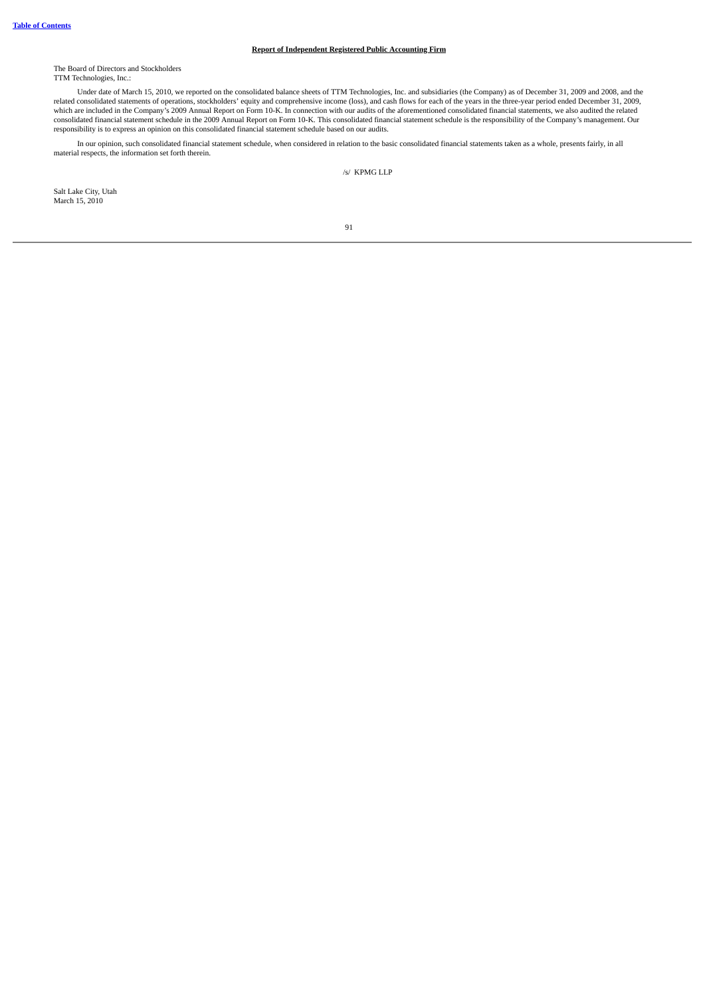## **Report of Independent Registered Public Accounting Firm**

The Board of Directors and Stockholders TTM Technologies, Inc.:

Under date of March 15, 2010, we reported on the consolidated balance sheets of TTM Technologies, Inc. and subsidiaries (the Company) as of December 31, 2009 and 2008, and the related consolidated statements of operations, stockholders' equity and comprehensive income (loss), and cash flows for each of the years in the three-year period ended December 31, 2009,<br>which are included in the Company' consolidated financial statement schedule in the 2009 Annual Report on Form 10-K. This consolidated financial statement schedule is the responsibility of the Company's management. Our responsibility is to express an opinion on this consolidated financial statement schedule based on our audits.

In our opinion, such consolidated financial statement schedule, when considered in relation to the basic consolidated financial statements taken as a whole, presents fairly, in all material respects, the information set forth therein.

/s/ KPMG LLP

Salt Lake City, Utah March 15, 2010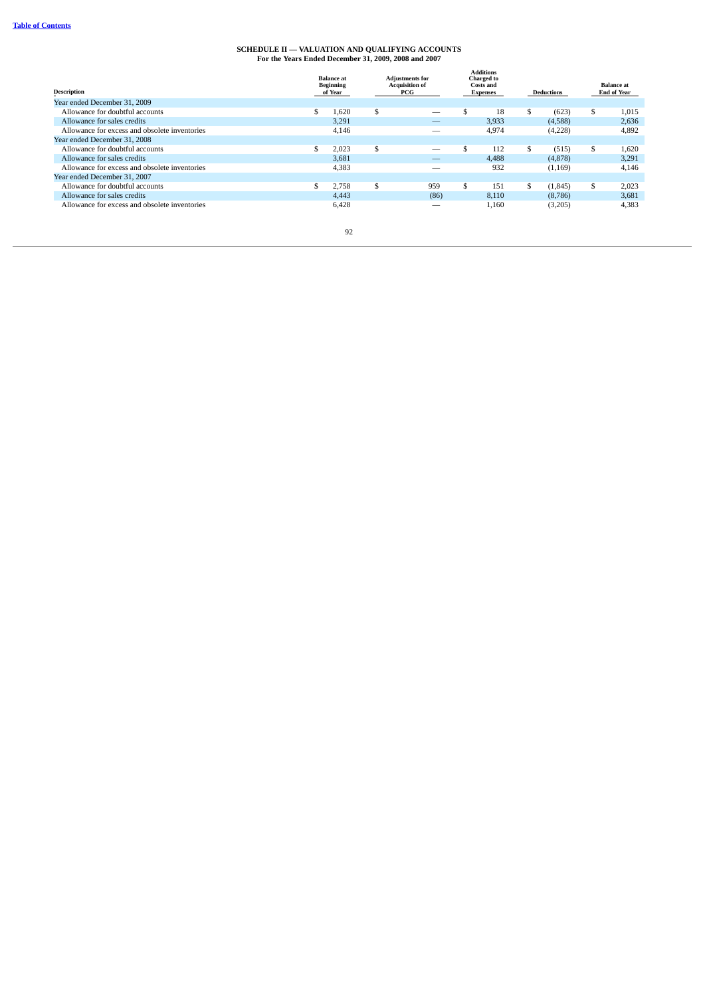# **SCHEDULE II — VALUATION AND QUALIFYING ACCOUNTS For the Years Ended December 31, 2009, 2008 and 2007**

| <b>Description</b>                            | <b>Balance</b> at<br><b>Beginning</b><br>of Year |    | <b>Adiustments for</b><br><b>Acquisition of</b><br>PCG | <b>Additions</b><br><b>Charged to</b><br><b>Costs and</b><br><b>Expenses</b> |     | <b>Deductions</b> |    | <b>Balance</b> at<br><b>End of Year</b> |
|-----------------------------------------------|--------------------------------------------------|----|--------------------------------------------------------|------------------------------------------------------------------------------|-----|-------------------|----|-----------------------------------------|
| Year ended December 31, 2009                  |                                                  |    |                                                        |                                                                              |     |                   |    |                                         |
| Allowance for doubtful accounts               | \$<br>1,620                                      | .D | –                                                      | \$<br>18                                                                     | £.  | (623)             | S  | 1,015                                   |
| Allowance for sales credits                   | 3,291                                            |    |                                                        | 3,933                                                                        |     | (4,588)           |    | 2,636                                   |
| Allowance for excess and obsolete inventories | 4,146                                            |    |                                                        | 4.974                                                                        |     | (4,228)           |    | 4,892                                   |
| Year ended December 31, 2008                  |                                                  |    |                                                        |                                                                              |     |                   |    |                                         |
| Allowance for doubtful accounts               | \$<br>2,023                                      | Эħ | –                                                      | \$<br>112                                                                    | \$. | (515)             | \$ | 1,620                                   |
| Allowance for sales credits                   | 3,681                                            |    | –                                                      | 4.488                                                                        |     | (4,878)           |    | 3,291                                   |
| Allowance for excess and obsolete inventories | 4,383                                            |    | $-$                                                    | 932                                                                          |     | (1, 169)          |    | 4,146                                   |
| Year ended December 31, 2007                  |                                                  |    |                                                        |                                                                              |     |                   |    |                                         |
| Allowance for doubtful accounts               | \$<br>2.758                                      | Эħ | 959                                                    | \$<br>151                                                                    | \$  | (1, 845)          | \$ | 2,023                                   |
| Allowance for sales credits                   | 4.443                                            |    | (86)                                                   | 8.110                                                                        |     | (8,786)           |    | 3,681                                   |
| Allowance for excess and obsolete inventories | 6,428                                            |    | –                                                      | 1,160                                                                        |     | (3,205)           |    | 4,383                                   |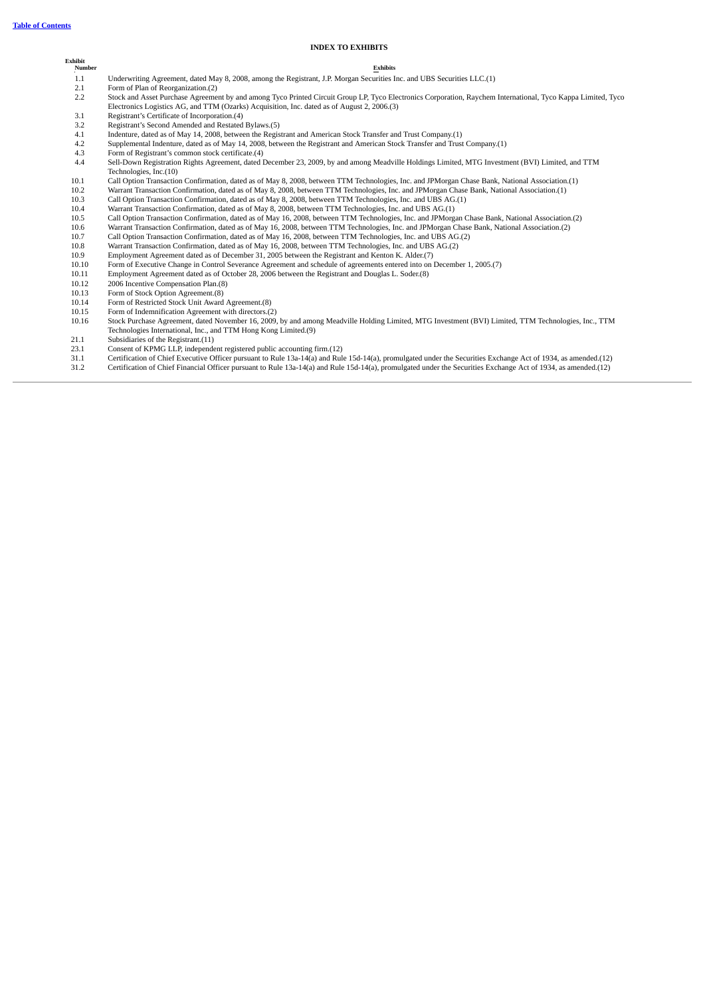#### **INDEX TO EXHIBITS**

| Exhibit |  |
|---------|--|
| Number  |  |

#### **Number Exhibits**

- 1.1 Underwriting Agreement, dated May 8, 2008, among the Registrant, J.P. Morgan Securities Inc. and UBS Securities LLC.(1)
- 
- 2.1 Form of Plan of Reorganization.(2)<br>2.2 Stock and Asset Purchase Agreeme 2.2 Stock and Asset Purchase Agreement by and among Tyco Printed Circuit Group LP, Tyco Electronics Corporation, Raychem International, Tyco Kappa Limited, Tyco Electronics Logistics AG, and TTM (Ozarks) Acquisition, Inc. dated as of August 2, 2006.(3)
- 3.1 Registrant's Certificate of Incorporation.(4)<br>3.2 Registrant's Second Amended and Restated
- 3.2 Registrant's Second Amended and Restated Bylaws.(5)
- 4.1 Indenture, dated as of May 14, 2008, between the Registrant and American Stock Transfer and Trust Company.(1)<br>4.2 Supplemental Indenture, dated as of May 14, 2008, between the Registrant and American Stock Transfer and
- 4.2 Supplemental Indenture, dated as of May 14, 2008, between the Registrant and American Stock Transfer and Trust Company.(1)
- 
- 4.3 Form of Registrant's common stock certificate.(4)<br>4.4 Sell-Down Registration Rights Agreement, dated I Sell-Down Registration Rights Agreement, dated December 23, 2009, by and among Meadville Holdings Limited, MTG Investment (BVI) Limited, and TTM Technologies, Inc.(10)
- 10.1 Call Option Transaction Confirmation, dated as of May 8, 2008, between TTM Technologies, Inc. and JPMorgan Chase Bank, National Association.(1)
- 10.2 Warrant Transaction Confirmation, dated as of May 8, 2008, between TTM Technologies, Inc. and JPMorgan Chase Bank, National Association.(1)<br>10.3 Call Option Transaction Confirmation, dated as of May 8, 2008, between T
- 10.3 Call Option Transaction Confirmation, dated as of May 8, 2008, between TTM Technologies, Inc. and UBS AG.(1)<br>10.4 Warrant Transaction Confirmation, dated as of May 8, 2008, between TTM Technologies, Inc. and UBS AG.(1
- 10.4 Warrant Transaction Confirmation, dated as of May 8, 2008, between TTM Technologies, Inc. and UBS AG.(1)<br>10.5 Call Ontion Transaction Confirmation dated as of May 16, 2008, between TTM Technologies, Inc. and IPMorga
- 10.5 Call Option Transaction Confirmation, dated as of May 16, 2008, between TTM Technologies, Inc. and JPMorgan Chase Bank, National Association.(2)<br>10.6 Warrant Transaction Confirmation, dated as of May 16, 2008, between
- 10.6 Warrant Transaction Confirmation, dated as of May 16, 2008, between TTM Technologies, Inc. and JPMorgan Chase Bank, National Association.(2)<br>10.7 Call Option Transaction Confirmation, dated as
- 
- 10.8 Warrant Transaction Confirmation, dated as of May 16, 2008, between TTM Technologies, Inc. and UBS AG.(2)<br>10.9 Employment Agreement dated as of December 31, 2005 between the Registrant and Kenton K. Alder.(7)
- 10.9 Employment Agreement dated as of December 31, 2005 between the Registrant and Kenton K. Alder.(7) Form of Executive Change in Control Severance Agreement and schedule of agreements entered into on December 1, 2005.(7)
- 10.11 Employment Agreement dated as of October 28, 2006 between the Registrant and Douglas L. Soder.(8)
- 
- 10.12 2006 Incentive Compensation Plan.(8)<br>10.13 Form of Stock Option Agreement.(8) 10.13 Form of Stock Option Agreement.(8)<br>10.14 Form of Restricted Stock Unit Award
- 10.14 Form of Restricted Stock Unit Award Agreement.(8)<br>10.15 Form of Indemnification Agreement with directors.
- Form of Indemnification Agreement with directors.(2)
- 10.16 Stock Purchase Agreement, dated November 16, 2009, by and among Meadville Holding Limited, MTG Investment (BVI) Limited, TTM Technologies, Inc., TTM Technologies International, Inc., and TTM Hong Kong Limited.(9)
- 21.1 Subsidiaries of the Registrant.(11)<br>23.1 Consent of KPMG LLP, independent
- 
- 23.1 Consent of KPMG LLP, independent registered public accounting firm.(12)<br>31.1 Certification of Chief Executive Officer pursuant to Rule 13a-14(a) and Rul 31.1 Certification of Chief Executive Officer pursuant to Rule 13a-14(a) and Rule 15d-14(a), promulgated under the Securities Exchange Act of 1934, as amended.(12)<br>31.2 Certification of Chief Financial Officer pursuant to
- 31.2 Certification of Chief Financial Officer pursuant to Rule 13a-14(a) and Rule 15d-14(a), promulgated under the Securities Exchange Act of 1934, as amended.(12)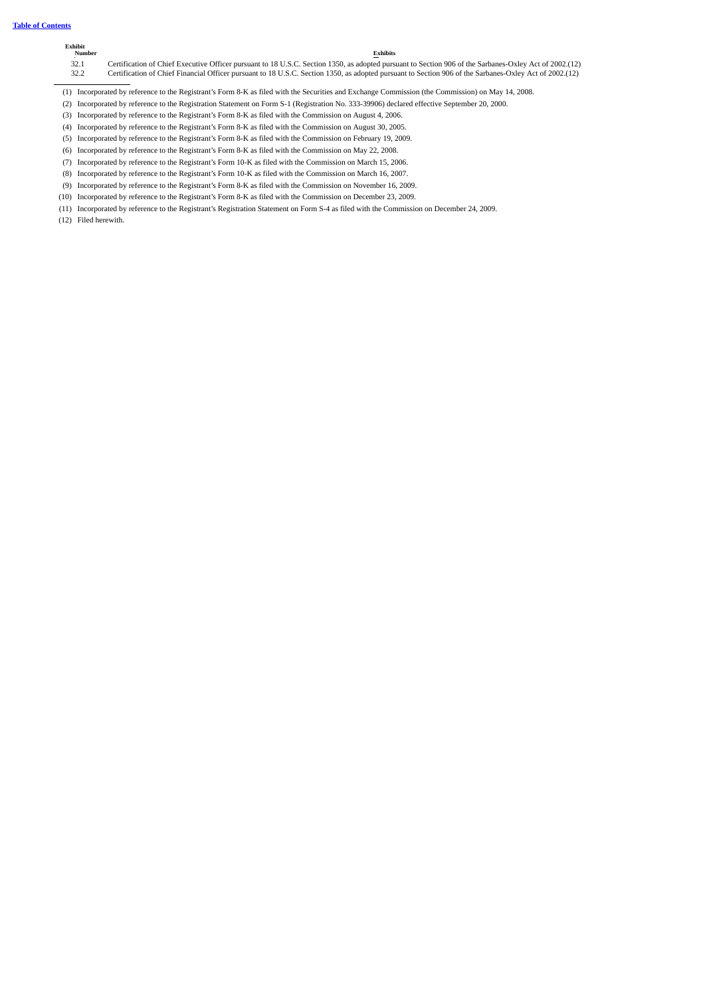**Table of [Contents](#page-2-0)**

| Exhibit |        |
|---------|--------|
|         | Number |

## **Number Exhibits**

32.1 Certification of Chief Executive Officer pursuant to 18 U.S.C. Section 1350, as adopted pursuant to Section 906 of the Sarbanes-Oxley Act of 2002.(12)<br>32.2 Certification of Chief Financial Officer pursuant to 18 U.S.C

(1) Incorporated by reference to the Registrant's Form 8-K as filed with the Securities and Exchange Commission (the Commission) on May 14, 2008.

(2) Incorporated by reference to the Registration Statement on Form S-1 (Registration No. 333-39906) declared effective September 20, 2000.

(3) Incorporated by reference to the Registrant's Form 8-K as filed with the Commission on August 4, 2006.

(4) Incorporated by reference to the Registrant's Form 8-K as filed with the Commission on August 30, 2005.

(5) Incorporated by reference to the Registrant's Form 8-K as filed with the Commission on February 19, 2009.

(6) Incorporated by reference to the Registrant's Form 8-K as filed with the Commission on May 22, 2008.

(7) Incorporated by reference to the Registrant's Form 10-K as filed with the Commission on March 15, 2006.

(8) Incorporated by reference to the Registrant's Form 10-K as filed with the Commission on March 16, 2007.

(9) Incorporated by reference to the Registrant's Form 8-K as filed with the Commission on November 16, 2009.

(10) Incorporated by reference to the Registrant's Form 8-K as filed with the Commission on December 23, 2009.

(11) Incorporated by reference to the Registrant's Registration Statement on Form S-4 as filed with the Commission on December 24, 2009.

(12) Filed herewith.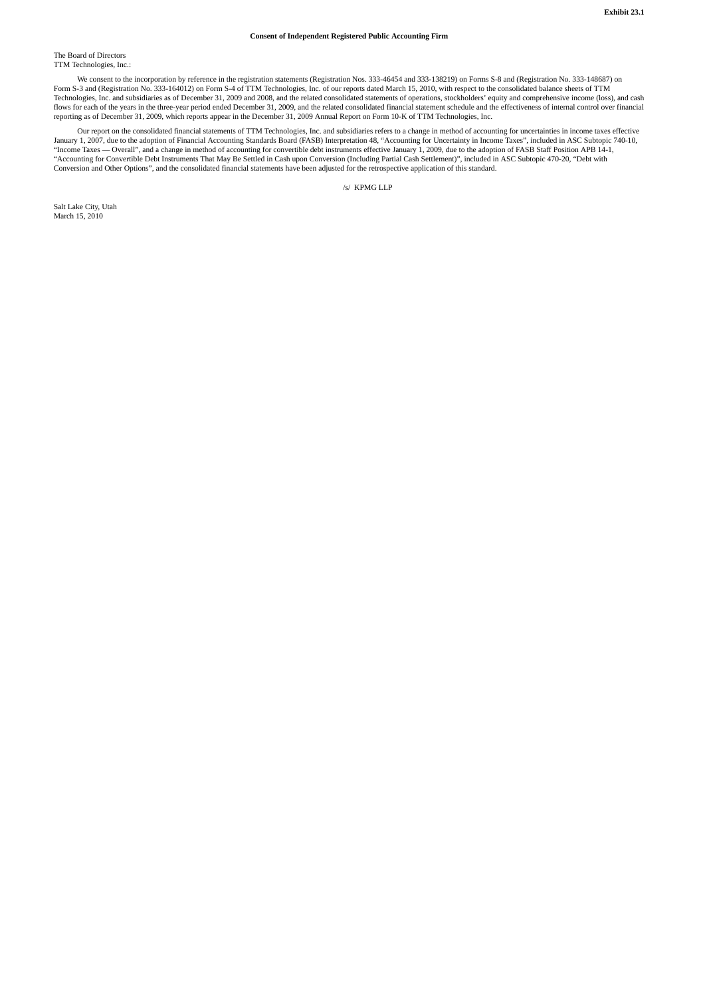# **Consent of Independent Registered Public Accounting Firm**

The Board of Directors TTM Technologies, Inc.:

We consent to the incorporation by reference in the registration statements (Registration Nos. 333-46454 and 333-138219) on Forms S-8 and (Registration No. 333-148687) on Form S-3 and (Registration No. 333-164012) on Form S-4 of TTM Technologies, Inc. of our reports dated March 15, 2010, with respect to the consolidated balance sheets of TTM Technologies, Inc. and subsidiaries as of December 31, 2009 and 2008, and the related consolidated statements of operations, stockholders' equity and comprehensive income (loss), and cash<br>flows for each of the years in the reporting as of December 31, 2009, which reports appear in the December 31, 2009 Annual Report on Form 10-K of TTM Technologies, Inc.

Our report on the consolidated financial statements of TTM Technologies, Inc. and subsidiaries refers to a change in method of accounting for uncertainties in income taxes effective January 1, 2007, due to the adoption of "Income Taxes — Overall", and a change in method of accounting for convertible debt instruments effective January 1, 2009, due to the adoption of FASB Staff Position APB 14-1, "Accounting for Convertible Debt Instruments That May Be Settled in Cash upon Conversion (Including Partial Cash Settlement)", included in ASC Subtopic 470-20, "Debt with Conversion and Other Options", and the consolidated financial statements have been adjusted for the retrospective application of this standard.

/s/ KPMG LLP

Salt Lake City, Utah March 15, 2010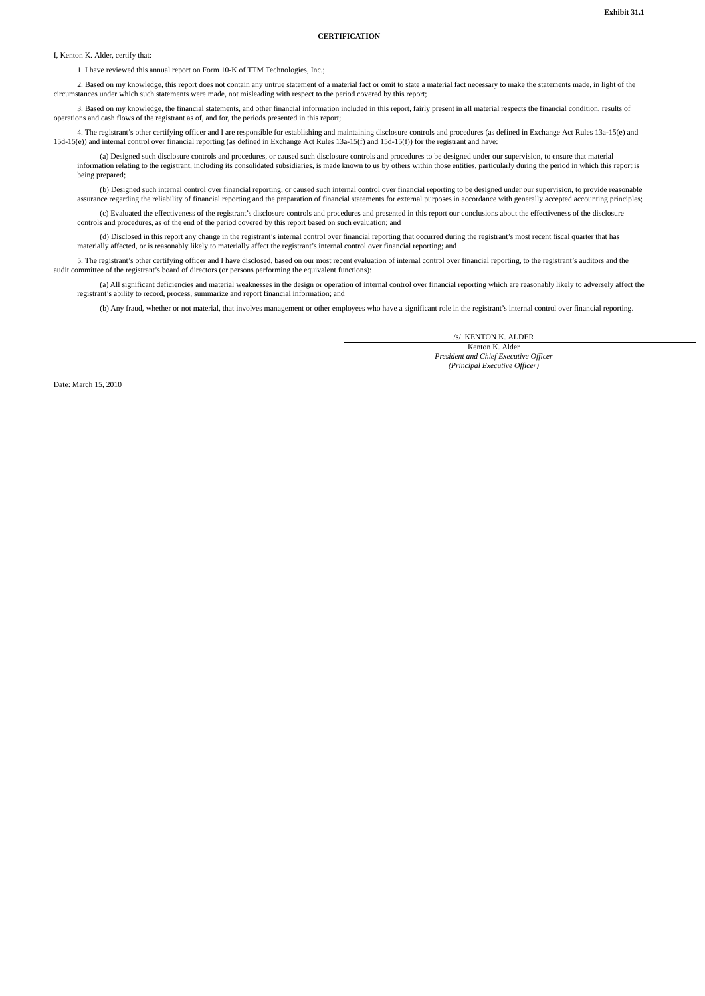#### **CERTIFICATION**

I, Kenton K. Alder, certify that:

1. I have reviewed this annual report on Form 10-K of TTM Technologies, Inc.;

2. Based on my knowledge, this report does not contain any untrue statement of a material fact or omit to state a material fact necessary to make the statements made, in light of the circumstances under which such statements were made, not misleading with respect to the period covered by this report;

3. Based on my knowledge, the financial statements, and other financial information included in this report, fairly present in all material respects the financial condition, results of operations and cash flows of the registrant as of, and for, the periods presented in this report;

4. The registrant's other certifying officer and I are responsible for establishing and maintaining disclosure controls and procedures (as defined in Exchange Act Rules 13a-15(e) and 15d-15(e)) and internal control over financial reporting (as defined in Exchange Act Rules 13a-15(f) and 15d-15(f)) for the registrant and have:

(a) Designed such disclosure controls and procedures, or caused such disclosure controls and procedures to be designed under our supervision, to ensure that material information relating to the registrant, including its consolidated subsidiaries, is made known to us by others within those entities, particularly during the period in which this report is being prepared;

(b) Designed such internal control over financial reporting, or caused such internal control over financial reporting to be designed under our supervision, to provide reasonable assurance regarding the reliability of financial reporting and the preparation of financial statements for external purposes in accordance with generally accepted accounting principles;

(c) Evaluated the effectiveness of the registrant's disclosure controls and procedures and presented in this report our conclusions about the effectiveness of the disclosure controls and procedures, as of the end of the period covered by this report based on such evaluation; and

(d) Disclosed in this report any change in the registrant's internal control over financial reporting that occurred during the registrant's most recent fiscal quarter that has materially affected, or is reasonably likely to materially affect the registrant's internal control over financial reporting; and

5. The registrant's other certifying officer and I have disclosed, based on our most recent evaluation of internal control over financial reporting, to the registrant's auditors and the audit committee of the registrant's board of directors (or persons performing the equivalent functions):

(a) All significant deficiencies and material weaknesses in the design or operation of internal control over financial reporting which are reasonably likely to adversely affect the registrant's ability to record, process, summarize and report financial information; and

(b) Any fraud, whether or not material, that involves management or other employees who have a significant role in the registrant's internal control over financial reporting.

/s/ KENTON K. ALDER

Kenton K. Alder *President and Chief Executive Officer (Principal Executive Officer)*

Date: March 15, 2010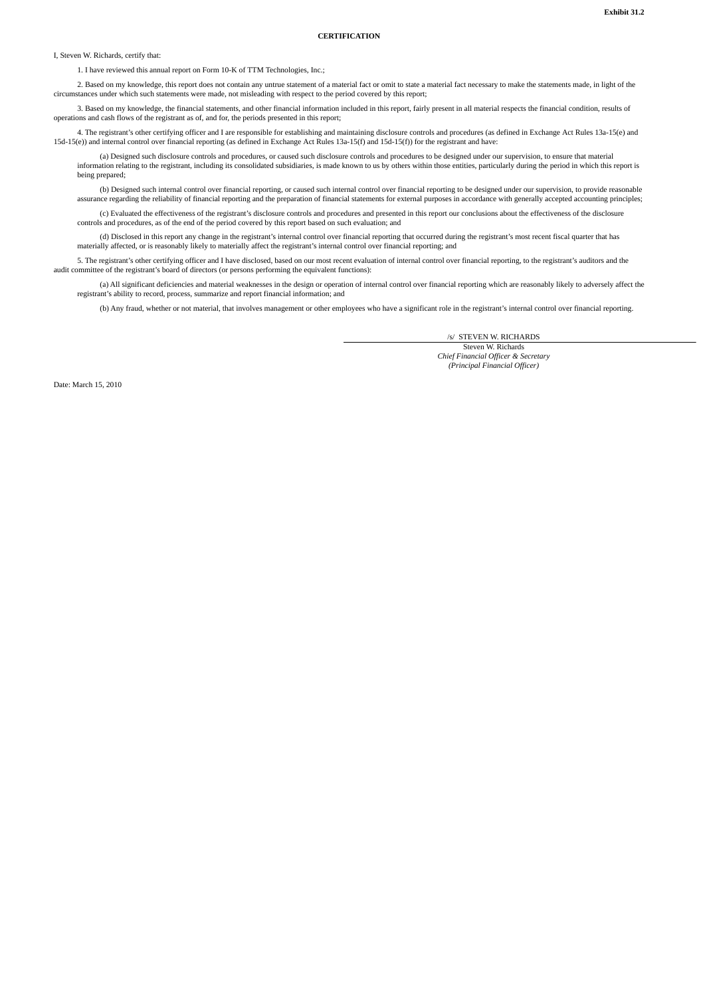#### **CERTIFICATION**

I, Steven W. Richards, certify that:

1. I have reviewed this annual report on Form 10-K of TTM Technologies, Inc.;

2. Based on my knowledge, this report does not contain any untrue statement of a material fact or omit to state a material fact necessary to make the statements made, in light of the circumstances under which such statements were made, not misleading with respect to the period covered by this report;

3. Based on my knowledge, the financial statements, and other financial information included in this report, fairly present in all material respects the financial condition, results of operations and cash flows of the registrant as of, and for, the periods presented in this report;

4. The registrant's other certifying officer and I are responsible for establishing and maintaining disclosure controls and procedures (as defined in Exchange Act Rules 13a-15(e) and 15d-15(e)) and internal control over financial reporting (as defined in Exchange Act Rules 13a-15(f) and 15d-15(f)) for the registrant and have:

(a) Designed such disclosure controls and procedures, or caused such disclosure controls and procedures to be designed under our supervision, to ensure that material information relating to the registrant, including its consolidated subsidiaries, is made known to us by others within those entities, particularly during the period in which this report is being prepared;

(b) Designed such internal control over financial reporting, or caused such internal control over financial reporting to be designed under our supervision, to provide reasonable assurance regarding the reliability of financial reporting and the preparation of financial statements for external purposes in accordance with generally accepted accounting principles;

(c) Evaluated the effectiveness of the registrant's disclosure controls and procedures and presented in this report our conclusions about the effectiveness of the disclosure controls and procedures, as of the end of the period covered by this report based on such evaluation; and

(d) Disclosed in this report any change in the registrant's internal control over financial reporting that occurred during the registrant's most recent fiscal quarter that has materially affected, or is reasonably likely to materially affect the registrant's internal control over financial reporting; and

5. The registrant's other certifying officer and I have disclosed, based on our most recent evaluation of internal control over financial reporting, to the registrant's auditors and the audit committee of the registrant's board of directors (or persons performing the equivalent functions):

(a) All significant deficiencies and material weaknesses in the design or operation of internal control over financial reporting which are reasonably likely to adversely affect the registrant's ability to record, process, summarize and report financial information; and

(b) Any fraud, whether or not material, that involves management or other employees who have a significant role in the registrant's internal control over financial reporting.

/s/ STEVEN W. RICHARDS Steven W. Richards *Chief Financial Officer & Secretary (Principal Financial Officer)*

Date: March 15, 2010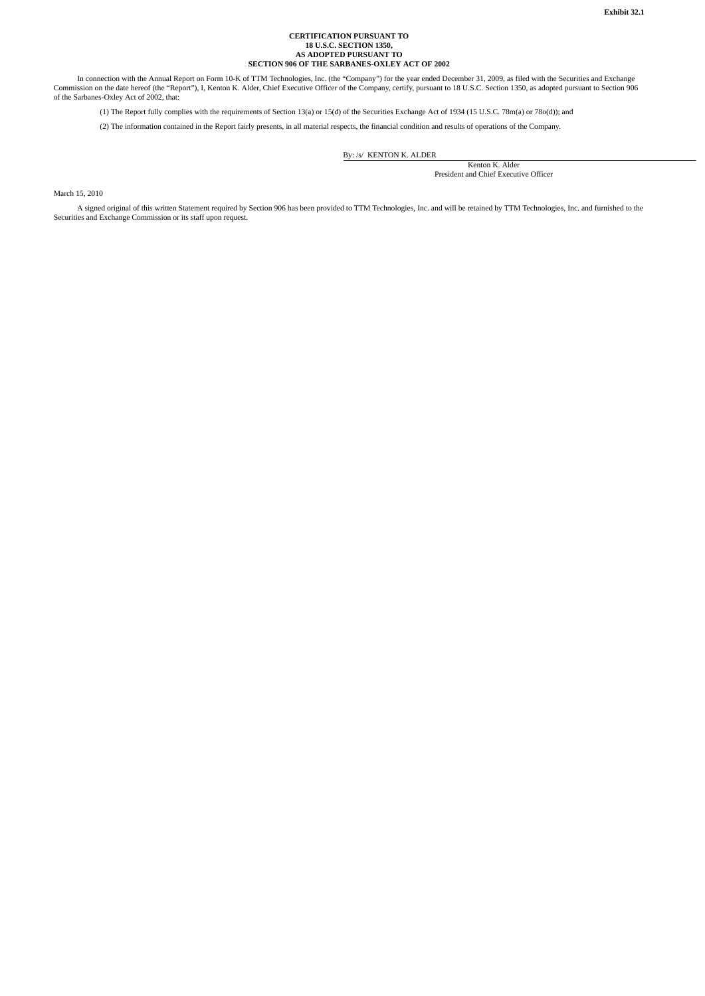# **CERTIFICATION PURSUANT TO 18 U.S.C. SECTION 1350, AS ADOPTED PURSUANT TO SECTION 906 OF THE SARBANES-OXLEY ACT OF 2002**

In connection with the Annual Report on Form 10-K of TTM Technologies, Inc. (the "Company") for the year ended December 31, 2009, as filed with the Securities and Exchange<br>Commission on the date hereof (the "Report"), I, K of the Sarbanes-Oxley Act of 2002, that:

(1) The Report fully complies with the requirements of Section 13(a) or 15(d) of the Securities Exchange Act of 1934 (15 U.S.C. 78m(a) or 78o(d)); and

(2) The information contained in the Report fairly presents, in all material respects, the financial condition and results of operations of the Company.

By: /s/ KENTON K. ALDER

Kenton K. Alder President and Chief Executive Officer

March 15, 2010

A signed original of this written Statement required by Section 906 has been provided to TTM Technologies, Inc. and will be retained by TTM Technologies, Inc. and furnished to the Securities and Exchange Commission or its staff upon request.